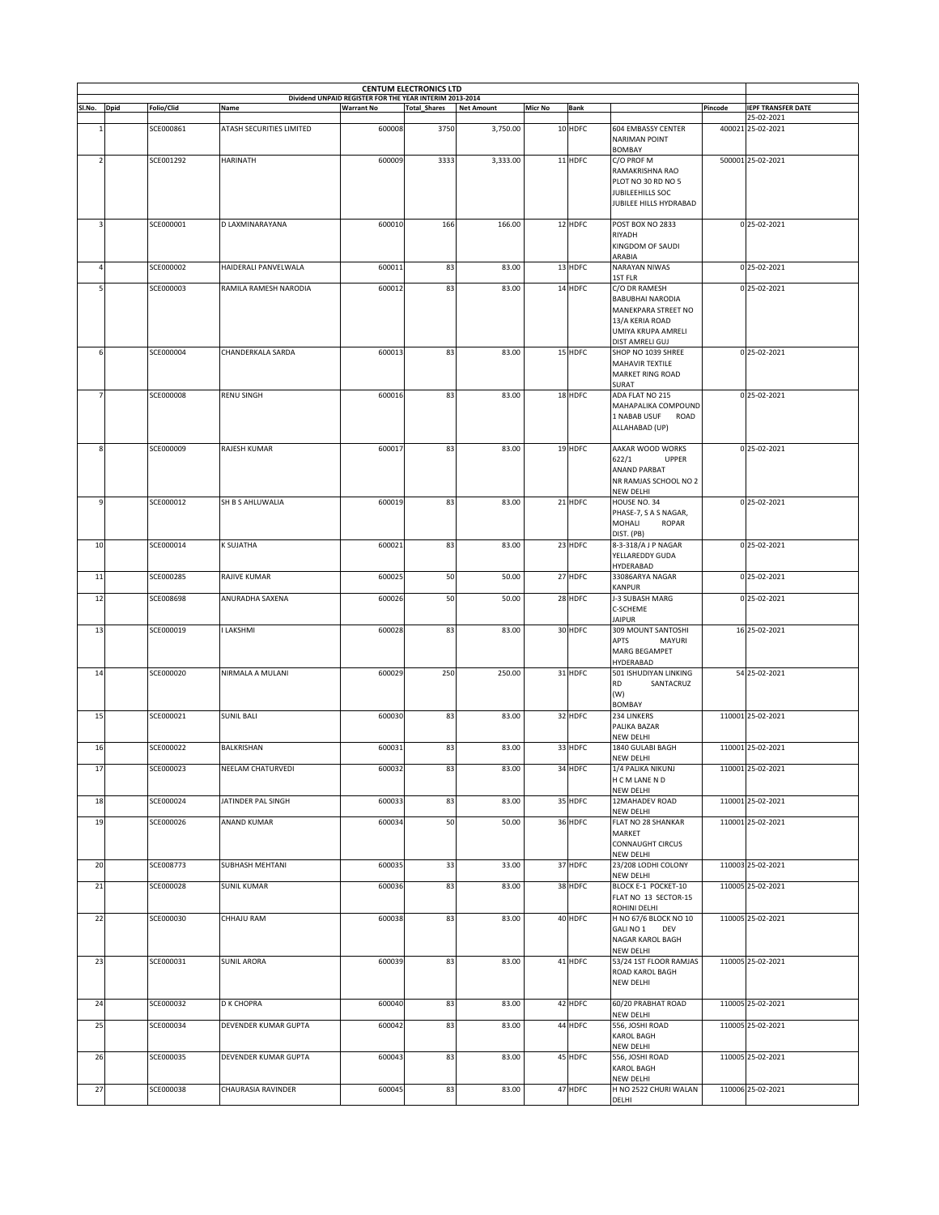| <b>CENTUM ELECTRONICS LTD</b><br>Dividend UNPAID REGISTER FOR THE YEAR INTERIM 2013-2014 |  |            |                          |                   |                     |                   |                |             |                                                             |         |                           |
|------------------------------------------------------------------------------------------|--|------------|--------------------------|-------------------|---------------------|-------------------|----------------|-------------|-------------------------------------------------------------|---------|---------------------------|
| Sl.No. Dpid                                                                              |  | Folio/Clid | Name                     | <b>Warrant No</b> | <b>Total_Shares</b> | <b>Net Amount</b> | <b>Micr No</b> | <b>Bank</b> |                                                             | Pincode | <b>IEPF TRANSFER DATE</b> |
|                                                                                          |  |            |                          |                   |                     |                   |                |             |                                                             |         | 25-02-2021                |
|                                                                                          |  | SCE000861  | ATASH SECURITIES LIMITED | 600008            | 3750                | 3,750.00          |                | 10 HDFC     | <b>604 EMBASSY CENTER</b><br><b>NARIMAN POINT</b><br>BOMBAY |         | 400021 25-02-2021         |
| $\overline{2}$                                                                           |  | SCE001292  | <b>HARINATH</b>          | 600009            | 3333                | 3,333.00          |                | 11 HDFC     | C/O PROF M<br>RAMAKRISHNA RAO                               |         | 500001 25-02-2021         |
|                                                                                          |  |            |                          |                   |                     |                   |                |             | PLOT NO 30 RD NO 5                                          |         |                           |
|                                                                                          |  |            |                          |                   |                     |                   |                |             | JUBILEEHILLS SOC<br>JUBILEE HILLS HYDRABAD                  |         |                           |
| 3                                                                                        |  | SCE000001  | D LAXMINARAYANA          | 600010            | 166                 | 166.00            |                | 12 HDFC     | POST BOX NO 2833                                            |         | 0 25-02-2021              |
|                                                                                          |  |            |                          |                   |                     |                   |                |             | RIYADH<br>KINGDOM OF SAUDI<br>ARABIA                        |         |                           |
| $\overline{a}$                                                                           |  | SCE000002  | HAIDERALI PANVELWALA     | 600011            | 83                  | 83.00             |                | 13 HDFC     | NARAYAN NIWAS                                               |         | 0 25-02-2021              |
| 5                                                                                        |  | SCE000003  | RAMILA RAMESH NARODIA    | 600012            | 83                  | 83.00             |                | 14 HDFC     | 1ST FLR<br>C/O DR RAMESH                                    |         | 0 25-02-2021              |
|                                                                                          |  |            |                          |                   |                     |                   |                |             | BABUBHAI NARODIA                                            |         |                           |
|                                                                                          |  |            |                          |                   |                     |                   |                |             | MANEKPARA STREET NO<br>13/A KERIA ROAD                      |         |                           |
|                                                                                          |  |            |                          |                   |                     |                   |                |             | UMIYA KRUPA AMRELI                                          |         |                           |
| 6                                                                                        |  | SCE000004  | CHANDERKALA SARDA        | 600013            | 83                  | 83.00             |                | 15 HDFC     | DIST AMRELI GUJ<br>SHOP NO 1039 SHREE                       |         | 0 25-02-2021              |
|                                                                                          |  |            |                          |                   |                     |                   |                |             | MAHAVIR TEXTILE                                             |         |                           |
|                                                                                          |  |            |                          |                   |                     |                   |                |             | <b>MARKET RING ROAD</b><br>SURAT                            |         |                           |
| $\overline{7}$                                                                           |  | SCE000008  | <b>RENU SINGH</b>        | 600016            | 83                  | 83.00             |                | 18 HDFC     | ADA FLAT NO 215<br>MAHAPALIKA COMPOUND                      |         | 0 25-02-2021              |
|                                                                                          |  |            |                          |                   |                     |                   |                |             | 1 NABAB USUF<br>ROAD                                        |         |                           |
|                                                                                          |  |            |                          |                   |                     |                   |                |             | ALLAHABAD (UP)                                              |         |                           |
| 8                                                                                        |  | SCE000009  | RAJESH KUMAR             | 600017            | 83                  | 83.00             |                | 19 HDFC     | AAKAR WOOD WORKS                                            |         | 0 25-02-2021              |
|                                                                                          |  |            |                          |                   |                     |                   |                |             | 622/1<br><b>UPPER</b><br>ANAND PARBAT                       |         |                           |
|                                                                                          |  |            |                          |                   |                     |                   |                |             | NR RAMJAS SCHOOL NO 2                                       |         |                           |
|                                                                                          |  | SCE000012  | SH B S AHLUWALIA         |                   |                     |                   |                | 21 HDFC     | NEW DELHI                                                   |         | 0 25-02-2021              |
| 9                                                                                        |  |            |                          | 600019            | 83                  | 83.00             |                |             | HOUSE NO. 34<br>PHASE-7, S A S NAGAR,                       |         |                           |
|                                                                                          |  |            |                          |                   |                     |                   |                |             | MOHALI<br><b>ROPAR</b>                                      |         |                           |
| 10                                                                                       |  | SCE000014  | K SUJATHA                | 600021            | 83                  | 83.00             |                | 23 HDFC     | DIST. (PB)<br>8-3-318/A J P NAGAR                           |         | 0 25-02-2021              |
|                                                                                          |  |            |                          |                   |                     |                   |                |             | YELLAREDDY GUDA<br>HYDERABAD                                |         |                           |
| 11                                                                                       |  | SCE000285  | RAJIVE KUMAR             | 600025            | 50                  | 50.00             |                | 27 HDFC     | 33086ARYA NAGAR                                             |         | 0 25-02-2021              |
| 12                                                                                       |  | SCE008698  | ANURADHA SAXENA          | 600026            | 50                  | 50.00             |                | 28 HDFC     | KANPUR<br>J-3 SUBASH MARG                                   |         | 0 25-02-2021              |
|                                                                                          |  |            |                          |                   |                     |                   |                |             | C-SCHEME                                                    |         |                           |
| 13                                                                                       |  | SCE000019  | <b>LAKSHMI</b>           | 600028            | 83                  | 83.00             |                | 30 HDFC     | <b>JAIPUR</b><br>309 MOUNT SANTOSHI                         |         | 16 25-02-2021             |
|                                                                                          |  |            |                          |                   |                     |                   |                |             | APTS<br>MAYURI                                              |         |                           |
|                                                                                          |  |            |                          |                   |                     |                   |                |             | <b>MARG BEGAMPET</b><br>HYDERABAD                           |         |                           |
| 14                                                                                       |  | SCE000020  | NIRMALA A MULANI         | 600029            | 250                 | 250.00            |                | 31 HDFC     | 501 ISHUDIYAN LINKING<br>SANTACRUZ<br>RD                    |         | 54 25-02-2021             |
|                                                                                          |  |            |                          |                   |                     |                   |                |             | (W)                                                         |         |                           |
| 15                                                                                       |  | SCE000021  | <b>SUNIL BALI</b>        | 600030            | 83                  | 83.00             |                | 32 HDFC     | BOMBAY<br>234 LINKERS                                       |         | 110001 25-02-2021         |
|                                                                                          |  |            |                          |                   |                     |                   |                |             | PALIKA BAZAR                                                |         |                           |
| 16                                                                                       |  | SCE000022  | <b>BALKRISHAN</b>        | 600031            | 83                  | 83.00             |                | 33 HDFC     | NEW DELHI<br>1840 GULABI BAGH                               |         | 110001 25-02-2021         |
| 17                                                                                       |  |            |                          |                   | 83                  |                   |                |             | NEW DELHI<br>1/4 PALIKA NIKUNI                              |         |                           |
|                                                                                          |  | SCE000023  | NEELAM CHATURVEDI        | 600032            |                     | 83.00             |                | 34 HDFC     | H C M LANE N D                                              |         | 110001 25-02-2021         |
| 18                                                                                       |  | SCE000024  | JATINDER PAL SINGH       | 600033            | 83                  | 83.00             |                | 35 HDFC     | NEW DELHI<br>12MAHADEV ROAD                                 |         | 110001 25-02-2021         |
|                                                                                          |  |            |                          |                   |                     |                   |                |             | NEW DELHI                                                   |         |                           |
| 19                                                                                       |  | SCE000026  | ANAND KUMAR              | 600034            | 50                  | 50.00             |                | 36 HDFC     | FLAT NO 28 SHANKAR<br>MARKET                                |         | 110001 25-02-2021         |
|                                                                                          |  |            |                          |                   |                     |                   |                |             | <b>CONNAUGHT CIRCUS</b>                                     |         |                           |
| 20                                                                                       |  | SCE008773  | SUBHASH MEHTANI          | 600035            | 33                  | 33.00             |                | 37 HDFC     | NEW DELHI<br>23/208 LODHI COLONY                            |         | 110003 25-02-2021         |
|                                                                                          |  |            |                          |                   |                     |                   |                |             | NEW DELHI                                                   |         |                           |
| 21                                                                                       |  | SCE000028  | <b>SUNIL KUMAR</b>       | 600036            | 83                  | 83.00             |                | 38 HDFC     | BLOCK E-1 POCKET-10<br>FLAT NO 13 SECTOR-15                 |         | 110005 25-02-2021         |
|                                                                                          |  |            |                          |                   |                     |                   |                |             | ROHINI DELHI                                                |         |                           |
| 22                                                                                       |  | SCE000030  | CHHAJU RAM               | 600038            | 83                  | 83.00             |                | 40 HDFC     | H NO 67/6 BLOCK NO 10<br>GALINO 1 DEV                       |         | 110005 25-02-2021         |
|                                                                                          |  |            |                          |                   |                     |                   |                |             | NAGAR KAROL BAGH<br><b>NEW DELHI</b>                        |         |                           |
| 23                                                                                       |  | SCE000031  | <b>SUNIL ARORA</b>       | 600039            | 83                  | 83.00             |                | 41 HDFC     | 53/24 1ST FLOOR RAMJAS                                      |         | 110005 25-02-2021         |
|                                                                                          |  |            |                          |                   |                     |                   |                |             | ROAD KAROL BAGH<br>NEW DELHI                                |         |                           |
|                                                                                          |  |            |                          |                   |                     |                   |                |             |                                                             |         |                           |
| 24                                                                                       |  | SCE000032  | D K CHOPRA               | 600040            | 83                  | 83.00             |                | 42 HDFC     | 60/20 PRABHAT ROAD<br>NEW DELHI                             |         | 110005 25-02-2021         |
| 25                                                                                       |  | SCE000034  | DEVENDER KUMAR GUPTA     | 600042            | 83                  | 83.00             |                | 44 HDFC     | 556, JOSHI ROAD                                             |         | 110005 25-02-2021         |
|                                                                                          |  |            |                          |                   |                     |                   |                |             | KAROL BAGH<br>NEW DELHI                                     |         |                           |
| 26                                                                                       |  | SCE000035  | DEVENDER KUMAR GUPTA     | 600043            | 83                  | 83.00             |                | 45 HDFC     | 556, JOSHI ROAD                                             |         | 110005 25-02-2021         |
|                                                                                          |  |            |                          |                   |                     |                   |                |             | KAROL BAGH<br>NEW DELHI                                     |         |                           |
| 27                                                                                       |  | SCE000038  | CHAURASIA RAVINDER       | 600045            | 83                  | 83.00             |                | 47 HDFC     | H NO 2522 CHURI WALAN<br>DELHI                              |         | 110006 25-02-2021         |
|                                                                                          |  |            |                          |                   |                     |                   |                |             |                                                             |         |                           |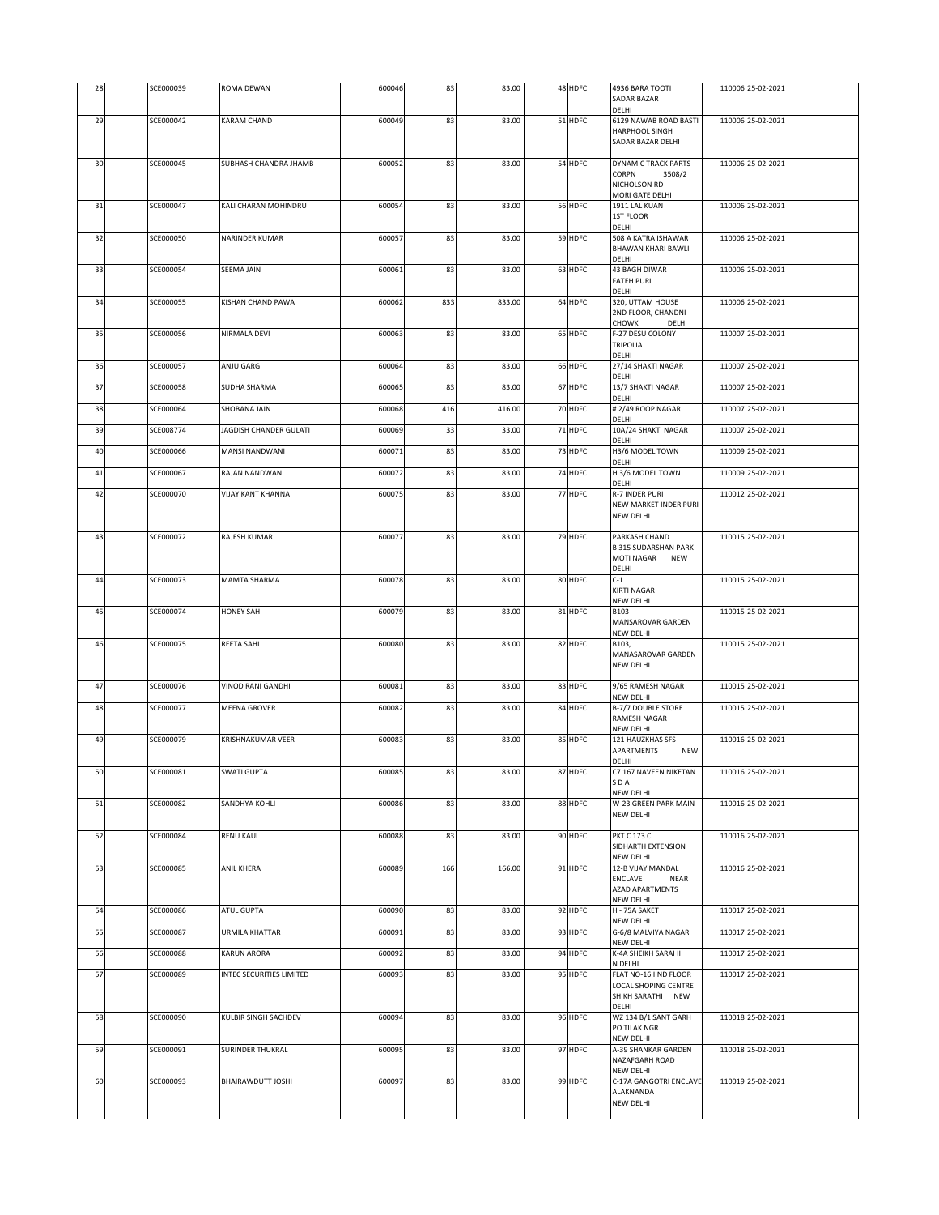| 28 | SCE000039 | ROMA DEWAN               | 600046 | 83  | 83.00  | 48 HDFC | 4936 BARA TOOTI<br><b>SADAR BAZAR</b><br>DELHI          | 110006 25-02-2021 |
|----|-----------|--------------------------|--------|-----|--------|---------|---------------------------------------------------------|-------------------|
| 29 | SCE000042 | KARAM CHAND              | 600049 | 83  | 83.00  | 51 HDFC | 6129 NAWAB ROAD BASTI                                   | 110006 25-02-2021 |
|    |           |                          |        |     |        |         | HARPHOOL SINGH<br>SADAR BAZAR DELHI                     |                   |
|    |           |                          |        |     |        |         |                                                         |                   |
| 30 | SCE000045 | SUBHASH CHANDRA JHAMB    | 600052 | 83  | 83.00  | 54 HDFC | <b>DYNAMIC TRACK PARTS</b><br>CORPN<br>3508/2           | 110006 25-02-2021 |
|    |           |                          |        |     |        |         | NICHOLSON RD<br>MORI GATE DELHI                         |                   |
| 31 | SCE000047 | KALI CHARAN MOHINDRU     | 600054 | 83  | 83.00  | 56 HDFC | 1911 LAL KUAN                                           | 110006 25-02-2021 |
|    |           |                          |        |     |        |         | 1ST FLOOR<br>DELHI                                      |                   |
| 32 | SCE000050 | NARINDER KUMAR           | 600057 | 83  | 83.00  | 59 HDFC | 508 A KATRA ISHAWAR                                     | 110006 25-02-2021 |
|    |           |                          |        |     |        |         | <b>BHAWAN KHARI BAWLI</b><br>DELHI                      |                   |
| 33 | SCE000054 | <b>SEEMA JAIN</b>        | 600061 | 83  | 83.00  | 63 HDFC | 43 BAGH DIWAR                                           | 110006 25-02-2021 |
|    |           |                          |        |     |        |         | <b>FATEH PURI</b><br>DELHI                              |                   |
| 34 | SCE000055 | KISHAN CHAND PAWA        | 600062 | 833 | 833.00 | 64 HDFC | 320, UTTAM HOUSE                                        | 110006 25-02-2021 |
|    |           |                          |        |     |        |         | 2ND FLOOR, CHANDNI<br>CHOWK<br>DELHI                    |                   |
| 35 | SCE000056 | NIRMALA DEVI             | 600063 | 83  | 83.00  | 65 HDFC | F-27 DESU COLONY<br><b>TRIPOLIA</b>                     | 110007 25-02-2021 |
|    |           |                          |        |     |        |         | DELHI                                                   |                   |
| 36 | SCE000057 | ANJU GARG                | 600064 | 83  | 83.00  | 66 HDFC | 27/14 SHAKTI NAGAR<br>DELHI                             | 110007 25-02-2021 |
| 37 | SCE000058 | SUDHA SHARMA             | 600065 | 83  | 83.00  | 67 HDFC | 13/7 SHAKTI NAGAR                                       | 110007 25-02-2021 |
| 38 | SCE000064 | SHOBANA JAIN             | 600068 | 416 | 416.00 | 70 HDFC | DELHI<br># 2/49 ROOP NAGAR                              | 110007 25-02-2021 |
|    |           |                          |        |     |        |         | DELHI                                                   |                   |
| 39 | SCE008774 | JAGDISH CHANDER GULATI   | 600069 | 33  | 33.00  | 71 HDFC | 10A/24 SHAKTI NAGAR<br>DELHI                            | 110007 25-02-2021 |
| 40 | SCE000066 | MANSI NANDWANI           | 600071 | 83  | 83.00  | 73 HDFC | H3/6 MODEL TOWN<br>DELHI                                | 110009 25-02-2021 |
| 41 | SCE000067 | RAJAN NANDWANI           | 600072 | 83  | 83.00  | 74 HDFC | H 3/6 MODEL TOWN                                        | 110009 25-02-2021 |
| 42 | SCE000070 | <b>VIJAY KANT KHANNA</b> | 600075 | 83  | 83.00  | 77 HDFC | <b>DELHI</b><br>R-7 INDER PURI                          | 110012 25-02-2021 |
|    |           |                          |        |     |        |         | NEW MARKET INDER PURI                                   |                   |
|    |           |                          |        |     |        |         | NEW DELHI                                               |                   |
| 43 | SCE000072 | RAJESH KUMAR             | 600077 | 83  | 83.00  | 79 HDFC | PARKASH CHAND                                           | 110015 25-02-2021 |
|    |           |                          |        |     |        |         | <b>B 315 SUDARSHAN PARK</b><br>MOTI NAGAR<br><b>NEW</b> |                   |
| 44 | SCE000073 | <b>MAMTA SHARMA</b>      | 600078 | 83  | 83.00  | 80 HDFC | DELHI<br>$C-1$                                          | 110015 25-02-2021 |
|    |           |                          |        |     |        |         | KIRTI NAGAR                                             |                   |
| 45 | SCE000074 | <b>HONEY SAHI</b>        | 600079 | 83  | 83.00  | 81 HDFC | NEW DELHI<br>B103                                       | 110015 25-02-2021 |
|    |           |                          |        |     |        |         | MANSAROVAR GARDEN                                       |                   |
| 46 | SCE000075 | REETA SAHI               | 600080 | 83  | 83.00  | 82 HDFC | <b>NEW DELHI</b><br>B103,                               | 110015 25-02-2021 |
|    |           |                          |        |     |        |         | MANASAROVAR GARDEN                                      |                   |
|    |           |                          |        |     |        |         | <b>NEW DELHI</b>                                        |                   |
| 47 | SCE000076 | <b>VINOD RANI GANDHI</b> | 600081 | 83  | 83.00  | 83 HDFC | 9/65 RAMESH NAGAR<br>NEW DELHI                          | 110015 25-02-2021 |
| 48 | SCE000077 | MEENA GROVER             | 600082 | 83  | 83.00  | 84 HDFC | B-7/7 DOUBLE STORE                                      | 110015 25-02-2021 |
|    |           |                          |        |     |        |         | RAMESH NAGAR<br>NEW DELHI                               |                   |
| 49 | SCE000079 | KRISHNAKUMAR VEER        | 600083 | 83  | 83.00  | 85 HDFC | 121 HAUZKHAS SFS                                        | 110016 25-02-2021 |
|    |           |                          |        |     |        |         | APARTMENTS<br><b>NEW</b><br>DELHI                       |                   |
| 50 | SCE000081 | <b>SWATI GUPTA</b>       | 600085 | 83  | 83.00  | 87 HDFC | C7 167 NAVEEN NIKETAN<br>SDA                            | 110016 25-02-2021 |
|    |           |                          |        |     |        |         | NEW DELHI                                               |                   |
| 51 | SCE000082 | SANDHYA KOHLI            | 600086 | 83  | 83.00  | 88 HDFC | W-23 GREEN PARK MAIN<br>NEW DELHI                       | 110016 25-02-2021 |
|    |           |                          |        |     |        |         |                                                         |                   |
| 52 | SCE000084 | RENU KAUL                | 600088 | 83  | 83.00  | 90 HDFC | <b>PKT C 173 C</b><br>SIDHARTH EXTENSION                | 110016 25-02-2021 |
| 53 | SCE000085 | <b>ANIL KHERA</b>        | 600089 | 166 | 166.00 | 91 HDFC | NEW DELHI<br>12-B VIJAY MANDAL                          | 110016 25-02-2021 |
|    |           |                          |        |     |        |         | ENCLAVE<br>NEAR                                         |                   |
|    |           |                          |        |     |        |         | <b>AZAD APARTMENTS</b><br>NEW DELHI                     |                   |
| 54 | SCE000086 | ATUL GUPTA               | 600090 | 83  | 83.00  | 92 HDFC | H - 75A SAKET                                           | 110017 25-02-2021 |
| 55 | SCE000087 | <b>URMILA KHATTAR</b>    | 600091 | 83  | 83.00  | 93 HDFC | NEW DELHI<br>G-6/8 MALVIYA NAGAR                        | 110017 25-02-2021 |
|    | SCE000088 | <b>KARUN ARORA</b>       | 600092 |     | 83.00  | 94 HDFC | NEW DELHI<br>K-4A SHEIKH SARAI II                       | 110017 25-02-2021 |
| 56 |           |                          |        | 83  |        |         | N DELHI                                                 |                   |
| 57 | SCE000089 | INTEC SECURITIES LIMITED | 600093 | 83  | 83.00  | 95 HDFC | FLAT NO-16 IIND FLOOR<br>LOCAL SHOPING CENTRE           | 110017 25-02-2021 |
|    |           |                          |        |     |        |         | SHIKH SARATHI NEW                                       |                   |
| 58 | SCE000090 | KULBIR SINGH SACHDEV     | 600094 | 83  | 83.00  | 96 HDFC | DELHI<br>WZ 134 B/1 SANT GARH                           | 110018 25-02-2021 |
|    |           |                          |        |     |        |         | PO TILAK NGR                                            |                   |
| 59 | SCE000091 | SURINDER THUKRAL         | 600095 | 83  | 83.00  | 97 HDFC | NEW DELHI<br>A-39 SHANKAR GARDEN                        | 110018 25-02-2021 |
|    |           |                          |        |     |        |         | NAZAFGARH ROAD<br>NEW DELHI                             |                   |
| 60 | SCE000093 | BHAIRAWDUTT JOSHI        | 600097 | 83  | 83.00  | 99 HDFC | C-17A GANGOTRI ENCLAVE                                  | 110019 25-02-2021 |
|    |           |                          |        |     |        |         | ALAKNANDA<br>NEW DELHI                                  |                   |
|    |           |                          |        |     |        |         |                                                         |                   |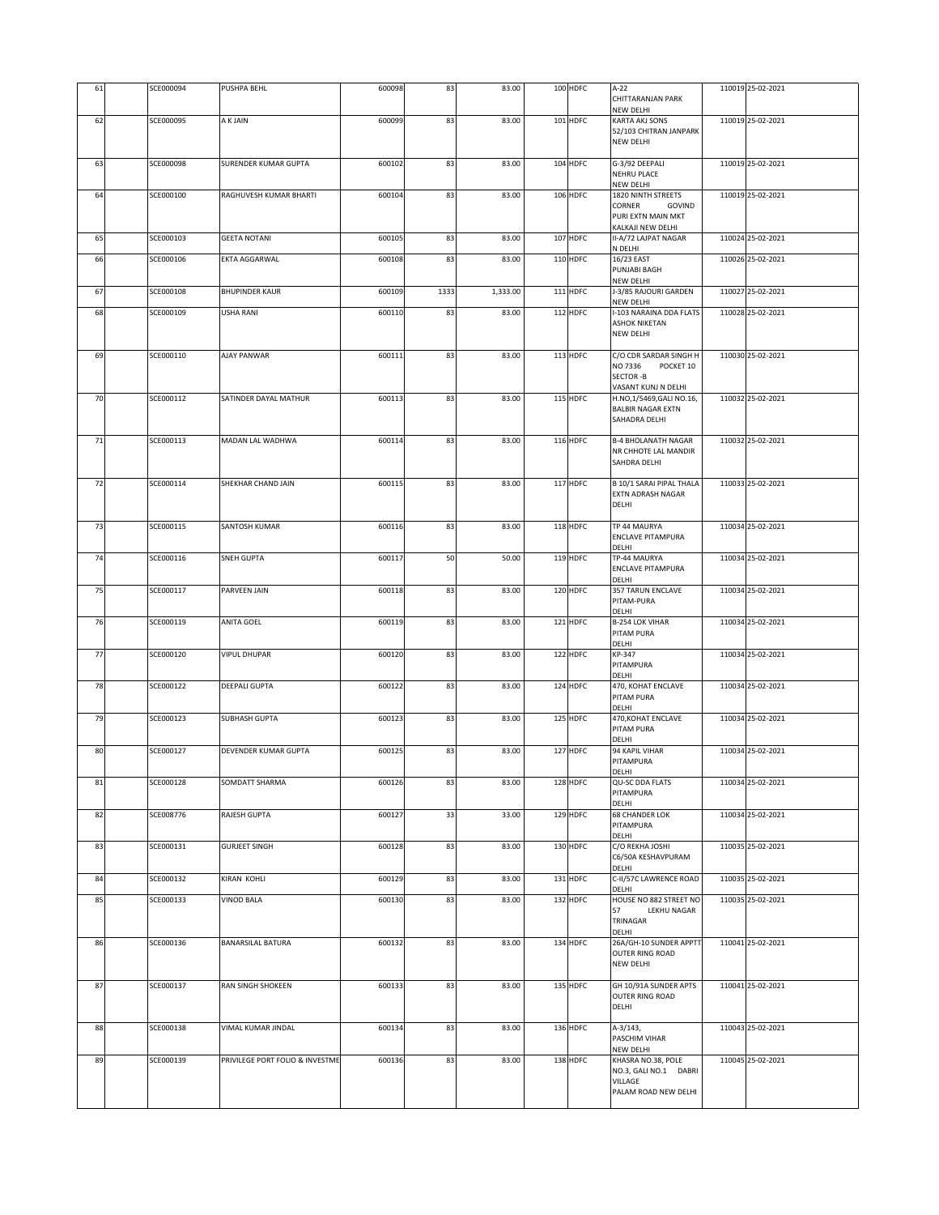| 61     | SCE000094 | PUSHPA BEHL                     | 600098 | 83   | 83.00    | 100 HDFC | $A-22$<br>CHITTARANJAN PARK<br>NEW DELHI            | 110019 25-02-2021 |
|--------|-----------|---------------------------------|--------|------|----------|----------|-----------------------------------------------------|-------------------|
| 62     | SCE000095 | A K JAIN                        | 600099 | 83   | 83.00    | 101 HDFC | KARTA AKJ SONS                                      | 110019 25-02-2021 |
|        |           |                                 |        |      |          |          | 52/103 CHITRAN JANPARK                              |                   |
|        |           |                                 |        |      |          |          | <b>NEW DELHI</b>                                    |                   |
| 63     | SCE000098 | SURENDER KUMAR GUPTA            | 600102 | 83   | 83.00    | 104 HDFC | G-3/92 DEEPALI                                      | 110019 25-02-2021 |
|        |           |                                 |        |      |          |          | NEHRU PLACE<br>NEW DELHI                            |                   |
| 64     | SCE000100 | RAGHUVESH KUMAR BHARTI          | 600104 | 83   | 83.00    | 106 HDFC | 1820 NINTH STREETS                                  | 110019 25-02-2021 |
|        |           |                                 |        |      |          |          | CORNER<br>GOVIND                                    |                   |
|        |           |                                 |        |      |          |          | PURI EXTN MAIN MKT<br>KALKAJI NEW DELHI             |                   |
| 65     | SCE000103 | <b>GEETA NOTANI</b>             | 600105 | 83   | 83.00    | 107 HDFC | II-A/72 LAJPAT NAGAR                                | 110024 25-02-2021 |
|        |           |                                 |        | 83   | 83.00    |          | N DELHI                                             |                   |
| 66     | SCE000106 | EKTA AGGARWAL                   | 600108 |      |          | 110 HDFC | 16/23 EAST<br>PUNJABI BAGH                          | 110026 25-02-2021 |
|        |           |                                 |        |      |          |          | NEW DELHI                                           |                   |
| 67     | SCE000108 | <b>BHUPINDER KAUR</b>           | 600109 | 1333 | 1,333.00 | 111 HDFC | J-3/85 RAJOURI GARDEN<br>NEW DELHI                  | 110027 25-02-2021 |
| 68     | SCE000109 | <b>USHA RANI</b>                | 600110 | 83   | 83.00    | 112 HDFC | I-103 NARAINA DDA FLATS                             | 110028 25-02-2021 |
|        |           |                                 |        |      |          |          | <b>ASHOK NIKETAN</b><br>NEW DELHI                   |                   |
|        |           |                                 |        |      |          |          |                                                     |                   |
| 69     | SCE000110 | AJAY PANWAR                     | 600111 | 83   | 83.00    | 113 HDFC | C/O CDR SARDAR SINGH H                              | 110030 25-02-2021 |
|        |           |                                 |        |      |          |          | NO 7336<br>POCKET 10<br><b>SECTOR -B</b>            |                   |
|        |           |                                 |        |      |          |          | VASANT KUNJ N DELHI                                 |                   |
| 70     | SCE000112 | SATINDER DAYAL MATHUR           | 600113 | 83   | 83.00    | 115 HDFC | H.NO,1/5469,GALI NO.16,<br><b>BALBIR NAGAR EXTN</b> | 110032 25-02-2021 |
|        |           |                                 |        |      |          |          | SAHADRA DELHI                                       |                   |
|        |           |                                 |        |      |          |          |                                                     |                   |
| $71\,$ | SCE000113 | MADAN LAL WADHWA                | 600114 | 83   | 83.00    | 116 HDFC | <b>B-4 BHOLANATH NAGAR</b><br>NR CHHOTE LAL MANDIR  | 110032 25-02-2021 |
|        |           |                                 |        |      |          |          | SAHDRA DELHI                                        |                   |
| 72     | SCE000114 | SHEKHAR CHAND JAIN              | 600115 | 83   | 83.00    | 117 HDFC | B 10/1 SARAI PIPAL THALA                            | 110033 25-02-2021 |
|        |           |                                 |        |      |          |          | EXTN ADRASH NAGAR                                   |                   |
|        |           |                                 |        |      |          |          | DELHI                                               |                   |
| 73     | SCE000115 | SANTOSH KUMAR                   | 600116 | 83   | 83.00    | 118 HDFC | TP 44 MAURYA                                        | 110034 25-02-2021 |
|        |           |                                 |        |      |          |          | <b>ENCLAVE PITAMPURA</b>                            |                   |
| 74     | SCE000116 | <b>SNEH GUPTA</b>               | 600117 | 50   | 50.00    | 119 HDFC | DELHI<br>TP-44 MAURYA                               | 110034 25-02-2021 |
|        |           |                                 |        |      |          |          | <b>ENCLAVE PITAMPURA</b>                            |                   |
|        |           |                                 |        |      |          |          | DELHI                                               |                   |
| 75     | SCE000117 | PARVEEN JAIN                    | 600118 | 83   | 83.00    | 120 HDFC | 357 TARUN ENCLAVE<br>PITAM-PURA                     | 110034 25-02-2021 |
|        |           |                                 |        |      |          |          | DELHI                                               |                   |
| 76     | SCE000119 | <b>ANITA GOEL</b>               | 600119 | 83   | 83.00    | 121 HDFC | <b>B-254 LOK VIHAR</b><br>PITAM PURA                | 110034 25-02-2021 |
|        |           |                                 |        |      |          |          | DELHI                                               |                   |
| 77     | SCE000120 | <b>VIPUL DHUPAR</b>             | 600120 | 83   | 83.00    | 122 HDFC | KP-347<br>PITAMPURA                                 | 110034 25-02-2021 |
|        |           |                                 |        |      |          |          | DELHI                                               |                   |
| 78     | SCE000122 | DEEPALI GUPTA                   | 600122 | 83   | 83.00    | 124 HDFC | 470, KOHAT ENCLAVE                                  | 110034 25-02-2021 |
|        |           |                                 |        |      |          |          | PITAM PURA<br>DELHI                                 |                   |
| 79     | SCE000123 | <b>SUBHASH GUPTA</b>            | 600123 | 83   | 83.00    | 125 HDFC | 470, KOHAT ENCLAVE                                  | 110034 25-02-2021 |
|        |           |                                 |        |      |          |          | PITAM PURA<br>DELHI                                 |                   |
| 80     | SCE000127 | DEVENDER KUMAR GUPTA            | 600125 | 83   | 83.00    | 127 HDFC | 94 KAPIL VIHAR                                      | 110034 25-02-2021 |
|        |           |                                 |        |      |          |          | PITAMPURA                                           |                   |
| 81     | SCE000128 | SOMDATT SHARMA                  | 600126 | 83   | 83.00    | 128 HDFC | DELHI<br>QU-SC DDA FLATS                            | 110034 25-02-2021 |
|        |           |                                 |        |      |          |          | PITAMPURA                                           |                   |
| 82     | SCE008776 | <b>RAJESH GUPTA</b>             | 600127 | 33   | 33.00    | 129 HDFC | DELHI<br><b>68 CHANDER LOK</b>                      | 110034 25-02-2021 |
|        |           |                                 |        |      |          |          | PITAMPURA                                           |                   |
| 83     | SCE000131 | <b>GURJEET SINGH</b>            | 600128 | 83   | 83.00    | 130 HDFC | DELHI<br>C/O REKHA JOSHI                            | 110035 25-02-2021 |
|        |           |                                 |        |      |          |          | C6/50A KESHAVPURAM                                  |                   |
| 84     |           |                                 |        |      |          |          | DELHI                                               |                   |
|        | SCE000132 | KIRAN KOHLI                     | 600129 | 83   | 83.00    | 131 HDFC | C-II/57C LAWRENCE ROAD<br>DELHI                     | 110035 25-02-2021 |
| 85     | SCE000133 | <b>VINOD BALA</b>               | 600130 | 83   | 83.00    | 132 HDFC | HOUSE NO 882 STREET NO                              | 110035 25-02-2021 |
|        |           |                                 |        |      |          |          | 57<br><b>LEKHU NAGAR</b><br>TRINAGAR                |                   |
|        |           |                                 |        |      |          |          | DELHI                                               |                   |
| 86     | SCE000136 | <b>BANARSILAL BATURA</b>        | 600132 | 83   | 83.00    | 134 HDFC | 26A/GH-10 SUNDER APPTT<br><b>OUTER RING ROAD</b>    | 110041 25-02-2021 |
|        |           |                                 |        |      |          |          | <b>NEW DELHI</b>                                    |                   |
|        |           |                                 |        |      |          |          |                                                     |                   |
| 87     | SCE000137 | RAN SINGH SHOKEEN               | 600133 | 83   | 83.00    | 135 HDFC | GH 10/91A SUNDER APTS<br><b>OUTER RING ROAD</b>     | 110041 25-02-2021 |
|        |           |                                 |        |      |          |          | DELHI                                               |                   |
| 88     | SCE000138 | VIMAL KUMAR JINDAL              | 600134 | 83   | 83.00    | 136 HDFC | A-3/143,                                            | 110043 25-02-2021 |
|        |           |                                 |        |      |          |          | PASCHIM VIHAR                                       |                   |
|        |           |                                 |        |      |          |          | NEW DELHI                                           |                   |
| 89     | SCE000139 | PRIVILEGE PORT FOLIO & INVESTME | 600136 | 83   | 83.00    | 138 HDFC | KHASRA NO.38, POLE<br>NO.3, GALI NO.1 DABRI         | 110045 25-02-2021 |
|        |           |                                 |        |      |          |          | VILLAGE                                             |                   |
|        |           |                                 |        |      |          |          | PALAM ROAD NEW DELHI                                |                   |
|        |           |                                 |        |      |          |          |                                                     |                   |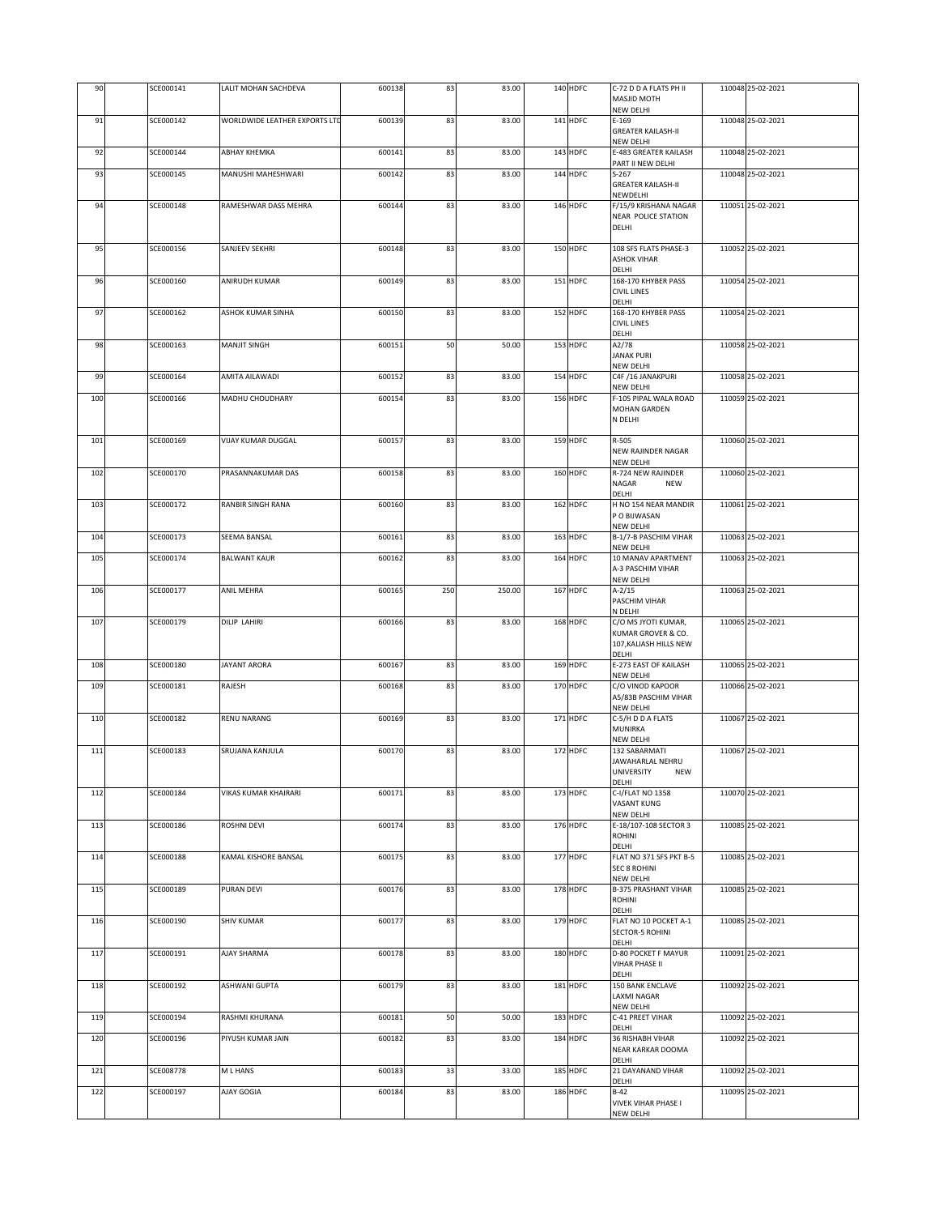| 90  | SCE000141 | LALIT MOHAN SACHDEVA          | 600138 | 83  | 83.00  | 140 HDFC   | C-72 D D A FLATS PH II<br>MASJID MOTH               | 110048 25-02-2021 |
|-----|-----------|-------------------------------|--------|-----|--------|------------|-----------------------------------------------------|-------------------|
| 91  | SCE000142 | WORLDWIDE LEATHER EXPORTS LTD | 600139 | 83  | 83.00  | 141 HDFC   | NEW DELHI<br>$E-169$                                | 110048 25-02-2021 |
|     |           |                               |        |     |        |            | <b>GREATER KAILASH-II</b>                           |                   |
| 92  | SCE000144 | АВНАҮ КНЕМКА                  | 600141 | 83  | 83.00  | 143 HDFC   | NEW DELHI<br>E-483 GREATER KAILASH                  | 110048 25-02-2021 |
| 93  | SCE000145 | MANUSHI MAHESHWARI            | 600142 | 83  | 83.00  | 144 HDFC   | PART II NEW DELHI<br>$S-267$                        | 110048 25-02-2021 |
|     |           |                               |        |     |        |            | <b>GREATER KAILASH-II</b><br>NEWDELHI               |                   |
| 94  | SCE000148 | RAMESHWAR DASS MEHRA          | 600144 | 83  | 83.00  | 146 HDFC   | F/15/9 KRISHANA NAGAR<br><b>NEAR POLICE STATION</b> | 110051 25-02-2021 |
|     |           |                               |        |     |        |            | DELHI                                               |                   |
| 95  | SCE000156 | SANJEEV SEKHRI                | 600148 | 83  | 83.00  | 150 HDFC   | 108 SFS FLATS PHASE-3                               | 110052 25-02-2021 |
|     |           |                               |        |     |        |            | <b>ASHOK VIHAR</b><br>DELHI                         |                   |
| 96  | SCE000160 | ANIRUDH KUMAR                 | 600149 | 83  | 83.00  | 151 HDFC   | 168-170 KHYBER PASS<br><b>CIVIL LINES</b>           | 110054 25-02-2021 |
| 97  | SCE000162 | ASHOK KUMAR SINHA             | 600150 | 83  | 83.00  | 152 HDFC   | DELHI<br>168-170 KHYBER PASS                        | 110054 25-02-2021 |
|     |           |                               |        |     |        |            | <b>CIVIL LINES</b><br>DELHI                         |                   |
| 98  | SCE000163 | <b>MANJIT SINGH</b>           | 600151 | 50  | 50.00  | 153 HDFC   | A2/78<br><b>JANAK PURI</b>                          | 110058 25-02-2021 |
| 99  | SCE000164 | AMITA AILAWADI                | 600152 | 83  | 83.00  | 154 HDFC   | <b>NEW DELHI</b><br>C4F /16 JANAKPURI               | 110058 25-02-2021 |
|     |           |                               |        |     |        |            | NEW DELHI                                           |                   |
| 100 | SCE000166 | MADHU CHOUDHARY               | 600154 | 83  | 83.00  | 156 HDFC   | F-105 PIPAL WALA ROAD<br>MOHAN GARDEN               | 110059 25-02-2021 |
|     |           |                               |        |     |        |            | N DELHI                                             |                   |
| 101 | SCE000169 | <b>VIJAY KUMAR DUGGAL</b>     | 600157 | 83  | 83.00  | 159 HDFC   | R-505<br><b>NEW RAJINDER NAGAR</b>                  | 110060 25-02-2021 |
|     |           |                               |        |     |        |            | <b>NEW DELHI</b>                                    |                   |
| 102 | SCE000170 | PRASANNAKUMAR DAS             | 600158 | 83  | 83.00  | 160 HDFC   | R-724 NEW RAJINDER<br>NAGAR<br><b>NEW</b>           | 110060 25-02-2021 |
| 103 | SCE000172 | RANBIR SINGH RANA             | 600160 | 83  | 83.00  | 162 HDFC   | <b>DELHI</b><br>H NO 154 NEAR MANDIR                | 110061 25-02-2021 |
|     |           |                               |        |     |        |            | P O BIJWASAN<br>NEW DELHI                           |                   |
| 104 | SCE000173 | SEEMA BANSAL                  | 600161 | 83  | 83.00  | 163 HDFC   | B-1/7-B PASCHIM VIHAR<br>NEW DELHI                  | 110063 25-02-2021 |
| 105 | SCE000174 | <b>BALWANT KAUR</b>           | 600162 | 83  | 83.00  | 164 HDFC   | 10 MANAV APARTMENT                                  | 110063 25-02-2021 |
|     |           |                               |        |     |        |            | A-3 PASCHIM VIHAR<br>NEW DELHI                      |                   |
| 106 | SCE000177 | ANIL MEHRA                    | 600165 | 250 | 250.00 | 167 HDFC   | $A - 2/15$<br>PASCHIM VIHAR                         | 110063 25-02-2021 |
| 107 | SCE000179 | <b>DILIP LAHIRI</b>           | 600166 | 83  | 83.00  | 168 HDFC   | N DELHI<br>C/O MS JYOTI KUMAR,                      | 110065 25-02-2021 |
|     |           |                               |        |     |        |            | KUMAR GROVER & CO.<br>107, KALIASH HILLS NEW        |                   |
| 108 | SCE000180 | JAYANT ARORA                  |        | 83  | 83.00  | 169 HDFC   | DELHI<br>E-273 EAST OF KAILASH                      | 110065 25-02-2021 |
|     |           |                               | 600167 |     |        |            | NEW DELHI                                           |                   |
| 109 | SCE000181 | RAJESH                        | 600168 | 83  | 83.00  | 170 HDFC   | C/O VINOD KAPOOR<br>A5/83B PASCHIM VIHAR            | 110066 25-02-2021 |
| 110 | SCE000182 | RENU NARANG                   | 600169 | 83  | 83.00  | 171 HDFC   | NEW DELHI<br>C-5/H D D A FLATS                      | 110067 25-02-2021 |
|     |           |                               |        |     |        |            | MUNIRKA<br>NEW DELHI                                |                   |
| 111 | SCE000183 | SRUJANA KANJULA               | 600170 | 83  | 83.00  | 172 HDFC   | 132 SABARMATI<br>JAWAHARLAL NEHRU                   | 110067 25-02-2021 |
|     |           |                               |        |     |        |            | UNIVERSITY<br><b>NEW</b>                            |                   |
| 112 | SCE000184 | <b>VIKAS KUMAR KHAIRARI</b>   | 600171 | 83  | 83.00  | $173$ HDFC | DELHI<br>C-I/FLAT NO 1358                           | 110070 25-02-2021 |
|     |           |                               |        |     |        |            | VASANT KUNG<br>NEW DELHI                            |                   |
| 113 | SCE000186 | ROSHNI DEVI                   | 600174 | 83  | 83.00  | 176 HDFC   | E-18/107-108 SECTOR 3<br>ROHINI                     | 110085 25-02-2021 |
| 114 | SCE000188 | KAMAL KISHORE BANSAL          | 600175 | 83  | 83.00  | 177 HDFC   | DELHI<br>FLAT NO 371 SFS PKT B-5                    | 110085 25-02-2021 |
|     |           |                               |        |     |        |            | <b>SEC 8 ROHINI</b><br>NEW DELHI                    |                   |
| 115 | SCE000189 | <b>PURAN DEVI</b>             | 600176 | 83  | 83.00  | 178 HDFC   | <b>B-375 PRASHANT VIHAR</b>                         | 110085 25-02-2021 |
|     |           |                               |        |     |        |            | ROHINI<br>DELHI                                     |                   |
| 116 | SCE000190 | <b>SHIV KUMAR</b>             | 600177 | 83  | 83.00  | 179 HDFC   | FLAT NO 10 POCKET A-1<br><b>SECTOR-5 ROHINI</b>     | 110085 25-02-2021 |
| 117 | SCE000191 | AJAY SHARMA                   | 600178 | 83  | 83.00  | 180 HDFC   | DELHI<br><b>D-80 POCKET F MAYUR</b>                 | 110091 25-02-2021 |
|     |           |                               |        |     |        |            | VIHAR PHASE II<br>DELHI                             |                   |
| 118 | SCE000192 | ASHWANI GUPTA                 | 600179 | 83  | 83.00  | 181 HDFC   | 150 BANK ENCLAVE                                    | 110092 25-02-2021 |
|     |           |                               |        |     |        |            | <b>LAXMI NAGAR</b><br>NEW DELHI                     |                   |
| 119 | SCE000194 | RASHMI KHURANA                | 600181 | 50  | 50.00  | 183 HDFC   | C-41 PREET VIHAR<br>DELHI                           | 110092 25-02-2021 |
| 120 | SCE000196 | PIYUSH KUMAR JAIN             | 600182 | 83  | 83.00  | 184 HDFC   | 36 RISHABH VIHAR<br>NEAR KARKAR DOOMA               | 110092 25-02-2021 |
| 121 | SCE008778 | M L HANS                      | 600183 | 33  | 33.00  | 185 HDFC   | DELHI<br>21 DAYANAND VIHAR                          | 110092 25-02-2021 |
| 122 | SCE000197 | AJAY GOGIA                    | 600184 | 83  | 83.00  | 186 HDFC   | DELHI<br>$B-42$                                     | 110095 25-02-2021 |
|     |           |                               |        |     |        |            | VIVEK VIHAR PHASE I<br>NEW DELHI                    |                   |
|     |           |                               |        |     |        |            |                                                     |                   |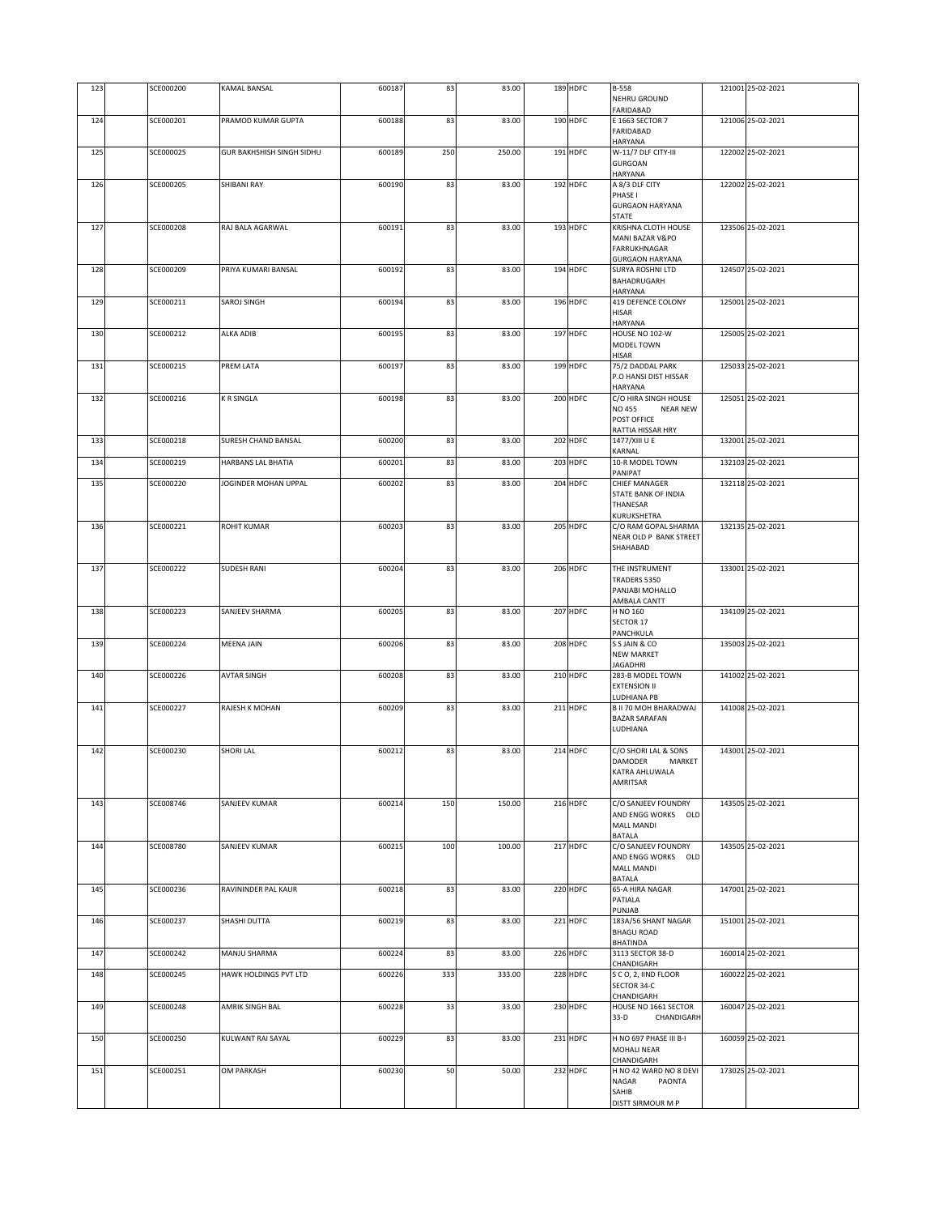| 123 | SCE000200 | <b>KAMAL BANSAL</b>              | 600187 | 83  | 83.00  | 189 HDFC | B-558<br>NEHRU GROUND                            | 121001 25-02-2021 |
|-----|-----------|----------------------------------|--------|-----|--------|----------|--------------------------------------------------|-------------------|
|     |           |                                  |        |     |        |          | FARIDABAD                                        |                   |
| 124 | SCE000201 | PRAMOD KUMAR GUPTA               | 600188 | 83  | 83.00  | 190 HDFC | E 1663 SECTOR 7<br>FARIDABAD                     | 121006 25-02-2021 |
|     |           |                                  |        |     |        |          | HARYANA                                          |                   |
| 125 | SCE000025 | <b>GUR BAKHSHISH SINGH SIDHU</b> | 600189 | 250 | 250.00 | 191 HDFC | W-11/7 DLF CITY-III<br><b>GURGOAN</b>            | 122002 25-02-2021 |
|     |           |                                  |        |     |        |          | HARYANA                                          |                   |
| 126 | SCE000205 | SHIBANI RAY                      | 600190 | 83  | 83.00  | 192 HDFC | A 8/3 DLF CITY<br>PHASE I                        | 122002 25-02-2021 |
|     |           |                                  |        |     |        |          | <b>GURGAON HARYANA</b>                           |                   |
|     | SCE000208 |                                  |        | 83  |        |          | <b>STATE</b>                                     | 123506 25-02-2021 |
| 127 |           | RAJ BALA AGARWAL                 | 600191 |     | 83.00  | 193 HDFC | KRISHNA CLOTH HOUSE<br>MANI BAZAR V&PO           |                   |
|     |           |                                  |        |     |        |          | <b>FARRUKHNAGAR</b>                              |                   |
| 128 | SCE000209 | PRIYA KUMARI BANSAL              | 600192 | 83  | 83.00  | 194 HDFC | <b>GURGAON HARYANA</b><br>SURYA ROSHNI LTD       | 124507 25-02-2021 |
|     |           |                                  |        |     |        |          | BAHADRUGARH                                      |                   |
| 129 | SCE000211 | SAROJ SINGH                      | 600194 | 83  | 83.00  | 196 HDFC | <b>HARYANA</b><br><b>419 DEFENCE COLONY</b>      | 125001 25-02-2021 |
|     |           |                                  |        |     |        |          | <b>HISAR</b>                                     |                   |
|     |           |                                  |        |     |        |          | HARYANA                                          |                   |
| 130 | SCE000212 | ALKA ADIB                        | 600195 | 83  | 83.00  | 197 HDFC | HOUSE NO 102-W<br>MODEL TOWN                     | 125005 25-02-2021 |
|     |           |                                  |        |     |        |          | <b>HISAR</b>                                     |                   |
| 131 | SCE000215 | PREM LATA                        | 600197 | 83  | 83.00  | 199 HDFC | 75/2 DADDAL PARK<br>P.O HANSI DIST HISSAR        | 125033 25-02-2021 |
|     |           |                                  |        |     |        |          | <b>HARYANA</b>                                   |                   |
| 132 | SCE000216 | <b>K R SINGLA</b>                | 600198 | 83  | 83.00  | 200 HDFC | C/O HIRA SINGH HOUSE                             | 125051 25-02-2021 |
|     |           |                                  |        |     |        |          | <b>NO 455</b><br><b>NEAR NEW</b><br>POST OFFICE  |                   |
|     |           |                                  |        |     |        |          | RATTIA HISSAR HRY                                |                   |
| 133 | SCE000218 | SURESH CHAND BANSAL              | 600200 | 83  | 83.00  | 202 HDFC | 1477/XIII U E<br>KARNAL                          | 132001 25-02-2021 |
| 134 | SCE000219 | HARBANS LAL BHATIA               | 600201 | 83  | 83.00  | 203 HDFC | 10-R MODEL TOWN                                  | 132103 25-02-2021 |
| 135 | SCE000220 | JOGINDER MOHAN UPPAL             | 600202 | 83  | 83.00  | 204 HDFC | PANIPAT<br><b>CHIEF MANAGER</b>                  | 132118 25-02-2021 |
|     |           |                                  |        |     |        |          | STATE BANK OF INDIA                              |                   |
|     |           |                                  |        |     |        |          | THANESAR                                         |                   |
| 136 | SCE000221 | ROHIT KUMAR                      | 600203 | 83  | 83.00  | 205 HDFC | KURUKSHETRA<br>C/O RAM GOPAL SHARMA              | 132135 25-02-2021 |
|     |           |                                  |        |     |        |          | NEAR OLD P BANK STREET                           |                   |
|     |           |                                  |        |     |        |          | SHAHABAD                                         |                   |
| 137 | SCE000222 | <b>SUDESH RANI</b>               | 600204 | 83  | 83.00  | 206 HDFC | THE INSTRUMENT                                   | 133001 25-02-2021 |
|     |           |                                  |        |     |        |          | TRADERS 5350<br>PANJABI MOHALLO                  |                   |
|     |           |                                  |        |     |        |          | AMBALA CANTT                                     |                   |
| 138 | SCE000223 | SANJEEV SHARMA                   | 600205 | 83  | 83.00  | 207 HDFC | H NO 160                                         | 134109 25-02-2021 |
|     |           |                                  |        |     |        |          | SECTOR 17<br>PANCHKULA                           |                   |
| 139 | SCE000224 | MEENA JAIN                       | 600206 | 83  | 83.00  | 208 HDFC | S S JAIN & CO                                    | 135003 25-02-2021 |
|     |           |                                  |        |     |        |          | <b>NEW MARKET</b><br><b>JAGADHRI</b>             |                   |
| 140 | SCE000226 | <b>AVTAR SINGH</b>               | 600208 | 83  | 83.00  | 210 HDFC | 283-B MODEL TOWN                                 | 141002 25-02-2021 |
|     |           |                                  |        |     |        |          | <b>EXTENSION II</b><br>LUDHIANA PB               |                   |
| 141 | SCE000227 | RAJESH K MOHAN                   | 600209 | 83  | 83.00  | 211 HDFC | <b>B II 70 MOH BHARADWAJ</b>                     | 141008 25-02-2021 |
|     |           |                                  |        |     |        |          | <b>BAZAR SARAFAN</b><br>LUDHIANA                 |                   |
|     |           |                                  |        |     |        |          |                                                  |                   |
| 142 | SCE000230 | <b>SHORI LAL</b>                 | 600212 | 83  | 83.00  | 214 HDFC | C/O SHORI LAL & SONS<br><b>DAMODER</b><br>MARKET | 143001 25-02-2021 |
|     |           |                                  |        |     |        |          | KATRA AHLUWALA                                   |                   |
|     |           |                                  |        |     |        |          | AMRITSAR                                         |                   |
| 143 | SCE008746 | SANJEEV KUMAR                    | 600214 | 150 | 150.00 | 216 HDFC | C/O SANJEEV FOUNDRY                              | 143505 25-02-2021 |
|     |           |                                  |        |     |        |          | AND ENGG WORKS OLD                               |                   |
|     |           |                                  |        |     |        |          | MALL MANDI<br>BATALA                             |                   |
| 144 | SCE008780 | SANJEEV KUMAR                    | 600215 | 100 | 100.00 | 217 HDFC | C/O SANJEEV FOUNDRY                              | 143505 25-02-2021 |
|     |           |                                  |        |     |        |          | AND ENGG WORKS OLD<br><b>MALL MANDI</b>          |                   |
|     |           |                                  |        |     |        |          | BATALA                                           |                   |
| 145 | SCE000236 | RAVININDER PAL KAUR              | 600218 | 83  | 83.00  | 220 HDFC | 65-A HIRA NAGAR<br>PATIALA                       | 147001 25-02-2021 |
|     |           |                                  |        |     |        |          | PUNJAB                                           |                   |
| 146 | SCE000237 | SHASHI DUTTA                     | 600219 | 83  | 83.00  | 221 HDFC | 183A/56 SHANT NAGAR<br><b>BHAGU ROAD</b>         | 151001 25-02-2021 |
|     |           |                                  |        |     |        |          | <b>BHATINDA</b>                                  |                   |
| 147 | SCE000242 | MANJU SHARMA                     | 600224 | 83  | 83.00  | 226 HDFC | 3113 SECTOR 38-D<br>CHANDIGARH                   | 160014 25-02-2021 |
| 148 | SCE000245 | HAWK HOLDINGS PVT LTD            | 600226 | 333 | 333.00 | 228 HDFC | SCO, 2, IIND FLOOR                               | 160022 25-02-2021 |
|     |           |                                  |        |     |        |          | SECTOR 34-C<br>CHANDIGARH                        |                   |
| 149 | SCE000248 | AMRIK SINGH BAL                  | 600228 | 33  | 33.00  | 230 HDFC | HOUSE NO 1661 SECTOR                             | 160047 25-02-2021 |
|     |           |                                  |        |     |        |          | $33-D$<br>CHANDIGARH                             |                   |
| 150 | SCE000250 | KULWANT RAI SAYAL                | 600229 | 83  | 83.00  | 231 HDFC | H NO 697 PHASE III B-I                           | 160059 25-02-2021 |
|     |           |                                  |        |     |        |          | MOHALI NEAR<br>CHANDIGARH                        |                   |
| 151 | SCE000251 | OM PARKASH                       | 600230 | 50  | 50.00  | 232 HDFC | H NO 42 WARD NO 8 DEVI                           | 173025 25-02-2021 |
|     |           |                                  |        |     |        |          | NAGAR<br>PAONTA<br>SAHIB                         |                   |
|     |           |                                  |        |     |        |          | DISTT SIRMOUR M P                                |                   |
|     |           |                                  |        |     |        |          |                                                  |                   |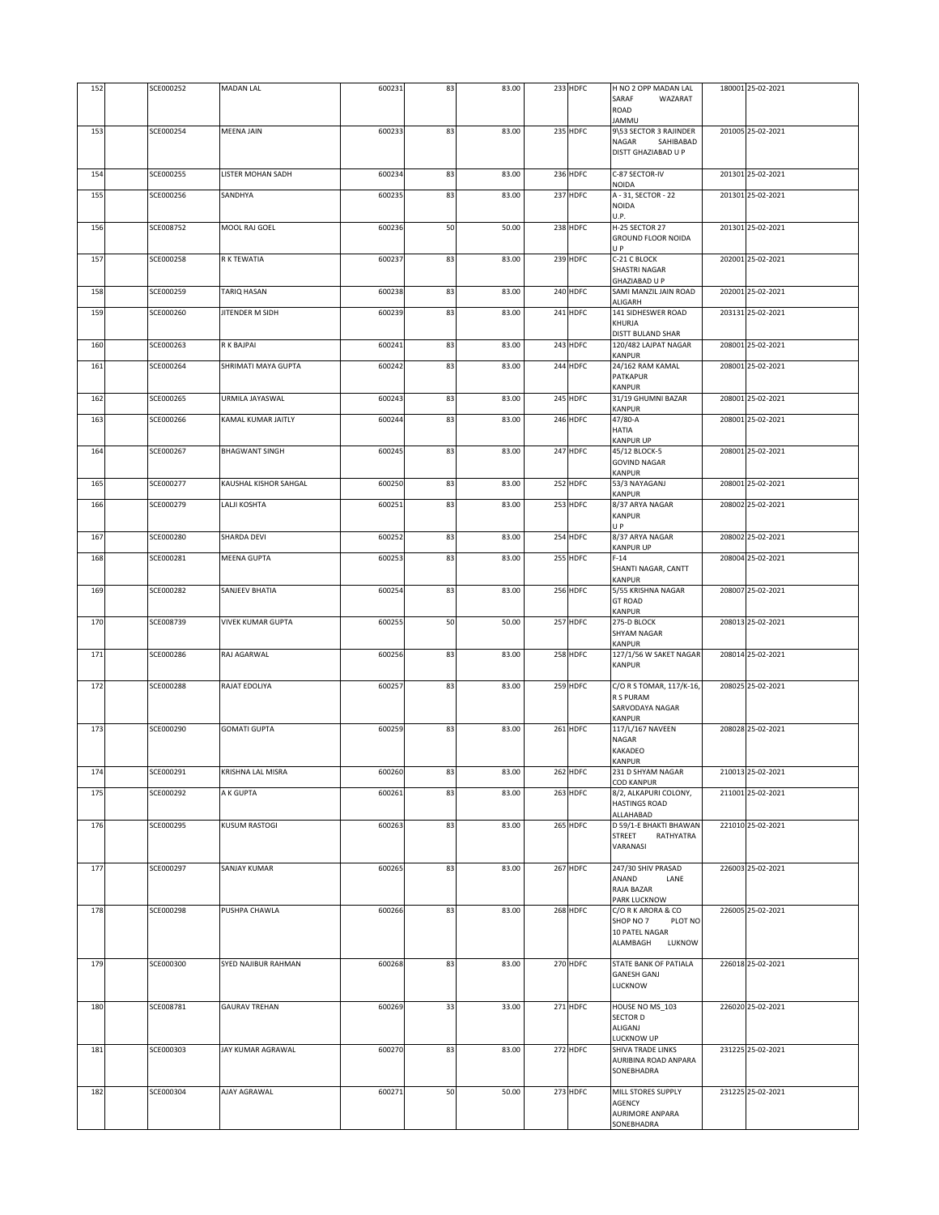| 152 | SCE000252 | <b>MADAN LAL</b>         | 600231 | 83 | 83.00 | 233 HDFC | H NO 2 OPP MADAN LAL<br>SARAF<br>WAZARAT<br>ROAD                           | 180001 25-02-2021 |
|-----|-----------|--------------------------|--------|----|-------|----------|----------------------------------------------------------------------------|-------------------|
|     | SCE000254 |                          |        |    |       | 235 HDFC | UMMAL                                                                      | 201005 25-02-2021 |
| 153 |           | <b>MEENA JAIN</b>        | 600233 | 83 | 83.00 |          | 9\53 SECTOR 3 RAJINDER<br><b>NAGAR</b><br>SAHIBABAD<br>DISTT GHAZIABAD U P |                   |
| 154 | SCE000255 | LISTER MOHAN SADH        | 600234 | 83 | 83.00 | 236 HDFC | C-87 SECTOR-IV<br>NOIDA                                                    | 201301 25-02-2021 |
| 155 | SCE000256 | SANDHYA                  | 600235 | 83 | 83.00 | 237 HDFC | A - 31, SECTOR - 22<br>NOIDA<br>U.P.                                       | 201301 25-02-2021 |
| 156 | SCE008752 | MOOL RAJ GOEL            | 600236 | 50 | 50.00 | 238 HDFC | H-25 SECTOR 27<br><b>GROUND FLOOR NOIDA</b><br>U P                         | 201301 25-02-2021 |
| 157 | SCE000258 | R K TEWATIA              | 600237 | 83 | 83.00 | 239 HDFC | C-21 C BLOCK<br><b>SHASTRI NAGAR</b><br>GHAZIABAD U P                      | 202001 25-02-2021 |
| 158 | SCE000259 | TARIQ HASAN              | 600238 | 83 | 83.00 | 240 HDFC | SAMI MANZIL JAIN ROAD<br>ALIGARH                                           | 202001 25-02-2021 |
| 159 | SCE000260 | <b>JITENDER M SIDH</b>   | 600239 | 83 | 83.00 | 241 HDFC | 141 SIDHESWER ROAD<br>KHURJA<br>DISTT BULAND SHAR                          | 203131 25-02-2021 |
| 160 | SCE000263 | R K BAJPAI               | 600241 | 83 | 83.00 | 243 HDFC | 120/482 LAJPAT NAGAR<br>KANPUR                                             | 208001 25-02-2021 |
| 161 | SCE000264 | SHRIMATI MAYA GUPTA      | 600242 | 83 | 83.00 | 244 HDFC | 24/162 RAM KAMAL<br>PATKAPUR<br>KANPUR                                     | 208001 25-02-2021 |
| 162 | SCE000265 | URMILA JAYASWAL          | 600243 | 83 | 83.00 | 245 HDFC | 31/19 GHUMNI BAZAR<br>KANPUR                                               | 208001 25-02-2021 |
| 163 | SCE000266 | KAMAL KUMAR JAITLY       | 600244 | 83 | 83.00 | 246 HDFC | 47/80-A<br>HATIA<br><b>KANPUR UP</b>                                       | 208001 25-02-2021 |
| 164 | SCE000267 | <b>BHAGWANT SINGH</b>    | 600245 | 83 | 83.00 | 247 HDFC | 45/12 BLOCK-5<br><b>GOVIND NAGAR</b><br>KANPUR                             | 208001 25-02-2021 |
| 165 | SCE000277 | KAUSHAL KISHOR SAHGAL    | 600250 | 83 | 83.00 | 252 HDFC | 53/3 NAYAGANJ<br>KANPUR                                                    | 208001 25-02-2021 |
| 166 | SCE000279 | LALJI KOSHTA             | 600251 | 83 | 83.00 | 253 HDFC | 8/37 ARYA NAGAR<br><b>KANPUR</b><br>U P                                    | 208002 25-02-2021 |
| 167 | SCE000280 | SHARDA DEVI              | 600252 | 83 | 83.00 | 254 HDFC | 8/37 ARYA NAGAR<br>KANPUR UP                                               | 208002 25-02-2021 |
| 168 | SCE000281 | <b>MEENA GUPTA</b>       | 600253 | 83 | 83.00 | 255 HDFC | $F-14$<br>SHANTI NAGAR, CANTT<br>KANPUR                                    | 208004 25-02-2021 |
| 169 | SCE000282 | SANJEEV BHATIA           | 600254 | 83 | 83.00 | 256 HDFC | 5/55 KRISHNA NAGAR<br><b>GT ROAD</b><br>KANPUR                             | 208007 25-02-2021 |
| 170 | SCE008739 | <b>VIVEK KUMAR GUPTA</b> | 600255 | 50 | 50.00 | 257 HDFC | 275-D BLOCK<br>SHYAM NAGAR<br>KANPUR                                       | 208013 25-02-2021 |
| 171 | SCE000286 | RAJ AGARWAL              | 600256 | 83 | 83.00 | 258 HDFC | 127/1/56 W SAKET NAGAR<br>KANPUR                                           | 208014 25-02-2021 |
| 172 | SCE000288 | RAJAT EDOLIYA            | 600257 | 83 | 83.00 | 259 HDFC | C/O R S TOMAR, 117/K-16,<br>R S PURAM<br>SARVODAYA NAGAR<br>KANPUR         | 208025 25-02-2021 |
| 173 | SCE000290 | <b>GOMATI GUPTA</b>      | 600259 | 83 | 83.00 | 261 HDFC | 117/L/167 NAVEEN<br>NAGAR<br>KAKADEO                                       | 208028 25-02-2021 |
| 174 | SCE000291 | KRISHNA LAL MISRA        | 600260 | 83 | 83.00 | 262 HDFC | KANPUR<br>231 D SHYAM NAGAR                                                | 210013 25-02-2021 |
| 175 | SCE000292 | A K GUPTA                | 600261 | 83 | 83.00 | 263 HDFC | <b>COD KANPUR</b><br>8/2, ALKAPURI COLONY,<br><b>HASTINGS ROAD</b>         | 211001 25-02-2021 |
| 176 | SCE000295 | <b>KUSUM RASTOGI</b>     | 600263 | 83 | 83.00 | 265 HDFC | ALLAHABAD<br>D 59/1-E BHAKTI BHAWAN<br>STREET<br>RATHYATRA<br>VARANASI     | 221010 25-02-2021 |
| 177 | SCE000297 | SANJAY KUMAR             | 600265 | 83 | 83.00 | 267 HDFC | 247/30 SHIV PRASAD<br>ANAND<br>LANE<br>RAJA BAZAR                          | 226003 25-02-2021 |
| 178 | SCE000298 | PUSHPA CHAWLA            | 600266 | 83 | 83.00 | 268 HDFC | PARK LUCKNOW<br>C/O R K ARORA & CO<br>SHOP NO 7<br>PLOT NO                 | 226005 25-02-2021 |
|     |           |                          |        |    |       |          | 10 PATEL NAGAR<br>ALAMBAGH<br>LUKNOW                                       |                   |
| 179 | SCE000300 | SYED NAJIBUR RAHMAN      | 600268 | 83 | 83.00 | 270 HDFC | STATE BANK OF PATIALA<br><b>GANESH GANJ</b><br>LUCKNOW                     | 226018 25-02-2021 |
| 180 | SCE008781 | <b>GAURAV TREHAN</b>     | 600269 | 33 | 33.00 | 271 HDFC | HOUSE NO MS_103<br>SECTOR D<br>ALIGANJ<br>LUCKNOW UP                       | 226020 25-02-2021 |
| 181 | SCE000303 | JAY KUMAR AGRAWAL        | 600270 | 83 | 83.00 | 272 HDFC | SHIVA TRADE LINKS<br>AURIBINA ROAD ANPARA<br>SONEBHADRA                    | 231225 25-02-2021 |
| 182 | SCE000304 | AJAY AGRAWAL             | 600271 | 50 | 50.00 | 273 HDFC | MILL STORES SUPPLY<br>AGENCY<br>AURIMORE ANPARA<br>SONEBHADRA              | 231225 25-02-2021 |
|     |           |                          |        |    |       |          |                                                                            |                   |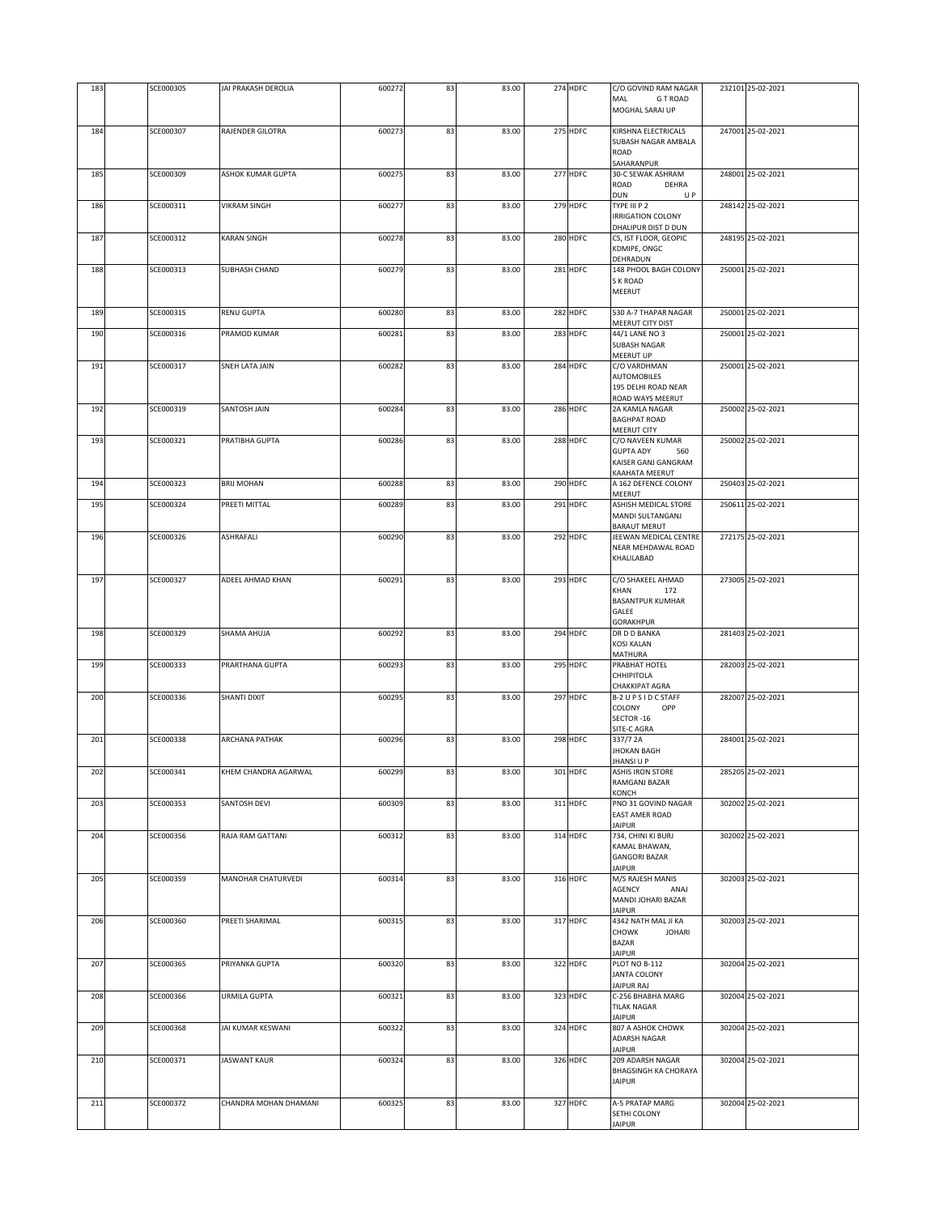| 183 | SCE000305 | JAI PRAKASH DEROLIA      | 600272 | 83 | 83.00 | 274 HDFC | C/O GOVIND RAM NAGAR<br><b>GT ROAD</b><br>MAL<br>MOGHAL SARAI UP                         | 232101 25-02-2021 |
|-----|-----------|--------------------------|--------|----|-------|----------|------------------------------------------------------------------------------------------|-------------------|
| 184 | SCE000307 | RAJENDER GILOTRA         | 600273 | 83 | 83.00 | 275 HDFC | KIRSHNA ELECTRICALS<br>SUBASH NAGAR AMBALA<br>ROAD                                       | 247001 25-02-2021 |
| 185 | SCE000309 | <b>ASHOK KUMAR GUPTA</b> | 600275 | 83 | 83.00 | 277 HDFC | SAHARANPUR<br>30-C SEWAK ASHRAM<br>ROAD<br>DEHRA                                         | 248001 25-02-2021 |
| 186 | SCE000311 | <b>VIKRAM SINGH</b>      | 600277 | 83 | 83.00 | 279 HDFC | DUN<br>U P<br>TYPE III P 2<br><b>IRRIGATION COLONY</b>                                   | 248142 25-02-2021 |
| 187 | SCE000312 | KARAN SINGH              | 600278 | 83 | 83.00 | 280 HDFC | DHALIPUR DIST D DUN<br>CS, IST FLOOR, GEOPIC<br>KDMIPE, ONGC                             | 248195 25-02-2021 |
| 188 | SCE000313 | SUBHASH CHAND            | 600279 | 83 | 83.00 | 281 HDFC | DEHRADUN<br>148 PHOOL BAGH COLONY<br><b>SK ROAD</b><br>MEERUT                            | 250001 25-02-2021 |
| 189 | SCE000315 | RENU GUPTA               | 600280 | 83 | 83.00 | 282 HDFC | 530 A-7 THAPAR NAGAR                                                                     | 250001 25-02-2021 |
| 190 | SCE000316 | PRAMOD KUMAR             | 600281 | 83 | 83.00 | 283 HDFC | MEERUT CITY DIST<br>44/1 LANE NO 3<br>SUBASH NAGAR                                       | 250001 25-02-2021 |
| 191 | SCE000317 | SNEH LATA JAIN           | 600282 | 83 | 83.00 | 284 HDFC | MEERUT UP<br>C/O VARDHMAN<br><b>AUTOMOBILES</b><br>195 DELHI ROAD NEAR                   | 250001 25-02-2021 |
| 192 | SCE000319 | SANTOSH JAIN             | 600284 | 83 | 83.00 | 286 HDFC | ROAD WAYS MEERUT<br>2A KAMLA NAGAR<br><b>BAGHPAT ROAD</b>                                | 250002 25-02-2021 |
| 193 | SCE000321 | PRATIBHA GUPTA           | 600286 | 83 | 83.00 | 288 HDFC | <b>MEERUT CITY</b><br>C/O NAVEEN KUMAR<br><b>GUPTA ADY</b><br>560<br>KAISER GANJ GANGRAM | 250002 25-02-2021 |
| 194 | SCE000323 | <b>BRIJ MOHAN</b>        | 600288 | 83 | 83.00 | 290 HDFC | KAAHATA MEERUT<br>A 162 DEFENCE COLONY<br>MEERUT                                         | 250403 25-02-2021 |
| 195 | SCE000324 | PREETI MITTAL            | 600289 | 83 | 83.00 | 291 HDFC | ASHISH MEDICAL STORE<br>MANDI SULTANGANJ<br>BARAUT MERUT                                 | 250611 25-02-2021 |
| 196 | SCE000326 | ASHRAFALI                | 600290 | 83 | 83.00 | 292 HDFC | JEEWAN MEDICAL CENTRE<br>NEAR MEHDAWAL ROAD<br>KHALILABAD                                | 272175 25-02-2021 |
| 197 | SCE000327 | ADEEL AHMAD KHAN         | 600291 | 83 | 83.00 | 293 HDFC | C/O SHAKEEL AHMAD<br>KHAN<br>172<br><b>BASANTPUR KUMHAR</b><br>GALEE<br><b>GORAKHPUR</b> | 273005 25-02-2021 |
| 198 | SCE000329 | SHAMA AHUJA              | 600292 | 83 | 83.00 | 294 HDFC | DR D D BANKA<br><b>KOSI KALAN</b><br>MATHURA                                             | 281403 25-02-2021 |
| 199 | SCE000333 | PRARTHANA GUPTA          | 600293 | 83 | 83.00 | 295 HDFC | PRABHAT HOTEL<br>CHHIPITOLA<br>CHAKKIPAT AGRA                                            | 282003 25-02-2021 |
| 200 | SCE000336 | SHANTI DIXIT             | 600295 | 83 | 83.00 | 297 HDFC | B-2 U P S I D C STAFF<br>COLONY<br>OPP<br>SECTOR-16<br>SITE-C AGRA                       | 282007 25-02-2021 |
| 201 | SCE000338 | <b>ARCHANA PATHAK</b>    | 600296 | 83 | 83.00 | 298 HDFC | 337/7 2A<br><b>JHOKAN BAGH</b><br>JHANSI U P                                             | 284001 25-02-2021 |
| 202 | SCE000341 | KHEM CHANDRA AGARWAL     | 600299 | 83 | 83.00 | 301 HDFC | ASHIS IRON STORE<br>RAMGANJ BAZAR<br>KONCH                                               | 285205 25-02-2021 |
| 203 | SCE000353 | SANTOSH DEVI             | 600309 | 83 | 83.00 | 311 HDFC | PNO 31 GOVIND NAGAR<br><b>EAST AMER ROAD</b><br><b>JAIPUR</b>                            | 302002 25-02-2021 |
| 204 | SCE000356 | RAJA RAM GATTANI         | 600312 | 83 | 83.00 | 314 HDFC | 734, CHINI KI BURJ<br>KAMAL BHAWAN,<br><b>GANGORI BAZAR</b><br><b>JAIPUR</b>             | 302002 25-02-2021 |
| 205 | SCE000359 | MANOHAR CHATURVEDI       | 600314 | 83 | 83.00 | 316 HDFC | M/S RAJESH MANIS<br>AGENCY<br>ANAJ<br>MANDI JOHARI BAZAR<br><b>JAIPUR</b>                | 302003 25-02-2021 |
| 206 | SCE000360 | PREETI SHARIMAL          | 600315 | 83 | 83.00 | 317 HDFC | 4342 NATH MAL JI KA<br><b>CHOWK</b><br><b>JOHARI</b><br><b>BAZAR</b><br><b>JAIPUR</b>    | 302003 25-02-2021 |
| 207 | SCE000365 | PRIYANKA GUPTA           | 600320 | 83 | 83.00 | 322 HDFC | PLOT NO B-112<br><b>JANTA COLONY</b><br><b>JAIPUR RAJ</b>                                | 302004 25-02-2021 |
| 208 | SCE000366 | URMILA GUPTA             | 600321 | 83 | 83.00 | 323 HDFC | C-256 BHABHA MARG<br><b>TILAK NAGAR</b><br><b>JAIPUR</b>                                 | 302004 25-02-2021 |
| 209 | SCE000368 | JAI KUMAR KESWANI        | 600322 | 83 | 83.00 | 324 HDFC | 807 A ASHOK CHOWK<br>ADARSH NAGAR<br><b>JAIPUR</b>                                       | 302004 25-02-2021 |
| 210 | SCE000371 | <b>JASWANT KAUR</b>      | 600324 | 83 | 83.00 | 326 HDFC | 209 ADARSH NAGAR<br>BHAGSINGH KA CHORAYA<br><b>JAIPUR</b>                                | 302004 25-02-2021 |
| 211 | SCE000372 | CHANDRA MOHAN DHAMANI    | 600325 | 83 | 83.00 | 327 HDFC | A-5 PRATAP MARG<br>SETHI COLONY<br><b>JAIPUR</b>                                         | 302004 25-02-2021 |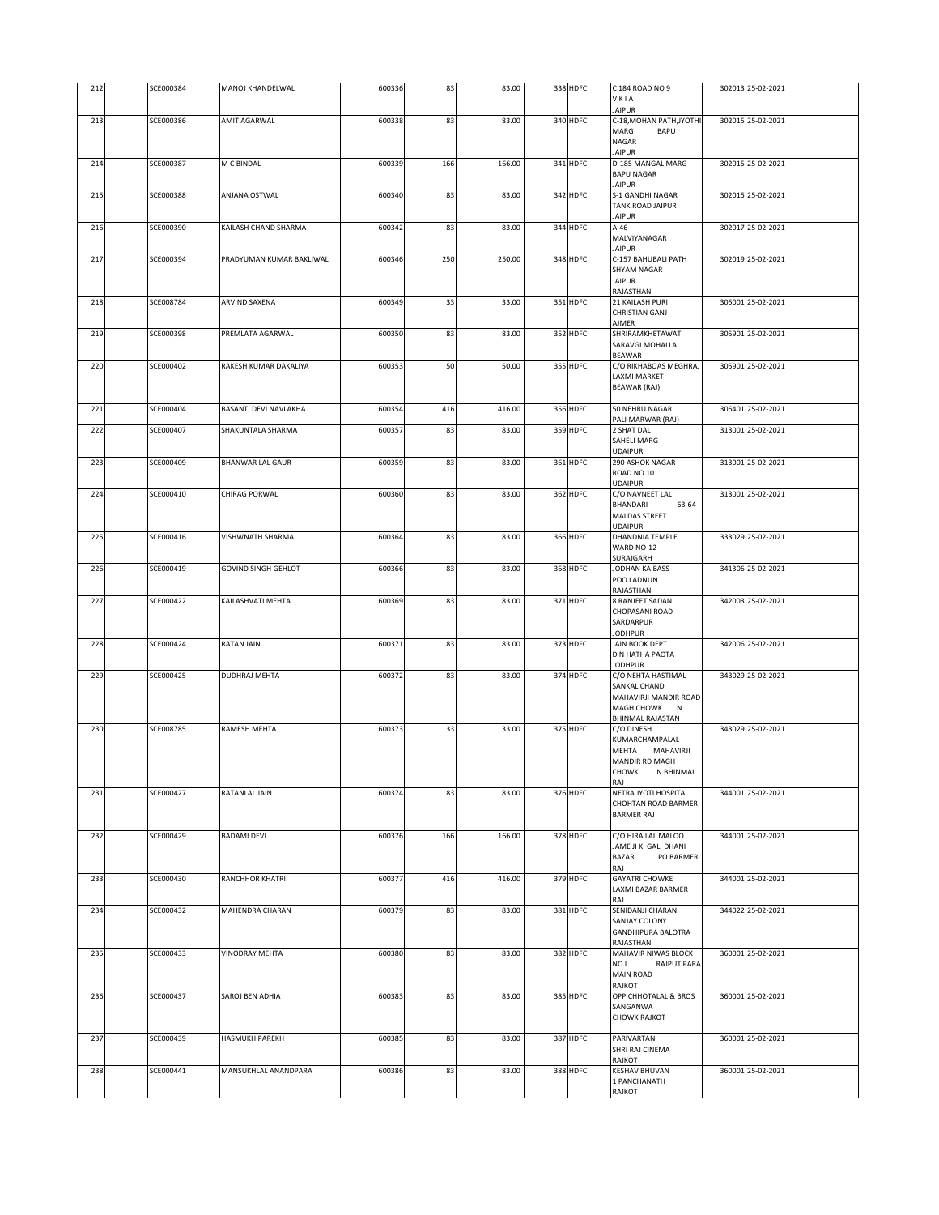| 212 | SCE000384 | MANOJ KHANDELWAL             | 600336 | 83  | 83.00  | 338 HDFC | C 184 ROAD NO 9<br>VKIA                     | 302013 25-02-2021 |
|-----|-----------|------------------------------|--------|-----|--------|----------|---------------------------------------------|-------------------|
| 213 | SCE000386 | AMIT AGARWAL                 | 600338 | 83  | 83.00  | 340 HDFC | <b>JAIPUR</b><br>C-18, MOHAN PATH, JYOTHI   | 302015 25-02-2021 |
|     |           |                              |        |     |        |          | MARG<br><b>BAPU</b><br>NAGAR                |                   |
|     |           |                              |        |     |        |          | <b>JAIPUR</b>                               |                   |
| 214 | SCE000387 | M C BINDAL                   | 600339 | 166 | 166.00 | 341 HDFC | D-185 MANGAL MARG<br><b>BAPU NAGAR</b>      | 302015 25-02-2021 |
| 215 | SCE000388 | ANJANA OSTWAL                | 600340 | 83  | 83.00  | 342 HDFC | <b>JAIPUR</b><br>S-1 GANDHI NAGAR           | 302015 25-02-2021 |
|     |           |                              |        |     |        |          | TANK ROAD JAIPUR<br><b>JAIPUR</b>           |                   |
| 216 | SCE000390 | KAILASH CHAND SHARMA         | 600342 | 83  | 83.00  | 344 HDFC | $A-46$                                      | 302017 25-02-2021 |
|     |           |                              |        |     |        |          | MALVIYANAGAR<br><b>JAIPUR</b>               |                   |
| 217 | SCE000394 | PRADYUMAN KUMAR BAKLIWAL     | 600346 | 250 | 250.00 | 348 HDFC | C-157 BAHUBALI PATH<br>SHYAM NAGAR          | 302019 25-02-2021 |
|     |           |                              |        |     |        |          | <b>JAIPUR</b><br>RAJASTHAN                  |                   |
| 218 | SCE008784 | ARVIND SAXENA                | 600349 | 33  | 33.00  | 351 HDFC | 21 KAILASH PURI                             | 305001 25-02-2021 |
|     |           |                              |        |     |        |          | CHRISTIAN GANJ<br>AJMER                     |                   |
| 219 | SCE000398 | PREMLATA AGARWAL             | 600350 | 83  | 83.00  | 352 HDFC | SHRIRAMKHETAWAT<br>SARAVGI MOHALLA          | 305901 25-02-2021 |
|     |           | RAKESH KUMAR DAKALIYA        |        |     |        |          | <b>BEAWAR</b>                               |                   |
| 220 | SCE000402 |                              | 600353 | 50  | 50.00  | 355 HDFC | C/O RIKHABOAS MEGHRAJ<br>LAXMI MARKET       | 305901 25-02-2021 |
|     |           |                              |        |     |        |          | <b>BEAWAR (RAJ)</b>                         |                   |
| 221 | SCE000404 | <b>BASANTI DEVI NAVLAKHA</b> | 600354 | 416 | 416.00 | 356 HDFC | 50 NEHRU NAGAR<br>PALI MARWAR (RAJ)         | 306401 25-02-2021 |
| 222 | SCE000407 | SHAKUNTALA SHARMA            | 600357 | 83  | 83.00  | 359 HDFC | 2 SHAT DAL                                  | 313001 25-02-2021 |
|     |           |                              |        |     |        |          | SAHELI MARG<br><b>UDAIPUR</b>               |                   |
| 223 | SCE000409 | <b>BHANWAR LAL GAUR</b>      | 600359 | 83  | 83.00  | 361 HDFC | 290 ASHOK NAGAR<br>ROAD NO 10               | 313001 25-02-2021 |
| 224 | SCE000410 | CHIRAG PORWAL                | 600360 | 83  | 83.00  | 362 HDFC | <b>UDAIPUR</b><br>C/O NAVNEET LAL           | 313001 25-02-2021 |
|     |           |                              |        |     |        |          | BHANDARI<br>63-64                           |                   |
|     |           |                              |        |     |        |          | MALDAS STREET<br><b>UDAIPUR</b>             |                   |
| 225 | SCE000416 | VISHWNATH SHARMA             | 600364 | 83  | 83.00  | 366 HDFC | DHANDNIA TEMPLE<br>WARD NO-12               | 333029 25-02-2021 |
|     |           |                              |        |     |        |          | SURAJGARH                                   |                   |
| 226 | SCE000419 | <b>GOVIND SINGH GEHLOT</b>   | 600366 | 83  | 83.00  | 368 HDFC | JODHAN KA BASS<br>POO LADNUN                | 341306 25-02-2021 |
| 227 | SCE000422 | KAILASHVATI MEHTA            | 600369 | 83  | 83.00  | 371 HDFC | RAJASTHAN<br>8 RANJEET SADANI               | 342003 25-02-2021 |
|     |           |                              |        |     |        |          | CHOPASANI ROAD<br>SARDARPUR                 |                   |
| 228 | SCE000424 | <b>RATAN JAIN</b>            | 600371 | 83  | 83.00  | 373 HDFC | <b>JODHPUR</b><br><b>JAIN BOOK DEPT</b>     | 342006 25-02-2021 |
|     |           |                              |        |     |        |          | D N HATHA PAOTA                             |                   |
| 229 | SCE000425 | DUDHRAJ MEHTA                | 600372 | 83  | 83.00  | 374 HDFC | <b>JODHPUR</b><br>C/O NEHTA HASTIMAL        | 343029 25-02-2021 |
|     |           |                              |        |     |        |          | SANKAL CHAND<br>MAHAVIRJI MANDIR ROAD       |                   |
|     |           |                              |        |     |        |          | MAGH CHOWK<br>N<br>BHINMAL RAJASTAN         |                   |
| 230 | SCE008785 | <b>RAMESH MEHTA</b>          | 600373 | 33  | 33.00  | 375 HDFC | C/O DINESH                                  | 343029 25-02-2021 |
|     |           |                              |        |     |        |          | KUMARCHAMPALAL<br>MEHTA<br>MAHAVIRJI        |                   |
|     |           |                              |        |     |        |          | MANDIR RD MAGH<br>CHOWK<br>N BHINMAL        |                   |
| 231 | SCE000427 | RATANLAL JAIN                | 600374 | 83  | 83.00  | 376 HDFC | RAJ<br>NETRA JYOTI HOSPITAL                 | 344001 25-02-2021 |
|     |           |                              |        |     |        |          | CHOHTAN ROAD BARMER                         |                   |
|     |           |                              |        |     |        |          | <b>BARMER RAJ</b>                           |                   |
| 232 | SCE000429 | <b>BADAMI DEVI</b>           | 600376 | 166 | 166.00 | 378 HDFC | C/O HIRA LAL MALOO<br>JAME JI KI GALI DHANI | 344001 25-02-2021 |
|     |           |                              |        |     |        |          | <b>BAZAR</b><br>PO BARMER<br>RAJ            |                   |
| 233 | SCE000430 | RANCHHOR KHATRI              | 600377 | 416 | 416.00 | 379 HDFC | <b>GAYATRI CHOWKE</b>                       | 344001 25-02-2021 |
|     |           |                              |        |     |        |          | LAXMI BAZAR BARMER<br>RAJ                   |                   |
| 234 | SCE000432 | MAHENDRA CHARAN              | 600379 | 83  | 83.00  | 381 HDFC | SENIDANJI CHARAN<br>SANJAY COLONY           | 344022 25-02-2021 |
|     |           |                              |        |     |        |          | <b>GANDHIPURA BALOTRA</b><br>RAJASTHAN      |                   |
| 235 | SCE000433 | <b>VINODRAY MEHTA</b>        | 600380 | 83  | 83.00  | 382 HDFC | MAHAVIR NIWAS BLOCK<br>NO I<br>RAJPUT PARA  | 360001 25-02-2021 |
|     |           |                              |        |     |        |          | <b>MAIN ROAD</b>                            |                   |
| 236 | SCE000437 | SAROJ BEN ADHIA              | 600383 | 83  | 83.00  | 385 HDFC | RAJKOT<br>OPP CHHOTALAL & BROS              | 360001 25-02-2021 |
|     |           |                              |        |     |        |          | SANGANWA<br><b>CHOWK RAJKOT</b>             |                   |
| 237 | SCE000439 | <b>HASMUKH PAREKH</b>        | 600385 | 83  | 83.00  | 387 HDFC | PARIVARTAN                                  | 360001 25-02-2021 |
|     |           |                              |        |     |        |          | SHRI RAJ CINEMA                             |                   |
| 238 | SCE000441 | MANSUKHLAL ANANDPARA         | 600386 | 83  | 83.00  | 388 HDFC | RAJKOT<br><b>KESHAV BHUVAN</b>              | 360001 25-02-2021 |
|     |           |                              |        |     |        |          | 1 PANCHANATH<br>RAJKOT                      |                   |
|     |           |                              |        |     |        |          |                                             |                   |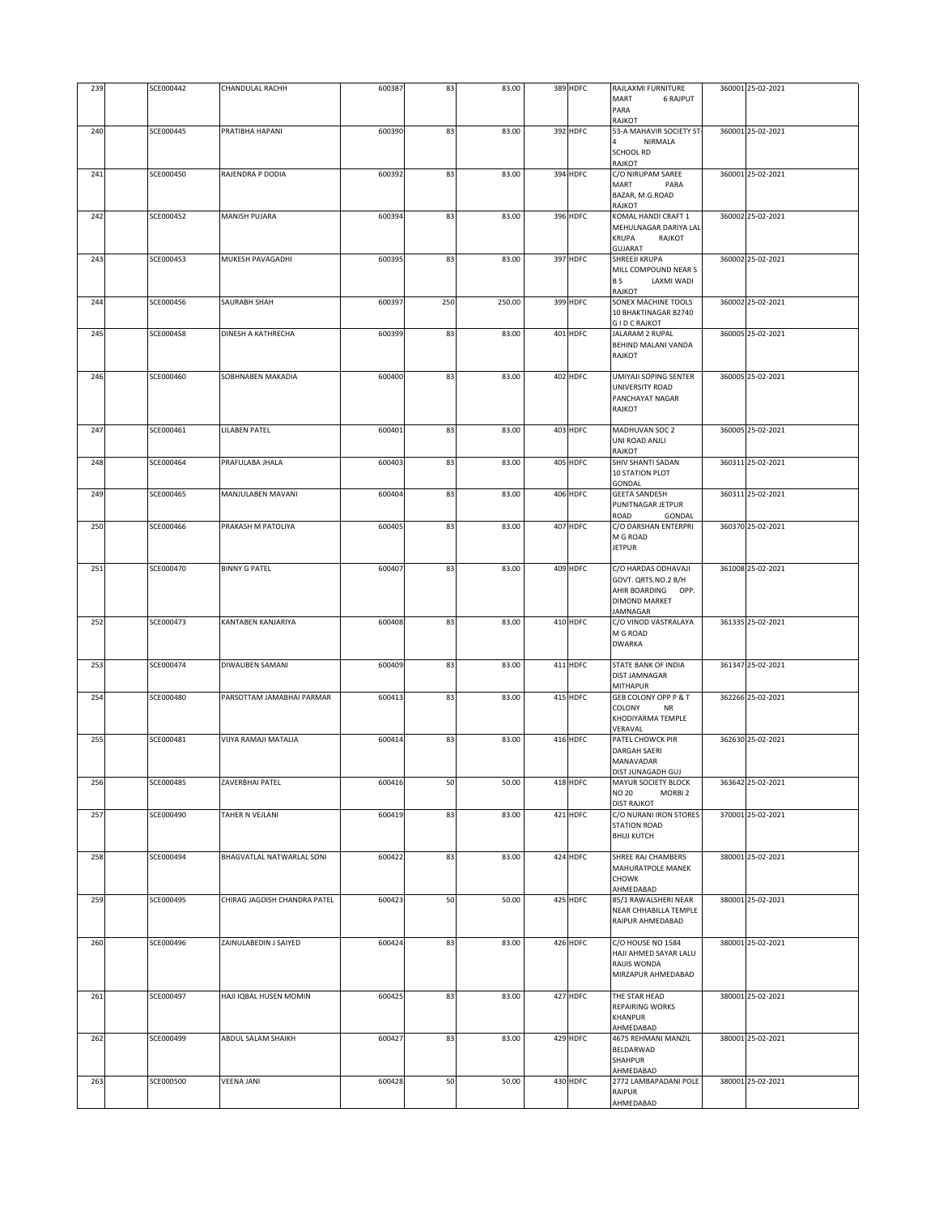| 239 | SCE000442 | <b>CHANDULAL RACHH</b>       | 600387 | 83  | 83.00  | 389 HDFC | RAJLAXMI FURNITURE                                       | 360001 25-02-2021 |
|-----|-----------|------------------------------|--------|-----|--------|----------|----------------------------------------------------------|-------------------|
|     |           |                              |        |     |        |          | MART<br><b>6 RAJPUT</b>                                  |                   |
|     |           |                              |        |     |        |          | PARA<br>RAJKOT                                           |                   |
| 240 | SCE000445 | PRATIBHA HAPANI              | 600390 | 83  | 83.00  | 392 HDFC | 53-A MAHAVIR SOCIETY ST-                                 | 360001 25-02-2021 |
|     |           |                              |        |     |        |          | NIRMALA                                                  |                   |
|     |           |                              |        |     |        |          | <b>SCHOOL RD</b>                                         |                   |
| 241 | SCE000450 | RAJENDRA P DODIA             | 600392 | 83  | 83.00  | 394 HDFC | RAJKOT<br>C/O NIRUPAM SAREE                              | 360001 25-02-2021 |
|     |           |                              |        |     |        |          | MART<br>PARA                                             |                   |
|     |           |                              |        |     |        |          | BAZAR, M.G.ROAD                                          |                   |
|     |           |                              |        |     |        |          | RAJKOT                                                   |                   |
| 242 | SCE000452 | <b>MANISH PUJARA</b>         | 600394 | 83  | 83.00  | 396 HDFC | KOMAL HANDI CRAFT 1                                      | 360002 25-02-2021 |
|     |           |                              |        |     |        |          | MEHULNAGAR DARIYA LAL<br><b>KRUPA</b><br>RAJKOT          |                   |
|     |           |                              |        |     |        |          | <b>GUJARAT</b>                                           |                   |
| 243 | SCE000453 | MUKESH PAVAGADHI             | 600395 | 83  | 83.00  | 397 HDFC | SHREEJI KRUPA                                            | 360002 25-02-2021 |
|     |           |                              |        |     |        |          | MILL COMPOUND NEAR S                                     |                   |
|     |           |                              |        |     |        |          | B S<br>LAXMI WADI<br>RAJKOT                              |                   |
| 244 | SCE000456 | <b>SAURABH SHAH</b>          | 600397 | 250 | 250.00 | 399 HDFC | SONEX MACHINE TOOLS                                      | 360002 25-02-2021 |
|     |           |                              |        |     |        |          | 10 BHAKTINAGAR 82740                                     |                   |
|     |           |                              |        |     |        |          | <b>GID CRAJKOT</b>                                       |                   |
| 245 | SCE000458 | DINESH A KATHRECHA           | 600399 | 83  | 83.00  | 401 HDFC | JALARAM 2 RUPAL<br>BEHIND MALANI VANDA                   | 360005 25-02-2021 |
|     |           |                              |        |     |        |          | RAJKOT                                                   |                   |
|     |           |                              |        |     |        |          |                                                          |                   |
| 246 | SCE000460 | SOBHNABEN MAKADIA            | 600400 | 83  | 83.00  | 402 HDFC | UMIYAJI SOPING SENTER                                    | 360005 25-02-2021 |
|     |           |                              |        |     |        |          | UNIVERSITY ROAD                                          |                   |
|     |           |                              |        |     |        |          | PANCHAYAT NAGAR<br>RAJKOT                                |                   |
|     |           |                              |        |     |        |          |                                                          |                   |
| 247 | SCE000461 | LILABEN PATEL                | 600401 | 83  | 83.00  | 403 HDFC | MADHUVAN SOC 2                                           | 360005 25-02-2021 |
|     |           |                              |        |     |        |          | UNI ROAD ANJLI                                           |                   |
| 248 | SCE000464 | PRAFULABA JHALA              | 600403 | 83  | 83.00  | 405 HDFC | RAJKOT<br>SHIV SHANTI SADAN                              | 360311 25-02-2021 |
|     |           |                              |        |     |        |          | 10 STATION PLOT                                          |                   |
|     |           |                              |        |     |        |          | GONDAL                                                   |                   |
| 249 | SCE000465 | MANJULABEN MAVANI            | 600404 | 83  | 83.00  | 406 HDFC | <b>GEETA SANDESH</b>                                     | 360311 25-02-2021 |
|     |           |                              |        |     |        |          | PUNITNAGAR JETPUR<br>ROAD<br>GONDAL                      |                   |
| 250 | SCE000466 | PRAKASH M PATOLIYA           | 600405 | 83  | 83.00  | 407 HDFC | C/O DARSHAN ENTERPRI                                     | 360370 25-02-2021 |
|     |           |                              |        |     |        |          | M G ROAD                                                 |                   |
|     |           |                              |        |     |        |          | <b>JETPUR</b>                                            |                   |
|     | SCE000470 |                              |        |     | 83.00  | 409 HDFC |                                                          |                   |
| 251 |           | <b>BINNY G PATEL</b>         | 600407 | 83  |        |          | C/O HARDAS ODHAVAJI<br>GOVT. QRTS.NO.2 B/H               | 361008 25-02-2021 |
|     |           |                              |        |     |        |          | AHIR BOARDING OPP.                                       |                   |
|     |           |                              |        |     |        |          | <b>DIMOND MARKET</b>                                     |                   |
|     |           |                              |        |     |        |          | JAMNAGAR                                                 |                   |
| 252 | SCE000473 | KANTABEN KANJARIYA           | 600408 | 83  | 83.00  | 410 HDFC | C/O VINOD VASTRALAYA<br>M G ROAD                         | 361335 25-02-2021 |
|     |           |                              |        |     |        |          | <b>DWARKA</b>                                            |                   |
|     |           |                              |        |     |        |          |                                                          |                   |
| 253 | SCE000474 | DIWALIBEN SAMANI             | 600409 | 83  | 83.00  | 411 HDFC | STATE BANK OF INDIA                                      | 361347 25-02-2021 |
|     |           |                              |        |     |        |          | DIST JAMNAGAR<br>MITHAPUR                                |                   |
| 254 | SCE000480 | PARSOTTAM JAMABHAI PARMAR    | 600413 | 83  | 83.00  | 415 HDFC | GEB COLONY OPP P & T                                     | 362266 25-02-2021 |
|     |           |                              |        |     |        |          | COLONY<br><b>NR</b>                                      |                   |
|     |           |                              |        |     |        |          | KHODIYARMA TEMPLE                                        |                   |
| 255 | SCE000481 | VIJYA RAMAJI MATALIA         | 600414 | 83  | 83.00  | 416 HDFC | VERAVAL<br>PATEL CHOWCK PIR                              | 362630 25-02-2021 |
|     |           |                              |        |     |        |          | <b>DARGAH SAERI</b>                                      |                   |
|     |           |                              |        |     |        |          | MANAVADAR                                                |                   |
|     |           |                              |        |     |        |          | DIST JUNAGADH GUJ                                        |                   |
| 256 | SCE000485 | ZAVERBHAI PATEL              | 600416 | 50  | 50.00  | 418 HDFC | MAYUR SOCIETY BLOCK                                      | 363642 25-02-2021 |
|     |           |                              |        |     |        |          | <b>NO 20</b><br>MORBI <sub>2</sub><br><b>DIST RAJKOT</b> |                   |
| 257 | SCE000490 | TAHER N VEJLANI              | 600419 | 83  | 83.00  | 421 HDFC | C/O NURANI IRON STORES                                   | 370001 25-02-2021 |
|     |           |                              |        |     |        |          | <b>STATION ROAD</b>                                      |                   |
|     |           |                              |        |     |        |          | <b>BHUJ KUTCH</b>                                        |                   |
| 258 | SCE000494 | BHAGVATLAL NATWARLAL SONI    | 600422 | 83  | 83.00  | 424 HDFC | SHREE RAJ CHAMBERS                                       | 380001 25-02-2021 |
|     |           |                              |        |     |        |          | MAHURATPOLE MANEK                                        |                   |
|     |           |                              |        |     |        |          | <b>CHOWK</b>                                             |                   |
|     |           |                              |        |     |        |          | AHMEDABAD<br>85/1 RAWALSHERI NEAR                        | 380001 25-02-2021 |
| 259 | SCE000495 | CHIRAG JAGDISH CHANDRA PATEL | 600423 | 50  | 50.00  | 425 HDFC | NEAR CHHABILLA TEMPLE                                    |                   |
|     |           |                              |        |     |        |          | RAIPUR AHMEDABAD                                         |                   |
|     |           |                              |        |     |        |          |                                                          |                   |
| 260 | SCE000496 | ZAINULABEDIN J SAIYED        | 600424 | 83  | 83.00  | 426 HDFC | C/O HOUSE NO 1584                                        | 380001 25-02-2021 |
|     |           |                              |        |     |        |          | HAJI AHMED SAYAR LALU<br>RAIJIS WONDA                    |                   |
|     |           |                              |        |     |        |          | MIRZAPUR AHMEDABAD                                       |                   |
|     |           |                              |        |     |        |          |                                                          |                   |
| 261 | SCE000497 | HAJI IQBAL HUSEN MOMIN       | 600425 | 83  | 83.00  | 427 HDFC | THE STAR HEAD                                            | 380001 25-02-2021 |
|     |           |                              |        |     |        |          | REPAIRING WORKS<br>KHANPUR                               |                   |
|     |           |                              |        |     |        |          | AHMEDABAD                                                |                   |
| 262 | SCE000499 | ABDUL SALAM SHAIKH           | 600427 | 83  | 83.00  | 429 HDFC | 4675 REHMANI MANZIL                                      | 380001 25-02-2021 |
|     |           |                              |        |     |        |          | BELDARWAD                                                |                   |
|     |           |                              |        |     |        |          | SHAHPUR                                                  |                   |
| 263 | SCE000500 | <b>VEENA JANI</b>            | 600428 | 50  | 50.00  | 430 HDFC | AHMEDABAD<br>2772 LAMBAPADANI POLE                       | 380001 25-02-2021 |
|     |           |                              |        |     |        |          | RAIPUR                                                   |                   |
|     |           |                              |        |     |        |          | AHMEDABAD                                                |                   |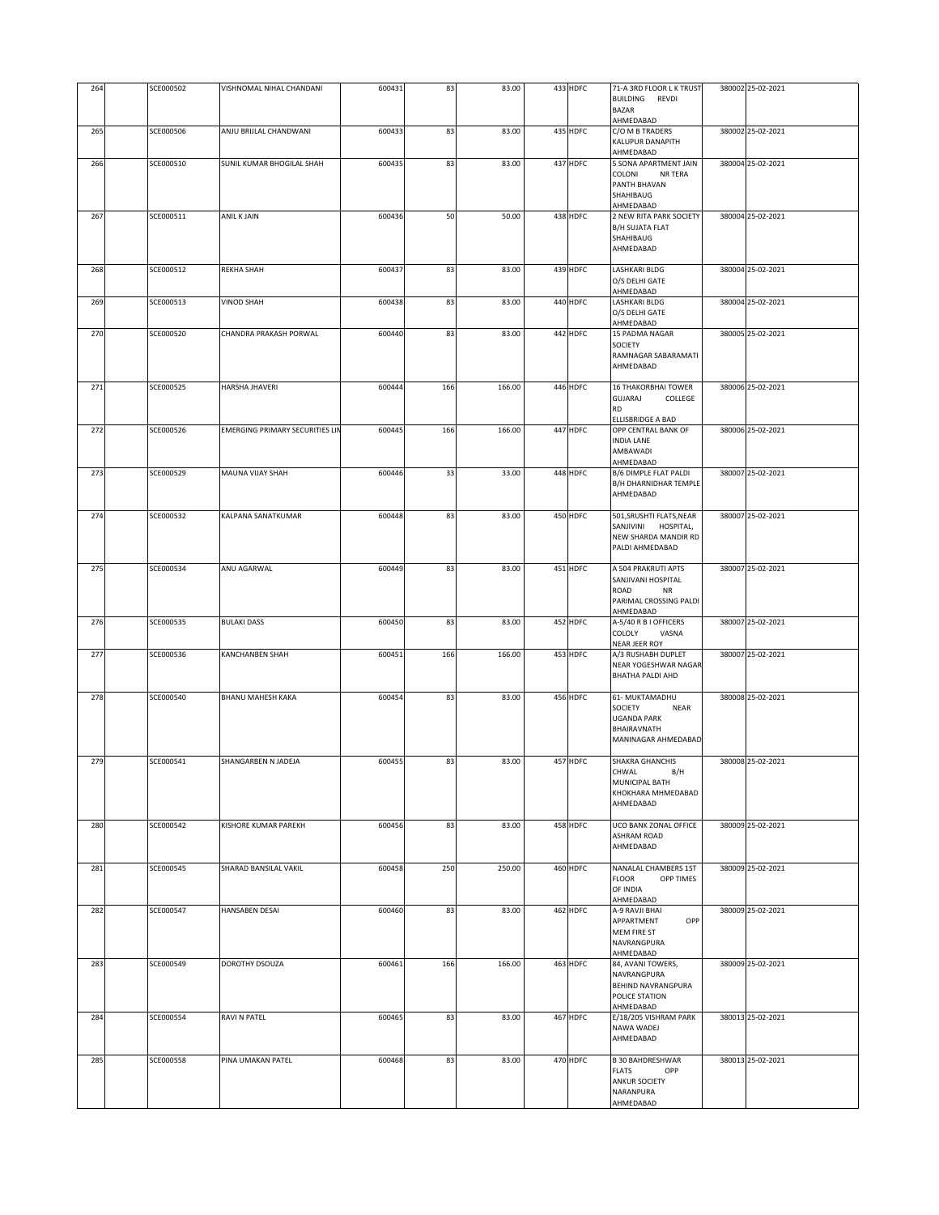| 264 | SCE000502 | VISHNOMAL NIHAL CHANDANI               | 600431 | 83  | 83.00  | 433 HDFC | 71-A 3RD FLOOR L K TRUST<br>BUILDING REVDI<br><b>BAZAR</b><br>AHMEDABAD                              | 380002 25-02-2021 |
|-----|-----------|----------------------------------------|--------|-----|--------|----------|------------------------------------------------------------------------------------------------------|-------------------|
| 265 | SCE000506 | ANJU BRIJLAL CHANDWANI                 | 600433 | 83  | 83.00  | 435 HDFC | C/O M B TRADERS<br>KALUPUR DANAPITH<br>AHMEDABAD                                                     | 380002 25-02-2021 |
| 266 | SCE000510 | SUNIL KUMAR BHOGILAL SHAH              | 600435 | 83  | 83.00  | 437 HDFC | 5 SONA APARTMENT JAIN<br>COLONI<br>NR TERA<br>PANTH BHAVAN<br>SHAHIBAUG<br>AHMEDABAD                 | 380004 25-02-2021 |
| 267 | SCE000511 | ANIL K JAIN                            | 600436 | 50  | 50.00  | 438 HDFC | 2 NEW RITA PARK SOCIETY<br>B/H SUJATA FLAT<br>SHAHIBAUG<br>AHMEDABAD                                 | 380004 25-02-2021 |
| 268 | SCE000512 | REKHA SHAH                             | 600437 | 83  | 83.00  | 439 HDFC | LASHKARI BLDG<br>O/S DELHI GATE<br>AHMEDABAD                                                         | 380004 25-02-2021 |
| 269 | SCE000513 | <b>VINOD SHAH</b>                      | 600438 | 83  | 83.00  | 440 HDFC | LASHKARI BLDG<br>O/S DELHI GATE<br>AHMEDABAD                                                         | 380004 25-02-2021 |
| 270 | SCE000520 | CHANDRA PRAKASH PORWAL                 | 600440 | 83  | 83.00  | 442 HDFC | 15 PADMA NAGAR<br>SOCIETY<br>RAMNAGAR SABARAMATI<br>AHMEDABAD                                        | 380005 25-02-2021 |
| 271 | SCE000525 | HARSHA JHAVERI                         | 600444 | 166 | 166.00 | 446 HDFC | <b>16 THAKORBHAI TOWER</b><br>GUJARAJ<br>COLLEGE<br><b>RD</b><br>ELLISBRIDGE A BAD                   | 380006 25-02-2021 |
| 272 | SCE000526 | <b>EMERGING PRIMARY SECURITIES LIN</b> | 600445 | 166 | 166.00 | 447 HDFC | OPP CENTRAL BANK OF<br><b>INDIA LANE</b><br>AMBAWADI<br>AHMEDABAD                                    | 380006 25-02-2021 |
| 273 | SCE000529 | MAUNA VIJAY SHAH                       | 600446 | 33  | 33.00  | 448 HDFC | B/6 DIMPLE FLAT PALDI<br>B/H DHARNIDHAR TEMPLE<br>AHMEDABAD                                          | 380007 25-02-2021 |
| 274 | SCE000532 | KALPANA SANATKUMAR                     | 600448 | 83  | 83.00  | 450 HDFC | 501, SRUSHTI FLATS, NEAR<br>SANJIVINI HOSPITAL,<br>NEW SHARDA MANDIR RD<br>PALDI AHMEDABAD           | 380007 25-02-2021 |
| 275 | SCE000534 | ANU AGARWAL                            | 600449 | 83  | 83.00  | 451 HDFC | A 504 PRAKRUTI APTS<br>SANJIVANI HOSPITAL<br>ROAD<br>NR<br>PARIMAL CROSSING PALDI<br>AHMEDABAD       | 380007 25-02-2021 |
| 276 | SCE000535 | <b>BULAKI DASS</b>                     | 600450 | 83  | 83.00  | 452 HDFC | A-5/40 R B I OFFICERS<br>COLOLY<br>VASNA<br>NEAR JEER ROY                                            | 380007 25-02-2021 |
| 277 | SCE000536 | KANCHANBEN SHAH                        | 600451 | 166 | 166.00 | 453 HDFC | A/3 RUSHABH DUPLET<br>NEAR YOGESHWAR NAGAR<br><b>BHATHA PALDI AHD</b>                                | 380007 25-02-2021 |
| 278 | SCE000540 | BHANU MAHESH KAKA                      | 600454 | 83  | 83.00  | 456 HDFC | 61- MUKTAMADHU<br>SOCIETY<br><b>NEAR</b><br><b>UGANDA PARK</b><br>BHAIRAVNATH<br>MANINAGAR AHMEDABAD | 380008 25-02-2021 |
| 279 | SCE000541 | SHANGARBEN N JADEJA                    | 600455 | 83  | 83.00  | 457 HDFC | <b>SHAKRA GHANCHIS</b><br>CHWAL<br>B/H<br>MUNICIPAL BATH<br>KHOKHARA MHMEDABAD<br>AHMEDABAD          | 380008 25-02-2021 |
| 280 | SCE000542 | KISHORE KUMAR PAREKH                   | 600456 | 83  | 83.00  | 458 HDFC | UCO BANK ZONAL OFFICE<br>ASHRAM ROAD<br>AHMEDABAD                                                    | 380009 25-02-2021 |
| 281 | SCE000545 | SHARAD BANSILAL VAKIL                  | 600458 | 250 | 250.00 | 460 HDFC | NANALAL CHAMBERS 1ST<br><b>FLOOR</b><br>OPP TIMES<br>OF INDIA<br>AHMEDABAD                           | 380009 25-02-2021 |
| 282 | SCE000547 | <b>HANSABEN DESAL</b>                  | 600460 | 83  | 83.00  | 462 HDFC | A-9 RAVJI BHAI<br>APPARTMENT<br>OPP<br>MEM FIRE ST<br>NAVRANGPURA<br>AHMEDABAD                       | 380009 25-02-2021 |
| 283 | SCE000549 | DOROTHY DSOUZA                         | 600461 | 166 | 166.00 | 463 HDFC | 84, AVANI TOWERS,<br>NAVRANGPURA<br>BEHIND NAVRANGPURA<br>POLICE STATION<br>AHMEDABAD                | 380009 25-02-2021 |
| 284 | SCE000554 | RAVI N PATEL                           | 600465 | 83  | 83.00  | 467 HDFC | E/18/205 VISHRAM PARK<br>NAWA WADEJ<br>AHMEDABAD                                                     | 380013 25-02-2021 |
| 285 | SCE000558 | PINA UMAKAN PATEL                      | 600468 | 83  | 83.00  | 470 HDFC | <b>B 30 BAHDRESHWAR</b><br><b>FLATS</b><br>OPP<br>ANKUR SOCIETY<br>NARANPURA<br>AHMEDABAD            | 380013 25-02-2021 |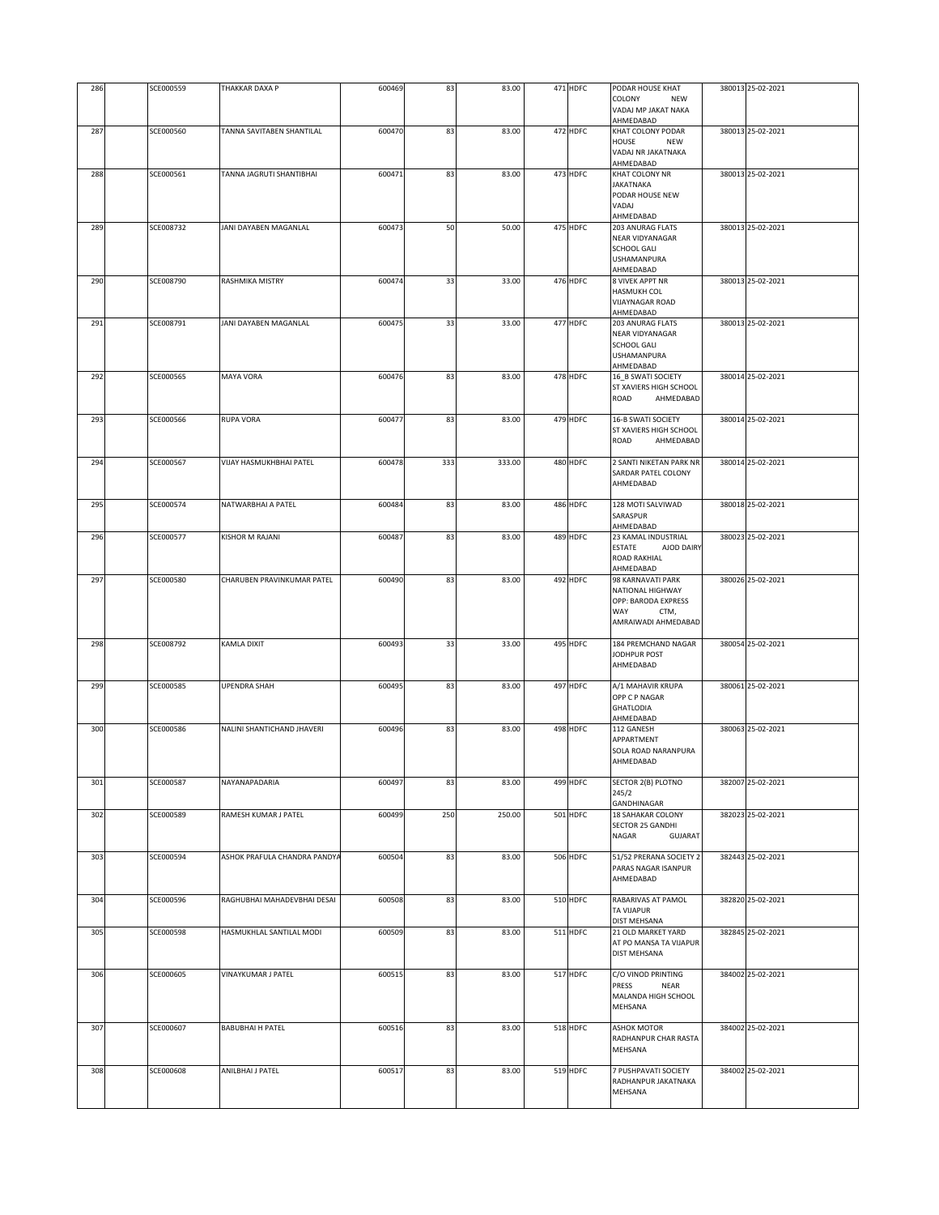| 286 | SCE000559 | THAKKAR DAXA P               | 600469 | 83  | 83.00  | 471 HDFC | PODAR HOUSE KHAT                                    | 380013 25-02-2021 |
|-----|-----------|------------------------------|--------|-----|--------|----------|-----------------------------------------------------|-------------------|
|     |           |                              |        |     |        |          | COLONY<br><b>NEW</b><br>VADAJ MP JAKAT NAKA         |                   |
| 287 | SCE000560 | TANNA SAVITABEN SHANTILAL    | 600470 | 83  | 83.00  | 472 HDFC | AHMEDABAD<br>KHAT COLONY PODAR                      | 380013 25-02-2021 |
|     |           |                              |        |     |        |          | HOUSE<br><b>NEW</b>                                 |                   |
|     |           |                              |        |     |        |          | VADAJ NR JAKATNAKA<br>AHMEDABAD                     |                   |
| 288 | SCE000561 | TANNA JAGRUTI SHANTIBHAI     | 600471 | 83  | 83.00  | 473 HDFC | KHAT COLONY NR                                      | 380013 25-02-2021 |
|     |           |                              |        |     |        |          | <b>JAKATNAKA</b><br>PODAR HOUSE NEW                 |                   |
|     |           |                              |        |     |        |          | VADAJ                                               |                   |
|     |           |                              |        |     |        |          | AHMEDABAD                                           |                   |
| 289 | SCE008732 | JANI DAYABEN MAGANLAL        | 600473 | 50  | 50.00  | 475 HDFC | 203 ANURAG FLATS<br>NEAR VIDYANAGAR                 | 380013 25-02-2021 |
|     |           |                              |        |     |        |          | SCHOOL GALI                                         |                   |
|     |           |                              |        |     |        |          | <b>USHAMANPURA</b><br>AHMEDABAD                     |                   |
| 290 | SCE008790 | RASHMIKA MISTRY              | 600474 | 33  | 33.00  | 476 HDFC | 8 VIVEK APPT NR                                     | 380013 25-02-2021 |
|     |           |                              |        |     |        |          | <b>HASMUKH COL</b><br><b>VIJAYNAGAR ROAD</b>        |                   |
|     |           |                              |        |     |        |          | AHMEDABAD                                           |                   |
| 291 | SCE008791 | JANI DAYABEN MAGANLAL        | 600475 | 33  | 33.00  | 477 HDFC | 203 ANURAG FLATS<br>NEAR VIDYANAGAR                 | 380013 25-02-2021 |
|     |           |                              |        |     |        |          | SCHOOL GALI                                         |                   |
|     |           |                              |        |     |        |          | <b>USHAMANPURA</b><br>AHMEDABAD                     |                   |
| 292 | SCE000565 | MAYA VORA                    | 600476 | 83  | 83.00  | 478 HDFC | 16_B SWATI SOCIETY                                  | 380014 25-02-2021 |
|     |           |                              |        |     |        |          | ST XAVIERS HIGH SCHOOL<br>ROAD<br>AHMEDABAD         |                   |
|     |           |                              |        |     |        |          |                                                     |                   |
| 293 | SCE000566 | <b>RUPA VORA</b>             | 600477 | 83  | 83.00  | 479 HDFC | <b>16-B SWATI SOCIETY</b><br>ST XAVIERS HIGH SCHOOL | 380014 25-02-2021 |
|     |           |                              |        |     |        |          | ROAD<br>AHMEDABAD                                   |                   |
|     |           |                              |        |     |        |          |                                                     |                   |
| 294 | SCE000567 | VIJAY HASMUKHBHAI PATEL      | 600478 | 333 | 333.00 | 480 HDFC | 2 SANTI NIKETAN PARK NR<br>SARDAR PATEL COLONY      | 380014 25-02-2021 |
|     |           |                              |        |     |        |          | AHMEDABAD                                           |                   |
| 295 | SCE000574 | NATWARBHAI A PATEL           | 600484 | 83  | 83.00  | 486 HDFC | 128 MOTI SALVIWAD                                   | 380018 25-02-2021 |
|     |           |                              |        |     |        |          | SARASPUR                                            |                   |
| 296 | SCE000577 | KISHOR M RAJANI              | 600487 | 83  | 83.00  | 489 HDFC | AHMEDABAD<br>23 KAMAL INDUSTRIAL                    | 380023 25-02-2021 |
|     |           |                              |        |     |        |          | <b>ESTATE</b><br>AJOD DAIRY                         |                   |
|     |           |                              |        |     |        |          | <b>ROAD RAKHIAL</b><br>AHMEDABAD                    |                   |
| 297 | SCE000580 | CHARUBEN PRAVINKUMAR PATEL   | 600490 | 83  | 83.00  | 492 HDFC | 98 KARNAVATI PARK                                   | 380026 25-02-2021 |
|     |           |                              |        |     |        |          | NATIONAL HIGHWAY<br>OPP: BARODA EXPRESS             |                   |
|     |           |                              |        |     |        |          | WAY<br>CTM,                                         |                   |
|     |           |                              |        |     |        |          | AMRAIWADI AHMEDABAD                                 |                   |
| 298 | SCE008792 | <b>KAMLA DIXIT</b>           | 600493 | 33  | 33.00  | 495 HDFC | 184 PREMCHAND NAGAR                                 | 380054 25-02-2021 |
|     |           |                              |        |     |        |          | JODHPUR POST<br>AHMEDABAD                           |                   |
|     |           |                              |        |     |        |          |                                                     |                   |
| 299 | SCE000585 | <b>UPENDRA SHAH</b>          | 600495 | 83  | 83.00  | 497 HDFC | A/1 MAHAVIR KRUPA<br>OPP C P NAGAR                  | 380061 25-02-2021 |
|     |           |                              |        |     |        |          | <b>GHATLODIA</b>                                    |                   |
| 300 | SCE000586 | NALINI SHANTICHAND JHAVERI   | 600496 | 83  | 83.00  | 498 HDFC | AHMEDABAD<br>112 GANESH                             | 380063 25-02-2021 |
|     |           |                              |        |     |        |          | APPARTMENT                                          |                   |
|     |           |                              |        |     |        |          | SOLA ROAD NARANPURA<br>AHMEDABAD                    |                   |
|     |           |                              |        |     |        |          |                                                     |                   |
| 301 | SCE000587 | NAYANAPADARIA                | 600497 | 83  | 83.00  | 499 HDFC | SECTOR 2(B) PLOTNO                                  | 382007 25-02-2021 |
|     |           |                              |        |     |        |          | 245/2<br>GANDHINAGAR                                |                   |
| 302 | SCE000589 | RAMESH KUMAR J PATEL         | 600499 | 250 | 250.00 | 501 HDFC | 18 SAHAKAR COLONY<br>SECTOR 25 GANDHI               | 382023 25-02-2021 |
|     |           |                              |        |     |        |          | NAGAR<br>GUJARAT                                    |                   |
|     |           |                              |        |     |        |          |                                                     |                   |
| 303 | SCE000594 | ASHOK PRAFULA CHANDRA PANDYA | 600504 | 83  | 83.00  | 506 HDFC | 51/52 PRERANA SOCIETY 2<br>PARAS NAGAR ISANPUR      | 382443 25-02-2021 |
|     |           |                              |        |     |        |          | AHMEDABAD                                           |                   |
| 304 | SCE000596 | RAGHUBHAI MAHADEVBHAI DESAI  | 600508 | 83  | 83.00  | 510 HDFC | RABARIVAS AT PAMOL                                  | 382820 25-02-2021 |
|     |           |                              |        |     |        |          | TA VIJAPUR                                          |                   |
| 305 | SCE000598 | HASMUKHLAL SANTILAL MODI     | 600509 | 83  | 83.00  | 511 HDFC | DIST MEHSANA<br>21 OLD MARKET YARD                  | 382845 25-02-2021 |
|     |           |                              |        |     |        |          | AT PO MANSA TA VIJAPUR                              |                   |
|     |           |                              |        |     |        |          | DIST MEHSANA                                        |                   |
| 306 | SCE000605 | <b>VINAYKUMAR J PATEL</b>    | 600515 | 83  | 83.00  | 517 HDFC | C/O VINOD PRINTING                                  | 384002 25-02-2021 |
|     |           |                              |        |     |        |          | PRESS<br><b>NEAR</b><br>MALANDA HIGH SCHOOL         |                   |
|     |           |                              |        |     |        |          | MEHSANA                                             |                   |
| 307 | SCE000607 | <b>BABUBHAI H PATEL</b>      | 600516 | 83  | 83.00  | 518 HDFC | ASHOK MOTOR                                         | 384002 25-02-2021 |
|     |           |                              |        |     |        |          | RADHANPUR CHAR RASTA                                |                   |
|     |           |                              |        |     |        |          | MEHSANA                                             |                   |
| 308 | SCE000608 | ANILBHAI J PATEL             | 600517 | 83  | 83.00  | 519 HDFC | 7 PUSHPAVATI SOCIETY                                | 384002 25-02-2021 |
|     |           |                              |        |     |        |          | RADHANPUR JAKATNAKA<br>MEHSANA                      |                   |
|     |           |                              |        |     |        |          |                                                     |                   |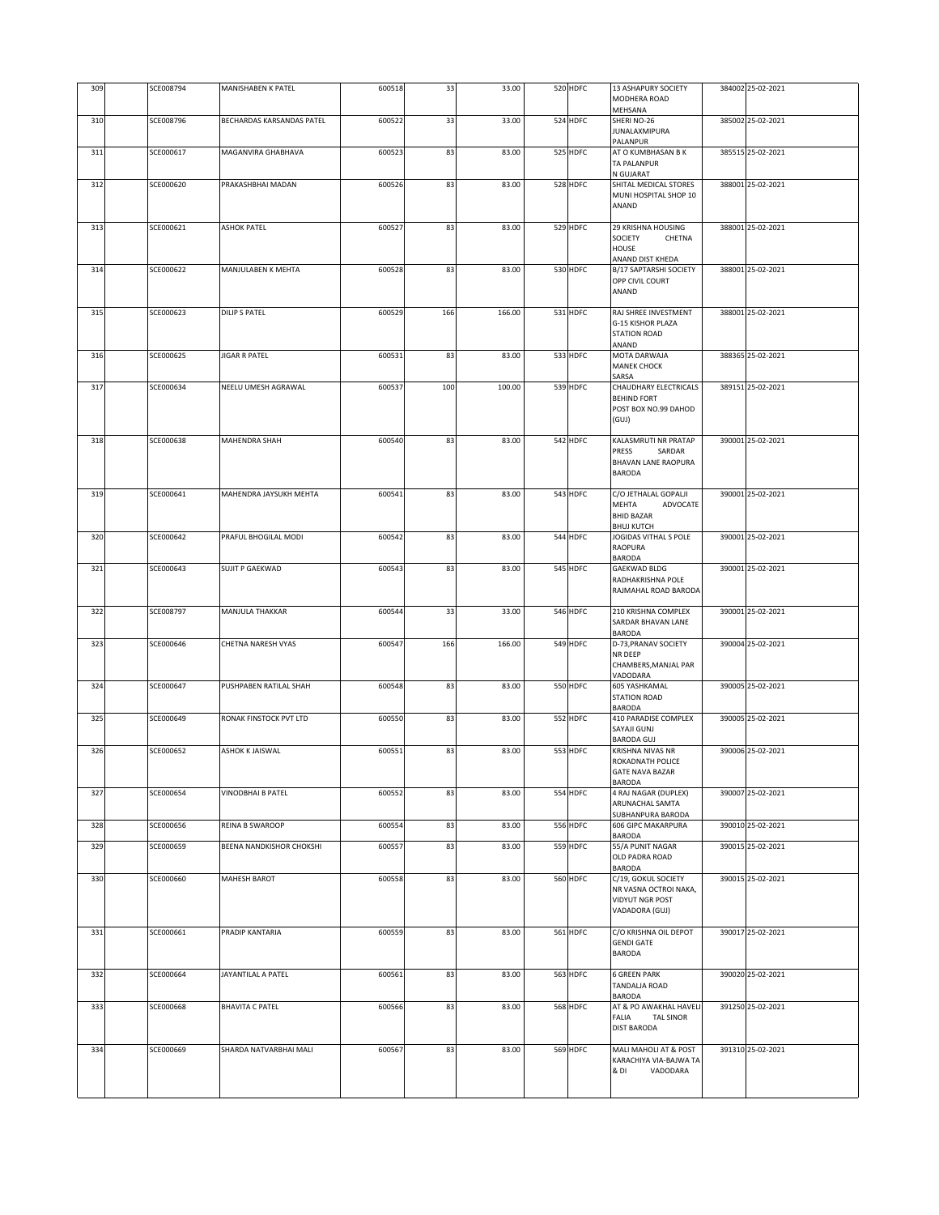| 309 | SCE008794 | MANISHABEN K PATEL        | 600518 | 33  | 33.00  | 520 HDFC | <b>13 ASHAPURY SOCIETY</b><br>MODHERA ROAD       | 384002 25-02-2021 |
|-----|-----------|---------------------------|--------|-----|--------|----------|--------------------------------------------------|-------------------|
|     |           |                           |        |     |        |          | MEHSANA                                          |                   |
| 310 | SCE008796 | BECHARDAS KARSANDAS PATEL | 600522 | 33  | 33.00  | 524 HDFC | SHERI NO-26                                      | 385002 25-02-2021 |
|     |           |                           |        |     |        |          | JUNALAXMIPURA<br>PALANPUR                        |                   |
| 311 | SCE000617 | MAGANVIRA GHABHAVA        | 600523 | 83  | 83.00  | 525 HDFC | AT O KUMBHASAN B K                               | 385515 25-02-2021 |
|     |           |                           |        |     |        |          | TA PALANPUR                                      |                   |
|     |           |                           |        |     |        |          | N GUJARAT                                        |                   |
| 312 | SCE000620 | PRAKASHBHAI MADAN         | 600526 | 83  | 83.00  | 528 HDFC | SHITAL MEDICAL STORES<br>MUNI HOSPITAL SHOP 10   | 388001 25-02-2021 |
|     |           |                           |        |     |        |          | ANAND                                            |                   |
|     |           |                           |        |     |        |          |                                                  |                   |
| 313 | SCE000621 | <b>ASHOK PATEL</b>        | 600527 | 83  | 83.00  | 529 HDFC | 29 KRISHNA HOUSING                               | 388001 25-02-2021 |
|     |           |                           |        |     |        |          | SOCIETY<br>CHETNA                                |                   |
|     |           |                           |        |     |        |          | <b>HOUSE</b><br>ANAND DIST KHEDA                 |                   |
| 314 | SCE000622 | MANJULABEN K MEHTA        | 600528 | 83  | 83.00  | 530 HDFC | B/17 SAPTARSHI SOCIETY                           | 388001 25-02-2021 |
|     |           |                           |        |     |        |          | OPP CIVIL COURT                                  |                   |
|     |           |                           |        |     |        |          | ANAND                                            |                   |
|     |           |                           |        |     |        |          |                                                  |                   |
| 315 | SCE000623 | <b>DILIP S PATEL</b>      | 600529 | 166 | 166.00 | 531 HDFC | RAJ SHREE INVESTMENT<br><b>G-15 KISHOR PLAZA</b> | 388001 25-02-2021 |
|     |           |                           |        |     |        |          | <b>STATION ROAD</b>                              |                   |
|     |           |                           |        |     |        |          | ANAND                                            |                   |
| 316 | SCE000625 | <b>JIGAR R PATEL</b>      | 600531 | 83  | 83.00  | 533 HDFC | MOTA DARWAJA                                     | 388365 25-02-2021 |
|     |           |                           |        |     |        |          | <b>MANEK CHOCK</b>                               |                   |
|     | SCE000634 | NEELU UMESH AGRAWAL       |        |     |        |          | SARSA                                            |                   |
| 317 |           |                           | 600537 | 100 | 100.00 | 539 HDFC | CHAUDHARY ELECTRICALS<br><b>BEHIND FORT</b>      | 389151 25-02-2021 |
|     |           |                           |        |     |        |          | POST BOX NO.99 DAHOD                             |                   |
|     |           |                           |        |     |        |          | (GUI)                                            |                   |
|     |           |                           |        |     |        |          |                                                  |                   |
| 318 | SCE000638 | MAHENDRA SHAH             | 600540 | 83  | 83.00  | 542 HDFC | KALASMRUTI NR PRATAP                             | 390001 25-02-2021 |
|     |           |                           |        |     |        |          | PRESS<br>SARDAR<br>BHAVAN LANE RAOPURA           |                   |
|     |           |                           |        |     |        |          | <b>BARODA</b>                                    |                   |
|     |           |                           |        |     |        |          |                                                  |                   |
| 319 | SCE000641 | MAHENDRA JAYSUKH MEHTA    | 600541 | 83  | 83.00  | 543 HDFC | C/O JETHALAL GOPALJI                             | 390001 25-02-2021 |
|     |           |                           |        |     |        |          | <b>MEHTA</b><br>ADVOCATE                         |                   |
|     |           |                           |        |     |        |          | <b>BHID BAZAR</b>                                |                   |
| 320 | SCE000642 | PRAFUL BHOGILAL MODI      | 600542 | 83  | 83.00  | 544 HDFC | <b>BHUJ KUTCH</b><br>JOGIDAS VITHAL S POLE       | 390001 25-02-2021 |
|     |           |                           |        |     |        |          | RAOPURA                                          |                   |
|     |           |                           |        |     |        |          | <b>BARODA</b>                                    |                   |
| 321 | SCE000643 | <b>SUJIT P GAEKWAD</b>    | 600543 | 83  | 83.00  | 545 HDFC | <b>GAEKWAD BLDG</b>                              | 390001 25-02-2021 |
|     |           |                           |        |     |        |          | RADHAKRISHNA POLE                                |                   |
|     |           |                           |        |     |        |          | RAJMAHAL ROAD BARODA                             |                   |
| 322 | SCE008797 | MANJULA THAKKAR           | 600544 | 33  | 33.00  | 546 HDFC | 210 KRISHNA COMPLEX                              | 390001 25-02-2021 |
|     |           |                           |        |     |        |          | SARDAR BHAVAN LANE                               |                   |
|     |           |                           |        |     |        |          | <b>BARODA</b>                                    |                   |
| 323 | SCE000646 | CHETNA NARESH VYAS        | 600547 | 166 | 166.00 | 549 HDFC | D-73, PRANAV SOCIETY<br><b>NR DEEP</b>           | 390004 25-02-2021 |
|     |           |                           |        |     |        |          | CHAMBERS, MANJAL PAR                             |                   |
|     |           |                           |        |     |        |          | VADODARA                                         |                   |
| 324 | SCE000647 | PUSHPABEN RATILAL SHAH    | 600548 | 83  | 83.00  | 550 HDFC | <b>605 YASHKAMAL</b>                             | 390005 25-02-2021 |
|     |           |                           |        |     |        |          | <b>STATION ROAD</b>                              |                   |
| 325 | SCE000649 | RONAK FINSTOCK PVT LTD    | 600550 | 83  | 83.00  | 552 HDFC | <b>BARODA</b><br>410 PARADISE COMPLEX            | 390005 25-02-2021 |
|     |           |                           |        |     |        |          | SAYAJI GUNJ                                      |                   |
|     |           |                           |        |     |        |          | <b>BARODA GUJ</b>                                |                   |
| 326 | SCE000652 | ASHOK K JAISWAL           | 600551 | 83  | 83.00  | 553 HDFC | KRISHNA NIVAS NR                                 | 390006 25-02-2021 |
|     |           |                           |        |     |        |          | ROKADNATH POLICE                                 |                   |
|     |           |                           |        |     |        |          | <b>GATE NAVA BAZAR</b><br><b>BARODA</b>          |                   |
| 327 | SCE000654 | <b>VINODBHAI B PATEL</b>  | 600552 | 83  | 83.00  | 554 HDFC | 4 RAJ NAGAR (DUPLEX)                             | 390007 25-02-2021 |
|     |           |                           |        |     |        |          | ARUNACHAL SAMTA                                  |                   |
|     |           |                           |        |     |        |          | SUBHANPURA BARODA                                |                   |
| 328 | SCE000656 | REINA B SWAROOP           | 600554 | 83  | 83.00  | 556 HDFC | <b>606 GIPC MAKARPURA</b>                        | 390010 25-02-2021 |
| 329 | SCE000659 | BEENA NANDKISHOR CHOKSHI  | 600557 | 83  | 83.00  | 559 HDFC | <b>BARODA</b><br>55/A PUNIT NAGAR                | 390015 25-02-2021 |
|     |           |                           |        |     |        |          | OLD PADRA ROAD                                   |                   |
|     |           |                           |        |     |        |          | BARODA                                           |                   |
| 330 | SCE000660 | MAHESH BAROT              | 600558 | 83  | 83.00  | 560 HDFC | C/19, GOKUL SOCIETY                              | 390015 25-02-2021 |
|     |           |                           |        |     |        |          | NR VASNA OCTROI NAKA,                            |                   |
|     |           |                           |        |     |        |          | VIDYUT NGR POST<br>VADADORA (GUJ)                |                   |
|     |           |                           |        |     |        |          |                                                  |                   |
| 331 | SCE000661 | PRADIP KANTARIA           | 600559 | 83  | 83.00  | 561 HDFC | C/O KRISHNA OIL DEPOT                            | 390017 25-02-2021 |
|     |           |                           |        |     |        |          | <b>GENDI GATE</b>                                |                   |
|     |           |                           |        |     |        |          | <b>BARODA</b>                                    |                   |
| 332 | SCE000664 | JAYANTILAL A PATEL        | 600561 | 83  | 83.00  | 563 HDFC | <b>6 GREEN PARK</b>                              | 390020 25-02-2021 |
|     |           |                           |        |     |        |          | TANDALJA ROAD                                    |                   |
|     |           |                           |        |     |        |          | BARODA                                           |                   |
| 333 | SCE000668 | <b>BHAVITA C PATEL</b>    | 600566 | 83  | 83.00  | 568 HDFC | AT & PO AWAKHAL HAVELI                           | 391250 25-02-2021 |
|     |           |                           |        |     |        |          | FALIA<br><b>TAL SINOR</b>                        |                   |
|     |           |                           |        |     |        |          | <b>DIST BARODA</b>                               |                   |
| 334 | SCE000669 | SHARDA NATVARBHAI MALI    | 600567 | 83  | 83.00  | 569 HDFC | MALI MAHOLI AT & POST                            | 391310 25-02-2021 |
|     |           |                           |        |     |        |          | KARACHIYA VIA-BAJWA TA                           |                   |
|     |           |                           |        |     |        |          | & DI<br>VADODARA                                 |                   |
|     |           |                           |        |     |        |          |                                                  |                   |
|     |           |                           |        |     |        |          |                                                  |                   |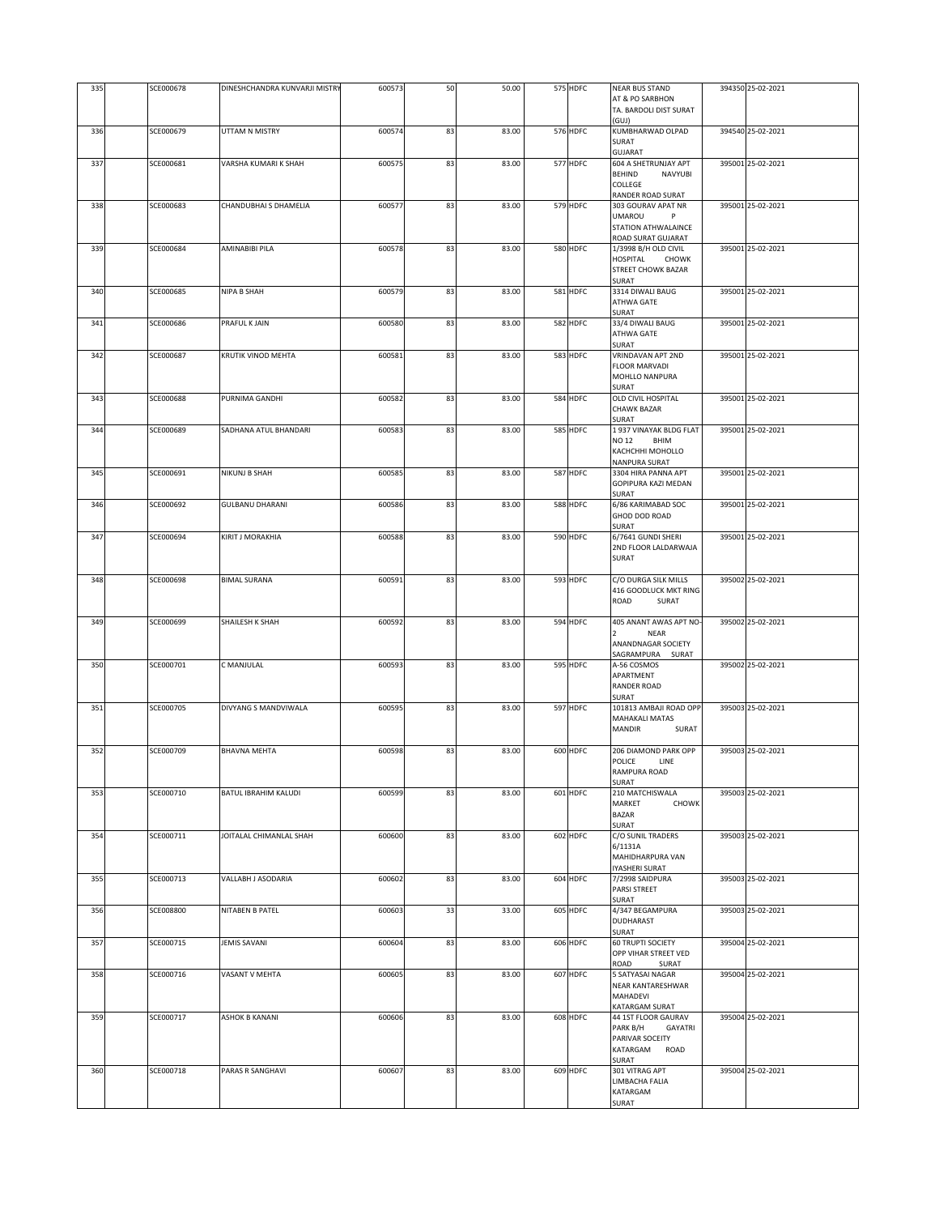| 335 | SCE000678 | DINESHCHANDRA KUNVARJI MISTRY | 600573 | 50 | 50.00 | 575 HDFC | <b>NEAR BUS STAND</b><br>AT & PO SARBHON                | 394350 25-02-2021 |
|-----|-----------|-------------------------------|--------|----|-------|----------|---------------------------------------------------------|-------------------|
|     |           |                               |        |    |       |          | TA. BARDOLI DIST SURAT<br>(GUJ)                         |                   |
| 336 | SCE000679 | UTTAM N MISTRY                | 600574 | 83 | 83.00 | 576 HDFC | KUMBHARWAD OLPAD<br>SURAT                               | 394540 25-02-2021 |
|     | SCE000681 |                               |        |    |       |          | <b>GUJARAT</b>                                          | 395001 25-02-2021 |
| 337 |           | VARSHA KUMARI K SHAH          | 600575 | 83 | 83.00 | 577 HDFC | 604 A SHETRUNJAY APT<br><b>BEHIND</b><br><b>NAVYUBI</b> |                   |
|     |           |                               |        |    |       |          | <b>COLLEGE</b><br>RANDER ROAD SURAT                     |                   |
| 338 | SCE000683 | CHANDUBHAI S DHAMELIA         | 600577 | 83 | 83.00 | 579 HDFC | 303 GOURAV APAT NR<br><b>UMAROU</b><br>P                | 395001 25-02-2021 |
|     |           |                               |        |    |       |          | STATION ATHWALAINCE<br>ROAD SURAT GUJARAT               |                   |
| 339 | SCE000684 | AMINABIBI PILA                | 600578 | 83 | 83.00 | 580 HDFC | 1/3998 B/H OLD CIVIL                                    | 395001 25-02-2021 |
|     |           |                               |        |    |       |          | HOSPITAL<br><b>CHOWK</b><br><b>STREET CHOWK BAZAR</b>   |                   |
| 340 | SCE000685 | <b>NIPA B SHAH</b>            | 600579 | 83 | 83.00 | 581 HDFC | SURAT<br>3314 DIWALI BAUG                               | 395001 25-02-2021 |
|     |           |                               |        |    |       |          | ATHWA GATE<br>SURAT                                     |                   |
| 341 | SCE000686 | PRAFUL K JAIN                 | 600580 | 83 | 83.00 | 582 HDFC | 33/4 DIWALI BAUG                                        | 395001 25-02-2021 |
|     |           |                               |        |    |       |          | ATHWA GATE<br>SURAT                                     |                   |
| 342 | SCE000687 | KRUTIK VINOD MEHTA            | 600581 | 83 | 83.00 | 583 HDFC | VRINDAVAN APT 2ND<br><b>FLOOR MARVADI</b>               | 395001 25-02-2021 |
|     |           |                               |        |    |       |          | MOHLLO NANPURA<br>SURAT                                 |                   |
| 343 | SCE000688 | PURNIMA GANDHI                | 600582 | 83 | 83.00 | 584 HDFC | OLD CIVIL HOSPITAL                                      | 395001 25-02-2021 |
|     |           |                               |        |    |       |          | <b>CHAWK BAZAR</b><br>SURAT                             |                   |
| 344 | SCE000689 | SADHANA ATUL BHANDARI         | 600583 | 83 | 83.00 | 585 HDFC | 1937 VINAYAK BLDG FLAT<br>NO 12<br>BHIM                 | 395001 25-02-2021 |
|     |           |                               |        |    |       |          | KACHCHHI MOHOLLO<br>NANPURA SURAT                       |                   |
| 345 | SCE000691 | NIKUNJ B SHAH                 | 600585 | 83 | 83.00 | 587 HDFC | 3304 HIRA PANNA APT<br>GOPIPURA KAZI MEDAN              | 395001 25-02-2021 |
|     |           |                               |        |    |       |          | SURAT                                                   |                   |
| 346 | SCE000692 | <b>GULBANU DHARANI</b>        | 600586 | 83 | 83.00 | 588 HDFC | 6/86 KARIMABAD SOC<br>GHOD DOD ROAD                     | 395001 25-02-2021 |
| 347 | SCE000694 | KIRIT J MORAKHIA              | 600588 | 83 | 83.00 | 590 HDFC | SURAT<br>6/7641 GUNDI SHERI                             | 395001 25-02-2021 |
|     |           |                               |        |    |       |          | 2ND FLOOR LALDARWAJA<br>SURAT                           |                   |
|     | SCE000698 |                               |        |    |       | 593 HDFC | C/O DURGA SILK MILLS                                    | 395002 25-02-2021 |
| 348 |           | <b>BIMAL SURANA</b>           | 600591 | 83 | 83.00 |          | 416 GOODLUCK MKT RING                                   |                   |
|     |           |                               |        |    |       |          | ROAD<br>SURAT                                           |                   |
| 349 | SCE000699 | SHAILESH K SHAH               | 600592 | 83 | 83.00 | 594 HDFC | 405 ANANT AWAS APT NO-<br>NEAR                          | 395002 25-02-2021 |
|     |           |                               |        |    |       |          | ANANDNAGAR SOCIETY<br>SAGRAMPURA SURAT                  |                   |
| 350 | SCE000701 | C MANJULAL                    | 600593 | 83 | 83.00 | 595 HDFC | A-56 COSMOS<br>APARTMENT                                | 395002 25-02-2021 |
|     |           |                               |        |    |       |          | <b>RANDER ROAD</b>                                      |                   |
| 351 | SCE000705 | DIVYANG S MANDVIWALA          | 600595 | 83 | 83.00 | 597 HDFC | SURAT<br>101813 AMBAJI ROAD OPP                         | 395003 25-02-2021 |
|     |           |                               |        |    |       |          | <b>MAHAKALI MATAS</b><br><b>MANDIR</b><br>SURAT         |                   |
| 352 | SCE000709 | <b>BHAVNA MEHTA</b>           | 600598 | 83 | 83.00 | 600 HDFC | 206 DIAMOND PARK OPP                                    | 395003 25-02-2021 |
|     |           |                               |        |    |       |          | POLICE<br>LINE<br>RAMPURA ROAD                          |                   |
|     |           |                               |        |    |       |          | SURAT                                                   |                   |
| 353 | SCE000710 | BATUL IBRAHIM KALUDI          | 600599 | 83 | 83.00 | 601 HDFC | 210 MATCHISWALA<br>MARKET<br><b>CHOWK</b>               | 395003 25-02-2021 |
|     |           |                               |        |    |       |          | <b>BAZAR</b><br>SURAT                                   |                   |
| 354 | SCE000711 | JOITALAL CHIMANLAL SHAH       | 600600 | 83 | 83.00 | 602 HDFC | C/O SUNIL TRADERS<br>6/1131A                            | 395003 25-02-2021 |
|     |           |                               |        |    |       |          | MAHIDHARPURA VAN<br>IYASHERI SURAT                      |                   |
| 355 | SCE000713 | VALLABH J ASODARIA            | 600602 | 83 | 83.00 | 604 HDFC | 7/2998 SAIDPURA                                         | 395003 25-02-2021 |
|     |           |                               |        |    |       |          | PARSI STREET<br>SURAT                                   |                   |
| 356 | SCE008800 | NITABEN B PATEL               | 600603 | 33 | 33.00 | 605 HDFC | 4/347 BEGAMPURA<br>DUDHARAST                            | 395003 25-02-2021 |
| 357 | SCE000715 | JEMIS SAVANI                  | 600604 | 83 | 83.00 | 606 HDFC | SURAT<br>60 TRUPTI SOCIETY                              | 395004 25-02-2021 |
|     |           |                               |        |    |       |          | OPP VIHAR STREET VED<br>ROAD<br>SURAT                   |                   |
| 358 | SCE000716 | VASANT V MEHTA                | 600605 | 83 | 83.00 | 607 HDFC | 5 SATYASAI NAGAR                                        | 395004 25-02-2021 |
|     |           |                               |        |    |       |          | NEAR KANTARESHWAR<br>MAHADEVI                           |                   |
| 359 | SCE000717 | <b>ASHOK B KANANI</b>         | 600606 | 83 | 83.00 | 608 HDFC | KATARGAM SURAT<br>44 1ST FLOOR GAURAV                   | 395004 25-02-2021 |
|     |           |                               |        |    |       |          | PARK B/H<br>GAYATRI<br>PARIVAR SOCEITY                  |                   |
|     |           |                               |        |    |       |          | KATARGAM<br>ROAD<br>SURAT                               |                   |
| 360 | SCE000718 | PARAS R SANGHAVI              | 600607 | 83 | 83.00 | 609 HDFC | 301 VITRAG APT                                          | 395004 25-02-2021 |
|     |           |                               |        |    |       |          | LIMBACHA FALIA<br>KATARGAM                              |                   |
|     |           |                               |        |    |       |          | SURAT                                                   |                   |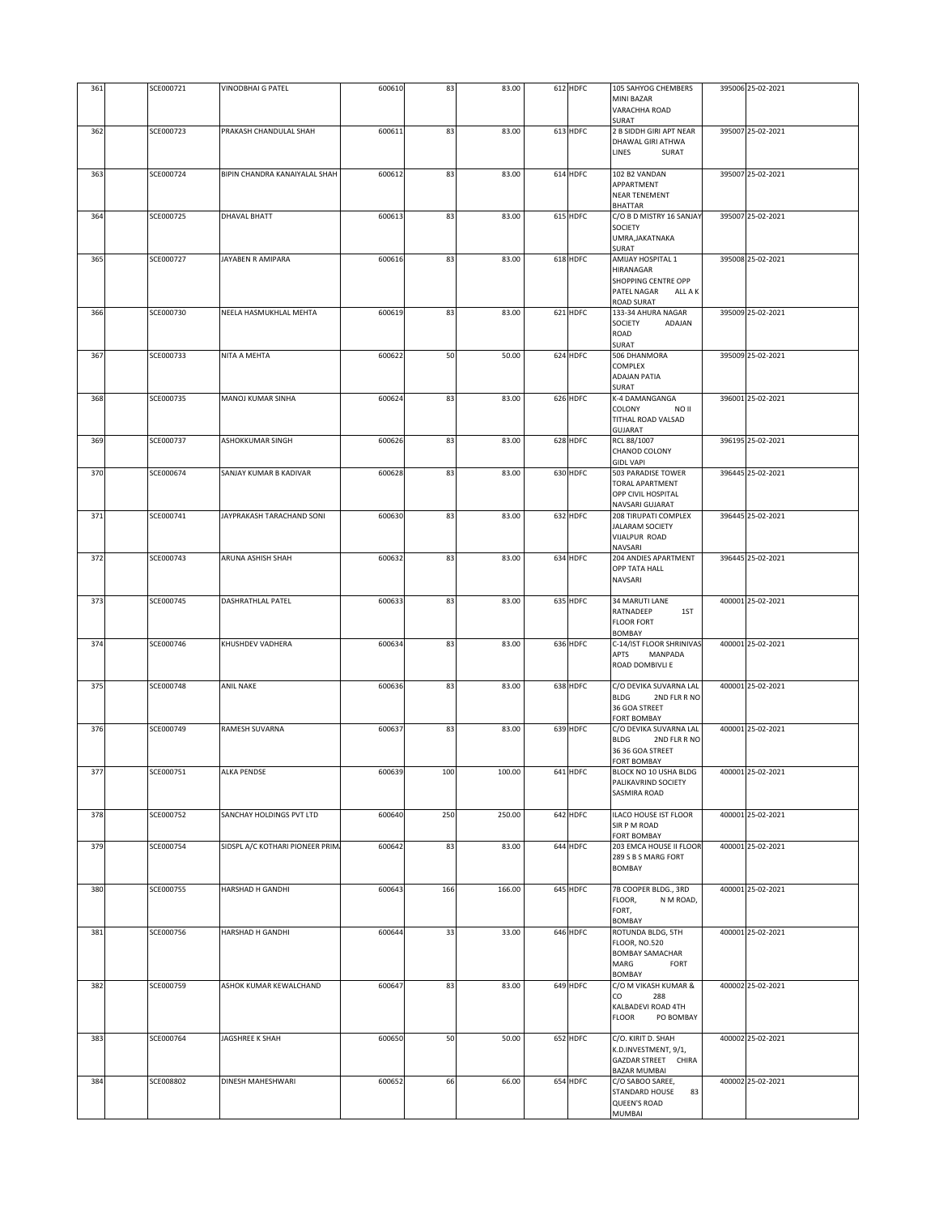| 361 | SCE000721 | VINODBHAI G PATEL                | 600610 | 83  | 83.00  | 612 HDFC | 105 SAHYOG CHEMBERS<br>MINI BAZAR<br>VARACHHA ROAD                                                        | 395006 25-02-2021 |
|-----|-----------|----------------------------------|--------|-----|--------|----------|-----------------------------------------------------------------------------------------------------------|-------------------|
|     |           |                                  |        |     |        |          | SURAT                                                                                                     |                   |
| 362 | SCE000723 | PRAKASH CHANDULAL SHAH           | 600611 | 83  | 83.00  | 613 HDFC | 2 B SIDDH GIRI APT NEAR<br>DHAWAL GIRI ATHWA<br>LINES<br>SURAT                                            | 395007 25-02-2021 |
| 363 | SCE000724 | BIPIN CHANDRA KANAIYALAL SHAH    | 600612 | 83  | 83.00  | 614 HDFC | 102 B2 VANDAN<br>APPARTMENT<br><b>NEAR TENEMENT</b><br><b>BHATTAR</b>                                     | 395007 25-02-2021 |
| 364 | SCE000725 | DHAVAL BHATT                     | 600613 | 83  | 83.00  | 615 HDFC | C/O B D MISTRY 16 SANJAY<br>SOCIETY<br>UMRA, JAKATNAKA                                                    | 395007 25-02-2021 |
| 365 | SCE000727 | JAYABEN R AMIPARA                | 600616 | 83  | 83.00  | 618 HDFC | SURAT<br>AMIJAY HOSPITAL 1                                                                                | 395008 25-02-2021 |
|     |           |                                  |        |     |        |          | HIRANAGAR<br>SHOPPING CENTRE OPP<br>PATEL NAGAR<br>ALL A K<br><b>ROAD SURAT</b>                           |                   |
| 366 | SCE000730 | NEELA HASMUKHLAL MEHTA           | 600619 | 83  | 83.00  | 621 HDFC | 133-34 AHURA NAGAR<br>SOCIETY<br>ADAJAN<br>ROAD<br>SURAT                                                  | 395009 25-02-2021 |
| 367 | SCE000733 | NITA A MEHTA                     | 600622 | 50  | 50.00  | 624 HDFC | 506 DHANMORA<br>COMPLEX<br><b>ADAJAN PATIA</b><br>SURAT                                                   | 395009 25-02-2021 |
| 368 | SCE000735 | MANOJ KUMAR SINHA                | 600624 | 83  | 83.00  | 626 HDFC | K-4 DAMANGANGA<br>COLONY<br>NO II<br>TITHAL ROAD VALSAD                                                   | 396001 25-02-2021 |
| 369 | SCE000737 | ASHOKKUMAR SINGH                 | 600626 | 83  | 83.00  | 628 HDFC | GUJARAT<br>RCL 88/1007<br>CHANOD COLONY                                                                   | 396195 25-02-2021 |
| 370 | SCE000674 | SANJAY KUMAR B KADIVAR           | 600628 | 83  | 83.00  | 630 HDFC | <b>GIDL VAPI</b><br>503 PARADISE TOWER<br><b>TORAL APARTMENT</b><br>OPP CIVIL HOSPITAL<br>NAVSARI GUJARAT | 396445 25-02-2021 |
| 371 | SCE000741 | JAYPRAKASH TARACHAND SONI        | 600630 | 83  | 83.00  | 632 HDFC | 208 TIRUPATI COMPLEX<br><b>JALARAM SOCIETY</b><br>VIJALPUR ROAD<br>NAVSARI                                | 396445 25-02-2021 |
| 372 | SCE000743 | ARUNA ASHISH SHAH                | 600632 | 83  | 83.00  | 634 HDFC | 204 ANDIES APARTMENT<br>OPP TATA HALL<br>NAVSARI                                                          | 396445 25-02-2021 |
| 373 | SCE000745 | DASHRATHLAL PATEL                | 600633 | 83  | 83.00  | 635 HDFC | <b>34 MARUTI LANE</b><br>RATNADEEP<br>1ST<br><b>FLOOR FORT</b><br><b>BOMBAY</b>                           | 400001 25-02-2021 |
| 374 | SCE000746 | KHUSHDEV VADHERA                 | 600634 | 83  | 83.00  | 636 HDFC | C-14/IST FLOOR SHRINIVAS<br>APTS<br>MANPADA<br>ROAD DOMBIVLI E                                            | 400001 25-02-2021 |
| 375 | SCE000748 | <b>ANIL NAKE</b>                 | 600636 | 83  | 83.00  | 638 HDFC | C/O DEVIKA SUVARNA LAL<br><b>BLDG</b><br>2ND FLR R NO<br>36 GOA STREET<br><b>FORT BOMBAY</b>              | 400001 25-02-2021 |
| 376 | SCE000749 | RAMESH SUVARNA                   | 600637 | 83  | 83.00  | 639 HDFC | C/O DEVIKA SUVARNA LAL<br><b>BLDG</b><br>2ND FLR R NO<br>36 36 GOA STREET<br><b>FORT BOMBAY</b>           | 400001 25-02-2021 |
| 377 | SCE000751 | ALKA PENDSE                      | 600639 | 100 | 100.00 | 641 HDFC | BLOCK NO 10 USHA BLDG<br>PALIKAVRIND SOCIETY<br><b>SASMIRA ROAD</b>                                       | 400001 25-02-2021 |
| 378 | SCE000752 | SANCHAY HOLDINGS PVT LTD         | 600640 | 250 | 250.00 | 642 HDFC | ILACO HOUSE IST FLOOR<br>SIR P M ROAD<br><b>FORT BOMBAY</b>                                               | 400001 25-02-2021 |
| 379 | SCE000754 | SIDSPL A/C KOTHARI PIONEER PRIM/ | 600642 | 83  | 83.00  | 644 HDFC | 203 EMCA HOUSE II FLOOR<br>289 S B S MARG FORT<br><b>BOMBAY</b>                                           | 400001 25-02-2021 |
| 380 | SCE000755 | HARSHAD H GANDHI                 | 600643 | 166 | 166.00 | 645 HDFC | 7B COOPER BLDG., 3RD<br>FLOOR,<br>N M ROAD,<br>FORT,<br><b>BOMBAY</b>                                     | 400001 25-02-2021 |
| 381 | SCE000756 | HARSHAD H GANDHI                 | 600644 | 33  | 33.00  | 646 HDFC | ROTUNDA BLDG, 5TH<br><b>FLOOR, NO.520</b><br><b>BOMBAY SAMACHAR</b><br>MARG<br>FORT<br>BOMBAY             | 400001 25-02-2021 |
| 382 | SCE000759 | ASHOK KUMAR KEWALCHAND           | 600647 | 83  | 83.00  | 649 HDFC | C/O M VIKASH KUMAR &<br>CO<br>288<br>KALBADEVI ROAD 4TH<br><b>FLOOR</b><br>PO BOMBAY                      | 400002 25-02-2021 |
| 383 | SCE000764 | JAGSHREE K SHAH                  | 600650 | 50  | 50.00  | 652 HDFC | C/O. KIRIT D. SHAH<br>K.D.INVESTMENT, 9/1,<br>GAZDAR STREET CHIRA<br><b>BAZAR MUMBAI</b>                  | 400002 25-02-2021 |
| 384 | SCE008802 | DINESH MAHESHWARI                | 600652 | 66  | 66.00  | 654 HDFC | C/O SABOO SAREE,<br>STANDARD HOUSE<br>83<br>QUEEN'S ROAD<br>MUMBAI                                        | 400002 25-02-2021 |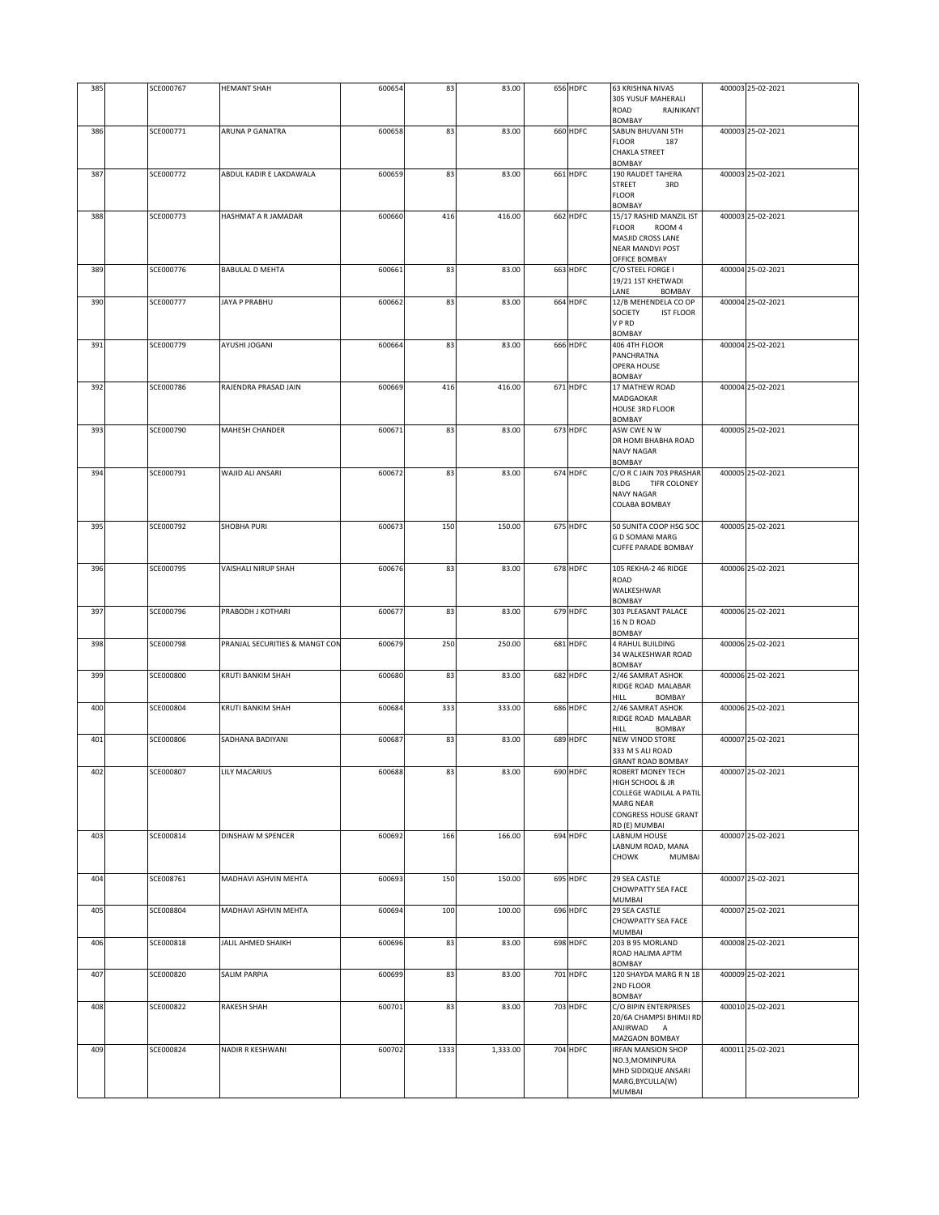| 385 | SCE000767 | <b>HEMANT SHAH</b>             | 600654 | 83   | 83.00    | 656 HDFC | <b>63 KRISHNA NIVAS</b>                                                                                                       | 400003 25-02-2021 |
|-----|-----------|--------------------------------|--------|------|----------|----------|-------------------------------------------------------------------------------------------------------------------------------|-------------------|
|     |           |                                |        |      |          |          | 305 YUSUF MAHERALI<br>ROAD<br>RAJNIKANT<br><b>BOMBAY</b>                                                                      |                   |
| 386 | SCE000771 | <b>ARUNA P GANATRA</b>         | 600658 | 83   | 83.00    | 660 HDFC | SABUN BHUVANI 5TH                                                                                                             | 400003 25-02-2021 |
|     |           |                                |        |      |          |          | <b>FLOOR</b><br>187<br><b>CHAKLA STREET</b><br><b>BOMBAY</b>                                                                  |                   |
| 387 | SCE000772 | ABDUL KADIR E LAKDAWALA        | 600659 | 83   | 83.00    | 661 HDFC | <b>190 RAUDET TAHERA</b><br><b>STREET</b><br>3RD<br><b>FLOOR</b>                                                              | 400003 25-02-2021 |
| 388 | SCE000773 | HASHMAT A R JAMADAR            | 600660 | 416  | 416.00   | 662 HDFC | BOMBAY<br>15/17 RASHID MANZIL IST                                                                                             | 400003 25-02-2021 |
|     |           |                                |        |      |          |          | <b>FLOOR</b><br>ROOM 4<br>MASJID CROSS LANE<br><b>NEAR MANDVI POST</b><br>OFFICE BOMBAY                                       |                   |
| 389 | SCE000776 | <b>BABULAL D MEHTA</b>         | 600661 | 83   | 83.00    | 663 HDFC | C/O STEEL FORGE I<br>19/21 1ST KHETWADI<br>LANE<br>BOMBAY                                                                     | 400004 25-02-2021 |
| 390 | SCE000777 | JAYA P PRABHU                  | 600662 | 83   | 83.00    | 664 HDFC | 12/B MEHENDELA CO OP<br>SOCIETY<br><b>IST FLOOR</b><br>V P RD<br><b>BOMBAY</b>                                                | 400004 25-02-2021 |
| 391 | SCE000779 | AYUSHI JOGANI                  | 600664 | 83   | 83.00    | 666 HDFC | 406 4TH FLOOR<br>PANCHRATNA<br>OPERA HOUSE<br>BOMBAY                                                                          | 400004 25-02-2021 |
| 392 | SCE000786 | RAJENDRA PRASAD JAIN           | 600669 | 416  | 416.00   | 671 HDFC | 17 MATHEW ROAD<br>MADGAOKAR<br><b>HOUSE 3RD FLOOR</b><br><b>BOMBAY</b>                                                        | 400004 25-02-2021 |
| 393 | SCE000790 | <b>MAHESH CHANDER</b>          | 600671 | 83   | 83.00    | 673 HDFC | ASW CWE N W                                                                                                                   | 400005 25-02-2021 |
|     |           |                                |        |      |          |          | DR HOMI BHABHA ROAD<br><b>NAVY NAGAR</b><br><b>BOMBAY</b>                                                                     |                   |
| 394 | SCE000791 | <b>WAJID ALI ANSARI</b>        | 600672 | 83   | 83.00    | 674 HDFC | C/O R C JAIN 703 PRASHAR<br><b>BLDG</b><br>TIFR COLONEY<br><b>NAVY NAGAR</b><br>COLABA BOMBAY                                 | 400005 25-02-2021 |
| 395 | SCE000792 | <b>SHOBHA PURI</b>             | 600673 | 150  | 150.00   | 675 HDFC | 50 SUNITA COOP HSG SOC<br><b>G D SOMANI MARG</b><br><b>CUFFE PARADE BOMBAY</b>                                                | 400005 25-02-2021 |
| 396 | SCE000795 | VAISHALI NIRUP SHAH            | 600676 | 83   | 83.00    | 678 HDFC | 105 REKHA-2 46 RIDGE<br>ROAD<br>WALKESHWAR<br><b>BOMBAY</b>                                                                   | 400006 25-02-2021 |
| 397 | SCE000796 | PRABODH J KOTHARI              | 600677 | 83   | 83.00    | 679 HDFC | 303 PLEASANT PALACE<br>16 N D ROAD<br><b>BOMBAY</b>                                                                           | 400006 25-02-2021 |
| 398 | SCE000798 | PRANJAL SECURITIES & MANGT CON | 600679 | 250  | 250.00   | 681 HDFC | 4 RAHUL BUILDING<br>34 WALKESHWAR ROAD<br>BOMBAY                                                                              | 400006 25-02-2021 |
| 399 | SCE000800 | KRUTI BANKIM SHAH              | 600680 | 83   | 83.00    | 682 HDFC | 2/46 SAMRAT ASHOK<br>RIDGE ROAD MALABAR<br>HILL<br><b>BOMBAY</b>                                                              | 400006 25-02-2021 |
| 400 | SCE000804 | KRUTI BANKIM SHAH              | 600684 | 333  | 333.00   | 686 HDFC | 2/46 SAMRAT ASHOK<br>RIDGE ROAD MALABAR<br><b>BOMBAY</b><br>HILL                                                              | 400006 25-02-2021 |
| 401 | SCE000806 | SADHANA BADIYANI               | 600687 | 83   | 83.00    | 689 HDFC | NEW VINOD STORE<br>333 M S ALI ROAD<br><b>GRANT ROAD BOMBAY</b>                                                               | 400007 25-02-2021 |
| 402 | SCE000807 | LILY MACARIUS                  | 600688 | 83   | 83.00    | 690 HDFC | ROBERT MONEY TECH<br>HIGH SCHOOL & JR<br>COLLEGE WADILAL A PATIL<br><b>MARG NEAR</b><br>CONGRESS HOUSE GRANT<br>RD (E) MUMBAI | 400007 25-02-2021 |
| 403 | SCE000814 | <b>DINSHAW M SPENCER</b>       | 600692 | 166  | 166.00   | 694 HDFC | LABNUM HOUSE<br>LABNUM ROAD, MANA<br><b>CHOWK</b><br>MUMBAI                                                                   | 400007 25-02-2021 |
| 404 | SCE008761 | MADHAVI ASHVIN MEHTA           | 600693 | 150  | 150.00   | 695 HDFC | 29 SEA CASTLE<br>CHOWPATTY SEA FACE<br>MUMBAI                                                                                 | 400007 25-02-2021 |
| 405 | SCE008804 | MADHAVI ASHVIN MEHTA           | 600694 | 100  | 100.00   | 696 HDFC | 29 SEA CASTLE<br>CHOWPATTY SEA FACE<br>MUMBAI                                                                                 | 400007 25-02-2021 |
| 406 | SCE000818 | JALIL AHMED SHAIKH             | 600696 | 83   | 83.00    | 698 HDFC | 203 B 95 MORLAND<br>ROAD HALIMA APTM<br>BOMBAY                                                                                | 400008 25-02-2021 |
| 407 | SCE000820 | <b>SALIM PARPIA</b>            | 600699 | 83   | 83.00    | 701 HDFC | 120 SHAYDA MARG R N 18<br>2ND FLOOR<br>BOMBAY                                                                                 | 400009 25-02-2021 |
| 408 | SCE000822 | <b>RAKESH SHAH</b>             | 600701 | 83   | 83.00    | 703 HDFC | C/O BIPIN ENTERPRISES<br>20/6A CHAMPSI BHIMJI RD<br>ANJIRWAD A<br>MAZGAON BOMBAY                                              | 400010 25-02-2021 |
| 409 | SCE000824 | NADIR R KESHWANI               | 600702 | 1333 | 1,333.00 | 704 HDFC | <b>IRFAN MANSION SHOP</b><br>NO.3, MOMINPURA<br>MHD SIDDIQUE ANSARI<br>MARG, BYCULLA(W)<br>MUMBAI                             | 400011 25-02-2021 |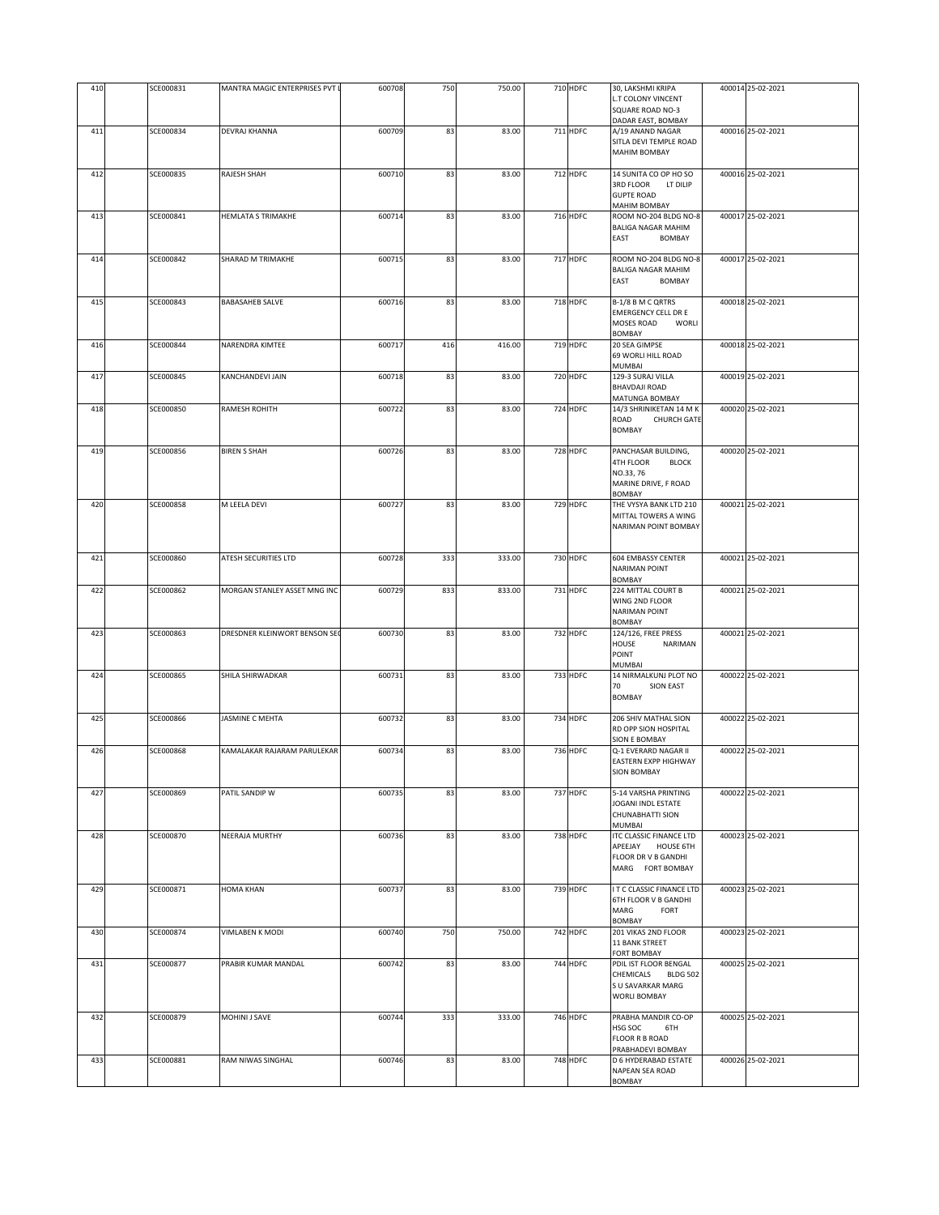| 410 | SCE000831        | MANTRA MAGIC ENTERPRISES PVT L | 600708 | 750 | 750.00 | 710 HDFC | 30, LAKSHMI KRIPA                                                        | 400014 25-02-2021 |
|-----|------------------|--------------------------------|--------|-----|--------|----------|--------------------------------------------------------------------------|-------------------|
|     |                  |                                |        |     |        |          | L.T COLONY VINCENT                                                       |                   |
|     |                  |                                |        |     |        |          | SQUARE ROAD NO-3<br>DADAR EAST, BOMBAY                                   |                   |
| 411 | SCE000834        | DEVRAJ KHANNA                  | 600709 | 83  | 83.00  | 711 HDFC | A/19 ANAND NAGAR                                                         | 400016 25-02-2021 |
|     |                  |                                |        |     |        |          | SITLA DEVI TEMPLE ROAD<br><b>MAHIM BOMBAY</b>                            |                   |
|     |                  |                                |        |     |        |          |                                                                          |                   |
| 412 | SCE000835        | RAJESH SHAH                    | 600710 | 83  | 83.00  | 712 HDFC | 14 SUNITA CO OP HO SO<br>3RD FLOOR<br>LT DILIP<br><b>GUPTE ROAD</b>      | 400016 25-02-2021 |
|     |                  |                                |        |     |        |          | MAHIM BOMBAY                                                             |                   |
| 413 | SCE000841        | <b>HEMLATA S TRIMAKHE</b>      | 600714 | 83  | 83.00  | 716 HDFC | ROOM NO-204 BLDG NO-8<br><b>BALIGA NAGAR MAHIM</b><br>EAST<br>BOMBAY     | 400017 25-02-2021 |
| 414 | SCE000842        | SHARAD M TRIMAKHE              | 600715 | 83  | 83.00  | 717 HDFC | ROOM NO-204 BLDG NO-8                                                    | 400017 25-02-2021 |
|     |                  |                                |        |     |        |          | BALIGA NAGAR MAHIM<br>EAST<br>BOMBAY                                     |                   |
| 415 | SCE000843        | <b>BABASAHEB SALVE</b>         | 600716 | 83  | 83.00  | 718 HDFC | B-1/8 B M C QRTRS                                                        | 400018 25-02-2021 |
|     |                  |                                |        |     |        |          | <b>EMERGENCY CELL DR E</b><br>MOSES ROAD<br>WORLI<br><b>BOMBAY</b>       |                   |
| 416 | SCE000844        | NARENDRA KIMTEE                | 600717 | 416 | 416.00 | 719 HDFC | 20 SEA GIMPSE<br>69 WORLI HILL ROAD                                      | 400018 25-02-2021 |
| 417 | SCE000845        | KANCHANDEVI JAIN               | 600718 | 83  | 83.00  | 720 HDFC | MUMBAI<br>129-3 SURAJ VILLA<br><b>BHAVDAJI ROAD</b>                      | 400019 25-02-2021 |
|     |                  |                                |        |     |        |          | MATUNGA BOMBAY                                                           |                   |
| 418 | SCE000850        | RAMESH ROHITH                  | 600722 | 83  | 83.00  | 724 HDFC | 14/3 SHRINIKETAN 14 M K<br>ROAD<br><b>CHURCH GATE</b><br><b>BOMBAY</b>   | 400020 25-02-2021 |
| 419 | SCE000856        | <b>BIREN S SHAH</b>            | 600726 | 83  | 83.00  | 728 HDFC | PANCHASAR BUILDING,                                                      | 400020 25-02-2021 |
|     |                  |                                |        |     |        |          | <b>4TH FLOOR</b><br><b>BLOCK</b>                                         |                   |
|     |                  |                                |        |     |        |          | NO.33, 76<br>MARINE DRIVE, F ROAD<br>BOMBAY                              |                   |
| 420 | <b>SCE000858</b> | M LEELA DEVI                   | 600727 | 83  | 83.00  | 729 HDFC | THE VYSYA BANK LTD 210                                                   | 400021 25-02-2021 |
|     |                  |                                |        |     |        |          | MITTAL TOWERS A WING<br>NARIMAN POINT BOMBAY                             |                   |
| 421 | SCE000860        | ATESH SECURITIES LTD           | 600728 | 333 | 333.00 | 730 HDFC | <b>604 EMBASSY CENTER</b><br><b>NARIMAN POINT</b>                        | 400021 25-02-2021 |
|     |                  |                                |        |     |        |          | BOMBAY                                                                   |                   |
| 422 | SCE000862        | MORGAN STANLEY ASSET MNG INC   | 600729 | 833 | 833.00 | 731 HDFC | 224 MITTAL COURT B<br>WING 2ND FLOOR<br>NARIMAN POINT<br><b>BOMBAY</b>   | 400021 25-02-2021 |
| 423 | SCE000863        | DRESDNER KLEINWORT BENSON SEC  | 600730 | 83  | 83.00  | 732 HDFC | 124/126, FREE PRESS                                                      | 400021 25-02-2021 |
|     |                  |                                |        |     |        |          | HOUSE<br>NARIMAN<br>POINT<br>MUMBAI                                      |                   |
| 424 | SCE000865        | SHILA SHIRWADKAR               | 600731 | 83  | 83.00  | 733 HDFC | 14 NIRMALKUNJ PLOT NO                                                    | 400022 25-02-2021 |
|     |                  |                                |        |     |        |          | 70<br>SION EAST<br><b>BOMBAY</b>                                         |                   |
| 425 | SCE000866        | JASMINE C MEHTA                | 600732 | 83  | 83.00  | 734 HDFC | 206 SHIV MATHAL SION<br>RD OPP SION HOSPITAL                             | 400022 25-02-2021 |
|     |                  |                                |        |     |        |          | SION E BOMBAY                                                            |                   |
| 426 | SCE000868        | KAMALAKAR RAJARAM PARULEKAR    | 600734 | 83  | 83.00  | 736 HDFC | Q-1 EVERARD NAGAR II                                                     | 400022 25-02-2021 |
|     |                  |                                |        |     |        |          | EASTERN EXPP HIGHWAY<br><b>SION BOMBAY</b>                               |                   |
| 427 | SCE000869        | PATIL SANDIP W                 | 600735 | 83  | 83.00  | 737 HDFC | 5-14 VARSHA PRINTING                                                     | 400022 25-02-2021 |
|     |                  |                                |        |     |        |          | JOGANI INDL ESTATE<br>CHUNABHATTI SION<br>MUMBAI                         |                   |
| 428 | SCE000870        | NEERAJA MURTHY                 | 600736 | 83  | 83.00  | 738 HDFC | ITC CLASSIC FINANCE LTD                                                  | 400023 25-02-2021 |
|     |                  |                                |        |     |        |          | APEEJAY HOUSE 6TH<br>FLOOR DR V B GANDHI<br>MARG FORT BOMBAY             |                   |
| 429 | SCE000871        | <b>HOMA KHAN</b>               | 600737 | 83  | 83.00  | 739 HDFC | I T C CLASSIC FINANCE LTD                                                | 400023 25-02-2021 |
|     |                  |                                |        |     |        |          | 6TH FLOOR V B GANDHI<br>MARG<br>FORT<br>BOMBAY                           |                   |
| 430 | SCE000874        | VIMLABEN K MODI                | 600740 | 750 | 750.00 | 742 HDFC | 201 VIKAS 2ND FLOOR<br>11 BANK STREET<br><b>FORT BOMBAY</b>              | 400023 25-02-2021 |
| 431 | SCE000877        | PRABIR KUMAR MANDAL            | 600742 | 83  | 83.00  | 744 HDFC | PDIL IST FLOOR BENGAL                                                    | 400025 25-02-2021 |
|     |                  |                                |        |     |        |          | CHEMICALS<br><b>BLDG 502</b><br>S U SAVARKAR MARG<br><b>WORLI BOMBAY</b> |                   |
| 432 | SCE000879        | MOHINI J SAVE                  | 600744 | 333 | 333.00 | 746 HDFC | PRABHA MANDIR CO-OP                                                      | 400025 25-02-2021 |
|     |                  |                                |        |     |        |          | HSG SOC<br>6TH<br><b>FLOOR R B ROAD</b><br>PRABHADEVI BOMBAY             |                   |
| 433 | SCE000881        | RAM NIWAS SINGHAL              | 600746 | 83  | 83.00  | 748 HDFC | D 6 HYDERABAD ESTATE                                                     | 400026 25-02-2021 |
|     |                  |                                |        |     |        |          | NAPEAN SEA ROAD<br>BOMBAY                                                |                   |
|     |                  |                                |        |     |        |          |                                                                          |                   |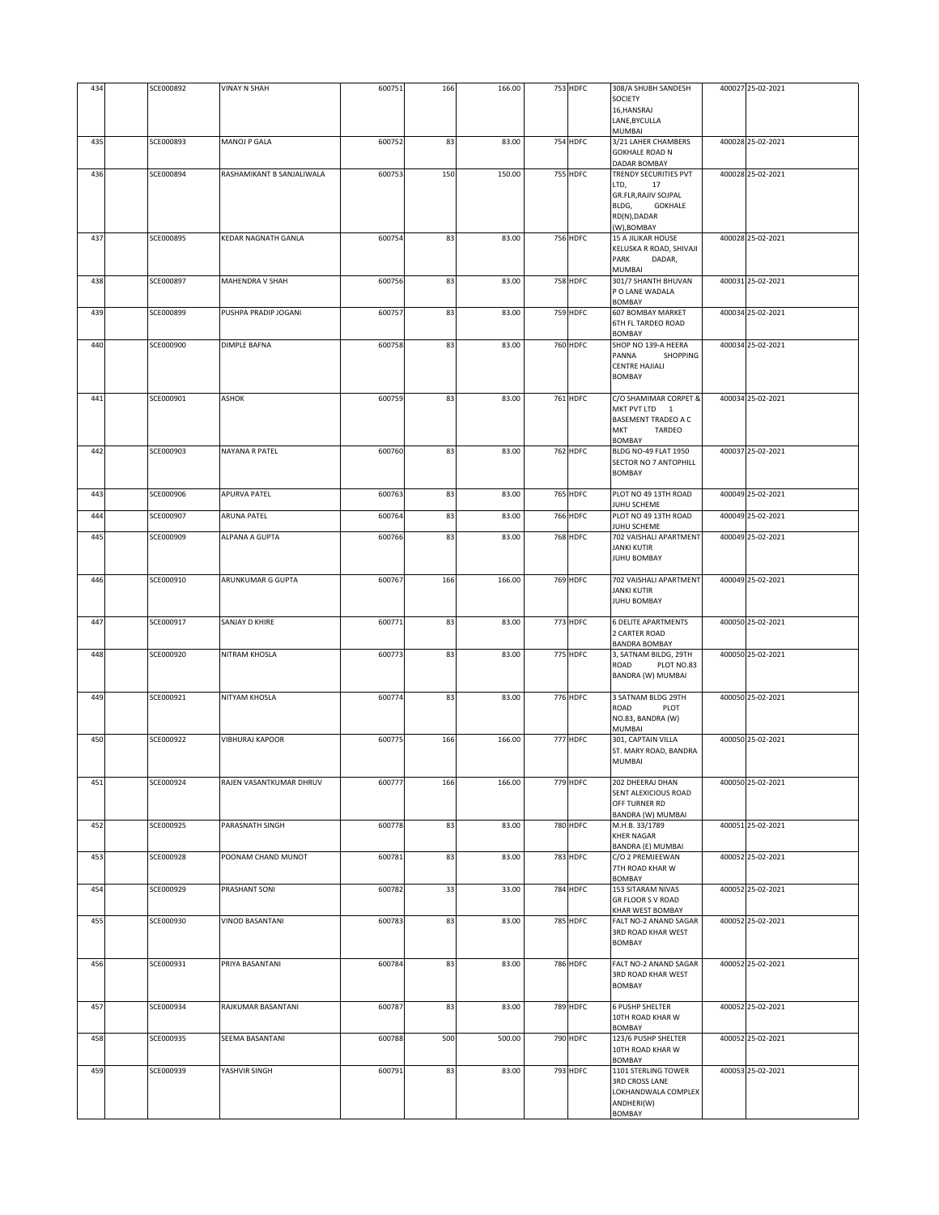| 434        | SCE000892              | <b>VINAY N SHAH</b>                  | 600751           | 166      | 166.00         | 753 HDFC             | 308/A SHUBH SANDESH<br>SOCIETY<br>16, HANSRAJ<br>LANE, BYCULLA<br>MUMBAI                                            | 400027 25-02-2021                      |
|------------|------------------------|--------------------------------------|------------------|----------|----------------|----------------------|---------------------------------------------------------------------------------------------------------------------|----------------------------------------|
| 435        | SCE000893              | MANOJ P GALA                         | 600752           | 83       | 83.00          | 754 HDFC             | 3/21 LAHER CHAMBERS<br><b>GOKHALE ROAD N</b><br>DADAR BOMBAY                                                        | 400028 25-02-2021                      |
| 436        | SCE000894              | RASHAMIKANT B SANJALIWALA            | 600753           | 150      | 150.00         | 755 HDFC             | TRENDY SECURITIES PVT<br>LTD,<br>17<br>GR.FLR, RAJIV SOJPAL<br>BLDG,<br><b>GOKHALE</b><br>RD(N),DADAR<br>(W),BOMBAY | 400028 25-02-2021                      |
| 437        | SCE000895              | KEDAR NAGNATH GANLA                  | 600754           | 83       | 83.00          | 756 HDFC             | <b>15 A JILIKAR HOUSE</b><br>KELUSKA R ROAD, SHIVAJI<br>PARK<br>DADAR,<br>MUMBAI                                    | 400028 25-02-2021                      |
| 438        | SCE000897              | MAHENDRA V SHAH                      | 600756           | 83       | 83.00          | 758 HDFC             | 301/7 SHANTH BHUVAN<br>P O LANE WADALA<br><b>BOMBAY</b>                                                             | 400031 25-02-2021                      |
| 439        | SCE000899              | PUSHPA PRADIP JOGANI                 | 600757           | 83       | 83.00          | 759 HDFC             | 607 BOMBAY MARKET<br>6TH FL TARDEO ROAD<br>BOMBAY                                                                   | 400034 25-02-2021                      |
| 440        | SCE000900              | <b>DIMPLE BAFNA</b>                  | 600758           | 83       | 83.00          | <b>760 HDFC</b>      | SHOP NO 139-A HEERA<br>PANNA<br>SHOPPING<br><b>CENTRE HAJIALI</b><br><b>BOMBAY</b>                                  | 400034 25-02-2021                      |
| 441        | SCE000901              | <b>ASHOK</b>                         | 600759           | 83       | 83.00          | 761 HDFC             | C/O SHAMIMAR CORPET &<br>MKT PVT LTD 1<br>BASEMENT TRADEO A C<br><b>MKT</b><br>TARDEO<br>BOMBAY                     | 400034 25-02-2021                      |
| 442        | SCE000903              | NAYANA R PATEL                       | 600760           | 83       | 83.00          | 762 HDFC             | <b>BLDG NO-49 FLAT 1950</b><br>SECTOR NO 7 ANTOPHILL<br><b>BOMBAY</b>                                               | 400037 25-02-2021                      |
| 443        | SCE000906              | <b>APURVA PATEL</b>                  | 600763           | 83       | 83.00          | 765 HDFC             | PLOT NO 49 13TH ROAD<br>JUHU SCHEME                                                                                 | 400049 25-02-2021                      |
| 444<br>445 | SCE000907<br>SCE000909 | <b>ARUNA PATEL</b><br>ALPANA A GUPTA | 600764<br>600766 | 83<br>83 | 83.00<br>83.00 | 766 HDFC<br>768 HDFC | PLOT NO 49 13TH ROAD<br>JUHU SCHEME<br>702 VAISHALI APARTMENT                                                       | 400049 25-02-2021<br>400049 25-02-2021 |
|            |                        |                                      |                  |          |                |                      | JANKI KUTIR<br><b>JUHU BOMBAY</b>                                                                                   |                                        |
| 446        | SCE000910              | ARUNKUMAR G GUPTA                    | 600767           | 166      | 166.00         | 769 HDFC             | 702 VAISHALI APARTMENT<br>JANKI KUTIR<br>JUHU BOMBAY                                                                | 400049 25-02-2021                      |
| 447        | SCE000917              | SANJAY D KHIRE                       | 600771           | 83       | 83.00          | 773 HDFC             | <b>6 DELITE APARTMENTS</b><br>2 CARTER ROAD<br><b>BANDRA BOMBAY</b>                                                 | 400050 25-02-2021                      |
| 448        | SCE000920              | NITRAM KHOSLA                        | 600773           | 83       | 83.00          | 775 HDFC             | 3, SATNAM BILDG, 29TH<br>ROAD<br>PLOT NO.83<br>BANDRA (W) MUMBAI                                                    | 400050 25-02-2021                      |
| 449        | SCE000921              | NITYAM KHOSLA                        | 600774           | 83       | 83.00          | 776 HDFC             | 3 SATNAM BLDG 29TH<br>ROAD<br>PLOT<br>NO.83, BANDRA (W)<br>MUMBAI                                                   | 400050 25-02-2021                      |
| 450        | SCE000922              | <b>VIBHURAJ KAPOOR</b>               | 600775           | 166      | 166.00         | 777 HDFC             | 301, CAPTAIN VILLA<br>ST. MARY ROAD, BANDRA<br><b>MUMBAI</b>                                                        | 400050 25-02-2021                      |
| 451        | SCE000924              | RAJEN VASANTKUMAR DHRUV              | 600777           | 166      | 166.00         | 779 HDFC             | 202 DHEERAJ DHAN<br>SENT ALEXICIOUS ROAD<br>OFF TURNER RD<br>BANDRA (W) MUMBAI                                      | 400050 25-02-2021                      |
| 452        | SCE000925              | PARASNATH SINGH                      | 600778           | 83       | 83.00          | <b>780 HDFC</b>      | M.H.B. 33/1789<br>KHER NAGAR<br>BANDRA (E) MUMBAI                                                                   | 400051 25-02-2021                      |
| 453        | SCE000928              | POONAM CHAND MUNOT                   | 600781           | 83       | 83.00          | 783 HDFC             | C/O 2 PREMJEEWAN<br>7TH ROAD KHAR W<br>BOMBAY                                                                       | 400052 25-02-2021                      |
| 454        | SCE000929              | PRASHANT SONI                        | 600782           | 33       | 33.00          | 784 HDFC             | 153 SITARAM NIVAS<br>GR FLOOR S V ROAD<br>KHAR WEST BOMBAY                                                          | 400052 25-02-2021                      |
| 455        | SCE000930              | VINOD BASANTANI                      | 600783           | 83       | 83.00          | 785 HDFC             | FALT NO-2 ANAND SAGAR<br>3RD ROAD KHAR WEST<br><b>BOMBAY</b>                                                        | 400052 25-02-2021                      |
| 456        | SCE000931              | PRIYA BASANTANI                      | 600784           | 83       | 83.00          | 786 HDFC             | FALT NO-2 ANAND SAGAR<br>3RD ROAD KHAR WEST<br>BOMBAY                                                               | 400052 25-02-2021                      |
| 457        | SCE000934              | RAJKUMAR BASANTANI                   | 600787           | 83       | 83.00          | 789 HDFC             | <b>6 PUSHP SHELTER</b><br>10TH ROAD KHAR W<br>BOMBAY                                                                | 400052 25-02-2021                      |
| 458        | SCE000935              | SEEMA BASANTANI                      | 600788           | 500      | 500.00         | 790 HDFC             | 123/6 PUSHP SHELTER<br>10TH ROAD KHAR W<br>BOMBAY                                                                   | 400052 25-02-2021                      |
| 459        | SCE000939              | YASHVIR SINGH                        | 600791           | 83       | 83.00          | 793 HDFC             | 1101 STERLING TOWER<br><b>3RD CROSS LANE</b><br>LOKHANDWALA COMPLEX<br>ANDHERI(W)<br><b>BOMBAY</b>                  | 400053 25-02-2021                      |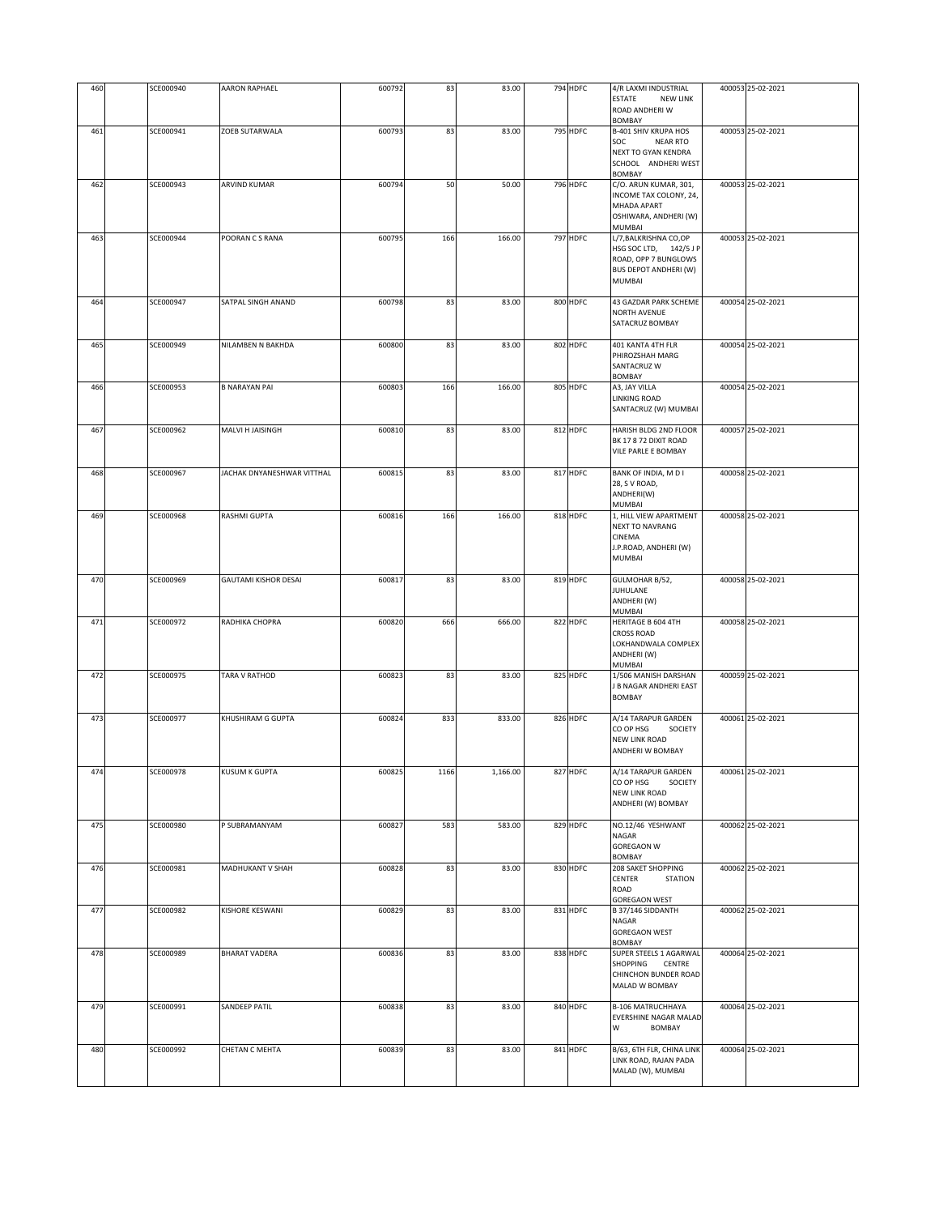| 460 | SCE000940 | <b>AARON RAPHAEL</b>        | 600792 | 83   | 83.00    | 794 HDFC        | 4/R LAXMI INDUSTRIAL<br>ESTATE<br><b>NEW LINK</b>                                                                        | 400053 25-02-2021 |
|-----|-----------|-----------------------------|--------|------|----------|-----------------|--------------------------------------------------------------------------------------------------------------------------|-------------------|
|     |           |                             |        |      |          |                 | ROAD ANDHERI W<br><b>BOMBAY</b>                                                                                          |                   |
| 461 | SCE000941 | ZOEB SUTARWALA              | 600793 | 83   | 83.00    | <b>795 HDFC</b> | B-401 SHIV KRUPA HOS<br>SOC<br>NEAR RTO<br>NEXT TO GYAN KENDRA<br>SCHOOL ANDHERI WEST<br><b>BOMBAY</b>                   | 400053 25-02-2021 |
| 462 | SCE000943 | <b>ARVIND KUMAR</b>         | 600794 | 50   | 50.00    | <b>796 HDFC</b> | C/O. ARUN KUMAR, 301,<br>INCOME TAX COLONY, 24,<br>MHADA APART<br>OSHIWARA, ANDHERI (W)<br>MUMBAI                        | 400053 25-02-2021 |
| 463 | SCE000944 | POORAN C S RANA             | 600795 | 166  | 166.00   | 797 HDFC        | L/7, BALKRISHNA CO, OP<br>HSG SOC LTD, 142/5 JP<br>ROAD, OPP 7 BUNGLOWS<br><b>BUS DEPOT ANDHERI (W)</b><br><b>MUMBAI</b> | 400053 25-02-2021 |
| 464 | SCE000947 | SATPAL SINGH ANAND          | 600798 | 83   | 83.00    | 800 HDFC        | 43 GAZDAR PARK SCHEME<br>NORTH AVENUE<br>SATACRUZ BOMBAY                                                                 | 400054 25-02-2021 |
| 465 | SCE000949 | NILAMBEN N BAKHDA           | 600800 | 83   | 83.00    | 802 HDFC        | 401 KANTA 4TH FLR<br>PHIROZSHAH MARG<br>SANTACRUZ W<br>BOMBAY                                                            | 400054 25-02-2021 |
| 466 | SCE000953 | <b>B NARAYAN PAI</b>        | 600803 | 166  | 166.00   | 805 HDFC        | A3, JAY VILLA<br>LINKING ROAD<br>SANTACRUZ (W) MUMBAI                                                                    | 400054 25-02-2021 |
| 467 | SCE000962 | MALVI H JAISINGH            | 600810 | 83   | 83.00    | 812 HDFC        | HARISH BLDG 2ND FLOOR<br>BK 17 8 72 DIXIT ROAD<br>VILE PARLE E BOMBAY                                                    | 400057 25-02-2021 |
| 468 | SCE000967 | JACHAK DNYANESHWAR VITTHAL  | 600815 | 83   | 83.00    | 817 HDFC        | BANK OF INDIA, M D I<br>28, S V ROAD,<br>ANDHERI(W)<br>MUMBAI                                                            | 400058 25-02-2021 |
| 469 | SCE000968 | RASHMI GUPTA                | 600816 | 166  | 166.00   | 818 HDFC        | 1, HILL VIEW APARTMENT<br><b>NEXT TO NAVRANG</b><br>CINEMA<br>J.P.ROAD, ANDHERI (W)<br>MUMBAI                            | 400058 25-02-2021 |
| 470 | SCE000969 | <b>GAUTAMI KISHOR DESAI</b> | 600817 | 83   | 83.00    | 819 HDFC        | GULMOHAR B/52,<br>JUHULANE<br>ANDHERI (W)<br>MUMBAI                                                                      | 400058 25-02-2021 |
| 471 | SCE000972 | RADHIKA CHOPRA              | 600820 | 666  | 666.00   | 822 HDFC        | HERITAGE B 604 4TH<br><b>CROSS ROAD</b><br>LOKHANDWALA COMPLEX<br>ANDHERI (W)<br>MUMBAI                                  | 400058 25-02-2021 |
| 472 | SCE000975 | TARA V RATHOD               | 600823 | 83   | 83.00    | 825 HDFC        | 1/506 MANISH DARSHAN<br>J B NAGAR ANDHERI EAST<br><b>BOMBAY</b>                                                          | 400059 25-02-2021 |
| 473 | SCE000977 | KHUSHIRAM G GUPTA           | 600824 | 833  | 833.00   | 826 HDFC        | A/14 TARAPUR GARDEN<br>CO OP HSG<br>SOCIETY<br><b>NEW LINK ROAD</b><br>ANDHERI W BOMBAY                                  | 400061 25-02-2021 |
| 474 | SCE000978 | KUSUM K GUPTA               | 600825 | 1166 | 1,166.00 | 827 HDFC        | 4/14 TARAPUR GARDEN<br>CO OP HSG<br>SOCIETY<br><b>NEW LINK ROAD</b><br>ANDHERI (W) BOMBAY                                | 400061 25-02-2021 |
| 475 | SCE000980 | P SUBRAMANYAM               | 600827 | 583  | 583.00   | 829 HDFC        | NO.12/46 YESHWANT<br>NAGAR<br><b>GOREGAON W</b><br><b>BOMBAY</b>                                                         | 400062 25-02-2021 |
| 476 | SCE000981 | MADHUKANT V SHAH            | 600828 | 83   | 83.00    | 830 HDFC        | 208 SAKET SHOPPING<br>CENTER<br><b>STATION</b><br>ROAD<br>GOREGAON WEST                                                  | 400062 25-02-2021 |
| 477 | SCE000982 | KISHORE KESWANI             | 600829 | 83   | 83.00    | 831 HDFC        | B 37/146 SIDDANTH<br>NAGAR<br><b>GOREGAON WEST</b><br>BOMBAY                                                             | 400062 25-02-2021 |
| 478 | SCE000989 | <b>BHARAT VADERA</b>        | 600836 | 83   | 83.00    | 838 HDFC        | SUPER STEELS 1 AGARWAL<br>SHOPPING CENTRE<br>CHINCHON BUNDER ROAD<br>MALAD W BOMBAY                                      | 400064 25-02-2021 |
| 479 | SCE000991 | <b>SANDEEP PATIL</b>        | 600838 | 83   | 83.00    | 840 HDFC        | <b>B-106 MATRUCHHAYA</b><br>EVERSHINE NAGAR MALAD<br>W<br>BOMBAY                                                         | 400064 25-02-2021 |
| 480 | SCE000992 | <b>CHETAN C MEHTA</b>       | 600839 | 83   | 83.00    | 841 HDFC        | B/63, 6TH FLR, CHINA LINK<br>LINK ROAD, RAJAN PADA<br>MALAD (W), MUMBAI                                                  | 400064 25-02-2021 |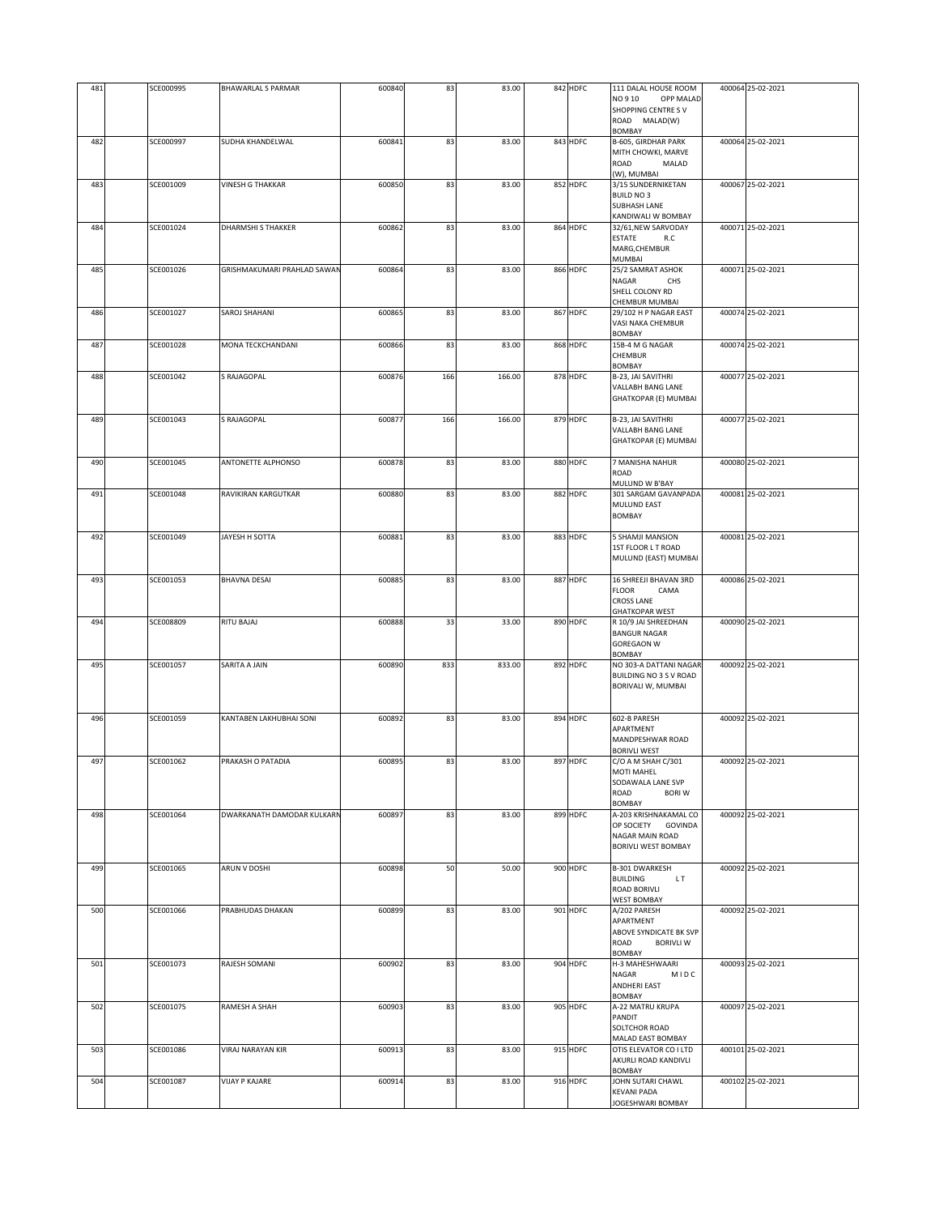| 481 | SCE000995        | <b>BHAWARLAL S PARMAR</b>          | 600840 | 83  | 83.00  | 842 HDFC | 111 DALAL HOUSE ROOM<br>NO 910<br>OPP MALAD<br><b>SHOPPING CENTRE SV</b><br>ROAD MALAD(W)          | 400064 25-02-2021 |
|-----|------------------|------------------------------------|--------|-----|--------|----------|----------------------------------------------------------------------------------------------------|-------------------|
| 482 | SCE000997        | SUDHA KHANDELWAL                   | 600841 | 83  | 83.00  | 843 HDFC | <b>BOMBAY</b><br>B-605, GIRDHAR PARK<br>MITH CHOWKI, MARVE<br>ROAD<br>MALAD                        | 400064 25-02-2021 |
| 483 | SCE001009        | <b>VINESH G THAKKAR</b>            | 600850 | 83  | 83.00  | 852 HDFC | (W), MUMBAI<br>3/15 SUNDERNIKETAN<br><b>BUILD NO3</b><br><b>SUBHASH LANE</b><br>KANDIWALI W BOMBAY | 400067 25-02-2021 |
| 484 | SCE001024        | <b>DHARMSHI S THAKKER</b>          | 600862 | 83  | 83.00  | 864 HDFC | 32/61, NEW SARVODAY<br>ESTATE<br>R.C<br>MARG, CHEMBUR<br>MUMBAI                                    | 400071 25-02-2021 |
| 485 | SCE001026        | <b>GRISHMAKUMARI PRAHLAD SAWAM</b> | 600864 | 83  | 83.00  | 866 HDFC | 25/2 SAMRAT ASHOK<br>NAGAR<br>CHS<br>SHELL COLONY RD<br>CHEMBUR MUMBAI                             | 400071 25-02-2021 |
| 486 | SCE001027        | SAROJ SHAHANI                      | 600865 | 83  | 83.00  | 867 HDFC | 29/102 H P NAGAR EAST<br>VASI NAKA CHEMBUR<br><b>BOMBAY</b>                                        | 400074 25-02-2021 |
| 487 | SCE001028        | MONA TECKCHANDANI                  | 600866 | 83  | 83.00  | 868 HDFC | 15B-4 M G NAGAR<br><b>CHEMBUR</b><br><b>BOMBAY</b>                                                 | 400074 25-02-2021 |
| 488 | SCE001042        | S RAJAGOPAL                        | 600876 | 166 | 166.00 | 878 HDFC | B-23, JAI SAVITHRI<br>VALLABH BANG LANE<br>GHATKOPAR (E) MUMBAI                                    | 400077 25-02-2021 |
| 489 | SCE001043        | S RAJAGOPAL                        | 600877 | 166 | 166.00 | 879 HDFC | B-23, JAI SAVITHRI<br>VALLABH BANG LANE<br>GHATKOPAR (E) MUMBAI                                    | 400077 25-02-2021 |
| 490 | SCE001045        | ANTONETTE ALPHONSO                 | 600878 | 83  | 83.00  | 880 HDFC | 7 MANISHA NAHUR<br>ROAD<br>MULUND W B'BAY                                                          | 400080 25-02-2021 |
| 491 | SCE001048        | RAVIKIRAN KARGUTKAR                | 600880 | 83  | 83.00  | 882 HDFC | 301 SARGAM GAVANPADA<br>MULUND EAST<br><b>BOMBAY</b>                                               | 400081 25-02-2021 |
| 492 | SCE001049        | JAYESH H SOTTA                     | 600881 | 83  | 83.00  | 883 HDFC | 5 SHAMJI MANSION<br>1ST FLOOR L T ROAD<br>MULUND (EAST) MUMBAI                                     | 400081 25-02-2021 |
| 493 | SCE001053        | <b>BHAVNA DESAI</b>                | 600885 | 83  | 83.00  | 887 HDFC | 16 SHREEJI BHAVAN 3RD<br><b>FLOOR</b><br>CAMA<br><b>CROSS LANE</b><br><b>GHATKOPAR WEST</b>        | 400086 25-02-2021 |
| 494 | <b>SCE008809</b> | RITU BAJAJ                         | 600888 | 33  | 33.00  | 890 HDFC | R 10/9 JAI SHREEDHAN<br><b>BANGUR NAGAR</b><br><b>GOREGAON W</b><br><b>BOMBAY</b>                  | 400090 25-02-2021 |
| 495 | SCE001057        | SARITA A JAIN                      | 600890 | 833 | 833.00 | 892 HDFC | NO 303-A DATTANI NAGAR<br>BUILDING NO 3 S V ROAD<br>BORIVALI W, MUMBAI                             | 400092 25-02-2021 |
| 496 | SCE001059        | KANTABEN LAKHUBHAI SONI            | 600892 | 83  | 83.00  | 894 HDFC | 602-B PARESH<br>APARTMENT<br>MANDPESHWAR ROAD<br><b>BORIVLI WEST</b>                               | 400092 25-02-2021 |
| 497 | SCE001062        | PRAKASH O PATADIA                  | 600895 | 83  | 83.00  | 897 HDFC | C/O A M SHAH C/301<br>MOTI MAHEL<br>SODAWALA LANE SVP<br>ROAD<br><b>BORI W</b><br><b>BOMBAY</b>    | 400092 25-02-2021 |
| 498 | SCE001064        | DWARKANATH DAMODAR KULKARN         | 600897 | 83  | 83.00  | 899 HDFC | A-203 KRISHNAKAMAL CO<br>OP SOCIETY GOVINDA<br>NAGAR MAIN ROAD<br><b>BORIVLI WEST BOMBAY</b>       | 400092 25-02-2021 |
| 499 | SCE001065        | ARUN V DOSHI                       | 600898 | 50  | 50.00  | 900 HDFC | B-301 DWARKESH<br><b>BUILDING</b><br>LT.<br><b>ROAD BORIVLI</b><br><b>WEST BOMBAY</b>              | 400092 25-02-2021 |
| 500 | SCE001066        | PRABHUDAS DHAKAN                   | 600899 | 83  | 83.00  | 901 HDFC | A/202 PARESH<br>APARTMENT<br>ABOVE SYNDICATE BK SVP<br>ROAD<br><b>BORIVLI W</b><br>BOMBAY          | 400092 25-02-2021 |
| 501 | SCE001073        | RAJESH SOMANI                      | 600902 | 83  | 83.00  | 904 HDFC | H-3 MAHESHWAARI<br>NAGAR<br>MIDC<br>ANDHERI EAST<br><b>BOMBAY</b>                                  | 400093 25-02-2021 |
| 502 | SCE001075        | RAMESH A SHAH                      | 600903 | 83  | 83.00  | 905 HDFC | A-22 MATRU KRUPA<br>PANDIT<br>SOLTCHOR ROAD<br>MALAD EAST BOMBAY                                   | 400097 25-02-2021 |
| 503 | SCE001086        | VIRAJ NARAYAN KIR                  | 600913 | 83  | 83.00  | 915 HDFC | OTIS ELEVATOR CO I LTD<br>AKURLI ROAD KANDIVLI<br>BOMBAY                                           | 400101 25-02-2021 |
| 504 | SCE001087        | VIJAY P KAJARE                     | 600914 | 83  | 83.00  | 916 HDFC | JOHN SUTARI CHAWL<br>KEVANI PADA<br>JOGESHWARI BOMBAY                                              | 400102 25-02-2021 |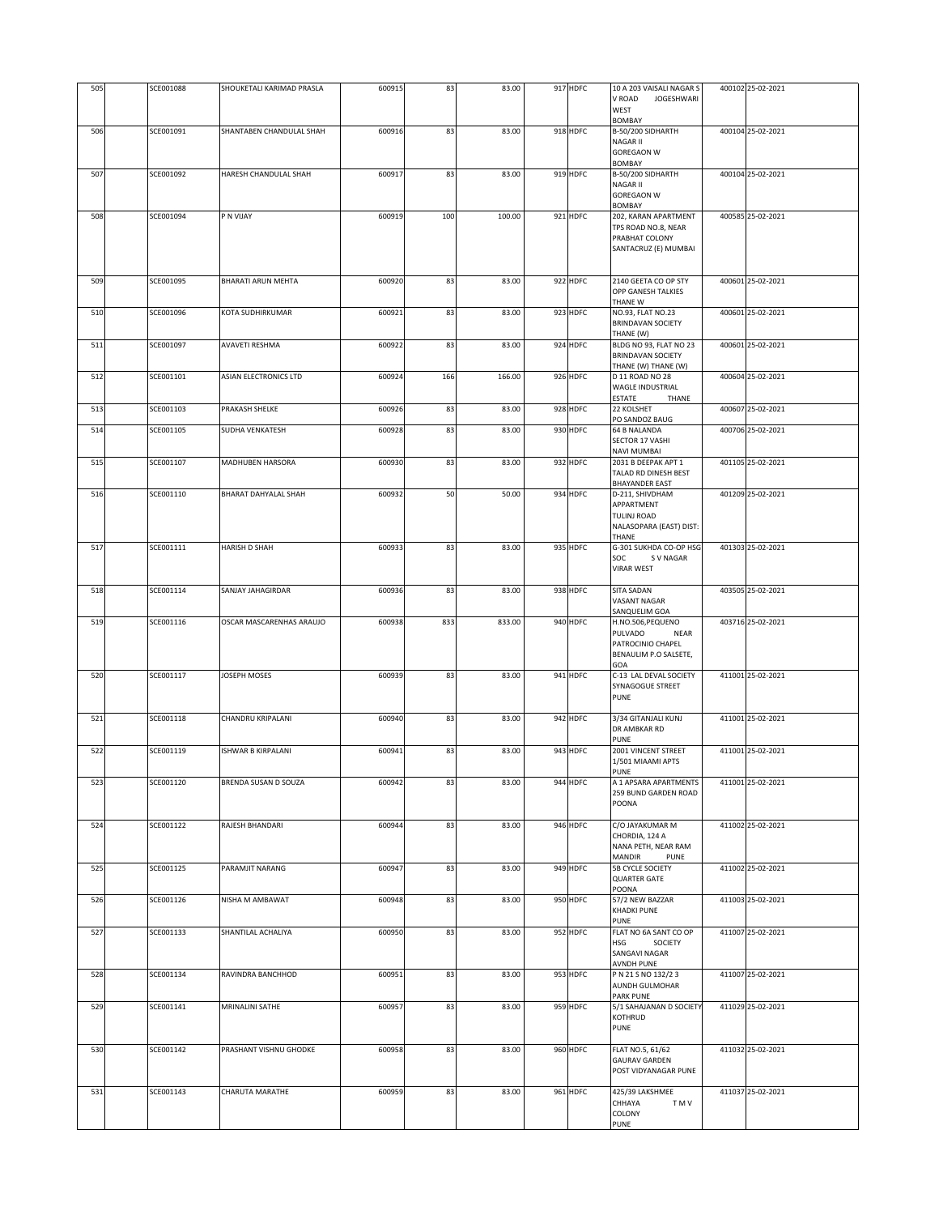| 505 | SCE001088 | SHOUKETALI KARIMAD PRASLA | 600915 | 83  | 83.00  | 917 HDFC | 10 A 203 VAISALI NAGAR S<br>V ROAD<br>JOGESHWARI<br>WEST<br>BOMBAY                        | 400102 25-02-2021 |
|-----|-----------|---------------------------|--------|-----|--------|----------|-------------------------------------------------------------------------------------------|-------------------|
| 506 | SCE001091 | SHANTABEN CHANDULAL SHAH  | 600916 | 83  | 83.00  | 918 HDFC | B-50/200 SIDHARTH<br><b>NAGAR II</b><br><b>GOREGAON W</b><br><b>BOMBAY</b>                | 400104 25-02-2021 |
| 507 | SCE001092 | HARESH CHANDULAL SHAH     | 600917 | 83  | 83.00  | 919 HDFC | B-50/200 SIDHARTH<br><b>NAGAR II</b><br><b>GOREGAON W</b><br><b>BOMBAY</b>                | 400104 25-02-2021 |
| 508 | SCE001094 | P N VIJAY                 | 600919 | 100 | 100.00 | 921 HDFC | 202, KARAN APARTMENT<br>TPS ROAD NO.8, NEAR<br>PRABHAT COLONY<br>SANTACRUZ (E) MUMBAI     | 400585 25-02-2021 |
| 509 | SCE001095 | BHARATI ARUN MEHTA        | 600920 | 83  | 83.00  | 922 HDFC | 2140 GEETA CO OP STY<br>OPP GANESH TALKIES<br>THANE W                                     | 400601 25-02-2021 |
| 510 | SCE001096 | KOTA SUDHIRKUMAR          | 600921 | 83  | 83.00  | 923 HDFC | NO.93, FLAT NO.23<br><b>BRINDAVAN SOCIETY</b><br>THANE (W)                                | 400601 25-02-2021 |
| 511 | SCE001097 | <b>AVAVETI RESHMA</b>     | 600922 | 83  | 83.00  | 924 HDFC | BLDG NO 93, FLAT NO 23<br><b>BRINDAVAN SOCIETY</b><br>THANE (W) THANE (W)                 | 400601 25-02-2021 |
| 512 | SCE001101 | ASIAN ELECTRONICS LTD     | 600924 | 166 | 166.00 | 926 HDFC | D 11 ROAD NO 28<br><b>WAGLE INDUSTRIAL</b><br>ESTATE<br>THANE                             | 400604 25-02-2021 |
| 513 | SCE001103 | PRAKASH SHELKE            | 600926 | 83  | 83.00  | 928 HDFC | 22 KOLSHET<br>PO SANDOZ BAUG                                                              | 400607 25-02-2021 |
| 514 | SCE001105 | SUDHA VENKATESH           | 600928 | 83  | 83.00  | 930 HDFC | <b>64 B NALANDA</b><br>SECTOR 17 VASHI<br>NAVI MUMBAI                                     | 400706 25-02-2021 |
| 515 | SCE001107 | MADHUBEN HARSORA          | 600930 | 83  | 83.00  | 932 HDFC | 2031 B DEEPAK APT 1<br>TALAD RD DINESH BEST<br><b>BHAYANDER EAST</b>                      | 401105 25-02-2021 |
| 516 | SCE001110 | BHARAT DAHYALAL SHAH      | 600932 | 50  | 50.00  | 934 HDFC | D-211, SHIVDHAM<br>APPARTMENT<br><b>TULINJ ROAD</b><br>NALASOPARA (EAST) DIST:<br>THANE   | 401209 25-02-2021 |
| 517 | SCE001111 | <b>HARISH D SHAH</b>      | 600933 | 83  | 83.00  | 935 HDFC | G-301 SUKHDA CO-OP HSG<br>SOC<br>S V NAGAR<br><b>VIRAR WEST</b>                           | 401303 25-02-2021 |
| 518 | SCE001114 | SANJAY JAHAGIRDAR         | 600936 | 83  | 83.00  | 938 HDFC | SITA SADAN<br>VASANT NAGAR<br>SANQUELIM GOA                                               | 403505 25-02-2021 |
| 519 | SCE001116 | OSCAR MASCARENHAS ARAUJO  | 600938 | 833 | 833.00 | 940 HDFC | H.NO.506, PEQUENO<br>PULVADO<br>NEAR<br>PATROCINIO CHAPEL<br>BENAULIM P.O SALSETE,<br>GOA | 403716 25-02-2021 |
| 520 | SCE001117 | JOSEPH MOSES              | 600939 | 83  | 83.00  | 941 HDFC | C-13 LAL DEVAL SOCIETY<br>SYNAGOGUE STREET<br><b>PUNE</b>                                 | 411001 25-02-2021 |
| 521 | SCE001118 | CHANDRU KRIPALANI         | 600940 | 83  | 83.00  | 942 HDFC | 3/34 GITANJALI KUNJ<br>DR AMBKAR RD<br><b>PUNE</b>                                        | 411001 25-02-2021 |
| 522 | SCE001119 | ISHWAR B KIRPALANI        | 600941 | 83  | 83.00  | 943 HDFC | 2001 VINCENT STREET<br>1/501 MIAAMI APTS<br>PUNE                                          | 411001 25-02-2021 |
| 523 | SCE001120 | BRENDA SUSAN D SOUZA      | 600942 | 83  | 83.00  | 944 HDFC | A 1 APSARA APARTMENTS<br>259 BUND GARDEN ROAD<br>POONA                                    | 411001 25-02-2021 |
| 524 | SCE001122 | RAJESH BHANDARI           | 600944 | 83  | 83.00  | 946 HDFC | C/O JAYAKUMAR M<br>CHORDIA, 124 A<br>NANA PETH, NEAR RAM<br>MANDIR<br>PUNE                | 411002 25-02-2021 |
| 525 | SCE001125 | PARAMJIT NARANG           | 600947 | 83  | 83.00  | 949 HDFC | <b>5B CYCLE SOCIETY</b><br><b>QUARTER GATE</b><br>POONA                                   | 411002 25-02-2021 |
| 526 | SCE001126 | NISHA M AMBAWAT           | 600948 | 83  | 83.00  | 950 HDFC | 57/2 NEW BAZZAR<br>KHADKI PUNE<br>PUNE                                                    | 411003 25-02-2021 |
| 527 | SCE001133 | SHANTILAL ACHALIYA        | 600950 | 83  | 83.00  | 952 HDFC | FLAT NO 6A SANT CO OP<br>HSG<br>SOCIETY<br>SANGAVI NAGAR<br><b>AVNDH PUNE</b>             | 411007 25-02-2021 |
| 528 | SCE001134 | RAVINDRA BANCHHOD         | 600951 | 83  | 83.00  | 953 HDFC | P N 21 S NO 132/2 3<br>AUNDH GULMOHAR<br>PARK PUNE                                        | 411007 25-02-2021 |
| 529 | SCE001141 | MRINALINI SATHE           | 600957 | 83  | 83.00  | 959 HDFC | 5/1 SAHAJANAN D SOCIETY<br>KOTHRUD<br>PUNE                                                | 411029 25-02-2021 |
| 530 | SCE001142 | PRASHANT VISHNU GHODKE    | 600958 | 83  | 83.00  | 960 HDFC | FLAT NO.5, 61/62<br><b>GAURAV GARDEN</b><br>POST VIDYANAGAR PUNE                          | 411032 25-02-2021 |
| 531 | SCE001143 | CHARUTA MARATHE           | 600959 | 83  | 83.00  | 961 HDFC | 425/39 LAKSHMEE<br>CHHAYA<br>T M V<br>COLONY<br>PUNE                                      | 411037 25-02-2021 |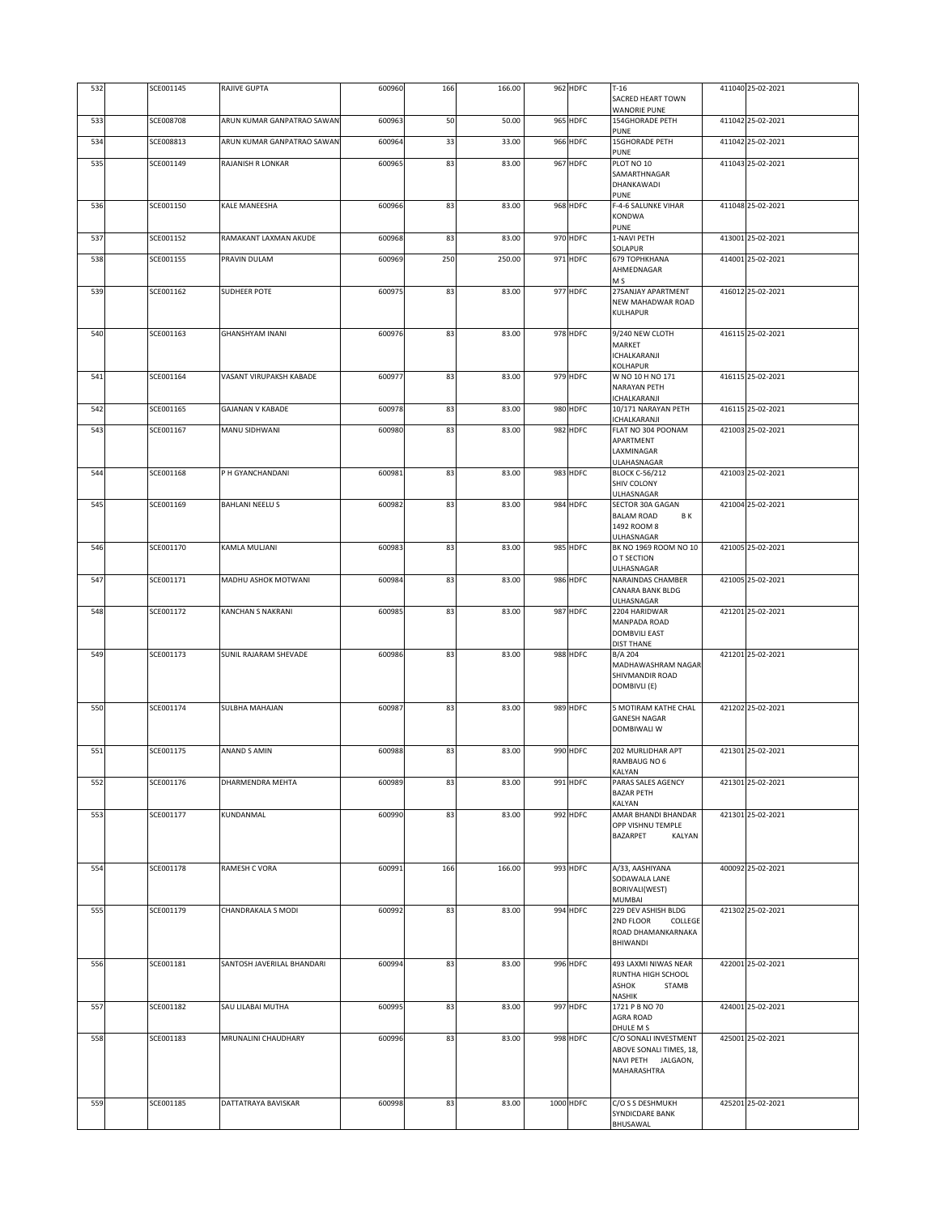| 532 | SCE001145 | RAJIVE GUPTA               | 600960 | 166 | 166.00 | 962 HDFC  | $T-16$<br>SACRED HEART TOWN                                                           | 411040 25-02-2021 |
|-----|-----------|----------------------------|--------|-----|--------|-----------|---------------------------------------------------------------------------------------|-------------------|
| 533 | SCE008708 | ARUN KUMAR GANPATRAO SAWAN | 600963 | 50  | 50.00  | 965 HDFC  | <b>WANORIE PUNE</b><br><b>154GHORADE PETH</b>                                         | 411042 25-02-2021 |
| 534 | SCE008813 | ARUN KUMAR GANPATRAO SAWAN | 600964 | 33  | 33.00  | 966 HDFC  | PUNE<br><b>15GHORADE PETH</b>                                                         | 411042 25-02-2021 |
| 535 | SCE001149 | RAJANISH R LONKAR          | 600965 | 83  | 83.00  | 967 HDFC  | PUNE<br>PLOT NO 10                                                                    | 411043 25-02-2021 |
|     |           |                            |        |     |        |           | SAMARTHNAGAR<br>DHANKAWADI<br><b>PUNE</b>                                             |                   |
| 536 | SCE001150 | KALE MANEESHA              | 600966 | 83  | 83.00  | 968 HDFC  | F-4-6 SALUNKE VIHAR<br>KONDWA<br><b>PUNE</b>                                          | 411048 25-02-2021 |
| 537 | SCE001152 | RAMAKANT LAXMAN AKUDE      | 600968 | 83  | 83.00  | 970 HDFC  | 1-NAVI PETH<br>SOLAPUR                                                                | 413001 25-02-2021 |
| 538 | SCE001155 | PRAVIN DULAM               | 600969 | 250 | 250.00 | 971 HDFC  | 679 TOPHKHANA<br>AHMEDNAGAR<br>M S                                                    | 414001 25-02-2021 |
| 539 | SCE001162 | <b>SUDHEER POTE</b>        | 600975 | 83  | 83.00  | 977 HDFC  | 27SANJAY APARTMENT<br><b>NEW MAHADWAR ROAD</b><br>KULHAPUR                            | 416012 25-02-2021 |
| 540 | SCE001163 | <b>GHANSHYAM INANI</b>     | 600976 | 83  | 83.00  | 978 HDFC  | 9/240 NEW CLOTH<br>MARKET<br>ICHALKARANJI<br>KOLHAPUR                                 | 416115 25-02-2021 |
| 541 | SCE001164 | VASANT VIRUPAKSH KABADE    | 600977 | 83  | 83.00  | 979 HDFC  | W NO 10 H NO 171<br>NARAYAN PETH<br>CHALKARANJI                                       | 416115 25-02-2021 |
| 542 | SCE001165 | <b>GAJANAN V KABADE</b>    | 600978 | 83  | 83.00  | 980 HDFC  | 10/171 NARAYAN PETH<br>ICHALKARANJI                                                   | 416115 25-02-2021 |
| 543 | SCE001167 | MANU SIDHWANI              | 600980 | 83  | 83.00  | 982 HDFC  | FLAT NO 304 POONAM<br>APARTMENT<br>LAXMINAGAR<br>ULAHASNAGAR                          | 421003 25-02-2021 |
| 544 | SCE001168 | P H GYANCHANDANI           | 600981 | 83  | 83.00  | 983 HDFC  | <b>BLOCK C-56/212</b><br>SHIV COLONY                                                  | 421003 25-02-2021 |
| 545 | SCE001169 | BAHLANI NEELU S            | 600982 | 83  | 83.00  | 984 HDFC  | ULHASNAGAR<br>SECTOR 30A GAGAN<br><b>BALAM ROAD</b><br>ΒK<br>1492 ROOM 8              | 421004 25-02-2021 |
| 546 | SCE001170 | KAMLA MULJANI              | 600983 | 83  | 83.00  | 985 HDFC  | ULHASNAGAR<br>BK NO 1969 ROOM NO 10<br>O T SECTION                                    | 421005 25-02-2021 |
| 547 | SCE001171 | MADHU ASHOK MOTWANI        | 600984 | 83  | 83.00  | 986 HDFC  | ULHASNAGAR<br>NARAINDAS CHAMBER<br>CANARA BANK BLDG                                   | 421005 25-02-2021 |
| 548 | SCE001172 | <b>KANCHAN S NAKRANI</b>   | 600985 | 83  | 83.00  | 987 HDFC  | ULHASNAGAR<br>2204 HARIDWAR<br>MANPADA ROAD<br>DOMBVILI EAST                          | 421201 25-02-2021 |
| 549 | SCE001173 | SUNIL RAJARAM SHEVADE      | 600986 | 83  | 83.00  | 988 HDFC  | <b>DIST THANE</b><br>B/A 204                                                          | 421201 25-02-2021 |
|     |           |                            |        |     |        |           | MADHAWASHRAM NAGAR<br>SHIVMANDIR ROAD<br>DOMBIVLI (E)                                 |                   |
| 550 | SCE001174 | <b>SULBHA MAHAJAN</b>      | 600987 | 83  | 83.00  | 989 HDFC  | 5 MOTIRAM KATHE CHAL<br><b>GANESH NAGAR</b><br>DOMBIWALI W                            | 421202 25-02-2021 |
| 551 | SCE001175 | ANAND S AMIN               | 600988 | 83  | 83.00  | 990 HDFC  | 202 MURLIDHAR APT<br>RAMBAUG NO 6<br>KALYAN                                           | 421301 25-02-2021 |
| 552 | SCE001176 | DHARMENDRA MEHTA           | 600989 | 83  | 83.00  | 991 HDFC  | PARAS SALES AGENCY<br><b>BAZAR PETH</b><br>KALYAN                                     | 421301 25-02-2021 |
| 553 | SCE001177 | KUNDANMAL                  | 600990 | 83  | 83.00  | 992 HDFC  | AMAR BHANDI BHANDAR<br>OPP VISHNU TEMPLE<br><b>BAZARPET</b><br>KALYAN                 | 421301 25-02-2021 |
| 554 | SCE001178 | RAMESH C VORA              | 600991 | 166 | 166.00 | 993 HDFC  | A/33, AASHIYANA<br>SODAWALA LANE<br>BORIVALI(WEST)<br>MUMBAI                          | 400092 25-02-2021 |
| 555 | SCE001179 | CHANDRAKALA S MODI         | 600992 | 83  | 83.00  | 994 HDFC  | 229 DEV ASHISH BLDG<br>2ND FLOOR<br>COLLEGE<br>ROAD DHAMANKARNAKA<br>BHIWANDI         | 421302 25-02-2021 |
| 556 | SCE001181 | SANTOSH JAVERILAL BHANDARI | 600994 | 83  | 83.00  | 996 HDFC  | 493 LAXMI NIWAS NEAR<br>RUNTHA HIGH SCHOOL<br>ASHOK<br>STAMB<br>NASHIK                | 422001 25-02-2021 |
| 557 | SCE001182 | SAU LILABAI MUTHA          | 600995 | 83  | 83.00  | 997 HDFC  | 1721 P B NO 70<br>AGRA ROAD<br>DHULE M S                                              | 424001 25-02-2021 |
| 558 | SCE001183 | MRUNALINI CHAUDHARY        | 600996 | 83  | 83.00  | 998 HDFC  | C/O SONALI INVESTMENT<br>ABOVE SONALI TIMES, 18,<br>NAVI PETH JALGAON,<br>MAHARASHTRA | 425001 25-02-2021 |
| 559 | SCE001185 | DATTATRAYA BAVISKAR        | 600998 | 83  | 83.00  | 1000 HDFC | C/O S S DESHMUKH<br>SYNDICDARE BANK<br>BHUSAWAL                                       | 425201 25-02-2021 |
|     |           |                            |        |     |        |           |                                                                                       |                   |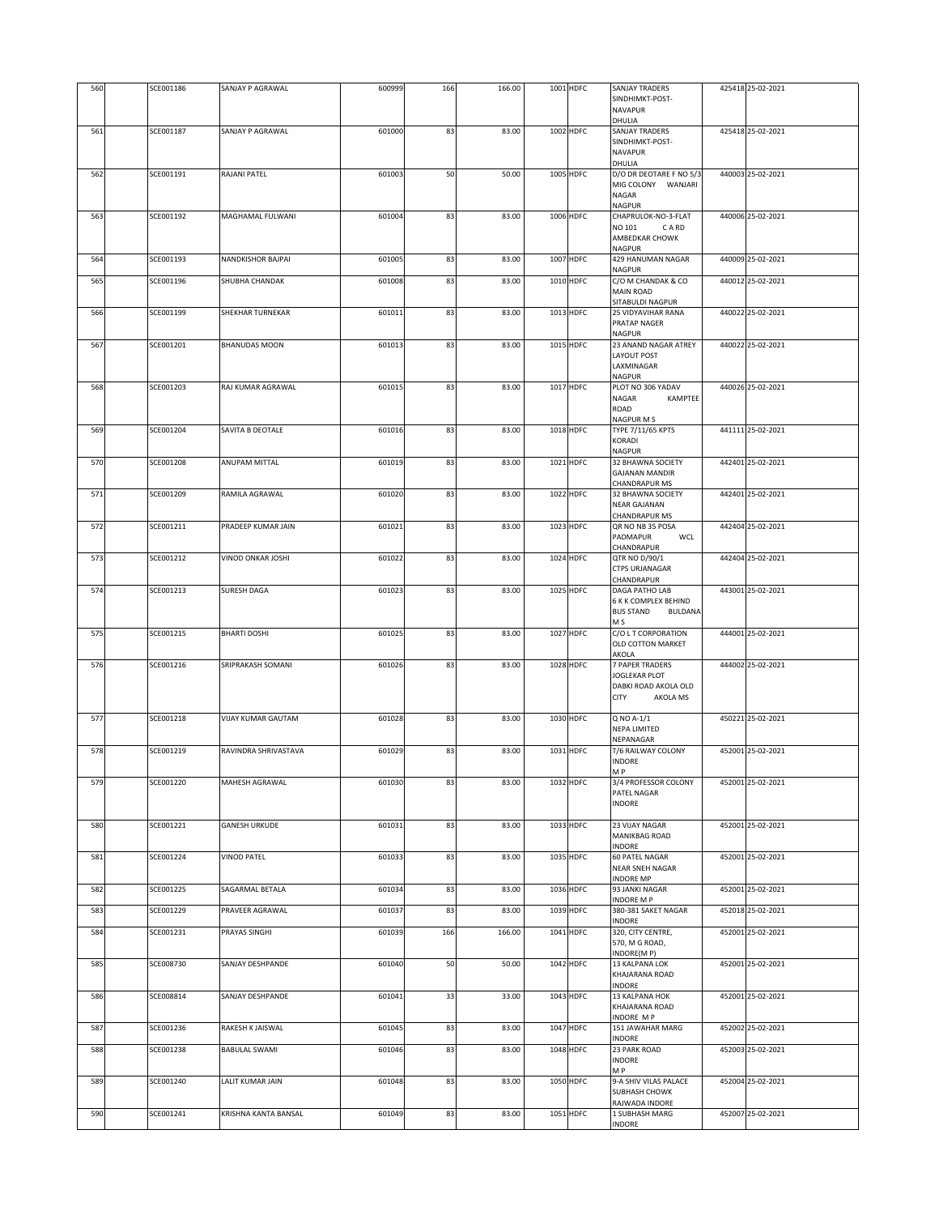| 560        | SCE001186              | SANJAY P AGRAWAL                               | 600999           | 166      | 166.00         | 1001 HDFC              | <b>SANJAY TRADERS</b><br>SINDHIMKT-POST-<br>NAVAPUR                                        | 425418 25-02-2021                      |
|------------|------------------------|------------------------------------------------|------------------|----------|----------------|------------------------|--------------------------------------------------------------------------------------------|----------------------------------------|
| 561        | SCE001187              | SANJAY P AGRAWAL                               | 601000           | 83       | 83.00          | 1002 HDFC              | DHULIA<br><b>SANJAY TRADERS</b><br>SINDHIMKT-POST-<br><b>NAVAPUR</b>                       | 425418 25-02-2021                      |
| 562        | SCE001191              | <b>RAJANI PATEL</b>                            | 601003           | 50       | 50.00          | 1005 HDFC              | DHULIA<br>D/O DR DEOTARE F NO 5/3<br>MIG COLONY WANJARI<br>NAGAR                           | 440003 25-02-2021                      |
| 563        | SCE001192              | MAGHAMAL FULWANI                               | 601004           | 83       | 83.00          | 1006 HDFC              | NAGPUR<br>CHAPRULOK-NO-3-FLAT<br>NO 101<br>C A RD<br>AMBEDKAR CHOWK                        | 440006 25-02-2021                      |
| 564        | SCE001193              | <b>NANDKISHOR BAJPAL</b>                       | 601005           | 83       | 83.00          | 1007 HDFC              | <b>NAGPUR</b><br>429 HANUMAN NAGAR<br>NAGPUR                                               | 440009 25-02-2021                      |
| 565        | SCE001196              | SHUBHA CHANDAK                                 | 601008           | 83       | 83.00          | 1010 HDFC              | C/O M CHANDAK & CO<br><b>MAIN ROAD</b><br>SITABULDI NAGPUR                                 | 440012 25-02-2021                      |
| 566        | SCE001199              | SHEKHAR TURNEKAR                               | 601011           | 83       | 83.00          | 1013 HDFC              | 25 VIDYAVIHAR RANA<br>PRATAP NAGER<br><b>NAGPUR</b>                                        | 440022 25-02-2021                      |
| 567        | SCE001201              | <b>BHANUDAS MOON</b>                           | 601013           | 83       | 83.00          | 1015 HDFC              | 23 ANAND NAGAR ATREY<br><b>LAYOUT POST</b><br>LAXMINAGAR<br>NAGPUR                         | 440022 25-02-2021                      |
| 568        | SCE001203              | RAJ KUMAR AGRAWAL                              | 601015           | 83       | 83.00          | 1017 HDFC              | PLOT NO 306 YADAV<br>NAGAR<br>KAMPTEE<br>ROAD<br>NAGPUR M S                                | 440026 25-02-2021                      |
| 569        | SCE001204              | SAVITA B DEOTALE                               | 601016           | 83       | 83.00          | 1018 HDFC              | <b>TYPE 7/11/65 KPTS</b><br>KORADI<br>NAGPUR                                               | 441111 25-02-2021                      |
| 570        | SCE001208              | ANUPAM MITTAL                                  | 601019           | 83       | 83.00          | 1021 HDFC              | 32 BHAWNA SOCIETY<br><b>GAJANAN MANDIR</b><br><b>CHANDRAPUR MS</b>                         | 442401 25-02-2021                      |
| 571        | SCE001209              | RAMILA AGRAWAL                                 | 601020           | 83       | 83.00          | 1022 HDFC              | 32 BHAWNA SOCIETY<br><b>NEAR GAJANAN</b><br>CHANDRAPUR MS                                  | 442401 25-02-2021                      |
| 572<br>573 | SCE001211<br>SCE001212 | PRADEEP KUMAR JAIN<br><b>VINOD ONKAR JOSHI</b> | 601021<br>601022 | 83<br>83 | 83.00<br>83.00 | 1023 HDFC<br>1024 HDFC | QR NO NB 35 POSA<br>PADMAPUR<br>WCL<br>CHANDRAPUR<br>QTR NO D/90/1                         | 442404 25-02-2021<br>442404 25-02-2021 |
|            |                        |                                                |                  |          |                |                        | <b>CTPS URJANAGAR</b><br>CHANDRAPUR                                                        |                                        |
| 574        | SCE001213              | SURESH DAGA                                    | 601023           | 83       | 83.00          | 1025 HDFC              | DAGA PATHO LAB<br>6 K K COMPLEX BEHIND<br><b>BUS STAND</b><br><b>BULDANA</b><br>M S        | 443001 25-02-2021                      |
| 575        | SCE001215              | <b>BHARTI DOSHI</b>                            | 601025           | 83       | 83.00          | 1027 HDFC              | C/O L T CORPORATION<br>OLD COTTON MARKET<br>AKOLA                                          | 444001 25-02-2021                      |
| 576        | SCE001216              | SRIPRAKASH SOMANI                              | 601026           | 83       | 83.00          | 1028 HDFC              | <b>7 PAPER TRADERS</b><br>JOGLEKAR PLOT<br>DABKI ROAD AKOLA OLD<br><b>CITY</b><br>AKOLA MS | 444002 25-02-2021                      |
| 577        | SCE001218              | VIJAY KUMAR GAUTAM                             | 601028           | 83       | 83.00          | 1030 HDFC              | Q NO A-1/1<br><b>NEPA LIMITED</b><br>NEPANAGAR                                             | 450221 25-02-2021                      |
| 578        | SCE001219              | RAVINDRA SHRIVASTAVA                           | 601029           | 83       | 83.00          | 1031 HDFC              | T/6 RAILWAY COLONY<br><b>INDORE</b><br>МP                                                  | 452001 25-02-2021                      |
| 579        | SCE001220              | MAHESH AGRAWAL                                 | 601030           | 83       | 83.00          | 1032 HDFC              | 3/4 PROFESSOR COLONY<br>PATEL NAGAR<br><b>INDORE</b>                                       | 452001 25-02-2021                      |
| 580        | SCE001221              | <b>GANESH URKUDE</b>                           | 601031           | 83       | 83.00          | 1033 HDFC              | 23 VIJAY NAGAR<br>MANIKBAG ROAD<br>INDORE                                                  | 452001 25-02-2021                      |
| 581        | SCE001224              | <b>VINOD PATEL</b>                             | 601033           | 83       | 83.00          | 1035 HDFC              | <b>60 PATEL NAGAR</b><br>NEAR SNEH NAGAR<br>INDORE MP                                      | 452001 25-02-2021                      |
| 582        | SCE001225              | SAGARMAL BETALA                                | 601034           | 83       | 83.00          | 1036 HDFC              | 93 JANKI NAGAR<br>INDORE M P                                                               | 452001 25-02-2021                      |
| 583        | SCE001229              | PRAVEER AGRAWAL                                | 601037           | 83       | 83.00          | 1039 HDFC              | 380-381 SAKET NAGAR<br>INDORE                                                              | 452018 25-02-2021                      |
| 584        | SCE001231              | PRAYAS SINGHI                                  | 601039           | 166      | 166.00         | 1041 HDFC              | 320, CITY CENTRE,<br>570, M G ROAD,<br>INDORE(M P)                                         | 452001 25-02-2021                      |
| 585        | SCE008730              | SANJAY DESHPANDE                               | 601040           | 50       | 50.00          | 1042 HDFC              | 13 KALPANA LOK<br>KHAJARANA ROAD<br><b>INDORE</b>                                          | 452001 25-02-2021                      |
| 586        | SCE008814              | SANJAY DESHPANDE                               | 601041           | 33       | 33.00          | 1043 HDFC              | 13 KALPANA HOK<br>KHAJARANA ROAD<br>INDORE MP                                              | 452001 25-02-2021                      |
| 587        | SCE001236              | RAKESH K JAISWAL                               | 601045           | 83       | 83.00          | 1047 HDFC              | 151 JAWAHAR MARG<br>INDORE                                                                 | 452002 25-02-2021                      |
| 588        | SCE001238              | <b>BABULAL SWAMI</b>                           | 601046           | 83       | 83.00          | 1048 HDFC              | 23 PARK ROAD<br>INDORE<br>МP                                                               | 452003 25-02-2021                      |
| 589        | SCE001240              | LALIT KUMAR JAIN                               | 601048           | 83       | 83.00          | 1050 HDFC              | 9-A SHIV VILAS PALACE<br><b>SUBHASH CHOWK</b><br>RAJWADA INDORE                            | 452004 25-02-2021                      |
| 590        | SCE001241              | KRISHNA KANTA BANSAL                           | 601049           | 83       | 83.00          | 1051 HDFC              | 1 SUBHASH MARG<br>INDORE                                                                   | 452007 25-02-2021                      |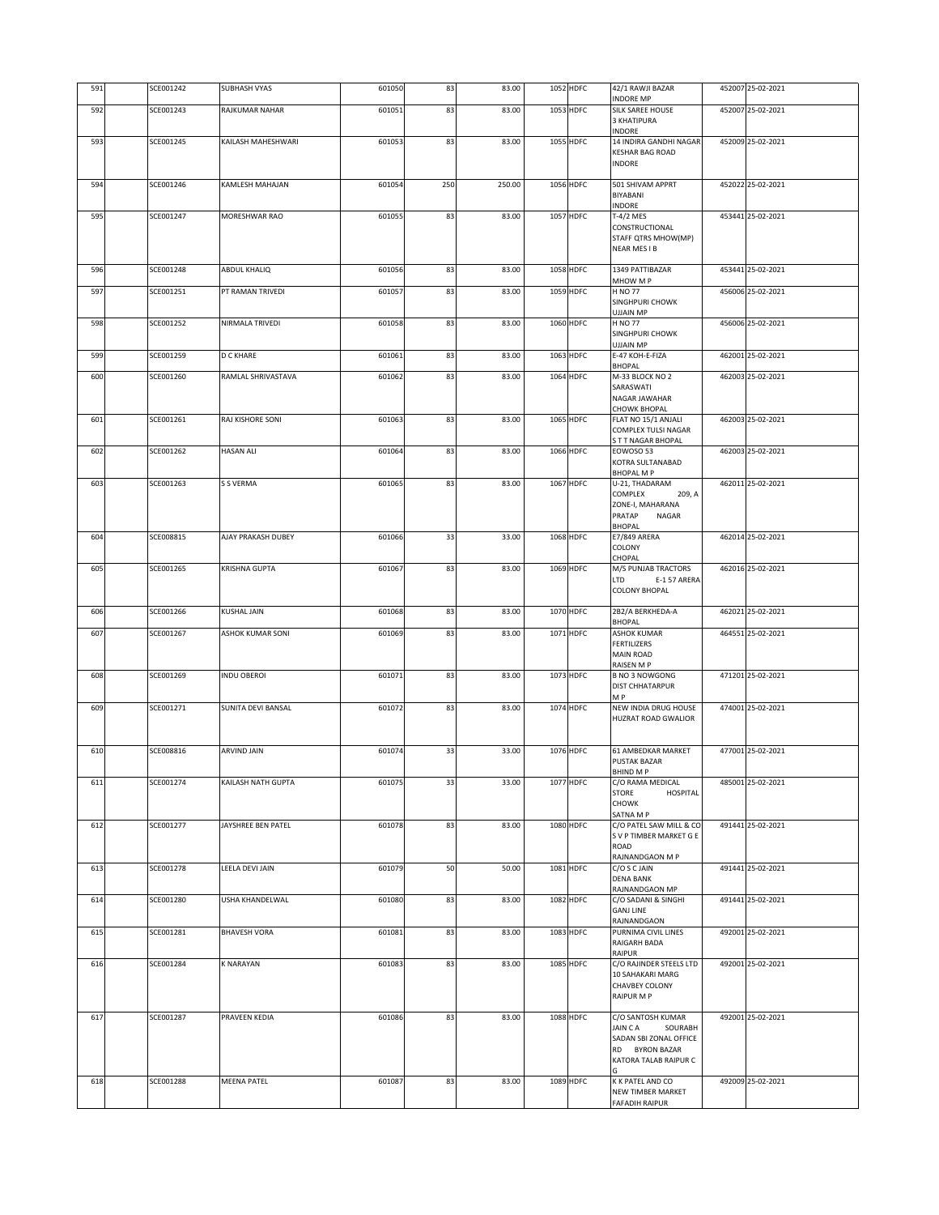| 591 | SCE001242 | <b>SUBHASH VYAS</b>       | 601050 | 83  | 83.00  | 1052 HDFC | 42/1 RAWJI BAZAR                                | 452007 25-02-2021 |
|-----|-----------|---------------------------|--------|-----|--------|-----------|-------------------------------------------------|-------------------|
| 592 | SCE001243 | RAJKUMAR NAHAR            | 601051 | 83  | 83.00  | 1053 HDFC | INDORE MP<br>SILK SAREE HOUSE                   | 452007 25-02-2021 |
|     |           |                           |        |     |        |           | 3 KHATIPURA<br>INDORE                           |                   |
| 593 | SCE001245 | KAILASH MAHESHWARI        | 601053 | 83  | 83.00  | 1055 HDFC | 14 INDIRA GANDHI NAGAR                          | 452009 25-02-2021 |
|     |           |                           |        |     |        |           | <b>KESHAR BAG ROAD</b><br><b>INDORE</b>         |                   |
|     |           |                           |        |     |        |           |                                                 |                   |
| 594 | SCE001246 | KAMLESH MAHAJAN           | 601054 | 250 | 250.00 | 1056 HDFC | 501 SHIVAM APPRT<br>BIYABANI                    | 452022 25-02-2021 |
|     |           |                           |        |     |        |           | INDORE                                          |                   |
| 595 | SCE001247 | MORESHWAR RAO             | 601055 | 83  | 83.00  | 1057 HDFC | T-4/2 MES<br>CONSTRUCTIONAL                     | 453441 25-02-2021 |
|     |           |                           |        |     |        |           | STAFF QTRS MHOW(MP)                             |                   |
|     |           |                           |        |     |        |           | NEAR MES I B                                    |                   |
| 596 | SCE001248 | ABDUL KHALIQ              | 601056 | 83  | 83.00  | 1058 HDFC | 1349 PATTIBAZAR                                 | 453441 25-02-2021 |
| 597 | SCE001251 | PT RAMAN TRIVEDI          | 601057 | 83  | 83.00  | 1059 HDFC | MHOW M P<br><b>H NO 77</b>                      | 456006 25-02-2021 |
|     |           |                           |        |     |        |           | SINGHPURI CHOWK                                 |                   |
| 598 | SCE001252 | NIRMALA TRIVEDI           | 601058 | 83  | 83.00  | 1060 HDFC | UJJAIN MP<br><b>H NO 77</b>                     | 456006 25-02-2021 |
|     |           |                           |        |     |        |           | SINGHPURI CHOWK<br><b>UJJAIN MP</b>             |                   |
| 599 | SCE001259 | <b>D C KHARE</b>          | 601061 | 83  | 83.00  | 1063 HDFC | E-47 KOH-E-FIZA                                 | 462001 25-02-2021 |
| 600 | SCE001260 | RAMLAL SHRIVASTAVA        | 601062 | 83  | 83.00  | 1064 HDFC | <b>BHOPAL</b><br>M-33 BLOCK NO 2                | 462003 25-02-2021 |
|     |           |                           |        |     |        |           | SARASWATI                                       |                   |
|     |           |                           |        |     |        |           | NAGAR JAWAHAR<br><b>CHOWK BHOPAL</b>            |                   |
| 601 | SCE001261 | RAJ KISHORE SONI          | 601063 | 83  | 83.00  | 1065 HDFC | FLAT NO 15/1 ANJALI                             | 462003 25-02-2021 |
|     |           |                           |        |     |        |           | COMPLEX TULSI NAGAR<br>S T T NAGAR BHOPAL       |                   |
| 602 | SCE001262 | <b>HASAN ALI</b>          | 601064 | 83  | 83.00  | 1066 HDFC | EOWOSO 53                                       | 462003 25-02-2021 |
|     |           |                           |        |     |        |           | KOTRA SULTANABAD<br><b>BHOPAL MP</b>            |                   |
| 603 | SCE001263 | S S VERMA                 | 601065 | 83  | 83.00  | 1067 HDFC | U-21, THADARAM                                  | 462011 25-02-2021 |
|     |           |                           |        |     |        |           | COMPLEX<br>209, A<br>ZONE-I, MAHARANA           |                   |
|     |           |                           |        |     |        |           | PRATAP<br>NAGAR                                 |                   |
| 604 | SCE008815 | AJAY PRAKASH DUBEY        | 601066 | 33  | 33.00  | 1068 HDFC | <b>BHOPAL</b><br><b>E7/849 ARERA</b>            | 462014 25-02-2021 |
|     |           |                           |        |     |        |           | COLONY<br>CHOPAL                                |                   |
| 605 | SCE001265 | KRISHNA GUPTA             | 601067 | 83  | 83.00  | 1069 HDFC | M/S PUNJAB TRACTORS                             | 462016 25-02-2021 |
|     |           |                           |        |     |        |           | LTD<br>E-157 ARERA<br><b>COLONY BHOPAL</b>      |                   |
|     |           |                           |        |     |        |           |                                                 |                   |
| 606 | SCE001266 | <b>KUSHAL JAIN</b>        | 601068 | 83  | 83.00  | 1070 HDFC | 2B2/A BERKHEDA-A<br><b>BHOPAL</b>               | 462021 25-02-2021 |
| 607 | SCE001267 | ASHOK KUMAR SONI          | 601069 | 83  | 83.00  | 1071 HDFC | ASHOK KUMAR                                     | 464551 25-02-2021 |
|     |           |                           |        |     |        |           | <b>FERTILIZERS</b><br><b>MAIN ROAD</b>          |                   |
|     |           |                           |        |     |        |           | RAISEN M P                                      |                   |
| 608 | SCE001269 | <b>INDU OBEROI</b>        | 601071 | 83  | 83.00  | 1073 HDFC | <b>B NO 3 NOWGONG</b><br><b>DIST CHHATARPUR</b> | 471201 25-02-2021 |
| 609 | SCE001271 | <b>SUNITA DEVI BANSAL</b> | 601072 | 83  | 83.00  | 1074 HDFC | M <sub>P</sub><br><b>NEW INDIA DRUG HOUSE</b>   | 474001 25-02-2021 |
|     |           |                           |        |     |        |           | <b>HUZRAT ROAD GWALIOR</b>                      |                   |
|     |           |                           |        |     |        |           |                                                 |                   |
| 610 | SCE008816 | ARVIND JAIN               | 601074 | 33  | 33.00  | 1076 HDFC | 61 AMBEDKAR MARKET                              | 477001 25-02-2021 |
|     |           |                           |        |     |        |           | <b>PUSTAK BAZAR</b><br>BHIND M P                |                   |
| 611 | SCE001274 | KAILASH NATH GUPTA        | 601075 | 33  | 33.00  | 1077 HDFC | C/O RAMA MEDICAL                                | 485001 25-02-2021 |
|     |           |                           |        |     |        |           | <b>STORE</b><br>HOSPITAL<br><b>CHOWK</b>        |                   |
|     |           |                           |        |     |        |           | SATNA M P<br>C/O PATEL SAW MILL & CO            |                   |
| 612 | SCE001277 | JAYSHREE BEN PATEL        | 601078 | 83  | 83.00  | 1080 HDFC | S V P TIMBER MARKET G E                         | 491441 25-02-2021 |
|     |           |                           |        |     |        |           | ROAD<br>RAJNANDGAON M P                         |                   |
| 613 | SCE001278 | LEELA DEVI JAIN           | 601079 | 50  | 50.00  | 1081 HDFC | C/O S C JAIN                                    | 491441 25-02-2021 |
|     |           |                           |        |     |        |           | <b>DENA BANK</b><br>RAJNANDGAON MP              |                   |
| 614 | SCE001280 | USHA KHANDELWAL           | 601080 | 83  | 83.00  | 1082 HDFC | C/O SADANI & SINGHI                             | 491441 25-02-2021 |
|     |           |                           |        |     |        |           | <b>GANJ LINE</b><br>RAJNANDGAON                 |                   |
| 615 | SCE001281 | <b>BHAVESH VORA</b>       | 601081 | 83  | 83.00  | 1083 HDFC | PURNIMA CIVIL LINES                             | 492001 25-02-2021 |
|     |           |                           |        |     |        |           | RAIGARH BADA<br>RAIPUR                          |                   |
| 616 | SCE001284 | <b>K NARAYAN</b>          | 601083 | 83  | 83.00  | 1085 HDFC | C/O RAJINDER STEELS LTD<br>10 SAHAKARI MARG     | 492001 25-02-2021 |
|     |           |                           |        |     |        |           | <b>CHAVBEY COLONY</b>                           |                   |
|     |           |                           |        |     |        |           | RAIPUR M P                                      |                   |
| 617 | SCE001287 | PRAVEEN KEDIA             | 601086 | 83  | 83.00  | 1088 HDFC | C/O SANTOSH KUMAR                               | 492001 25-02-2021 |
|     |           |                           |        |     |        |           | JAIN CA<br>SOURABH<br>SADAN SBI ZONAL OFFICE    |                   |
|     |           |                           |        |     |        |           | RD BYRON BAZAR                                  |                   |
|     |           |                           |        |     |        |           | KATORA TALAB RAIPUR C                           |                   |
| 618 | SCE001288 | <b>MEENA PATEL</b>        | 601087 | 83  | 83.00  | 1089 HDFC | K K PATEL AND CO                                | 492009 25-02-2021 |
|     |           |                           |        |     |        |           | NEW TIMBER MARKET<br><b>FAFADIH RAIPUR</b>      |                   |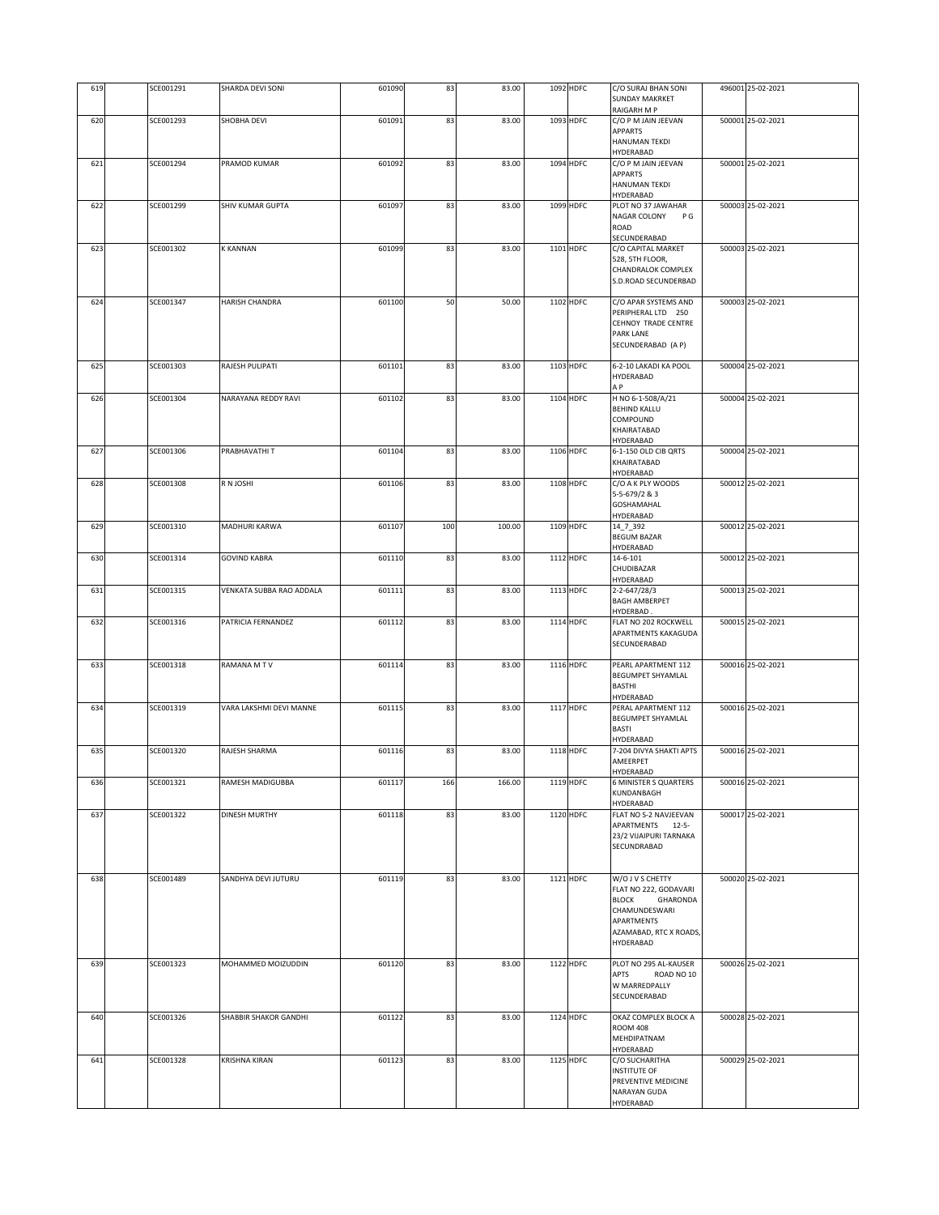| 619 | SCE001291 | SHARDA DEVI SONI         | 601090 | 83  | 83.00  | 1092 HDFC | C/O SURAJ BHAN SONI                             | 496001 25-02-2021 |
|-----|-----------|--------------------------|--------|-----|--------|-----------|-------------------------------------------------|-------------------|
|     |           |                          |        |     |        |           | <b>SUNDAY MAKRKET</b>                           |                   |
|     |           |                          |        |     |        |           | RAIGARH M P                                     |                   |
| 620 | SCE001293 | SHOBHA DEVI              | 601091 | 83  | 83.00  | 1093 HDFC | C/O P M JAIN JEEVAN                             | 500001 25-02-2021 |
|     |           |                          |        |     |        |           | APPARTS                                         |                   |
|     |           |                          |        |     |        |           | HANUMAN TEKDI                                   |                   |
|     |           |                          |        |     |        |           | HYDERABAD                                       |                   |
| 621 | SCE001294 | PRAMOD KUMAR             | 601092 | 83  | 83.00  | 1094 HDFC | C/O P M JAIN JEEVAN                             | 500001 25-02-2021 |
|     |           |                          |        |     |        |           | <b>APPARTS</b><br><b>HANUMAN TEKDI</b>          |                   |
|     |           |                          |        |     |        |           | HYDERABAD                                       |                   |
| 622 | SCE001299 | SHIV KUMAR GUPTA         | 601097 | 83  | 83.00  | 1099 HDFC | PLOT NO 37 JAWAHAR                              | 500003 25-02-2021 |
|     |           |                          |        |     |        |           | NAGAR COLONY<br>P G                             |                   |
|     |           |                          |        |     |        |           | ROAD                                            |                   |
|     |           |                          |        |     |        |           | SECUNDERABAD                                    |                   |
| 623 | SCE001302 | <b>K KANNAN</b>          | 601099 | 83  | 83.00  | 1101 HDFC | C/O CAPITAL MARKET                              | 500003 25-02-2021 |
|     |           |                          |        |     |        |           | 528, 5TH FLOOR,                                 |                   |
|     |           |                          |        |     |        |           | CHANDRALOK COMPLEX                              |                   |
|     |           |                          |        |     |        |           | S.D.ROAD SECUNDERBAD                            |                   |
| 624 | SCE001347 | HARISH CHANDRA           | 601100 | 50  | 50.00  | 1102 HDFC | C/O APAR SYSTEMS AND                            | 500003 25-02-2021 |
|     |           |                          |        |     |        |           | PERIPHERAL LTD 250                              |                   |
|     |           |                          |        |     |        |           | CEHNOY TRADE CENTRE                             |                   |
|     |           |                          |        |     |        |           | PARK LANE                                       |                   |
|     |           |                          |        |     |        |           | SECUNDERABAD (A P)                              |                   |
|     |           |                          |        |     |        |           |                                                 |                   |
| 625 | SCE001303 | RAJESH PULIPATI          | 601101 | 83  | 83.00  | 1103 HDFC | 6-2-10 LAKADI KA POOL                           | 500004 25-02-2021 |
|     |           |                          |        |     |        |           | HYDERABAD<br>ΑP                                 |                   |
| 626 | SCE001304 | NARAYANA REDDY RAVI      | 601102 | 83  | 83.00  | 1104 HDFC | H NO 6-1-508/A/21                               | 500004 25-02-2021 |
|     |           |                          |        |     |        |           | <b>BEHIND KALLU</b>                             |                   |
|     |           |                          |        |     |        |           | COMPOUND                                        |                   |
|     |           |                          |        |     |        |           | KHAIRATABAD                                     |                   |
|     |           |                          |        |     |        |           | HYDERABAD                                       |                   |
| 627 | SCE001306 | PRABHAVATHI T            | 601104 | 83  | 83.00  | 1106 HDFC | 6-1-150 OLD CIB ORTS                            | 500004 25-02-2021 |
|     |           |                          |        |     |        |           | KHAIRATABAD                                     |                   |
|     |           |                          |        |     |        |           | HYDERABAD<br>C/O A K PLY WOODS                  | 500012 25-02-2021 |
| 628 | SCE001308 | R N JOSHI                | 601106 | 83  | 83.00  | 1108 HDFC | 5-5-679/2 & 3                                   |                   |
|     |           |                          |        |     |        |           | <b>GOSHAMAHAL</b>                               |                   |
|     |           |                          |        |     |        |           | HYDERABAD                                       |                   |
| 629 | SCE001310 | MADHURI KARWA            | 601107 | 100 | 100.00 | 1109 HDFC | 14_7_392                                        | 500012 25-02-2021 |
|     |           |                          |        |     |        |           | <b>BEGUM BAZAR</b>                              |                   |
|     |           |                          |        |     |        |           | HYDERABAD                                       |                   |
| 630 | SCE001314 | <b>GOVIND KABRA</b>      | 601110 | 83  | 83.00  | 1112 HDFC | 14-6-101                                        | 500012 25-02-2021 |
|     |           |                          |        |     |        |           | CHUDIBAZAR                                      |                   |
| 631 | SCE001315 | VENKATA SUBBA RAO ADDALA | 601111 | 83  | 83.00  | 1113 HDFC | HYDERABAD<br>2-2-647/28/3                       | 500013 25-02-2021 |
|     |           |                          |        |     |        |           | <b>BAGH AMBERPET</b>                            |                   |
|     |           |                          |        |     |        |           | HYDERBAD.                                       |                   |
| 632 | SCE001316 | PATRICIA FERNANDEZ       | 601112 | 83  | 83.00  | 1114 HDFC | FLAT NO 202 ROCKWELL                            | 500015 25-02-2021 |
|     |           |                          |        |     |        |           | APARTMENTS KAKAGUDA                             |                   |
|     |           |                          |        |     |        |           | SECUNDERABAD                                    |                   |
|     |           |                          |        |     |        |           |                                                 | 500016 25-02-2021 |
| 633 | SCE001318 | RAMANA MTV               | 601114 | 83  | 83.00  | 1116 HDFC | PEARL APARTMENT 112<br><b>BEGUMPET SHYAMLAL</b> |                   |
|     |           |                          |        |     |        |           | <b>BASTHI</b>                                   |                   |
|     |           |                          |        |     |        |           | HYDERABAD                                       |                   |
| 634 | SCE001319 | VARA LAKSHMI DEVI MANNE  | 601115 | 83  | 83.00  | 1117 HDFC | PERAL APARTMENT 112                             | 500016 25-02-2021 |
|     |           |                          |        |     |        |           | <b>BEGUMPET SHYAMLAL</b>                        |                   |
|     |           |                          |        |     |        |           | <b>BASTI</b>                                    |                   |
|     |           |                          |        |     |        |           | HYDERABAD                                       |                   |
| 635 | SCE001320 | RAJESH SHARMA            | 601116 | 83  | 83.00  | 1118 HDFC | 7-204 DIVYA SHAKTI APTS<br>AMEERPET             | 500016 25-02-2021 |
|     |           |                          |        |     |        |           | HYDERABAD                                       |                   |
| 636 | SCE001321 | RAMESH MADIGUBBA         | 601117 | 166 | 166.00 | 1119 HDFC | <b>6 MINISTER S QUARTERS</b>                    | 500016 25-02-2021 |
|     |           |                          |        |     |        |           | KUNDANBAGH                                      |                   |
|     |           |                          |        |     |        |           | HYDERABAD                                       |                   |
| 637 | SCE001322 | <b>DINESH MURTHY</b>     | 601118 | 83  | 83.00  | 1120 HDFC | FLAT NO S-2 NAVJEEVAN                           | 500017 25-02-2021 |
|     |           |                          |        |     |        |           | APARTMENTS 12-5-                                |                   |
|     |           |                          |        |     |        |           | 23/2 VIJAIPURI TARNAKA<br>SECUNDRABAD           |                   |
|     |           |                          |        |     |        |           |                                                 |                   |
|     |           |                          |        |     |        |           |                                                 |                   |
| 638 | SCE001489 | SANDHYA DEVI JUTURU      | 601119 | 83  | 83.00  | 1121 HDFC | W/O J V S CHETTY                                | 500020 25-02-2021 |
|     |           |                          |        |     |        |           | FLAT NO 222, GODAVARI                           |                   |
|     |           |                          |        |     |        |           | <b>BLOCK</b><br>GHARONDA                        |                   |
|     |           |                          |        |     |        |           | CHAMUNDESWARI                                   |                   |
|     |           |                          |        |     |        |           | APARTMENTS                                      |                   |
|     |           |                          |        |     |        |           | AZAMABAD, RTC X ROADS,<br>HYDERABAD             |                   |
|     |           |                          |        |     |        |           |                                                 |                   |
| 639 | SCE001323 | MOHAMMED MOIZUDDIN       | 601120 | 83  | 83.00  | 1122 HDFC | PLOT NO 295 AL-KAUSER                           | 500026 25-02-2021 |
|     |           |                          |        |     |        |           | ROAD NO 10<br>APTS                              |                   |
|     |           |                          |        |     |        |           | W MARREDPALLY                                   |                   |
|     |           |                          |        |     |        |           | SECUNDERABAD                                    |                   |
|     |           |                          |        |     |        |           |                                                 |                   |
| 640 | SCE001326 | SHABBIR SHAKOR GANDHI    | 601122 | 83  | 83.00  | 1124 HDFC | OKAZ COMPLEX BLOCK A<br><b>ROOM 408</b>         | 500028 25-02-2021 |
|     |           |                          |        |     |        |           | MEHDIPATNAM                                     |                   |
|     |           |                          |        |     |        |           | HYDERABAD                                       |                   |
| 641 | SCE001328 | <b>KRISHNA KIRAN</b>     | 601123 | 83  | 83.00  | 1125 HDFC | C/O SUCHARITHA                                  | 500029 25-02-2021 |
|     |           |                          |        |     |        |           | INSTITUTE OF                                    |                   |
|     |           |                          |        |     |        |           | PREVENTIVE MEDICINE                             |                   |
|     |           |                          |        |     |        |           | NARAYAN GUDA                                    |                   |
|     |           |                          |        |     |        |           | HYDERABAD                                       |                   |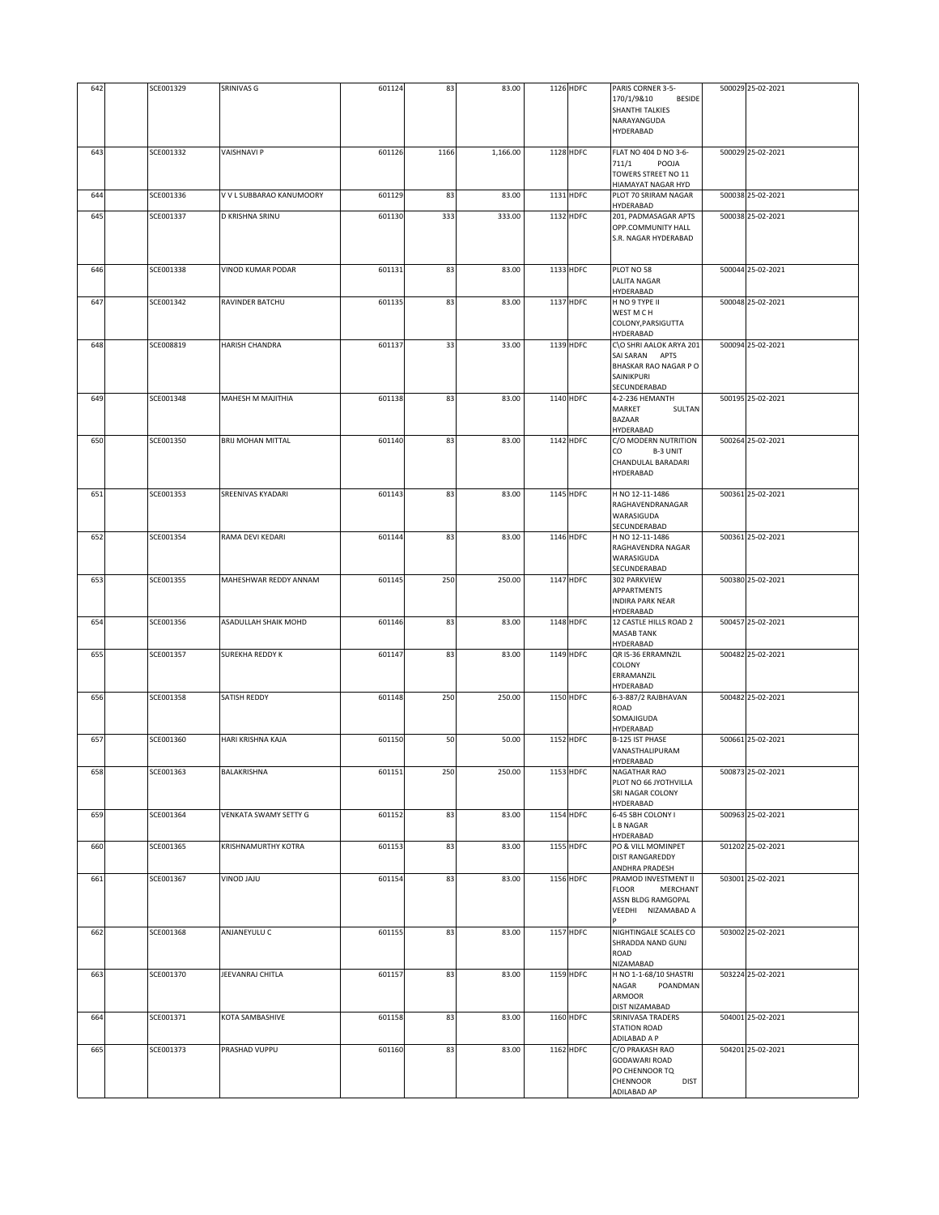| 642 | SCE001329 | <b>SRINIVAS G</b>        | 601124 | 83   | 83.00    | 1126 HDFC | PARIS CORNER 3-5-<br>170/1/9&10<br>BESIDE<br><b>SHANTHI TALKIES</b><br>NARAYANGUDA<br>HYDERABAD     | 500029 25-02-2021 |
|-----|-----------|--------------------------|--------|------|----------|-----------|-----------------------------------------------------------------------------------------------------|-------------------|
| 643 | SCE001332 | <b>VAISHNAVI P</b>       | 601126 | 1166 | 1,166.00 | 1128 HDFC | FLAT NO 404 D NO 3-6-<br>711/1<br>POOJA<br>TOWERS STREET NO 11<br>HIAMAYAT NAGAR HYD                | 500029 25-02-2021 |
| 644 | SCE001336 | V V L SUBBARAO KANUMOORY | 601129 | 83   | 83.00    | 1131 HDFC | PLOT 70 SRIRAM NAGAR<br>HYDERABAD                                                                   | 500038 25-02-2021 |
| 645 | SCE001337 | D KRISHNA SRINU          | 601130 | 333  | 333.00   | 1132 HDFC | 201, PADMASAGAR APTS<br>OPP.COMMUNITY HALL<br>S.R. NAGAR HYDERABAD                                  | 500038 25-02-2021 |
| 646 | SCE001338 | <b>VINOD KUMAR PODAR</b> | 601131 | 83   | 83.00    | 1133 HDFC | PLOT NO 58<br>LALITA NAGAR<br>HYDERABAD                                                             | 500044 25-02-2021 |
| 647 | SCE001342 | RAVINDER BATCHU          | 601135 | 83   | 83.00    | 1137 HDFC | H NO 9 TYPE II<br>WEST M C H<br>COLONY, PARSIGUTTA<br>HYDERABAD                                     | 500048 25-02-2021 |
| 648 | SCE008819 | <b>HARISH CHANDRA</b>    | 601137 | 33   | 33.00    | 1139 HDFC | C\O SHRI AALOK ARYA 201<br>SAI SARAN APTS<br>BHASKAR RAO NAGAR P O<br>SAINIKPURI<br>SECUNDERABAD    | 500094 25-02-2021 |
| 649 | SCE001348 | MAHESH M MAJITHIA        | 601138 | 83   | 83.00    | 1140 HDFC | 4-2-236 HEMANTH<br>MARKET<br>SULTAN<br><b>BAZAAR</b><br>HYDERABAD                                   | 500195 25-02-2021 |
| 650 | SCE001350 | <b>BRIJ MOHAN MITTAL</b> | 601140 | 83   | 83.00    | 1142 HDFC | C/O MODERN NUTRITION<br>CO<br><b>B-3 UNIT</b><br>CHANDULAL BARADARI<br>HYDERABAD                    | 500264 25-02-2021 |
| 651 | SCE001353 | SREENIVAS KYADARI        | 601143 | 83   | 83.00    | 1145 HDFC | H NO 12-11-1486<br>RAGHAVENDRANAGAR<br>WARASIGUDA<br>SECUNDERABAD                                   | 500361 25-02-2021 |
| 652 | SCE001354 | RAMA DEVI KEDARI         | 601144 | 83   | 83.00    | 1146 HDFC | H NO 12-11-1486<br>RAGHAVENDRA NAGAR<br>WARASIGUDA<br>SECUNDERABAD                                  | 500361 25-02-2021 |
| 653 | SCE001355 | MAHESHWAR REDDY ANNAM    | 601145 | 250  | 250.00   | 1147 HDFC | 302 PARKVIEW<br>APPARTMENTS<br><b>INDIRA PARK NEAR</b><br>HYDERABAD                                 | 500380 25-02-2021 |
| 654 | SCE001356 | ASADULLAH SHAIK MOHD     | 601146 | 83   | 83.00    | 1148 HDFC | 12 CASTLE HILLS ROAD 2<br><b>MASAB TANK</b><br>HYDERABAD                                            | 500457 25-02-2021 |
| 655 | SCE001357 | SUREKHA REDDY K          | 601147 | 83   | 83.00    | 1149 HDFC | QR IS-36 ERRAMNZIL<br>COLONY<br>ERRAMANZIL<br>HYDERABAD                                             | 500482 25-02-2021 |
| 656 | SCE001358 | SATISH REDDY             | 601148 | 250  | 250.00   | 1150 HDFC | 6-3-887/2 RAJBHAVAN<br>ROAD<br>SOMAJIGUDA<br>HYDERABAD                                              | 500482 25-02-2021 |
| 657 | SCE001360 | HARI KRISHNA KAJA        | 601150 | 50   | 50.00    | 1152 HDFC | B-125 IST PHASE<br>VANASTHALIPURAM<br>HYDERABAD                                                     | 500661 25-02-2021 |
| 658 | SCE001363 | BALAKRISHNA              | 601151 | 250  | 250.00   | 1153 HDFC | NAGATHAR RAO<br>PLOT NO 66 JYOTHVILLA<br>SRI NAGAR COLONY<br>HYDERABAD                              | 500873 25-02-2021 |
| 659 | SCE001364 | VENKATA SWAMY SETTY G    | 601152 | 83   | 83.00    | 1154 HDFC | 6-45 SBH COLONY I<br>L B NAGAR<br>HYDERABAD                                                         | 500963 25-02-2021 |
| 660 | SCE001365 | KRISHNAMURTHY KOTRA      | 601153 | 83   | 83.00    | 1155 HDFC | PO & VILL MOMINPET<br><b>DIST RANGAREDDY</b><br>ANDHRA PRADESH                                      | 501202 25-02-2021 |
| 661 | SCE001367 | UIAL OONIV               | 601154 | 83   | 83.00    | 1156 HDFC | PRAMOD INVESTMENT II<br><b>FLOOR</b><br>MERCHANT<br>ASSN BLDG RAMGOPAL<br>VEEDHI NIZAMABAD A        | 503001 25-02-2021 |
| 662 | SCE001368 | ANJANEYULU C             | 601155 | 83   | 83.00    | 1157 HDFC | NIGHTINGALE SCALES CO<br>SHRADDA NAND GUNJ<br>ROAD<br>NIZAMABAD                                     | 503002 25-02-2021 |
| 663 | SCE001370 | JEEVANRAJ CHITLA         | 601157 | 83   | 83.00    | 1159 HDFC | H NO 1-1-68/10 SHASTRI<br>POANDMAN<br>NAGAR<br>ARMOOR<br>DIST NIZAMABAD                             | 503224 25-02-2021 |
| 664 | SCE001371 | KOTA SAMBASHIVE          | 601158 | 83   | 83.00    | 1160 HDFC | SRINIVASA TRADERS<br><b>STATION ROAD</b><br>ADILABAD A P                                            | 504001 25-02-2021 |
| 665 | SCE001373 | PRASHAD VUPPU            | 601160 | 83   | 83.00    | 1162 HDFC | C/O PRAKASH RAO<br><b>GODAWARI ROAD</b><br>PO CHENNOOR TQ<br>CHENNOOR<br><b>DIST</b><br>ADILABAD AP | 504201 25-02-2021 |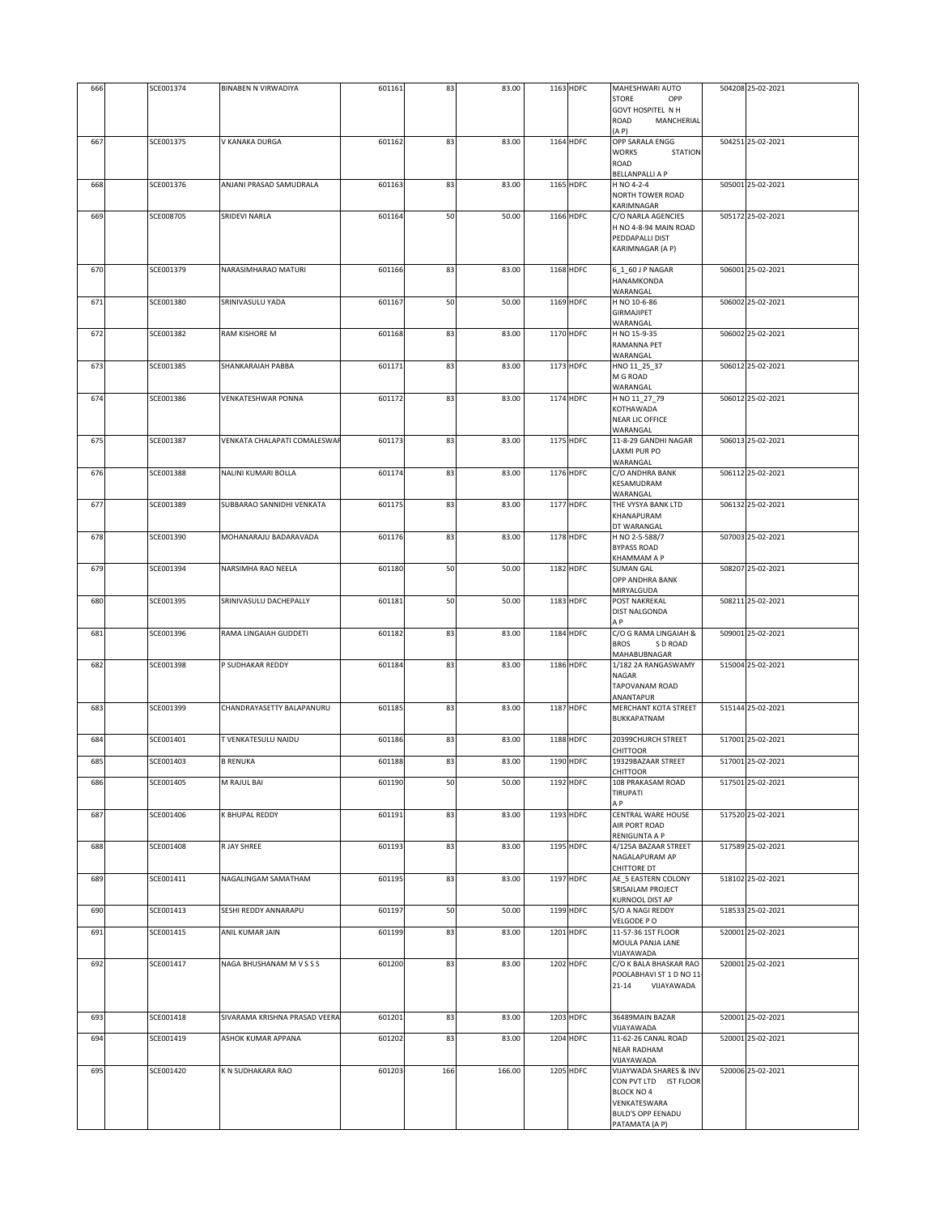|            |                        |                                        |                  |          |                |                        | <b>GOVT HOSPITEL N H</b>                                                                                                                         |                                        |
|------------|------------------------|----------------------------------------|------------------|----------|----------------|------------------------|--------------------------------------------------------------------------------------------------------------------------------------------------|----------------------------------------|
|            |                        |                                        |                  |          |                |                        | ROAD<br>MANCHERIAL<br>(A P)                                                                                                                      |                                        |
| 667        | SCE001375              | V KANAKA DURGA                         | 601162           | 83       | 83.00          | 1164 HDFC              | OPP SARALA ENGG<br>WORKS<br><b>STATION</b><br>ROAD<br><b>BELLANPALLI A P</b>                                                                     | 504251 25-02-2021                      |
| 668        | SCE001376              | ANJANI PRASAD SAMUDRALA                | 601163           | 83       | 83.00          | 1165 HDFC              | H NO 4-2-4<br>NORTH TOWER ROAD<br>KARIMNAGAR                                                                                                     | 505001 25-02-2021                      |
| 669        | SCE008705              | SRIDEVI NARLA                          | 601164           | 50       | 50.00          | 1166 HDFC              | C/O NARLA AGENCIES<br>H NO 4-8-94 MAIN ROAD<br>PEDDAPALLI DIST<br>KARIMNAGAR (A P)                                                               | 505172 25-02-2021                      |
| 670        | SCE001379              | NARASIMHARAO MATURI                    | 601166           | 83       | 83.00          | 1168 HDFC              | 6_1_60 J P NAGAR<br>HANAMKONDA<br>WARANGAL                                                                                                       | 506001 25-02-2021                      |
| 671        | SCE001380              | SRINIVASULU YADA                       | 601167           | 50       | 50.00          | 1169 HDFC              | H NO 10-6-86<br><b>GIRMAJIPET</b><br>WARANGAL                                                                                                    | 506002 25-02-2021                      |
| 672        | SCE001382              | RAM KISHORE M                          | 601168           | 83       | 83.00          | 1170 HDFC              | H NO 15-9-35<br>RAMANNA PET<br>WARANGAL                                                                                                          | 506002 25-02-2021                      |
| 673        | SCE001385              | SHANKARAIAH PABBA                      | 601171           | 83       | 83.00          | 1173 HDFC              | HNO 11 25 37<br>M G ROAD<br>WARANGAL                                                                                                             | 506012 25-02-2021                      |
| 674        | SCE001386              | <b>VENKATESHWAR PONNA</b>              | 601172           | 83       | 83.00          | 1174 HDFC              | H NO 11_27_79<br>KOTHAWADA<br>NEAR LIC OFFICE<br>WARANGAL                                                                                        | 506012 25-02-2021                      |
| 675        | SCE001387              | VENKATA CHALAPATI COMALESWAR           | 601173           | 83       | 83.00          | 1175 HDFC              | 11-8-29 GANDHI NAGAR<br>LAXMI PUR PO<br>WARANGAL                                                                                                 | 506013 25-02-2021                      |
| 676        | SCE001388              | NALINI KUMARI BOLLA                    | 601174           | 83       | 83.00          | 1176 HDFC              | C/O ANDHRA BANK<br>KESAMUDRAM<br>WARANGAL                                                                                                        | 506112 25-02-2021                      |
| 677        | SCE001389              | SUBBARAO SANNIDHI VENKATA              | 601175           | 83       | 83.00          | 1177 HDFC              | THE VYSYA BANK LTD<br>KHANAPURAM<br>DT WARANGAL                                                                                                  | 506132 25-02-2021                      |
| 678        | SCE001390              | MOHANARAJU BADARAVADA                  | 601176           | 83       | 83.00          | 1178 HDFC              | H NO 2-5-588/7<br>BYPASS ROAD<br>KHAMMAM A P                                                                                                     | 507003 25-02-2021                      |
| 679        | SCE001394              | NARSIMHA RAO NEELA                     | 601180           | 50       | 50.00          | 1182 HDFC              | <b>SUMAN GAL</b><br>OPP ANDHRA BANK<br>MIRYALGUDA                                                                                                | 508207 25-02-2021                      |
| 680        | SCE001395              | SRINIVASULU DACHEPALLY                 | 601181           | 50       | 50.00          | 1183 HDFC              | POST NAKREKAL<br>DIST NALGONDA<br>A <sub>P</sub>                                                                                                 | 508211 25-02-2021                      |
| 681        | SCE001396              | RAMA LINGAIAH GUDDETI                  | 601182           | 83       | 83.00          | 1184 HDFC              | C/O G RAMA LINGAIAH &<br><b>BROS</b><br>S D ROAD<br>MAHABUBNAGAR                                                                                 | 509001 25-02-2021                      |
| 682        | SCE001398              | P SUDHAKAR REDDY                       | 601184           | 83       | 83.00          | 1186 HDFC              | 1/182 2A RANGASWAMY<br>NAGAR<br>TAPOVANAM ROAD<br>ANANTAPUR                                                                                      | 515004 25-02-2021                      |
| 683        | SCE001399              | CHANDRAYASETTY BALAPANURU              | 601185           | 83       | 83.00          | 1187 HDFC              | MERCHANT KOTA STREET<br>BUKKAPATNAM                                                                                                              | 515144 25-02-2021                      |
| 684<br>685 | SCE001401<br>SCE001403 | T VENKATESULU NAIDU<br><b>B RENUKA</b> | 601186<br>601188 | 83<br>83 | 83.00<br>83.00 | 1188 HDFC<br>1190 HDFC | 20399CHURCH STREET<br>CHITTOOR<br>19329BAZAAR STREET                                                                                             | 517001 25-02-2021<br>517001 25-02-2021 |
| 686        | SCE001405              | M RAJUL BAI                            | 601190           | 50       | 50.00          | 1192 HDFC              | CHITTOOR<br>108 PRAKASAM ROAD                                                                                                                    | 517501 25-02-2021                      |
| 687        | SCE001406              | <b>K BHUPAL REDDY</b>                  | 601191           | 83       | 83.00          | 1193 HDFC              | TIRUPATI<br>ΑP<br>CENTRAL WARE HOUSE                                                                                                             | 517520 25-02-2021                      |
| 688        | SCE001408              | R JAY SHREE                            | 601193           | 83       | 83.00          | 1195 HDFC              | AIR PORT ROAD<br>RENIGUNTA A P                                                                                                                   | 517589 25-02-2021                      |
|            |                        |                                        |                  |          |                |                        | 4/125A BAZAAR STREET<br>NAGALAPURAM AP<br>CHITTORE DT                                                                                            |                                        |
| 689        | SCE001411              | NAGALINGAM SAMATHAM                    | 601195           | 83       | 83.00          | 1197 HDFC              | AE_5 EASTERN COLONY<br>SRISAILAM PROJECT<br>KURNOOL DIST AP                                                                                      | 518102 25-02-2021                      |
| 690        | SCE001413              | SESHI REDDY ANNARAPU                   | 601197           | 50       | 50.00          | 1199 HDFC              | S/O A NAGI REDDY<br>VELGODE PO                                                                                                                   | 518533 25-02-2021                      |
| 691        | SCE001415              | ANIL KUMAR JAIN                        | 601199           | 83       | 83.00          | 1201 HDFC              | 11-57-36 1ST FLOOR<br>MOULA PANJA LANE<br>VIJAYAWADA                                                                                             | 520001 25-02-2021                      |
| 692        | SCE001417              | NAGA BHUSHANAM M V S S S               | 601200           | 83       | 83.00          | 1202 HDFC              | C/O K BALA BHASKAR RAO<br>POOLABHAVI ST 1 D NO 11<br>21-14<br>VIJAYAWADA                                                                         | 520001 25-02-2021                      |
| 693        | SCE001418              | SIVARAMA KRISHNA PRASAD VEERA          | 601201           | 83       | 83.00          | 1203 HDFC              | 36489MAIN BAZAR                                                                                                                                  | 520001 25-02-2021                      |
| 694        | SCE001419              | ASHOK KUMAR APPANA                     | 601202           | 83       | 83.00          | 1204 HDFC              | VIJAYAWADA<br>11-62-26 CANAL ROAD<br><b>NEAR RADHAM</b>                                                                                          | 520001 25-02-2021                      |
| 695        | SCE001420              | K N SUDHAKARA RAO                      | 601203           | 166      | 166.00         | 1205 HDFC              | VIJAYAWADA<br>VIJAYWADA SHARES & INV<br>CON PVT LTD IST FLOOR<br><b>BLOCK NO 4</b><br>VENKATESWARA<br><b>BULD'S OPP EENADU</b><br>PATAMATA (A P) | 520006 25-02-2021                      |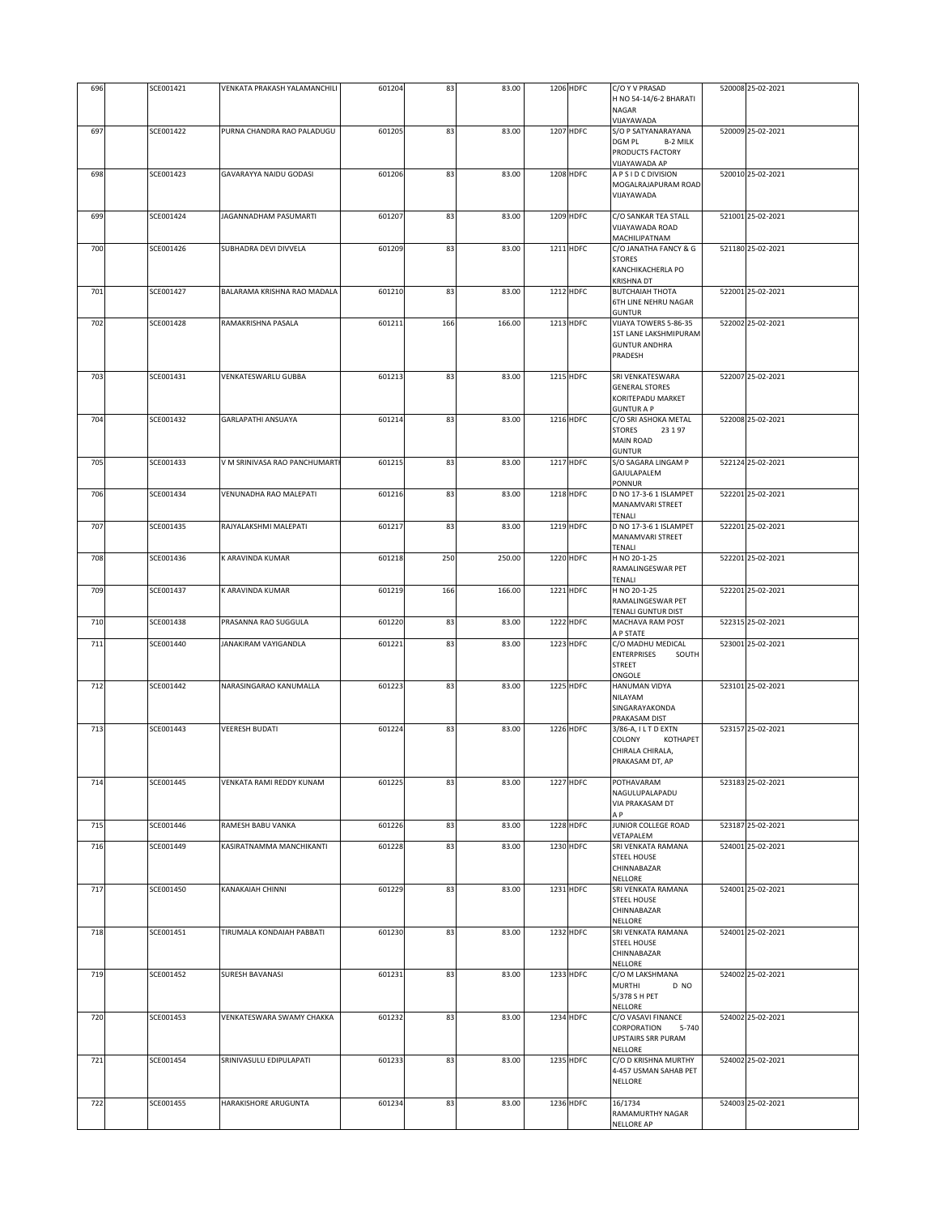| 696 | SCE001421 | VENKATA PRAKASH YALAMANCHILI  | 601204 | 83  | 83.00  | 1206 HDFC | C/O Y V PRASAD                                        | 520008 25-02-2021 |
|-----|-----------|-------------------------------|--------|-----|--------|-----------|-------------------------------------------------------|-------------------|
|     |           |                               |        |     |        |           | H NO 54-14/6-2 BHARATI                                |                   |
|     |           |                               |        |     |        |           | NAGAR                                                 |                   |
| 697 | SCE001422 | PURNA CHANDRA RAO PALADUGU    | 601205 | 83  | 83.00  | 1207 HDFC | VIJAYAWADA<br>S/O P SATYANARAYANA                     | 520009 25-02-2021 |
|     |           |                               |        |     |        |           | DGM PL<br>B-2 MILK                                    |                   |
|     |           |                               |        |     |        |           | PRODUCTS FACTORY                                      |                   |
|     |           |                               |        |     |        |           | VIJAYAWADA AP                                         |                   |
| 698 | SCE001423 | GAVARAYYA NAIDU GODASI        | 601206 | 83  | 83.00  | 1208 HDFC | A P S I D C DIVISION<br>MOGALRAJAPURAM ROAD           | 520010 25-02-2021 |
|     |           |                               |        |     |        |           | VIJAYAWADA                                            |                   |
|     |           |                               |        |     |        |           |                                                       |                   |
| 699 | SCE001424 | JAGANNADHAM PASUMARTI         | 601207 | 83  | 83.00  | 1209 HDFC | C/O SANKAR TEA STALL                                  | 521001 25-02-2021 |
|     |           |                               |        |     |        |           | VIJAYAWADA ROAD<br>MACHILIPATNAM                      |                   |
| 700 | SCE001426 | SUBHADRA DEVI DIVVELA         | 601209 | 83  | 83.00  | 1211 HDFC | C/O JANATHA FANCY & G                                 | 521180 25-02-2021 |
|     |           |                               |        |     |        |           | <b>STORES</b>                                         |                   |
|     |           |                               |        |     |        |           | KANCHIKACHERLA PO                                     |                   |
| 701 | SCE001427 | BALARAMA KRISHNA RAO MADALA   | 601210 | 83  | 83.00  | 1212 HDFC | KRISHNA DT<br><b>BUTCHAIAH THOTA</b>                  | 522001 25-02-2021 |
|     |           |                               |        |     |        |           | 6TH LINE NEHRU NAGAR                                  |                   |
|     |           |                               |        |     |        |           | <b>GUNTUR</b>                                         |                   |
| 702 | SCE001428 | RAMAKRISHNA PASALA            | 601211 | 166 | 166.00 | 1213 HDFC | VIJAYA TOWERS 5-86-35<br>1ST LANE LAKSHMIPURAM        | 522002 25-02-2021 |
|     |           |                               |        |     |        |           | <b>GUNTUR ANDHRA</b>                                  |                   |
|     |           |                               |        |     |        |           | PRADESH                                               |                   |
|     |           |                               |        |     |        |           |                                                       |                   |
| 703 | SCE001431 | VENKATESWARLU GUBBA           | 601213 | 83  | 83.00  | 1215 HDFC | SRI VENKATESWARA<br><b>GENERAL STORES</b>             | 522007 25-02-2021 |
|     |           |                               |        |     |        |           | KORITEPADU MARKET                                     |                   |
|     |           |                               |        |     |        |           | <b>GUNTUR A P</b>                                     |                   |
| 704 | SCE001432 | GARLAPATHI ANSUAYA            | 601214 | 83  | 83.00  | 1216 HDFC | C/O SRI ASHOKA METAL                                  | 522008 25-02-2021 |
|     |           |                               |        |     |        |           | <b>STORES</b><br>23197<br><b>MAIN ROAD</b>            |                   |
|     |           |                               |        |     |        |           | <b>GUNTUR</b>                                         |                   |
| 705 | SCE001433 | V M SRINIVASA RAO PANCHUMARTI | 601215 | 83  | 83.00  | 1217 HDFC | S/O SAGARA LINGAM P                                   | 522124 25-02-2021 |
|     |           |                               |        |     |        |           | GAJULAPALEM<br>PONNUR                                 |                   |
| 706 | SCE001434 | VENUNADHA RAO MALEPATI        | 601216 | 83  | 83.00  | 1218 HDFC | D NO 17-3-6 1 ISLAMPET                                | 522201 25-02-2021 |
|     |           |                               |        |     |        |           | MANAMVARI STREET                                      |                   |
|     |           |                               |        |     |        |           | TENALI                                                |                   |
| 707 | SCE001435 | RAJYALAKSHMI MALEPATI         | 601217 | 83  | 83.00  | 1219 HDFC | D NO 17-3-6 1 ISLAMPET<br>MANAMVARI STREET            | 522201 25-02-2021 |
|     |           |                               |        |     |        |           | TENALI                                                |                   |
| 708 | SCE001436 | K ARAVINDA KUMAR              | 601218 | 250 | 250.00 | 1220 HDFC | H NO 20-1-25                                          | 522201 25-02-2021 |
|     |           |                               |        |     |        |           | RAMALINGESWAR PET<br>TENALI                           |                   |
| 709 | SCE001437 | K ARAVINDA KUMAR              | 601219 | 166 | 166.00 | 1221 HDFC | H NO 20-1-25                                          | 522201 25-02-2021 |
|     |           |                               |        |     |        |           | RAMALINGESWAR PET                                     |                   |
|     | SCE001438 |                               |        | 83  |        | 1222 HDFC | TENALI GUNTUR DIST                                    | 522315 25-02-2021 |
| 710 |           | PRASANNA RAO SUGGULA          | 601220 |     | 83.00  |           | MACHAVA RAM POST<br>A P STATE                         |                   |
| 711 | SCE001440 | JANAKIRAM VAYIGANDLA          | 601221 | 83  | 83.00  | 1223 HDFC | C/O MADHU MEDICAL                                     | 523001 25-02-2021 |
|     |           |                               |        |     |        |           | <b>ENTERPRISES</b><br>SOUTH                           |                   |
|     |           |                               |        |     |        |           | <b>STREET</b><br>ONGOLE                               |                   |
| 712 | SCE001442 | NARASINGARAO KANUMALLA        | 601223 | 83  | 83.00  | 1225 HDFC | HANUMAN VIDYA                                         | 523101 25-02-2021 |
|     |           |                               |        |     |        |           | NILAYAM                                               |                   |
|     |           |                               |        |     |        |           | SINGARAYAKONDA<br>PRAKASAM DIST                       |                   |
| 713 | SCE001443 | <b>VEERESH BUDATI</b>         | 601224 | 83  | 83.00  | 1226 HDFC | 3/86-A, ILTD EXTN                                     | 523157 25-02-2021 |
|     |           |                               |        |     |        |           | COLONY<br>KOTHAPET                                    |                   |
|     |           |                               |        |     |        |           | CHIRALA CHIRALA,<br>PRAKASAM DT, AP                   |                   |
|     |           |                               |        |     |        |           |                                                       |                   |
| 714 | SCE001445 | VENKATA RAMI REDDY KUNAM      | 601225 | 83  | 83.00  | 1227 HDFC | POTHAVARAM                                            | 523183 25-02-2021 |
|     |           |                               |        |     |        |           | NAGULUPALAPADU<br>VIA PRAKASAM DT                     |                   |
|     |           |                               |        |     |        |           | A P                                                   |                   |
| 715 | SCE001446 | RAMESH BABU VANKA             | 601226 | 83  | 83.00  | 1228 HDFC | JUNIOR COLLEGE ROAD                                   | 523187 25-02-2021 |
|     | SCE001449 | KASIRATNAMMA MANCHIKANTI      | 601228 |     | 83.00  | 1230 HDFC | VETAPALEM<br>SRI VENKATA RAMANA                       | 524001 25-02-2021 |
| 716 |           |                               |        | 83  |        |           | <b>STEEL HOUSE</b>                                    |                   |
|     |           |                               |        |     |        |           | CHINNABAZAR                                           |                   |
|     |           |                               |        |     |        |           | NELLORE                                               |                   |
| 717 | SCE001450 | KANAKAIAH CHINNI              | 601229 | 83  | 83.00  | 1231 HDFC | SRI VENKATA RAMANA<br>STEEL HOUSE                     | 524001 25-02-2021 |
|     |           |                               |        |     |        |           | CHINNABAZAR                                           |                   |
|     |           |                               |        |     |        |           | NELLORE                                               |                   |
| 718 | SCE001451 | TIRUMALA KONDAIAH PABBATI     | 601230 | 83  | 83.00  | 1232 HDFC | SRI VENKATA RAMANA<br><b>STEEL HOUSE</b>              | 524001 25-02-2021 |
|     |           |                               |        |     |        |           | CHINNABAZAR                                           |                   |
|     |           |                               |        |     |        |           | NELLORE                                               |                   |
| 719 | SCE001452 | SURESH BAVANASI               | 601231 | 83  | 83.00  | 1233 HDFC | C/O M LAKSHMANA                                       | 524002 25-02-2021 |
|     |           |                               |        |     |        |           | <b>MURTHI</b><br>D NO<br>5/378 S H PET                |                   |
|     |           |                               |        |     |        |           | NELLORE                                               |                   |
| 720 | SCE001453 | VENKATESWARA SWAMY CHAKKA     | 601232 | 83  | 83.00  | 1234 HDFC | C/O VASAVI FINANCE                                    | 524002 25-02-2021 |
|     |           |                               |        |     |        |           | CORPORATION<br>$5 - 740$<br><b>UPSTAIRS SRR PURAM</b> |                   |
|     |           |                               |        |     |        |           | NELLORE                                               |                   |
| 721 | SCE001454 | SRINIVASULU EDIPULAPATI       | 601233 | 83  | 83.00  | 1235 HDFC | C/O D KRISHNA MURTHY                                  | 524002 25-02-2021 |
|     |           |                               |        |     |        |           | 4-457 USMAN SAHAB PET<br>NELLORE                      |                   |
|     |           |                               |        |     |        |           |                                                       |                   |
| 722 | SCE001455 | HARAKISHORE ARUGUNTA          | 601234 | 83  | 83.00  | 1236 HDFC | 16/1734                                               | 524003 25-02-2021 |
|     |           |                               |        |     |        |           | RAMAMURTHY NAGAR                                      |                   |
|     |           |                               |        |     |        |           | NELLORE AP                                            |                   |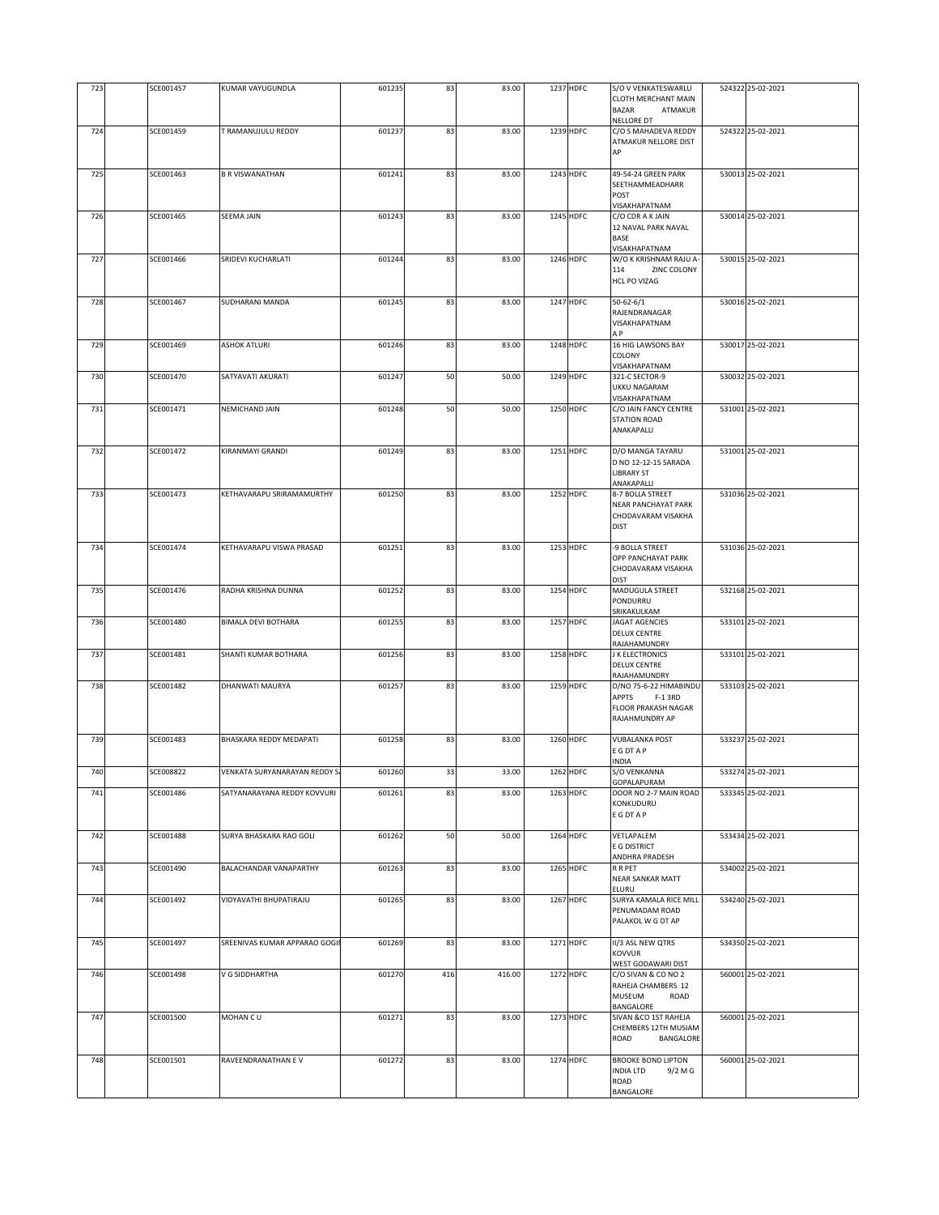| 723 | SCE001457 | <b>KUMAR VAYUGUNDLA</b>       | 601235 | 83  | 83.00  | 1237 HDFC | S/O V VENKATESWARLU                        | 524322 25-02-2021 |
|-----|-----------|-------------------------------|--------|-----|--------|-----------|--------------------------------------------|-------------------|
|     |           |                               |        |     |        |           | <b>CLOTH MERCHANT MAIN</b>                 |                   |
|     |           |                               |        |     |        |           | <b>BAZAR</b><br>ATMAKUR                    |                   |
| 724 | SCE001459 | T RAMANUJULU REDDY            | 601237 | 83  | 83.00  | 1239 HDFC | NELLORE DT<br>C/O S MAHADEVA REDDY         | 524322 25-02-2021 |
|     |           |                               |        |     |        |           | ATMAKUR NELLORE DIST                       |                   |
|     |           |                               |        |     |        |           | AP                                         |                   |
| 725 | SCE001463 | <b>B R VISWANATHAN</b>        | 601241 | 83  | 83.00  | 1243 HDFC | 49-54-24 GREEN PARK                        | 530013 25-02-2021 |
|     |           |                               |        |     |        |           | SEETHAMMEADHARR                            |                   |
|     |           |                               |        |     |        |           | POST<br>VISAKHAPATNAM                      |                   |
| 726 | SCE001465 | <b>SEEMA JAIN</b>             | 601243 | 83  | 83.00  | 1245 HDFC | C/O CDR A K JAIN                           | 530014 25-02-2021 |
|     |           |                               |        |     |        |           | 12 NAVAL PARK NAVAL                        |                   |
|     |           |                               |        |     |        |           | BASE<br>VISAKHAPATNAM                      |                   |
| 727 | SCE001466 | SRIDEVI KUCHARLATI            | 601244 | 83  | 83.00  | 1246 HDFC | W/O K KRISHNAM RAJU A-                     | 530015 25-02-2021 |
|     |           |                               |        |     |        |           | 114<br>ZINC COLONY                         |                   |
|     |           |                               |        |     |        |           | <b>HCL PO VIZAG</b>                        |                   |
| 728 | SCE001467 | SUDHARANI MANDA               | 601245 | 83  | 83.00  | 1247 HDFC | $50 - 62 - 6/1$                            | 530016 25-02-2021 |
|     |           |                               |        |     |        |           | RAJENDRANAGAR<br>VISAKHAPATNAM             |                   |
|     |           |                               |        |     |        |           | A P                                        |                   |
| 729 | SCE001469 | <b>ASHOK ATLURI</b>           | 601246 | 83  | 83.00  | 1248 HDFC | 16 HIG LAWSONS BAY                         | 530017 25-02-2021 |
|     |           |                               |        |     |        |           | COLONY<br>VISAKHAPATNAM                    |                   |
| 730 | SCE001470 | SATYAVATI AKURATI             | 601247 | 50  | 50.00  | 1249 HDFC | 321-C SECTOR-9                             | 530032 25-02-2021 |
|     |           |                               |        |     |        |           | UKKU NAGARAM                               |                   |
| 731 | SCE001471 | NEMICHAND JAIN                | 601248 | 50  | 50.00  | 1250 HDFC | VISAKHAPATNAM<br>C/O JAIN FANCY CENTRE     | 531001 25-02-2021 |
|     |           |                               |        |     |        |           | <b>STATION ROAD</b>                        |                   |
|     |           |                               |        |     |        |           | ANAKAPALLI                                 |                   |
| 732 | SCE001472 | KIRANMAYI GRANDI              | 601249 | 83  | 83.00  | 1251 HDFC | D/O MANGA TAYARU                           | 531001 25-02-2021 |
|     |           |                               |        |     |        |           | D NO 12-12-15 SARADA                       |                   |
|     |           |                               |        |     |        |           | <b>LIBRARY ST</b>                          |                   |
| 733 | SCE001473 | KETHAVARAPU SRIRAMAMURTHY     | 601250 | 83  | 83.00  | 1252 HDFC | ANAKAPALLI<br>8-7 BOLLA STREET             | 531036 25-02-2021 |
|     |           |                               |        |     |        |           | <b>NEAR PANCHAYAT PARK</b>                 |                   |
|     |           |                               |        |     |        |           | CHODAVARAM VISAKHA                         |                   |
|     |           |                               |        |     |        |           | <b>DIST</b>                                |                   |
| 734 | SCE001474 | KETHAVARAPU VISWA PRASAD      | 601251 | 83  | 83.00  | 1253 HDFC | -9 BOLLA STREET                            | 531036 25-02-2021 |
|     |           |                               |        |     |        |           | OPP PANCHAYAT PARK<br>CHODAVARAM VISAKHA   |                   |
|     |           |                               |        |     |        |           | <b>DIST</b>                                |                   |
| 735 | SCE001476 | RADHA KRISHNA DUNNA           | 601252 | 83  | 83.00  | 1254 HDFC | MADUGULA STREET                            | 532168 25-02-2021 |
|     |           |                               |        |     |        |           | PONDURRU<br>SRIKAKULKAM                    |                   |
| 736 | SCE001480 | <b>BIMALA DEVI BOTHARA</b>    | 601255 | 83  | 83.00  | 1257 HDFC | JAGAT AGENCIES                             | 533101 25-02-2021 |
|     |           |                               |        |     |        |           | <b>DELUX CENTRE</b>                        |                   |
| 737 | SCE001481 | SHANTI KUMAR BOTHARA          | 601256 | 83  | 83.00  | 1258 HDFC | RAJAHAMUNDRY<br>J K ELECTRONICS            | 533101 25-02-2021 |
|     |           |                               |        |     |        |           | <b>DELUX CENTRE</b>                        |                   |
|     | SCE001482 | DHANWATI MAURYA               |        |     |        |           | RAJAHAMUNDRY                               |                   |
| 738 |           |                               | 601257 | 83  | 83.00  | 1259 HDFC | D/NO 75-6-22 HIMABINDU<br>APPTS<br>F-1 3RD | 533103 25-02-2021 |
|     |           |                               |        |     |        |           | FLOOR PRAKASH NAGAR                        |                   |
|     |           |                               |        |     |        |           | RAJAHMUNDRY AP                             |                   |
| 739 | SCE001483 | BHASKARA REDDY MEDAPATI       | 601258 | 83  | 83.00  | 1260 HDFC | <b>VUBALANKA POST</b>                      | 533237 25-02-2021 |
|     |           |                               |        |     |        |           | <b>EGDTAP</b>                              |                   |
| 740 | SCE008822 | VENKATA SURYANARAYAN REDDY S  | 601260 | 33  | 33.00  | 1262 HDFC | NDIA<br>S/O VENKANNA                       | 533274 25-02-2021 |
|     |           |                               |        |     |        |           | GOPALAPURAM                                |                   |
| 741 | SCE001486 | SATYANARAYANA REDDY KOVVURI   | 601261 | 83  | 83.00  | 1263 HDFC | DOOR NO 2-7 MAIN ROAD                      | 533345 25-02-2021 |
|     |           |                               |        |     |        |           | KONKUDURU<br>E G DT A P                    |                   |
|     |           |                               |        |     |        |           |                                            |                   |
| 742 | SCE001488 | SURYA BHASKARA RAO GOLI       | 601262 | 50  | 50.00  | 1264 HDFC | VETLAPALEM<br>E G DISTRICT                 | 533434 25-02-2021 |
|     |           |                               |        |     |        |           | ANDHRA PRADESH                             |                   |
| 743 | SCE001490 | BALACHANDAR VANAPARTHY        | 601263 | 83  | 83.00  | 1265 HDFC | R R PET                                    | 534002 25-02-2021 |
|     |           |                               |        |     |        |           | <b>NEAR SANKAR MATT</b><br>ELURU           |                   |
| 744 | SCE001492 | VIDYAVATHI BHUPATIRAJU        | 601265 | 83  | 83.00  | 1267 HDFC | SURYA KAMALA RICE MILL                     | 534240 25-02-2021 |
|     |           |                               |        |     |        |           | PENUMADAM ROAD                             |                   |
|     |           |                               |        |     |        |           | PALAKOL W G DT AP                          |                   |
| 745 | SCE001497 | SREENIVAS KUMAR APPARAO GOGII | 601269 | 83  | 83.00  | 1271 HDFC | II/3 ASL NEW QTRS                          | 534350 25-02-2021 |
|     |           |                               |        |     |        |           | <b>KOVVUR</b>                              |                   |
| 746 | SCE001498 | V G SIDDHARTHA                | 601270 | 416 | 416.00 | 1272 HDFC | WEST GODAWARI DIST<br>C/O SIVAN & CO NO 2  | 560001 25-02-2021 |
|     |           |                               |        |     |        |           | RAHEJA CHAMBERS 12                         |                   |
|     |           |                               |        |     |        |           | MUSEUM<br>ROAD<br>BANGALORE                |                   |
| 747 | SCE001500 | MOHAN CU                      | 601271 | 83  | 83.00  | 1273 HDFC | SIVAN &CO 1ST RAHEJA                       | 560001 25-02-2021 |
|     |           |                               |        |     |        |           | CHEMBERS 12TH MUSIAM                       |                   |
|     |           |                               |        |     |        |           | ROAD<br>BANGALORE                          |                   |
| 748 | SCE001501 | RAVEENDRANATHAN E V           | 601272 | 83  | 83.00  | 1274 HDFC | <b>BROOKE BOND LIPTON</b>                  | 560001 25-02-2021 |
|     |           |                               |        |     |        |           | INDIA LTD<br>9/2 M G                       |                   |
|     |           |                               |        |     |        |           | ROAD<br>BANGALORE                          |                   |
|     |           |                               |        |     |        |           |                                            |                   |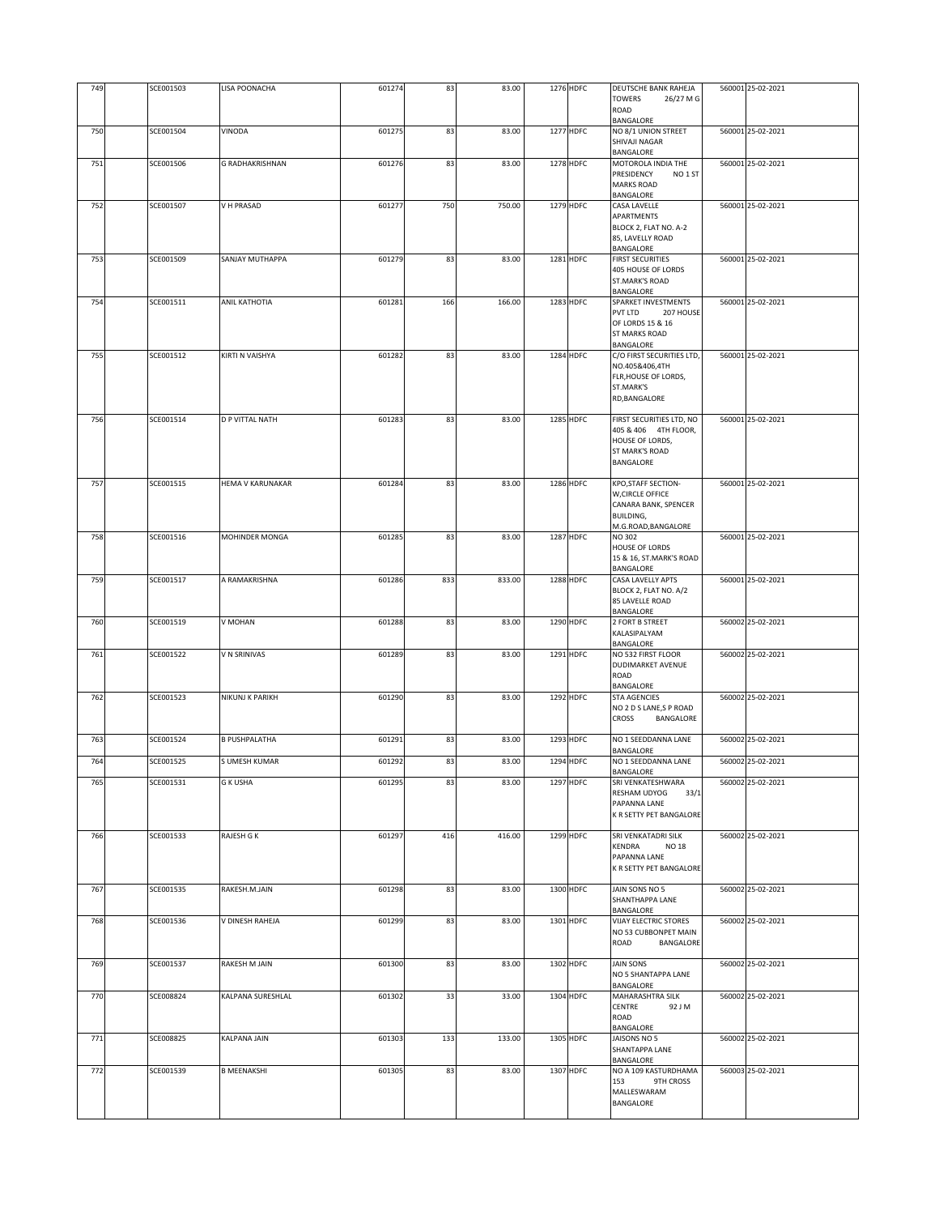|     |           |                         |        |     |        |           | DEUTSCHE BANK RAHEJA                                                                     |                   |
|-----|-----------|-------------------------|--------|-----|--------|-----------|------------------------------------------------------------------------------------------|-------------------|
| 749 | SCE001503 | LISA POONACHA           | 601274 | 83  | 83.00  | 1276 HDFC | TOWERS<br>26/27 M G<br>ROAD<br>BANGALORE                                                 | 560001 25-02-2021 |
| 750 | SCE001504 | VINODA                  | 601275 | 83  | 83.00  | 1277 HDFC | NO 8/1 UNION STREET<br>SHIVAJI NAGAR                                                     | 560001 25-02-2021 |
| 751 | SCE001506 | G RADHAKRISHNAN         | 601276 | 83  | 83.00  | 1278 HDFC | BANGALORE<br>MOTOROLA INDIA THE                                                          | 560001 25-02-2021 |
|     |           |                         |        |     |        |           | PRESIDENCY<br>NO <sub>1</sub> ST<br><b>MARKS ROAD</b><br><b>BANGALORE</b>                |                   |
| 752 | SCE001507 | V H PRASAD              | 601277 | 750 | 750.00 | 1279 HDFC | CASA LAVELLE                                                                             | 560001 25-02-2021 |
|     |           |                         |        |     |        |           | <b>APARTMENTS</b><br>BLOCK 2, FLAT NO. A-2<br>85, LAVELLY ROAD<br>BANGALORE              |                   |
| 753 | SCE001509 | SANJAY MUTHAPPA         | 601279 | 83  | 83.00  | 1281 HDFC | <b>FIRST SECURITIES</b><br>405 HOUSE OF LORDS<br><b>ST.MARK'S ROAD</b><br>BANGALORE      | 560001 25-02-2021 |
| 754 | SCE001511 | ANIL KATHOTIA           | 601281 | 166 | 166.00 | 1283 HDFC | SPARKET INVESTMENTS                                                                      | 560001 25-02-2021 |
|     |           |                         |        |     |        |           | PVT LTD<br>207 HOUSE<br>OF LORDS 15 & 16<br><b>ST MARKS ROAD</b><br>BANGALORE            |                   |
| 755 | SCE001512 | KIRTI N VAISHYA         | 601282 | 83  | 83.00  | 1284 HDFC | C/O FIRST SECURITIES LTD,                                                                | 560001 25-02-2021 |
|     |           |                         |        |     |        |           | NO.405&406,4TH<br>FLR, HOUSE OF LORDS,<br>ST.MARK'S<br>RD, BANGALORE                     |                   |
| 756 | SCE001514 | <b>D P VITTAL NATH</b>  | 601283 | 83  | 83.00  | 1285 HDFC | FIRST SECURITIES LTD, NO                                                                 | 560001 25-02-2021 |
|     |           |                         |        |     |        |           | 405 & 406 4TH FLOOR,<br>HOUSE OF LORDS,<br>ST MARK'S ROAD<br>BANGALORE                   |                   |
| 757 | SCE001515 | <b>HEMA V KARUNAKAR</b> | 601284 | 83  | 83.00  | 1286 HDFC | <b>KPO, STAFF SECTION-</b>                                                               | 560001 25-02-2021 |
|     |           |                         |        |     |        |           | W, CIRCLE OFFICE<br>CANARA BANK, SPENCER<br><b>BUILDING,</b><br>M.G.ROAD, BANGALORE      |                   |
| 758 | SCE001516 | MOHINDER MONGA          | 601285 | 83  | 83.00  | 1287 HDFC | NO 302<br><b>HOUSE OF LORDS</b><br>15 & 16, ST.MARK'S ROAD<br>BANGALORE                  | 560001 25-02-2021 |
| 759 | SCE001517 | A RAMAKRISHNA           | 601286 | 833 | 833.00 | 1288 HDFC | CASA LAVELLY APTS<br>BLOCK 2, FLAT NO. A/2<br>85 LAVELLE ROAD<br>BANGALORE               | 560001 25-02-2021 |
| 760 | SCE001519 | V MOHAN                 | 601288 | 83  | 83.00  | 1290 HDFC | 2 FORT B STREET<br>KALASIPALYAM<br>BANGALORE                                             | 560002 25-02-2021 |
| 761 | SCE001522 | V N SRINIVAS            | 601289 | 83  | 83.00  | 1291 HDFC | NO 532 FIRST FLOOR<br>DUDIMARKET AVENUE<br>ROAD<br>BANGALORE                             | 560002 25-02-2021 |
| 762 | SCE001523 | NIKUNJ K PARIKH         | 601290 | 83  | 83.00  | 1292 HDFC | <b>STA AGENCIES</b><br>NO 2 D S LANE, S P ROAD<br><b>CROSS</b><br>BANGALORE              | 560002 25-02-2021 |
| 763 | SCE001524 | <b>B PUSHPALATHA</b>    | 601291 | 83  | 83.00  | 1293 HDFC | NO 1 SEEDDANNA LANE                                                                      | 560002 25-02-2021 |
| 764 | SCE001525 | S UMESH KUMAR           | 601292 | 83  | 83.00  | 1294 HDFC | BANGALORE<br>NO 1 SEEDDANNA LANE                                                         | 560002 25-02-2021 |
|     |           | <b>G K USHA</b>         |        |     |        |           | BANGALORE<br>SRI VENKATESHWARA                                                           |                   |
| 765 | SCE001531 |                         | 601295 | 83  | 83.00  | 1297 HDFC | RESHAM UDYOG<br>33/1<br>PAPANNA LANE<br>K R SETTY PET BANGALORE                          | 560002 25-02-2021 |
| 766 | SCE001533 | RAJESH G K              | 601297 | 416 | 416.00 | 1299 HDFC | SRI VENKATADRI SILK<br>KENDRA<br><b>NO 18</b><br>PAPANNA LANE<br>K R SETTY PET BANGALORE | 560002 25-02-2021 |
| 767 | SCE001535 | RAKESH.M.JAIN           | 601298 | 83  | 83.00  | 1300 HDFC | JAIN SONS NO 5<br>SHANTHAPPA LANE<br>BANGALORE                                           | 560002 25-02-2021 |
| 768 | SCE001536 | V DINESH RAHEJA         | 601299 | 83  | 83.00  | 1301 HDFC | VIJAY ELECTRIC STORES<br>NO 53 CUBBONPET MAIN<br>ROAD<br>BANGALORE                       | 560002 25-02-2021 |
| 769 | SCE001537 | RAKESH M JAIN           | 601300 | 83  | 83.00  | 1302 HDFC | <b>JAIN SONS</b><br>NO 5 SHANTAPPA LANE<br>BANGALORE                                     | 560002 25-02-2021 |
| 770 | SCE008824 | KALPANA SURESHLAL       | 601302 | 33  | 33.00  | 1304 HDFC | MAHARASHTRA SILK<br>CENTRE<br>92 J M<br>ROAD<br>BANGALORE                                | 560002 25-02-2021 |
| 771 | SCE008825 | KALPANA JAIN            | 601303 | 133 | 133.00 | 1305 HDFC | JAISONS NO 5<br>SHANTAPPA LANE                                                           | 560002 25-02-2021 |
| 772 | SCE001539 | <b>B MEENAKSHI</b>      | 601305 | 83  | 83.00  | 1307 HDFC | BANGALORE<br>NO A 109 KASTURDHAMA                                                        | 560003 25-02-2021 |
|     |           |                         |        |     |        |           | 153<br>9TH CROSS<br>MALLESWARAM<br>BANGALORE                                             |                   |
|     |           |                         |        |     |        |           |                                                                                          |                   |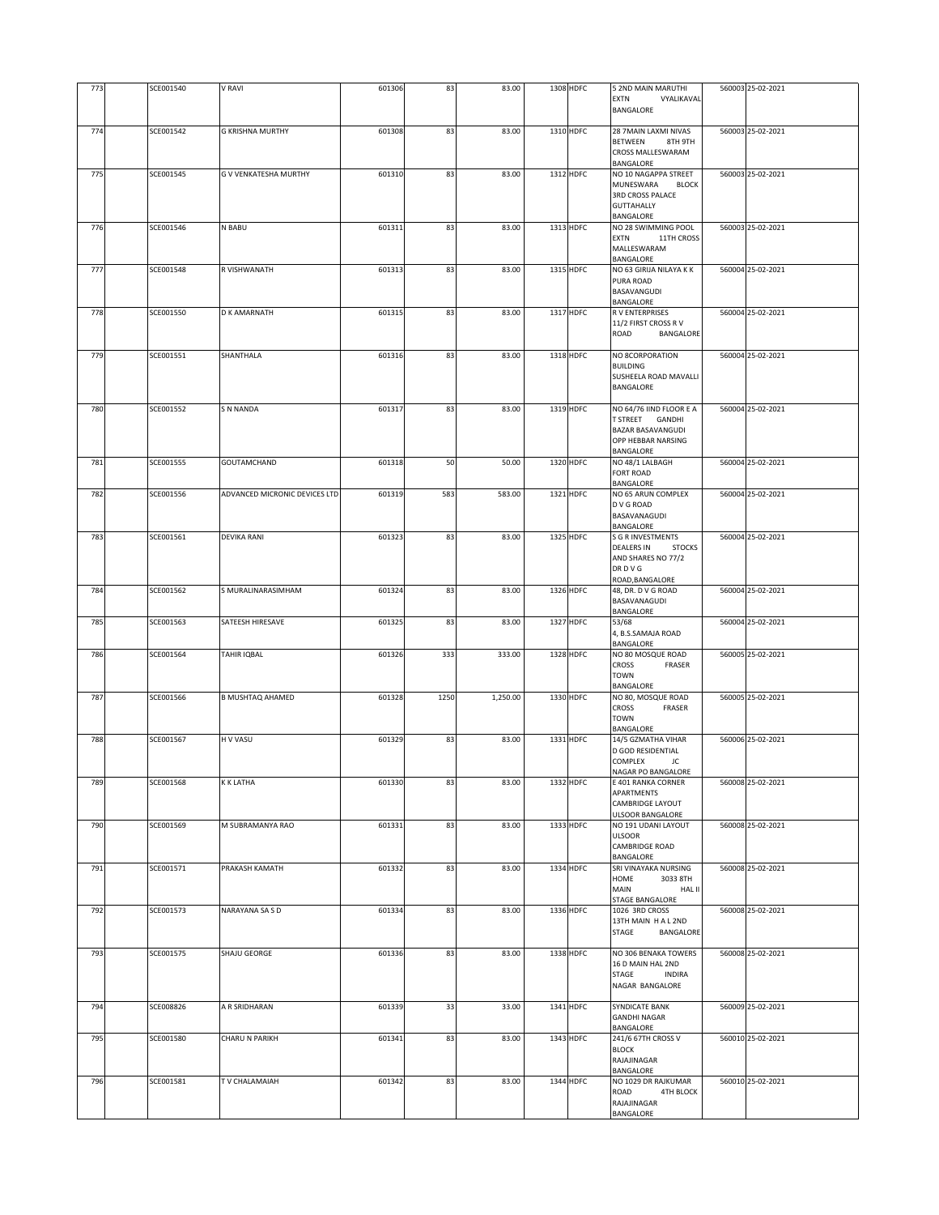| 773 | SCE001540 | V RAVI                        | 601306 | 83   | 83.00    | 1308 HDFC | 5 2ND MAIN MARUTHI<br>EXTN<br>VYALIKAVAL<br>BANGALORE                                                                 | 560003 25-02-2021 |
|-----|-----------|-------------------------------|--------|------|----------|-----------|-----------------------------------------------------------------------------------------------------------------------|-------------------|
|     |           |                               |        |      |          |           |                                                                                                                       |                   |
| 774 | SCE001542 | <b>G KRISHNA MURTHY</b>       | 601308 | 83   | 83.00    | 1310 HDFC | 28 7MAIN LAXMI NIVAS<br><b>BETWEEN</b><br>8TH 9TH<br>CROSS MALLESWARAM<br>BANGALORE                                   | 560003 25-02-2021 |
| 775 | SCE001545 | G V VENKATESHA MURTHY         | 601310 | 83   | 83.00    | 1312 HDFC | NO 10 NAGAPPA STREET<br><b>MUNESWARA</b><br><b>BLOCK</b><br><b>3RD CROSS PALACE</b><br><b>GUTTAHALLY</b><br>BANGALORE | 560003 25-02-2021 |
| 776 | SCE001546 | N BABU                        | 601311 | 83   | 83.00    | 1313 HDFC | NO 28 SWIMMING POOL<br><b>EXTN</b><br>11TH CROSS<br>MALLESWARAM<br>BANGALORE                                          | 560003 25-02-2021 |
| 777 | SCE001548 | R VISHWANATH                  | 601313 | 83   | 83.00    | 1315 HDFC | NO 63 GIRIJA NILAYA K K<br>PURA ROAD<br>BASAVANGUDI<br>BANGALORE                                                      | 560004 25-02-2021 |
| 778 | SCE001550 | D K AMARNATH                  | 601315 | 83   | 83.00    | 1317 HDFC | R V ENTERPRISES<br>11/2 FIRST CROSS RV<br>ROAD<br>BANGALORE                                                           | 560004 25-02-2021 |
| 779 | SCE001551 | SHANTHALA                     | 601316 | 83   | 83.00    | 1318 HDFC | NO 8CORPORATION<br><b>BUILDING</b><br>SUSHEELA ROAD MAVALLI<br>BANGALORE                                              | 560004 25-02-2021 |
| 780 | SCE001552 | <b>S N NANDA</b>              | 601317 | 83   | 83.00    | 1319 HDFC | NO 64/76 IIND FLOOR E A<br>T STREET GANDHI<br><b>BAZAR BASAVANGUDI</b><br>OPP HEBBAR NARSING<br>BANGALORE             | 560004 25-02-2021 |
| 781 | SCE001555 | GOUTAMCHAND                   | 601318 | 50   | 50.00    | 1320 HDFC | NO 48/1 LALBAGH<br>FORT ROAD<br>BANGALORE                                                                             | 560004 25-02-2021 |
| 782 | SCE001556 | ADVANCED MICRONIC DEVICES LTD | 601319 | 583  | 583.00   | 1321 HDFC | NO 65 ARUN COMPLEX<br>D V G ROAD<br>BASAVANAGUDI<br>BANGALORE                                                         | 560004 25-02-2021 |
| 783 | SCE001561 | <b>DEVIKA RANI</b>            | 601323 | 83   | 83.00    | 1325 HDFC | <b>S G R INVESTMENTS</b><br><b>DEALERS IN</b><br><b>STOCKS</b><br>AND SHARES NO 77/2<br>DR D V G<br>ROAD, BANGALORE   | 560004 25-02-2021 |
| 784 | SCE001562 | S MURALINARASIMHAM            | 601324 | 83   | 83.00    | 1326 HDFC | 48, DR. D V G ROAD<br>BASAVANAGUDI<br>BANGALORE                                                                       | 560004 25-02-2021 |
| 785 | SCE001563 | SATEESH HIRESAVE              | 601325 | 83   | 83.00    | 1327 HDFC | 53/68<br>4, B.S.SAMAJA ROAD<br>BANGALORE                                                                              | 560004 25-02-2021 |
| 786 | SCE001564 | TAHIR IQBAL                   | 601326 | 333  | 333.00   | 1328 HDFC | NO 80 MOSQUE ROAD<br><b>CROSS</b><br>FRASER<br><b>TOWN</b><br>BANGALORE                                               | 560005 25-02-2021 |
| 787 | SCE001566 | <b>B MUSHTAQ AHAMED</b>       | 601328 | 1250 | 1,250.00 | 1330 HDFC | NO 80, MOSQUE ROAD<br>CROSS<br>FRASER<br><b>TOWN</b><br>BANGALORE                                                     | 560005 25-02-2021 |
| 788 | SCE001567 | H V VASU                      | 601329 | 83   | 83.00    | 1331 HDFC | 14/5 GZMATHA VIHAR<br>D GOD RESIDENTIAL<br>COMPLEX<br>JC<br>NAGAR PO BANGALORE                                        | 560006 25-02-2021 |
| 789 | SCE001568 | K K LATHA                     | 601330 | 83   | 83.00    | 1332 HDFC | E 401 RANKA CORNER<br>APARTMENTS<br>CAMBRIDGE LAYOUT<br><b>ULSOOR BANGALORE</b>                                       | 560008 25-02-2021 |
| 790 | SCE001569 | M SUBRAMANYA RAO              | 601331 | 83   | 83.00    | 1333 HDFC | NO 191 UDANI LAYOUT<br><b>ULSOOR</b><br>CAMBRIDGE ROAD<br>BANGALORE                                                   | 560008 25-02-2021 |
| 791 | SCE001571 | PRAKASH KAMATH                | 601332 | 83   | 83.00    | 1334 HDFC | SRI VINAYAKA NURSING<br>HOME<br>3033 8TH<br>MAIN<br>HAL II<br>STAGE BANGALORE                                         | 560008 25-02-2021 |
| 792 | SCE001573 | NARAYANA SA S D               | 601334 | 83   | 83.00    | 1336 HDFC | 1026 3RD CROSS<br>13TH MAIN HAL2ND<br>STAGE<br>BANGALORE                                                              | 560008 25-02-2021 |
| 793 | SCE001575 | SHAJU GEORGE                  | 601336 | 83   | 83.00    | 1338 HDFC | NO 306 BENAKA TOWERS<br>16 D MAIN HAL 2ND<br>STAGE<br><b>INDIRA</b><br>NAGAR BANGALORE                                | 560008 25-02-2021 |
| 794 | SCE008826 | A R SRIDHARAN                 | 601339 | 33   | 33.00    | 1341 HDFC | SYNDICATE BANK<br><b>GANDHI NAGAR</b><br>BANGALORE                                                                    | 560009 25-02-2021 |
| 795 | SCE001580 | CHARU N PARIKH                | 601341 | 83   | 83.00    | 1343 HDFC | 241/6 67TH CROSS V<br><b>BLOCK</b><br>RAJAJINAGAR<br>BANGALORE                                                        | 560010 25-02-2021 |
| 796 | SCE001581 | TV CHALAMAIAH                 | 601342 | 83   | 83.00    | 1344 HDFC | NO 1029 DR RAJKUMAR<br>ROAD<br>4TH BLOCK<br>RAJAJINAGAR<br>BANGALORE                                                  | 560010 25-02-2021 |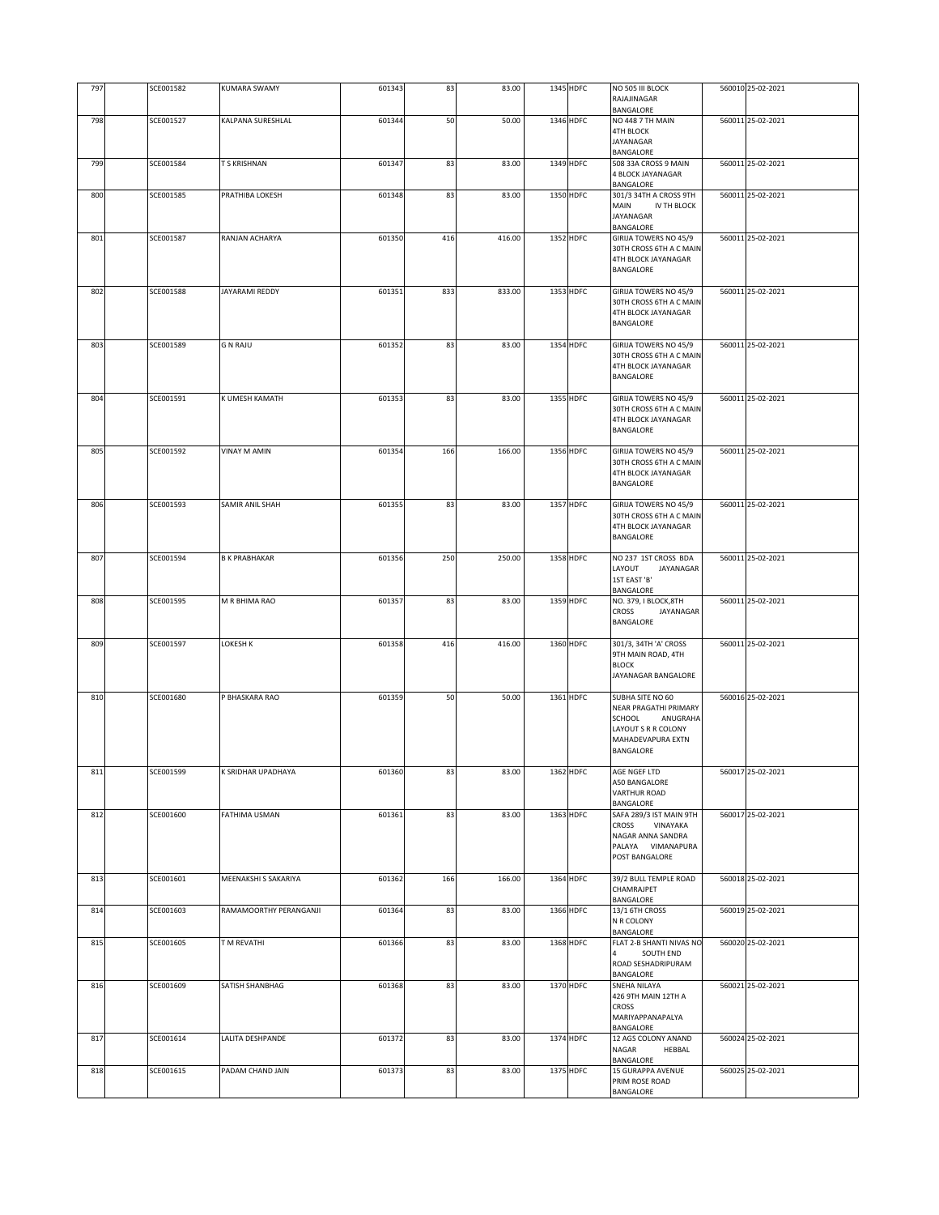| 797 |           |                        |        |     |        |           |                                                  |                   |
|-----|-----------|------------------------|--------|-----|--------|-----------|--------------------------------------------------|-------------------|
|     | SCE001582 | <b>KUMARA SWAMY</b>    | 601343 | 83  | 83.00  | 1345 HDFC | NO 505 III BLOCK<br>RAJAJINAGAR                  | 560010 25-02-2021 |
| 798 | SCE001527 | KALPANA SURESHLAL      | 601344 | 50  | 50.00  | 1346 HDFC | BANGALORE<br>NO 448 7 TH MAIN                    | 560011 25-02-2021 |
|     |           |                        |        |     |        |           | <b>4TH BLOCK</b>                                 |                   |
|     |           |                        |        |     |        |           | JAYANAGAR<br>BANGALORE                           |                   |
| 799 | SCE001584 | T S KRISHNAN           | 601347 | 83  | 83.00  | 1349 HDFC | 508 33A CROSS 9 MAIN                             | 560011 25-02-2021 |
|     |           |                        |        |     |        |           | 4 BLOCK JAYANAGAR<br>BANGALORE                   |                   |
| 800 | SCE001585 | PRATHIBA LOKESH        | 601348 | 83  | 83.00  | 1350 HDFC | 301/3 34TH A CROSS 9TH                           | 560011 25-02-2021 |
|     |           |                        |        |     |        |           | MAIN<br>IV TH BLOCK<br>JAYANAGAR                 |                   |
|     |           |                        |        |     |        |           | BANGALORE                                        |                   |
| 801 | SCE001587 | RANJAN ACHARYA         | 601350 | 416 | 416.00 | 1352 HDFC | GIRIJA TOWERS NO 45/9                            | 560011 25-02-2021 |
|     |           |                        |        |     |        |           | 30TH CROSS 6TH A C MAIN<br>4TH BLOCK JAYANAGAR   |                   |
|     |           |                        |        |     |        |           | <b>BANGALORE</b>                                 |                   |
|     |           |                        |        |     |        |           |                                                  |                   |
| 802 | SCE001588 | <b>JAYARAMI REDDY</b>  | 601351 | 833 | 833.00 | 1353 HDFC | GIRIJA TOWERS NO 45/9<br>30TH CROSS 6TH A C MAIN | 560011 25-02-2021 |
|     |           |                        |        |     |        |           | 4TH BLOCK JAYANAGAR                              |                   |
|     |           |                        |        |     |        |           | BANGALORE                                        |                   |
| 803 | SCE001589 | <b>G N RAJU</b>        | 601352 | 83  | 83.00  | 1354 HDFC | GIRIJA TOWERS NO 45/9                            | 560011 25-02-2021 |
|     |           |                        |        |     |        |           | 30TH CROSS 6TH A C MAIN                          |                   |
|     |           |                        |        |     |        |           | 4TH BLOCK JAYANAGAR                              |                   |
|     |           |                        |        |     |        |           | BANGALORE                                        |                   |
| 804 | SCE001591 | K UMESH KAMATH         | 601353 | 83  | 83.00  | 1355 HDFC | GIRIJA TOWERS NO 45/9                            | 560011 25-02-2021 |
|     |           |                        |        |     |        |           | 30TH CROSS 6TH A C MAIN                          |                   |
|     |           |                        |        |     |        |           | 4TH BLOCK JAYANAGAR<br><b>BANGALORE</b>          |                   |
|     |           |                        |        |     |        |           |                                                  |                   |
| 805 | SCE001592 | <b>VINAY M AMIN</b>    | 601354 | 166 | 166.00 | 1356 HDFC | GIRIJA TOWERS NO 45/9                            | 560011 25-02-2021 |
|     |           |                        |        |     |        |           | 30TH CROSS 6TH A C MAIN<br>4TH BLOCK JAYANAGAR   |                   |
|     |           |                        |        |     |        |           | BANGALORE                                        |                   |
|     |           |                        |        |     |        |           |                                                  |                   |
| 806 | SCE001593 | SAMIR ANIL SHAH        | 601355 | 83  | 83.00  | 1357 HDFC | GIRIJA TOWERS NO 45/9<br>30TH CROSS 6TH A C MAIN | 560011 25-02-2021 |
|     |           |                        |        |     |        |           | 4TH BLOCK JAYANAGAR                              |                   |
|     |           |                        |        |     |        |           | BANGALORE                                        |                   |
| 807 | SCE001594 | <b>B K PRABHAKAR</b>   | 601356 | 250 | 250.00 | 1358 HDFC | NO 237 1ST CROSS BDA                             | 560011 25-02-2021 |
|     |           |                        |        |     |        |           | LAYOUT<br>JAYANAGAR                              |                   |
|     |           |                        |        |     |        |           | 1ST EAST 'B'                                     |                   |
| 808 | SCE001595 | M R BHIMA RAO          | 601357 | 83  | 83.00  | 1359 HDFC | BANGALORE<br>NO. 379, I BLOCK, 8TH               | 560011 25-02-2021 |
|     |           |                        |        |     |        |           | <b>CROSS</b><br>JAYANAGAR                        |                   |
|     |           |                        |        |     |        |           | BANGALORE                                        |                   |
| 809 | SCE001597 | LOKESH K               | 601358 | 416 | 416.00 | 1360 HDFC | 301/3, 34TH 'A' CROSS                            | 560011 25-02-2021 |
|     |           |                        |        |     |        |           |                                                  |                   |
|     |           |                        |        |     |        |           | 9TH MAIN ROAD, 4TH                               |                   |
|     |           |                        |        |     |        |           | <b>BLOCK</b>                                     |                   |
|     |           |                        |        |     |        |           | JAYANAGAR BANGALORE                              |                   |
| 810 | SCE001680 | P BHASKARA RAO         | 601359 | 50  | 50.00  | 1361 HDFC | SUBHA SITE NO 60                                 | 560016 25-02-2021 |
|     |           |                        |        |     |        |           | NEAR PRAGATHI PRIMARY                            |                   |
|     |           |                        |        |     |        |           | SCHOOL<br>ANUGRAHA                               |                   |
|     |           |                        |        |     |        |           | LAYOUT S R R COLONY<br>MAHADEVAPURA EXTN         |                   |
|     |           |                        |        |     |        |           | BANGALORE                                        |                   |
|     |           |                        |        |     |        |           |                                                  |                   |
| 811 | SCE001599 | K SRIDHAR UPADHAYA     | 601360 | 83  | 83.00  | 1362 HDFC | AGE NGEF LTD<br>A50 BANGALORE                    | 560017 25-02-2021 |
|     |           |                        |        |     |        |           | <b>VARTHUR ROAD</b>                              |                   |
|     | SCE001600 | <b>FATHIMA USMAN</b>   | 601361 | 83  | 83.00  | 1363 HDFC | BANGALORE<br>SAFA 289/3 IST MAIN 9TH             | 560017 25-02-2021 |
| 812 |           |                        |        |     |        |           | CROSS<br>VINAYAKA                                |                   |
|     |           |                        |        |     |        |           | NAGAR ANNA SANDRA                                |                   |
|     |           |                        |        |     |        |           | PALAYA VIMANAPURA<br>POST BANGALORE              |                   |
|     |           |                        |        |     |        |           |                                                  |                   |
| 813 | SCE001601 | MEENAKSHI S SAKARIYA   | 601362 | 166 | 166.00 | 1364 HDFC | 39/2 BULL TEMPLE ROAD                            | 560018 25-02-2021 |
|     |           |                        |        |     |        |           | CHAMRAJPET<br>BANGALORE                          |                   |
| 814 | SCE001603 | RAMAMOORTHY PERANGANJI | 601364 | 83  | 83.00  | 1366 HDFC | 13/1 6TH CROSS                                   | 560019 25-02-2021 |
|     |           |                        |        |     |        |           | N R COLONY                                       |                   |
| 815 | SCE001605 | T M REVATHI            | 601366 | 83  | 83.00  | 1368 HDFC | BANGALORE<br>FLAT 2-B SHANTI NIVAS NO            | 560020 25-02-2021 |
|     |           |                        |        |     |        |           | SOUTH END                                        |                   |
|     |           |                        |        |     |        |           | ROAD SESHADRIPURAM                               |                   |
| 816 | SCE001609 | SATISH SHANBHAG        | 601368 | 83  | 83.00  | 1370 HDFC | BANGALORE<br>SNEHA NILAYA                        | 560021 25-02-2021 |
|     |           |                        |        |     |        |           | 426 9TH MAIN 12TH A                              |                   |
|     |           |                        |        |     |        |           | <b>CROSS</b>                                     |                   |
|     |           |                        |        |     |        |           | MARIYAPPANAPALYA<br>BANGALORE                    |                   |
| 817 | SCE001614 | LALITA DESHPANDE       | 601372 | 83  | 83.00  | 1374 HDFC | 12 AGS COLONY ANAND                              | 560024 25-02-2021 |
|     |           |                        |        |     |        |           | NAGAR<br>HEBBAL                                  |                   |
| 818 | SCE001615 | PADAM CHAND JAIN       | 601373 | 83  | 83.00  | 1375 HDFC | BANGALORE<br>15 GURAPPA AVENUE                   | 560025 25-02-2021 |
|     |           |                        |        |     |        |           | PRIM ROSE ROAD<br>BANGALORE                      |                   |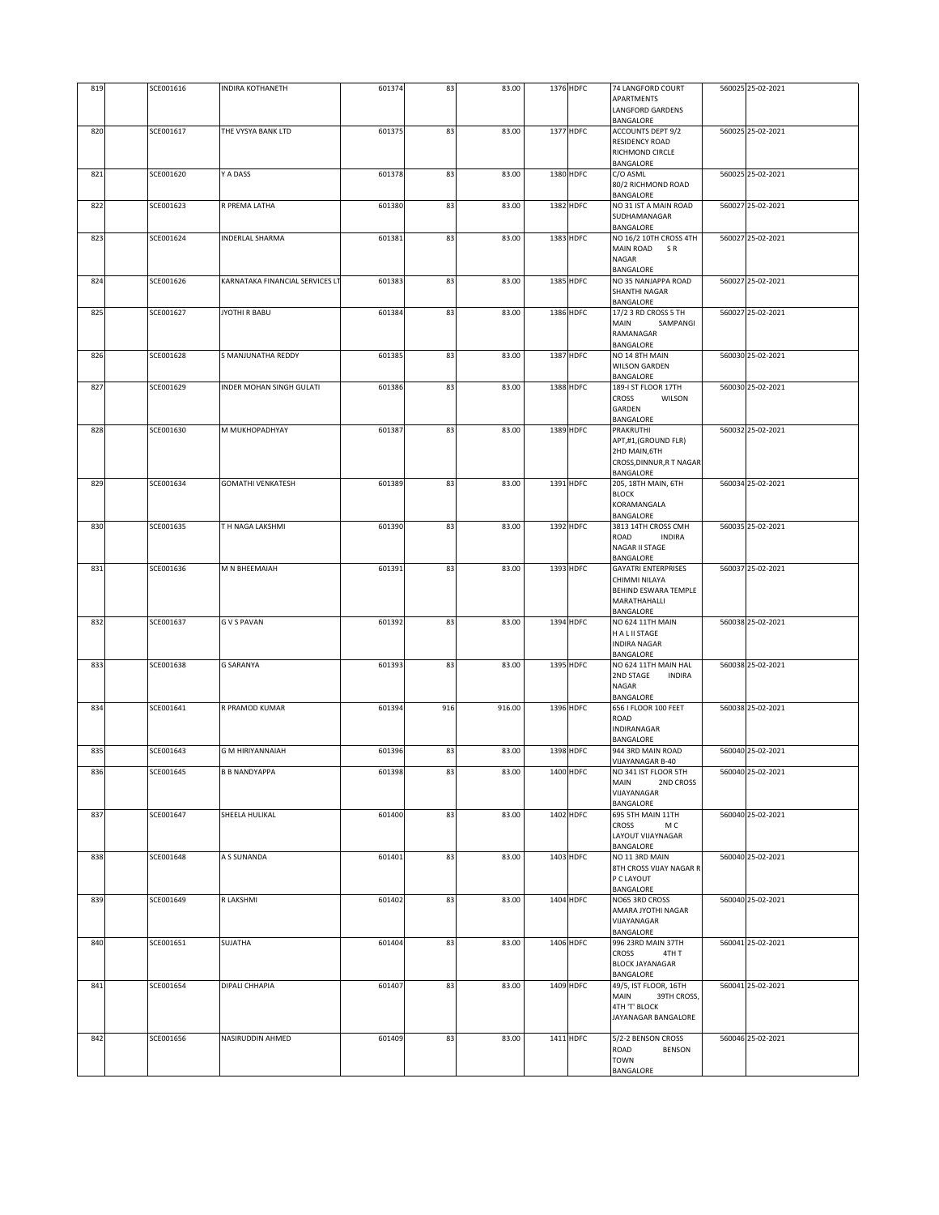| 819 | SCE001616 | INDIRA KOTHANETH                | 601374 | 83  | 83.00  | 1376 HDFC | 74 LANGFORD COURT<br>APARTMENTS                     | 560025 25-02-2021 |
|-----|-----------|---------------------------------|--------|-----|--------|-----------|-----------------------------------------------------|-------------------|
|     |           |                                 |        |     |        |           | LANGFORD GARDENS<br>BANGALORE                       |                   |
| 820 | SCE001617 | THE VYSYA BANK LTD              | 601375 | 83  | 83.00  | 1377 HDFC | <b>ACCOUNTS DEPT 9/2</b>                            | 560025 25-02-2021 |
|     |           |                                 |        |     |        |           | RESIDENCY ROAD<br>RICHMOND CIRCLE<br>BANGALORE      |                   |
| 821 | SCE001620 | Y A DASS                        | 601378 | 83  | 83.00  | 1380 HDFC | C/O ASML<br>80/2 RICHMOND ROAD<br>BANGALORE         | 560025 25-02-2021 |
| 822 | SCE001623 | R PREMA LATHA                   | 601380 | 83  | 83.00  | 1382 HDFC | NO 31 IST A MAIN ROAD<br>SUDHAMANAGAR<br>BANGALORE  | 560027 25-02-2021 |
| 823 | SCE001624 | <b>INDERLAL SHARMA</b>          | 601381 | 83  | 83.00  | 1383 HDFC | NO 16/2 10TH CROSS 4TH                              | 560027 25-02-2021 |
|     |           |                                 |        |     |        |           | MAIN ROAD SR<br>NAGAR                               |                   |
|     |           |                                 |        |     |        |           | BANGALORE                                           |                   |
| 824 | SCE001626 | KARNATAKA FINANCIAL SERVICES LT | 601383 | 83  | 83.00  | 1385 HDFC | NO 35 NANJAPPA ROAD<br>SHANTHI NAGAR<br>BANGALORE   | 560027 25-02-2021 |
| 825 | SCE001627 | JYOTHI R BABU                   | 601384 | 83  | 83.00  | 1386 HDFC | 17/2 3 RD CROSS 5 TH                                | 560027 25-02-2021 |
|     |           |                                 |        |     |        |           | MAIN<br>SAMPANGI<br>RAMANAGAR<br>BANGALORE          |                   |
| 826 | SCE001628 | S MANJUNATHA REDDY              | 601385 | 83  | 83.00  | 1387 HDFC | NO 14 8TH MAIN<br><b>WILSON GARDEN</b><br>BANGALORE | 560030 25-02-2021 |
| 827 | SCE001629 | INDER MOHAN SINGH GULATI        | 601386 | 83  | 83.00  | 1388 HDFC | 189-I ST FLOOR 17TH                                 | 560030 25-02-2021 |
|     |           |                                 |        |     |        |           | CROSS<br>WILSON<br>GARDEN<br>BANGALORE              |                   |
| 828 | SCE001630 | M MUKHOPADHYAY                  | 601387 | 83  | 83.00  | 1389 HDFC | PRAKRUTHI                                           | 560032 25-02-2021 |
|     |           |                                 |        |     |        |           | APT,#1,(GROUND FLR)<br>2HD MAIN, 6TH                |                   |
|     |           |                                 |        |     |        |           | CROSS, DINNUR, R T NAGAR                            |                   |
| 829 | SCE001634 | <b>GOMATHI VENKATESH</b>        | 601389 | 83  | 83.00  | 1391 HDFC | BANGALORE<br>205, 18TH MAIN, 6TH                    | 560034 25-02-2021 |
|     |           |                                 |        |     |        |           | <b>BLOCK</b>                                        |                   |
|     |           |                                 |        |     |        |           | KORAMANGALA<br>BANGALORE                            |                   |
| 830 | SCE001635 | T H NAGA LAKSHMI                | 601390 | 83  | 83.00  | 1392 HDFC | 3813 14TH CROSS CMH                                 | 560035 25-02-2021 |
|     |           |                                 |        |     |        |           | ROAD<br><b>INDIRA</b><br>NAGAR II STAGE             |                   |
|     |           |                                 |        |     |        |           | BANGALORE                                           |                   |
| 831 | SCE001636 | M N BHEEMAIAH                   | 601391 | 83  | 83.00  | 1393 HDFC | <b>GAYATRI ENTERPRISES</b><br>CHIMMI NILAYA         | 560037 25-02-2021 |
|     |           |                                 |        |     |        |           | BEHIND ESWARA TEMPLE                                |                   |
|     |           |                                 |        |     |        |           | MARATHAHALLI<br>BANGALORE                           |                   |
| 832 | SCE001637 | <b>GVS PAVAN</b>                | 601392 | 83  | 83.00  | 1394 HDFC | NO 624 11TH MAIN<br>H A L II STAGE                  | 560038 25-02-2021 |
|     |           |                                 |        |     |        |           | <b>INDIRA NAGAR</b><br>BANGALORE                    |                   |
| 833 | SCE001638 | <b>G SARANYA</b>                | 601393 | 83  | 83.00  | 1395 HDFC | NO 624 11TH MAIN HAL                                | 560038 25-02-2021 |
|     |           |                                 |        |     |        |           | 2ND STAGE<br><b>INDIRA</b><br>NAGAR                 |                   |
|     |           |                                 |        |     |        |           | BANGALORE                                           |                   |
| 834 | SCE001641 | R PRAMOD KUMAR                  | 601394 | 916 | 916.00 | 1396 HDFC | 656   FLOOR 100 FEET<br>ROAD                        | 560038 25-02-2021 |
|     |           |                                 |        |     |        |           | INDIRANAGAR                                         |                   |
| 835 | SCE001643 | <b>G M HIRIYANNAIAH</b>         | 601396 | 83  | 83.00  | 1398 HDFC | BANGALORE<br>944 3RD MAIN ROAD                      | 560040 25-02-2021 |
|     |           |                                 |        | 83  | 83.00  | 1400 HDFC | VIJAYANAGAR B-40                                    |                   |
| 836 | SCE001645 | B B NANDYAPPA                   | 601398 |     |        |           | NO 341 IST FLOOR 5TH<br>MAIN<br>2ND CROSS           | 560040 25-02-2021 |
|     |           |                                 |        |     |        |           | VIJAYANAGAR<br>BANGALORE                            |                   |
| 837 | SCE001647 | SHEELA HULIKAL                  | 601400 | 83  | 83.00  | 1402 HDFC | 695 5TH MAIN 11TH                                   | 560040 25-02-2021 |
|     |           |                                 |        |     |        |           | CROSS<br>M C<br>LAYOUT VIJAYNAGAR                   |                   |
|     |           |                                 |        |     |        |           | BANGALORE                                           |                   |
| 838 | SCE001648 | A S SUNANDA                     | 601401 | 83  | 83.00  | 1403 HDFC | NO 11 3RD MAIN<br>8TH CROSS VIJAY NAGAR R           | 560040 25-02-2021 |
|     |           |                                 |        |     |        |           | P C LAYOUT<br>BANGALORE                             |                   |
| 839 | SCE001649 | <b>R LAKSHMI</b>                | 601402 | 83  | 83.00  | 1404 HDFC | NO65 3RD CROSS                                      | 560040 25-02-2021 |
|     |           |                                 |        |     |        |           | AMARA JYOTHI NAGAR<br>VIJAYANAGAR                   |                   |
|     |           |                                 |        |     |        |           | BANGALORE                                           |                   |
| 840 | SCE001651 | SUJATHA                         | 601404 | 83  | 83.00  | 1406 HDFC | 996 23RD MAIN 37TH<br><b>CROSS</b><br>4TH T         | 560041 25-02-2021 |
|     |           |                                 |        |     |        |           | <b>BLOCK JAYANAGAR</b>                              |                   |
| 841 | SCE001654 | DIPALI CHHAPIA                  | 601407 | 83  | 83.00  | 1409 HDFC | BANGALORE<br>49/5, IST FLOOR, 16TH                  | 560041 25-02-2021 |
|     |           |                                 |        |     |        |           | MAIN<br>39TH CROSS,                                 |                   |
|     |           |                                 |        |     |        |           | 4TH 'T' BLOCK<br>JAYANAGAR BANGALORE                |                   |
|     |           |                                 |        |     |        |           |                                                     |                   |
| 842 | SCE001656 | NASIRUDDIN AHMED                | 601409 | 83  | 83.00  | 1411 HDFC | 5/2-2 BENSON CROSS<br>ROAD<br>BENSON                | 560046 25-02-2021 |
|     |           |                                 |        |     |        |           | <b>TOWN</b>                                         |                   |
|     |           |                                 |        |     |        |           | BANGALORE                                           |                   |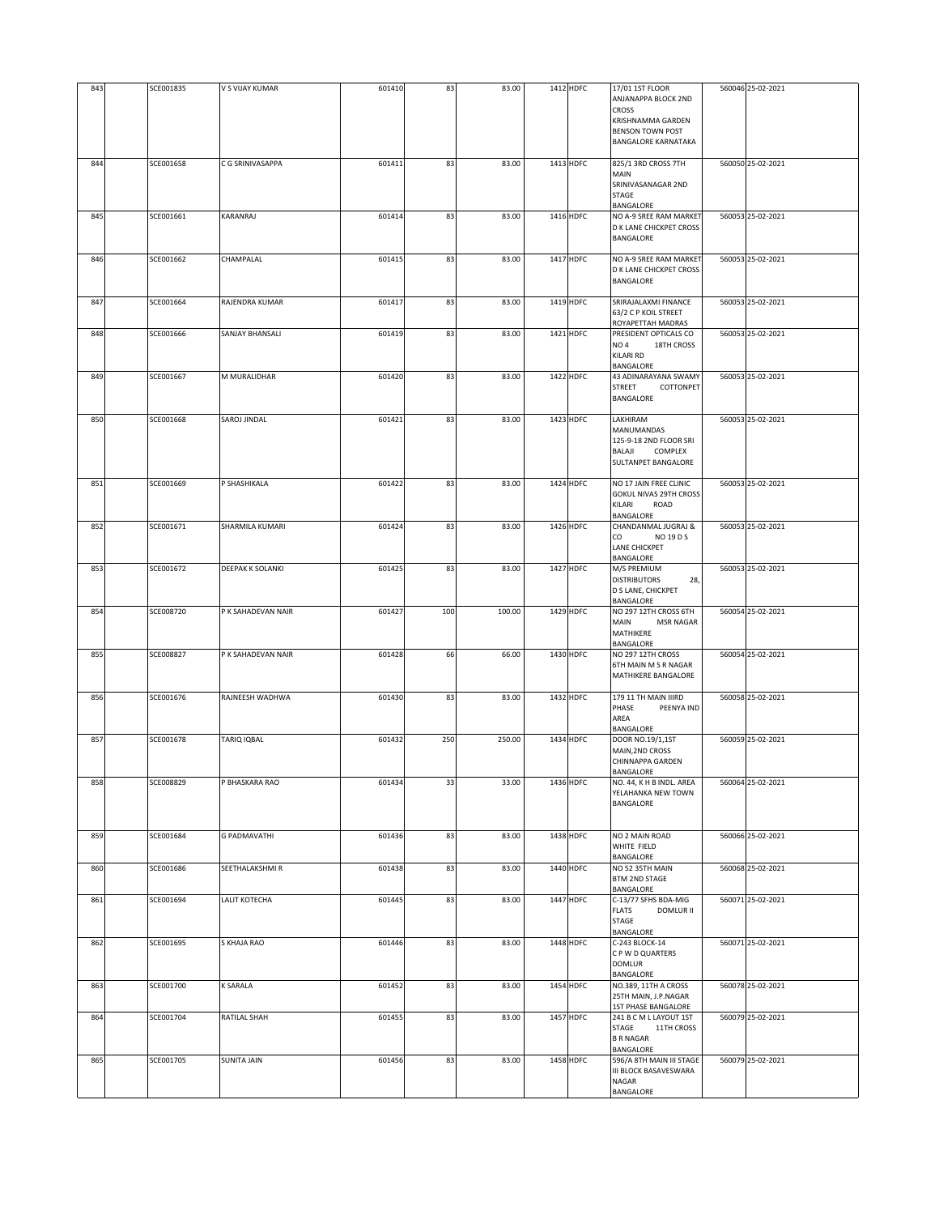| 843 | SCE001835 | V S VIJAY KUMAR         | 601410 | 83  | 83.00  | 1412 HDFC | 17/01 1ST FLOOR                                          | 560046 25-02-2021 |
|-----|-----------|-------------------------|--------|-----|--------|-----------|----------------------------------------------------------|-------------------|
|     |           |                         |        |     |        |           | ANJANAPPA BLOCK 2ND                                      |                   |
|     |           |                         |        |     |        |           | CROSS                                                    |                   |
|     |           |                         |        |     |        |           | KRISHNAMMA GARDEN<br><b>BENSON TOWN POST</b>             |                   |
|     |           |                         |        |     |        |           | <b>BANGALORE KARNATAKA</b>                               |                   |
|     |           |                         |        |     |        |           |                                                          |                   |
| 844 | SCE001658 | C G SRINIVASAPPA        | 601411 | 83  | 83.00  | 1413 HDFC | 825/1 3RD CROSS 7TH                                      | 560050 25-02-2021 |
|     |           |                         |        |     |        |           | MAIN                                                     |                   |
|     |           |                         |        |     |        |           | SRINIVASANAGAR 2ND<br>STAGE                              |                   |
|     |           |                         |        |     |        |           | BANGALORE                                                |                   |
| 845 | SCE001661 | KARANRAJ                | 601414 | 83  | 83.00  | 1416 HDFC | NO A-9 SREE RAM MARKET                                   | 560053 25-02-2021 |
|     |           |                         |        |     |        |           | D K LANE CHICKPET CROSS                                  |                   |
|     |           |                         |        |     |        |           | <b>BANGALORE</b>                                         |                   |
| 846 | SCE001662 | CHAMPALAL               | 601415 | 83  | 83.00  | 1417 HDFC | NO A-9 SREE RAM MARKET                                   | 560053 25-02-2021 |
|     |           |                         |        |     |        |           | D K LANE CHICKPET CROSS                                  |                   |
|     |           |                         |        |     |        |           | BANGALORE                                                |                   |
|     |           |                         |        |     |        |           |                                                          |                   |
| 847 | SCE001664 | RAJENDRA KUMAR          | 601417 | 83  | 83.00  | 1419 HDFC | SRIRAJALAXMI FINANCE                                     | 560053 25-02-2021 |
|     |           |                         |        |     |        |           | 63/2 C P KOIL STREET<br>ROYAPETTAH MADRAS                |                   |
| 848 | SCE001666 | SANJAY BHANSALI         | 601419 | 83  | 83.00  | 1421 HDFC | PRESIDENT OPTICALS CO                                    | 560053 25-02-2021 |
|     |           |                         |        |     |        |           | NO <sub>4</sub><br>18TH CROSS                            |                   |
|     |           |                         |        |     |        |           | <b>KILARI RD</b>                                         |                   |
|     |           |                         |        |     |        |           | BANGALORE                                                |                   |
| 849 | SCE001667 | M MURALIDHAR            | 601420 | 83  | 83.00  | 1422 HDFC | 43 ADINARAYANA SWAMY<br><b>STREET</b><br>COTTONPET       | 560053 25-02-2021 |
|     |           |                         |        |     |        |           | BANGALORE                                                |                   |
|     |           |                         |        |     |        |           |                                                          |                   |
| 850 | SCE001668 | SAROJ JINDAL            | 601421 | 83  | 83.00  | 1423 HDFC | LAKHIRAM                                                 | 560053 25-02-2021 |
|     |           |                         |        |     |        |           | MANUMANDAS                                               |                   |
|     |           |                         |        |     |        |           | 125-9-18 2ND FLOOR SRI<br>BALAJI<br>COMPLEX              |                   |
|     |           |                         |        |     |        |           | SULTANPET BANGALORE                                      |                   |
|     |           |                         |        |     |        |           |                                                          |                   |
| 851 | SCE001669 | P SHASHIKALA            | 601422 | 83  | 83.00  | 1424 HDFC | NO 17 JAIN FREE CLINIC                                   | 560053 25-02-2021 |
|     |           |                         |        |     |        |           | <b>GOKUL NIVAS 29TH CROSS</b>                            |                   |
|     |           |                         |        |     |        |           | KILARI<br>ROAD<br>BANGALORE                              |                   |
| 852 | SCE001671 | SHARMILA KUMARI         | 601424 | 83  | 83.00  | 1426 HDFC | CHANDANMAL JUGRAJ &                                      | 560053 25-02-2021 |
|     |           |                         |        |     |        |           | CO<br>NO 19 D S                                          |                   |
|     |           |                         |        |     |        |           | LANE CHICKPET                                            |                   |
|     |           |                         |        |     |        | 1427 HDFC | BANGALORE                                                |                   |
| 853 | SCE001672 | <b>DEEPAK K SOLANKI</b> | 601425 | 83  | 83.00  |           | M/S PREMIUM<br><b>DISTRIBUTORS</b><br>28,                | 560053 25-02-2021 |
|     |           |                         |        |     |        |           | D S LANE, CHICKPET                                       |                   |
|     |           |                         |        |     |        |           | BANGALORE                                                |                   |
| 854 | SCE008720 | P K SAHADEVAN NAIR      | 601427 | 100 | 100.00 | 1429 HDFC | NO 297 12TH CROSS 6TH                                    | 560054 25-02-2021 |
|     |           |                         |        |     |        |           | MAIN<br><b>MSR NAGAR</b><br>MATHIKERE                    |                   |
|     |           |                         |        |     |        |           | BANGALORE                                                |                   |
| 855 | SCE008827 | P K SAHADEVAN NAIR      | 601428 | 66  | 66.00  | 1430 HDFC | NO 297 12TH CROSS                                        | 560054 25-02-2021 |
|     |           |                         |        |     |        |           | 6TH MAIN M S R NAGAR                                     |                   |
|     |           |                         |        |     |        |           | MATHIKERE BANGALORE                                      |                   |
| 856 | SCE001676 | RAJNEESH WADHWA         | 601430 | 83  | 83.00  | 1432 HDFC | 179 11 TH MAIN IIIRD                                     | 560058 25-02-2021 |
|     |           |                         |        |     |        |           | PHASE<br>PEENYA IND                                      |                   |
|     |           |                         |        |     |        |           | AREA                                                     |                   |
| 857 | SCE001678 | TARIQ IQBAL             | 601432 | 250 | 250.00 | 1434 HDFC | <b>BANGALORE</b><br>DOOR NO.19/1,1ST                     | 560059 25-02-2021 |
|     |           |                         |        |     |        |           | MAIN, 2ND CROSS                                          |                   |
|     |           |                         |        |     |        |           | CHINNAPPA GARDEN                                         |                   |
|     |           |                         |        |     |        |           | BANGALORE                                                |                   |
| 858 | SCE008829 | P BHASKARA RAO          | 601434 | 33  | 33.00  | 1436 HDFC | NO. 44, K H B INDL. AREA                                 | 560064 25-02-2021 |
|     |           |                         |        |     |        |           | YELAHANKA NEW TOWN<br>BANGALORE                          |                   |
|     |           |                         |        |     |        |           |                                                          |                   |
|     |           |                         |        |     |        |           |                                                          |                   |
| 859 | SCE001684 | <b>G PADMAVATHI</b>     | 601436 | 83  | 83.00  | 1438 HDFC | NO 2 MAIN ROAD                                           | 560066 25-02-2021 |
|     |           |                         |        |     |        |           | WHITE FIELD<br>BANGALORE                                 |                   |
| 860 | SCE001686 | SEETHALAKSHMI R         | 601438 | 83  | 83.00  | 1440 HDFC | NO 52 35TH MAIN                                          | 560068 25-02-2021 |
|     |           |                         |        |     |        |           | <b>BTM 2ND STAGE</b>                                     |                   |
|     |           |                         |        |     |        |           | <b>BANGALORE</b>                                         |                   |
| 861 | SCE001694 | LALIT KOTECHA           | 601445 | 83  | 83.00  | 1447 HDFC | C-13/77 SFHS BDA-MIG<br><b>FLATS</b><br><b>DOMLUR II</b> | 560071 25-02-2021 |
|     |           |                         |        |     |        |           | STAGE                                                    |                   |
|     |           |                         |        |     |        |           | BANGALORE                                                |                   |
| 862 | SCE001695 | S KHAJA RAO             | 601446 | 83  | 83.00  | 1448 HDFC | C-243 BLOCK-14                                           | 560071 25-02-2021 |
|     |           |                         |        |     |        |           | C P W D QUARTERS                                         |                   |
|     |           |                         |        |     |        |           | <b>DOMLUR</b><br>BANGALORE                               |                   |
| 863 | SCE001700 | <b>K SARALA</b>         | 601452 | 83  | 83.00  | 1454 HDFC | NO.389, 11TH A CROSS                                     | 560078 25-02-2021 |
|     |           |                         |        |     |        |           | 25TH MAIN, J.P.NAGAR                                     |                   |
| 864 | SCE001704 | RATILAL SHAH            | 601455 | 83  | 83.00  | 1457 HDFC | <b>1ST PHASE BANGALORE</b><br>241 B C M L LAYOUT 1ST     | 560079 25-02-2021 |
|     |           |                         |        |     |        |           | STAGE<br>11TH CROSS                                      |                   |
|     |           |                         |        |     |        |           | <b>B R NAGAR</b>                                         |                   |
|     |           |                         |        |     |        |           | BANGALORE                                                |                   |
| 865 | SCE001705 | <b>SUNITA JAIN</b>      | 601456 | 83  | 83.00  | 1458 HDFC | 596/A 8TH MAIN III STAGE                                 | 560079 25-02-2021 |
|     |           |                         |        |     |        |           | III BLOCK BASAVESWARA<br>NAGAR                           |                   |
|     |           |                         |        |     |        |           | BANGALORE                                                |                   |
|     |           |                         |        |     |        |           |                                                          |                   |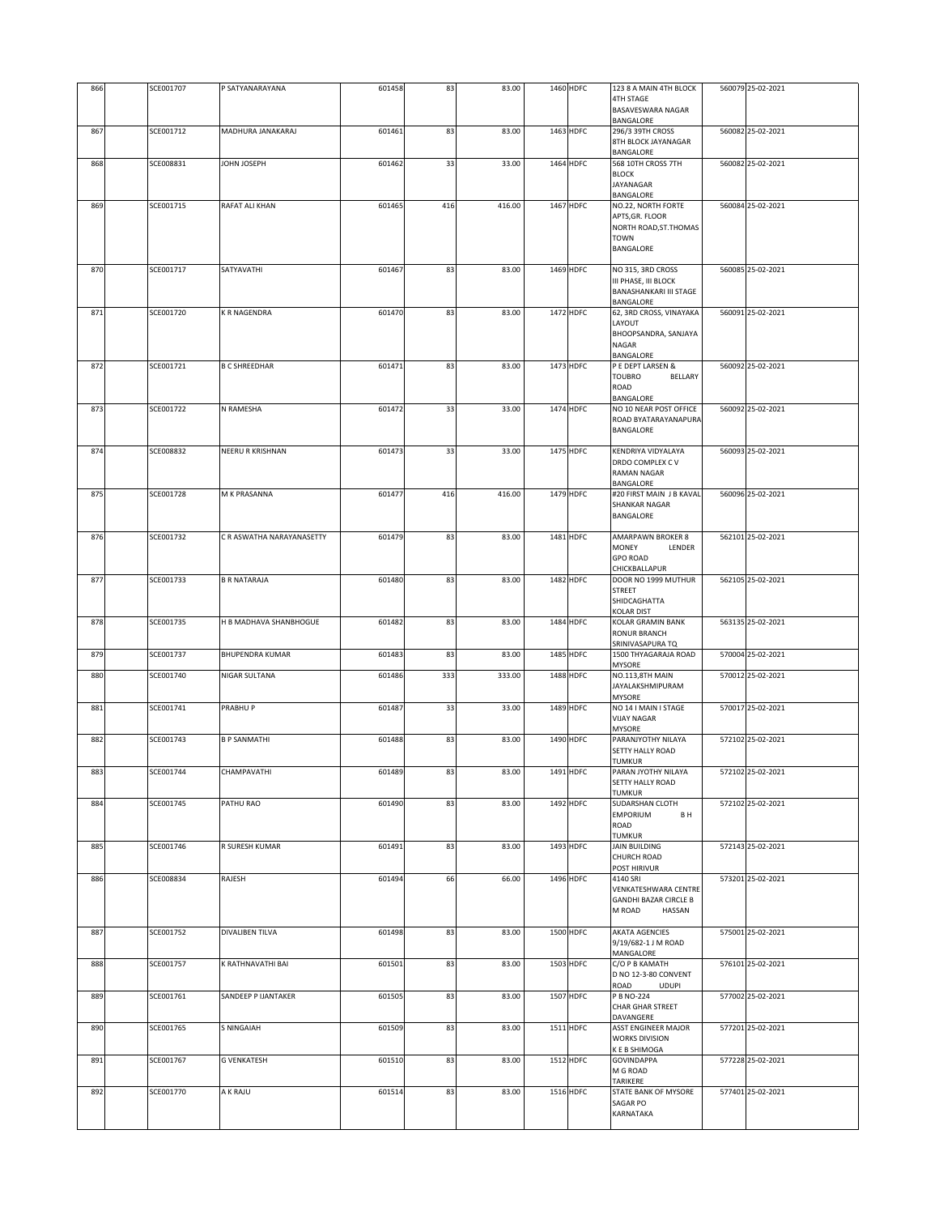| 867 | SCE001712 |                           |        |     |        |           | BANGALORE                                                                              |                   |
|-----|-----------|---------------------------|--------|-----|--------|-----------|----------------------------------------------------------------------------------------|-------------------|
|     |           | MADHURA JANAKARAJ         | 601461 | 83  | 83.00  | 1463 HDFC | 296/3 39TH CROSS<br>8TH BLOCK JAYANAGAR<br>BANGALORE                                   | 560082 25-02-2021 |
| 868 | SCE008831 | <b>HA3SOL NHOL</b>        | 601462 | 33  | 33.00  | 1464 HDFC | 568 10TH CROSS 7TH<br><b>BLOCK</b><br>JAYANAGAR<br><b>BANGALORE</b>                    | 560082 25-02-2021 |
| 869 | SCE001715 | RAFAT ALI KHAN            | 601465 | 416 | 416.00 | 1467 HDFC | NO.22, NORTH FORTE<br>APTS, GR. FLOOR                                                  | 560084 25-02-2021 |
|     |           |                           |        |     |        |           | NORTH ROAD, ST. THOMAS<br><b>TOWN</b><br>BANGALORE                                     |                   |
| 870 | SCE001717 | SATYAVATHI                | 601467 | 83  | 83.00  | 1469 HDFC | NO 315, 3RD CROSS<br>III PHASE, III BLOCK                                              | 560085 25-02-2021 |
|     |           |                           |        |     |        |           | <b>BANASHANKARI III STAGE</b><br>BANGALORE                                             |                   |
| 871 | SCE001720 | K R NAGENDRA              | 601470 | 83  | 83.00  | 1472 HDFC | 62, 3RD CROSS, VINAYAKA<br>LAYOUT                                                      | 560091 25-02-2021 |
|     |           |                           |        |     |        |           | BHOOPSANDRA, SANJAYA<br>NAGAR                                                          |                   |
| 872 | SCE001721 | <b>B C SHREEDHAR</b>      | 601471 | 83  | 83.00  | 1473 HDFC | BANGALORE<br>P E DEPT LARSEN &                                                         | 560092 25-02-2021 |
|     |           |                           |        |     |        |           | <b>TOUBRO</b><br>BELLARY<br>ROAD<br>BANGALORE                                          |                   |
| 873 | SCE001722 | N RAMESHA                 | 601472 | 33  | 33.00  | 1474 HDFC | NO 10 NEAR POST OFFICE<br>ROAD BYATARAYANAPURA<br>BANGALORE                            | 560092 25-02-2021 |
| 874 | SCE008832 | NEERU R KRISHNAN          | 601473 | 33  | 33.00  | 1475 HDFC | <b>KENDRIYA VIDYALAYA</b>                                                              | 560093 25-02-2021 |
|     |           |                           |        |     |        |           | DRDO COMPLEX CV<br><b>RAMAN NAGAR</b>                                                  |                   |
| 875 | SCE001728 | M K PRASANNA              | 601477 | 416 | 416.00 | 1479 HDFC | BANGALORE<br>#20 FIRST MAIN J B KAVAL<br><b>SHANKAR NAGAR</b>                          | 560096 25-02-2021 |
|     |           |                           |        |     |        |           | BANGALORE                                                                              |                   |
| 876 | SCE001732 | C R ASWATHA NARAYANASETTY | 601479 | 83  | 83.00  | 1481 HDFC | <b>AMARPAWN BROKER 8</b><br><b>MONEY</b><br>LENDER<br><b>GPO ROAD</b><br>CHICKBALLAPUR | 562101 25-02-2021 |
| 877 | SCE001733 | <b>B R NATARAJA</b>       | 601480 | 83  | 83.00  | 1482 HDFC | DOOR NO 1999 MUTHUR<br><b>STREET</b><br>SHIDCAGHATTA                                   | 562105 25-02-2021 |
| 878 | SCE001735 | H B MADHAVA SHANBHOGUE    | 601482 | 83  | 83.00  | 1484 HDFC | <b>KOLAR DIST</b><br><b>KOLAR GRAMIN BANK</b>                                          | 563135 25-02-2021 |
|     |           |                           |        |     |        |           | RONUR BRANCH<br>SRINIVASAPURA TQ                                                       |                   |
| 879 | SCE001737 | <b>BHUPENDRA KUMAR</b>    | 601483 | 83  | 83.00  | 1485 HDFC | 1500 THYAGARAJA ROAD<br>MYSORE                                                         | 570004 25-02-2021 |
| 880 | SCE001740 | NIGAR SULTANA             | 601486 | 333 | 333.00 | 1488 HDFC | NO.113,8TH MAIN<br>JAYALAKSHMIPURAM<br><b>MYSORE</b>                                   | 570012 25-02-2021 |
| 881 | SCE001741 | PRABHU P                  | 601487 | 33  | 33.00  | 1489 HDFC | NO 14 I MAIN I STAGE<br><b>VIJAY NAGAR</b><br>MYSORE                                   | 570017 25-02-2021 |
| 882 | SCE001743 | <b>B P SANMATHI</b>       | 601488 | 83  | 83.00  | 1490 HDFC | PARANJYOTHY NILAYA<br>SETTY HALLY ROAD<br><b>TUMKUR</b>                                | 572102 25-02-2021 |
| 883 | SCE001744 | CHAMPAVATHI               | 601489 | 83  | 83.00  | 1491 HDFC | PARAN JYOTHY NILAYA<br>SETTY HALLY ROAD<br>TUMKUR                                      | 572102 25-02-2021 |
| 884 | SCE001745 | PATHU RAO                 | 601490 | 83  | 83.00  | 1492 HDFC | <b>SUDARSHAN CLOTH</b><br>EMPORIUM<br>B H<br>ROAD                                      | 572102 25-02-2021 |
| 885 | SCE001746 | R SURESH KUMAR            | 601491 | 83  | 83.00  | 1493 HDFC | <b>TUMKUR</b><br><b>JAIN BUILDING</b><br><b>CHURCH ROAD</b>                            | 572143 25-02-2021 |
| 886 | SCE008834 | RAJESH                    | 601494 | 66  | 66.00  | 1496 HDFC | POST HIRIVUR<br>4140 SRI                                                               | 573201 25-02-2021 |
|     |           |                           |        |     |        |           | VENKATESHWARA CENTRE<br><b>GANDHI BAZAR CIRCLE B</b><br>M ROAD<br>HASSAN               |                   |
| 887 | SCE001752 | DIVALIBEN TILVA           | 601498 | 83  | 83.00  | 1500 HDFC | AKATA AGENCIES<br>9/19/682-1 J M ROAD<br>MANGALORE                                     | 575001 25-02-2021 |
| 888 | SCE001757 | K RATHNAVATHI BAI         | 601501 | 83  | 83.00  | 1503 HDFC | C/O P B KAMATH<br>D NO 12-3-80 CONVENT<br>ROAD<br><b>UDUPI</b>                         | 576101 25-02-2021 |
| 889 | SCE001761 | SANDEEP P IJANTAKER       | 601505 | 83  | 83.00  | 1507 HDFC | P B NO-224<br>CHAR GHAR STREET<br>DAVANGERE                                            | 577002 25-02-2021 |
| 890 | SCE001765 | S NINGAIAH                | 601509 | 83  | 83.00  | 1511 HDFC | ASST ENGINEER MAJOR<br><b>WORKS DIVISION</b><br>K E B SHIMOGA                          | 577201 25-02-2021 |
| 891 | SCE001767 | <b>G VENKATESH</b>        | 601510 | 83  | 83.00  | 1512 HDFC | <b>GOVINDAPPA</b><br>M G ROAD<br>TARIKERE                                              | 577228 25-02-2021 |
| 892 | SCE001770 | A K RAJU                  | 601514 | 83  | 83.00  | 1516 HDFC | STATE BANK OF MYSORE<br>SAGAR PO<br>KARNATAKA                                          | 577401 25-02-2021 |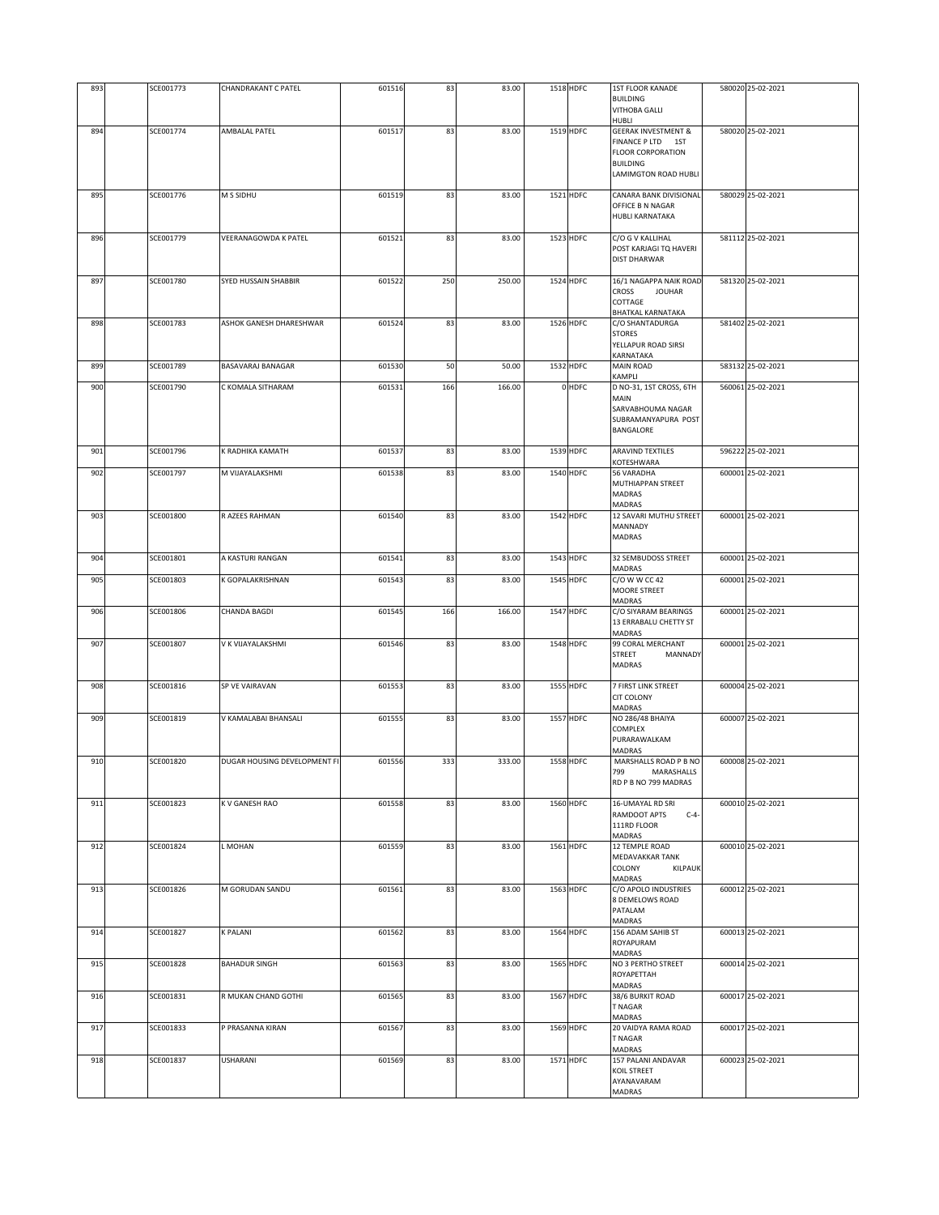| 893 | SCE001773 | CHANDRAKANT C PATEL          | 601516 | 83  | 83.00  | 1518 HDFC        | <b>1ST FLOOR KANADE</b><br><b>BUILDING</b><br><b>VITHOBA GALLI</b><br>HUBLI                                               | 580020 25-02-2021 |
|-----|-----------|------------------------------|--------|-----|--------|------------------|---------------------------------------------------------------------------------------------------------------------------|-------------------|
| 894 | SCE001774 | AMBALAL PATEL                | 601517 | 83  | 83.00  | 1519 HDFC        | <b>GEERAK INVESTMENT &amp;</b><br>FINANCE PLTD 1ST<br><b>FLOOR CORPORATION</b><br><b>BUILDING</b><br>LAMIMGTON ROAD HUBLI | 580020 25-02-2021 |
| 895 | SCE001776 | M S SIDHU                    | 601519 | 83  | 83.00  | 1521 HDFC        | CANARA BANK DIVISIONAL<br>OFFICE B N NAGAR<br><b>HUBLI KARNATAKA</b>                                                      | 580029 25-02-2021 |
| 896 | SCE001779 | VEERANAGOWDA K PATEL         | 601521 | 83  | 83.00  | 1523 HDFC        | C/O G V KALLIHAL<br>POST KARJAGI TQ HAVERI<br>DIST DHARWAR                                                                | 581112 25-02-2021 |
| 897 | SCE001780 | SYED HUSSAIN SHABBIR         | 601522 | 250 | 250.00 | 1524 HDFC        | 16/1 NAGAPPA NAIK ROAD<br><b>CROSS</b><br><b>JOUHAR</b><br>COTTAGE<br>BHATKAL KARNATAKA                                   | 581320 25-02-2021 |
| 898 | SCE001783 | ASHOK GANESH DHARESHWAR      | 601524 | 83  | 83.00  | 1526 HDFC        | C/O SHANTADURGA<br><b>STORES</b><br>YELLAPUR ROAD SIRSI<br>KARNATAKA                                                      | 581402 25-02-2021 |
| 899 | SCE001789 | BASAVARAJ BANAGAR            | 601530 | 50  | 50.00  | 1532 HDFC        | <b>MAIN ROAD</b><br>KAMPLI                                                                                                | 583132 25-02-2021 |
| 900 | SCE001790 | C KOMALA SITHARAM            | 601531 | 166 | 166.00 | 0 HDFC           | D NO-31, 1ST CROSS, 6TH<br>MAIN<br>SARVABHOUMA NAGAR<br>SUBRAMANYAPURA POST<br>BANGALORE                                  | 560061 25-02-2021 |
| 901 | SCE001796 | K RADHIKA KAMATH             | 601537 | 83  | 83.00  | 1539 HDFC        | <b>ARAVIND TEXTILES</b><br>KOTESHWARA                                                                                     | 596222 25-02-2021 |
| 902 | SCE001797 | M VIJAYALAKSHMI              | 601538 | 83  | 83.00  | 1540 HDFC        | 56 VARADHA<br>MUTHIAPPAN STREET<br>MADRAS<br>MADRAS                                                                       | 600001 25-02-2021 |
| 903 | SCE001800 | R AZEES RAHMAN               | 601540 | 83  | 83.00  | 1542 HDFC        | 12 SAVARI MUTHU STREET<br>MANNADY<br><b>MADRAS</b>                                                                        | 600001 25-02-2021 |
| 904 | SCE001801 | A KASTURI RANGAN             | 601541 | 83  | 83.00  | 1543 HDFC        | 32 SEMBUDOSS STREET<br>MADRAS                                                                                             | 600001 25-02-2021 |
| 905 | SCE001803 | K GOPALAKRISHNAN             | 601543 | 83  | 83.00  | 1545 HDFC        | C/O W W CC 42<br><b>MOORE STREET</b><br>MADRAS                                                                            | 600001 25-02-2021 |
| 906 | SCE001806 | <b>CHANDA BAGDI</b>          | 601545 | 166 | 166.00 | 1547 HDFC        | C/O SIYARAM BEARINGS<br>13 ERRABALU CHETTY ST<br><b>MADRAS</b>                                                            | 600001 25-02-2021 |
| 907 | SCE001807 | V K VIJAYALAKSHMI            | 601546 | 83  | 83.00  | 1548 HDFC        | 99 CORAL MERCHANT<br><b>STREET</b><br>MANNADY<br><b>MADRAS</b>                                                            | 600001 25-02-2021 |
| 908 | SCE001816 | SP VE VAIRAVAN               | 601553 | 83  | 83.00  | <b>1555 HDFC</b> | 7 FIRST LINK STREET<br>CIT COLONY<br>MADRAS                                                                               | 600004 25-02-2021 |
| 909 | SCE001819 | V KAMALABAI BHANSALI         | 601555 | 83  | 83.00  | <b>1557 HDFC</b> | <b>NO 286/48 BHAIYA</b><br>COMPLEX<br>PURARAWALKAM<br>MADRAS                                                              | 600007 25-02-2021 |
| 910 | SCE001820 | DUGAR HOUSING DEVELOPMENT FI | 601556 | 333 | 333.00 | <b>1558 HDFC</b> | MARSHALLS ROAD P B NO<br>799<br>MARASHALLS<br>RD P B NO 799 MADRAS                                                        | 600008 25-02-2021 |
| 911 | SCE001823 | K V GANESH RAO               | 601558 | 83  | 83.00  | 1560 HDFC        | 16-UMAYAL RD SRI<br>RAMDOOT APTS<br>$C-4-$<br>111RD FLOOR<br><b>MADRAS</b>                                                | 600010 25-02-2021 |
| 912 | SCE001824 | L MOHAN                      | 601559 | 83  | 83.00  | 1561 HDFC        | 12 TEMPLE ROAD<br>MEDAVAKKAR TANK<br>COLONY<br>KILPAUK<br><b>MADRAS</b>                                                   | 600010 25-02-2021 |
| 913 | SCE001826 | M GORUDAN SANDU              | 601561 | 83  | 83.00  | 1563 HDFC        | C/O APOLO INDUSTRIES<br>8 DEMELOWS ROAD<br>PATALAM<br>MADRAS                                                              | 600012 25-02-2021 |
| 914 | SCE001827 | <b>K PALANI</b>              | 601562 | 83  | 83.00  | 1564 HDFC        | 156 ADAM SAHIB ST<br>ROYAPURAM<br><b>MADRAS</b>                                                                           | 600013 25-02-2021 |
| 915 | SCE001828 | <b>BAHADUR SINGH</b>         | 601563 | 83  | 83.00  | 1565 HDFC        | NO 3 PERTHO STREET<br>ROYAPETTAH<br><b>MADRAS</b>                                                                         | 600014 25-02-2021 |
| 916 | SCE001831 | R MUKAN CHAND GOTHI          | 601565 | 83  | 83.00  | 1567 HDFC        | 38/6 BURKIT ROAD<br>T NAGAR<br><b>MADRAS</b>                                                                              | 600017 25-02-2021 |
| 917 | SCE001833 | P PRASANNA KIRAN             | 601567 | 83  | 83.00  | 1569 HDFC        | 20 VAIDYA RAMA ROAD<br>T NAGAR<br>MADRAS                                                                                  | 600017 25-02-2021 |
| 918 | SCE001837 | USHARANI                     | 601569 | 83  | 83.00  | 1571 HDFC        | 157 PALANI ANDAVAR<br>KOIL STREET<br>AYANAVARAM<br>MADRAS                                                                 | 600023 25-02-2021 |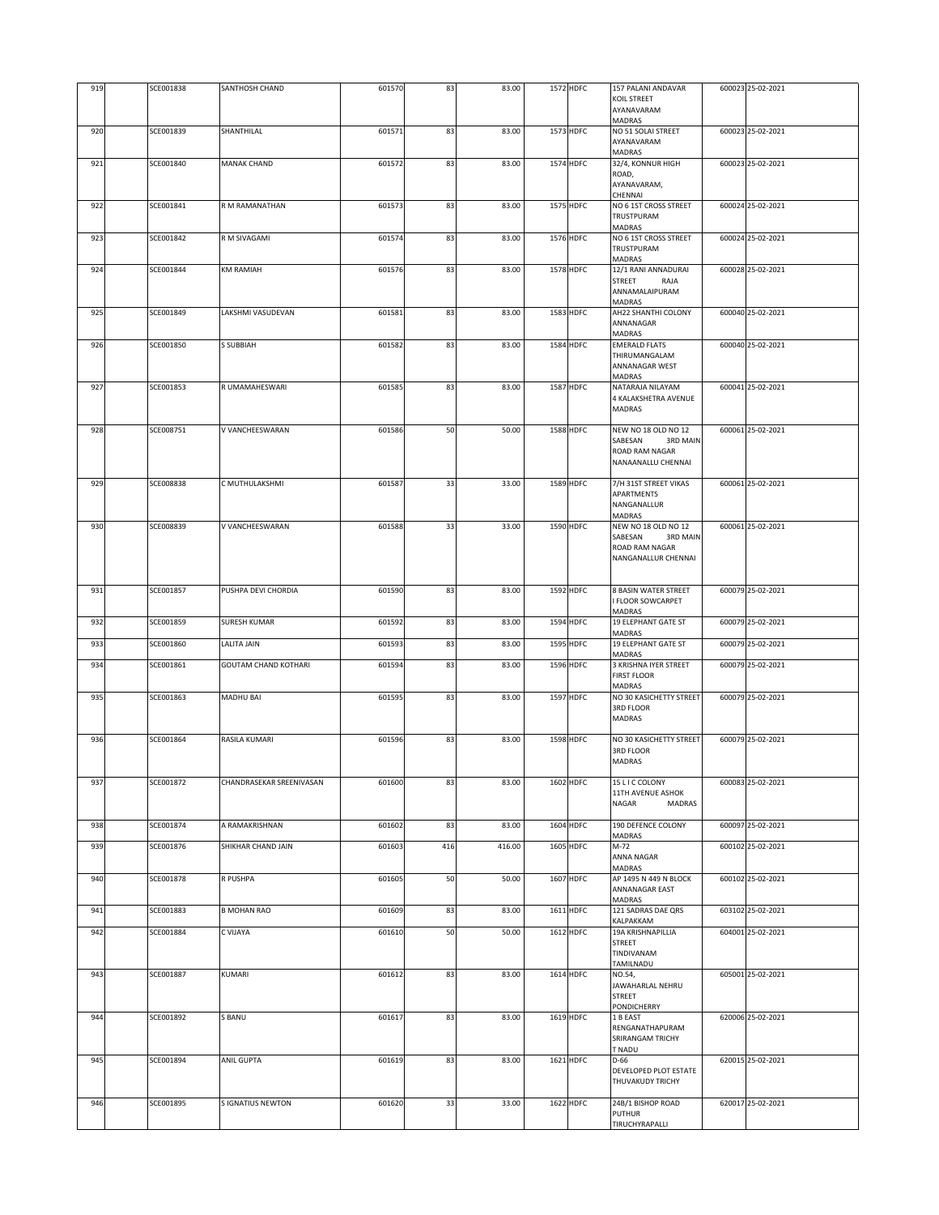| 919 | SCE001838 | SANTHOSH CHAND              | 601570 | 83  | 83.00  | 1572 HDFC        | 157 PALANI ANDAVAR<br>KOIL STREET<br>AYANAVARAM                                            | 600023 25-02-2021 |
|-----|-----------|-----------------------------|--------|-----|--------|------------------|--------------------------------------------------------------------------------------------|-------------------|
| 920 | SCE001839 | SHANTHILAL                  | 601571 | 83  | 83.00  | 1573 HDFC        | <b>MADRAS</b><br>NO 51 SOLAI STREET<br>AYANAVARAM<br><b>MADRAS</b>                         | 600023 25-02-2021 |
| 921 | SCE001840 | <b>MANAK CHAND</b>          | 60157  | 83  | 83.00  | 1574 HDFC        | 32/4, KONNUR HIGH<br>ROAD,<br>AYANAVARAM,                                                  | 600023 25-02-2021 |
| 922 | SCE001841 | R M RAMANATHAN              | 601573 | 83  | 83.00  | 1575 HDFC        | CHENNAI<br>NO 6 1ST CROSS STREET<br>TRUSTPURAM                                             | 600024 25-02-2021 |
| 923 | SCE001842 | R M SIVAGAMI                | 601574 | 83  | 83.00  | 1576 HDFC        | <b>MADRAS</b><br>NO 6 1ST CROSS STREET<br>TRUSTPURAM<br>MADRAS                             | 600024 25-02-2021 |
| 924 | SCE001844 | <b>KM RAMIAH</b>            | 601576 | 83  | 83.00  | 1578 HDFC        | 12/1 RANI ANNADURAI<br>STREET<br>RAJA<br>ANNAMALAIPURAM                                    | 600028 25-02-2021 |
| 925 | SCE001849 | LAKSHMI VASUDEVAN           | 601581 | 83  | 83.00  | 1583 HDFC        | MADRAS<br>AH22 SHANTHI COLONY<br>ANNANAGAR<br>MADRAS                                       | 600040 25-02-2021 |
| 926 | SCE001850 | <b>S SUBBIAH</b>            | 601582 | 83  | 83.00  | 1584 HDFC        | <b>EMERALD FLATS</b><br>THIRUMANGALAM<br>ANNANAGAR WEST<br>MADRAS                          | 600040 25-02-2021 |
| 927 | SCE001853 | R UMAMAHESWARI              | 601585 | 83  | 83.00  | 1587 HDFC        | NATARAJA NILAYAM<br>4 KALAKSHETRA AVENUE<br>MADRAS                                         | 600041 25-02-2021 |
| 928 | SCE008751 | V VANCHEESWARAN             | 601586 | 50  | 50.00  | 1588 HDFC        | NEW NO 18 OLD NO 12<br>SABESAN<br>3RD MAIN<br>ROAD RAM NAGAR<br>NANAANALLU CHENNAI         | 600061 25-02-2021 |
| 929 | SCE008838 | C MUTHULAKSHMI              | 601587 | 33  | 33.00  | 1589 HDFC        | 7/H 31ST STREET VIKAS<br>APARTMENTS<br>NANGANALLUR<br><b>MADRAS</b>                        | 600061 25-02-2021 |
| 930 | SCE008839 | V VANCHEESWARAN             | 601588 | 33  | 33.00  | 1590 HDFC        | NEW NO 18 OLD NO 12<br>SABESAN<br><b>3RD MAIN</b><br>ROAD RAM NAGAR<br>NANGANALLUR CHENNAI | 600061 25-02-2021 |
| 931 | SCE001857 | PUSHPA DEVI CHORDIA         | 601590 | 83  | 83.00  | <b>1592 HDFC</b> | 8 BASIN WATER STREET<br><b>FLOOR SOWCARPET</b><br>MADRAS                                   | 600079 25-02-2021 |
| 932 | SCE001859 | <b>SURESH KUMAR</b>         | 601592 | 83  | 83.00  | 1594 HDFC        | <b>19 ELEPHANT GATE ST</b><br>MADRAS                                                       | 600079 25-02-2021 |
| 933 | SCE001860 | LALITA JAIN                 | 601593 | 83  | 83.00  | 1595 HDFC        | 19 ELEPHANT GATE ST<br>MADRAS                                                              | 600079 25-02-2021 |
| 934 | SCE001861 | <b>GOUTAM CHAND KOTHARI</b> | 601594 | 83  | 83.00  | 1596 HDFC        | 3 KRISHNA IYER STREET<br><b>FIRST FLOOR</b><br><b>MADRAS</b>                               | 600079 25-02-2021 |
| 935 | SCE001863 | MADHU BAI                   | 601595 | 83  | 83.00  | 1597 HDFC        | NO 30 KASICHETTY STREET<br>3RD FLOOR<br><b>MADRAS</b>                                      | 600079 25-02-2021 |
| 936 | SCE001864 | RASILA KUMARI               | 601596 | 83  | 83.00  | 1598 HDFC        | NO 30 KASICHETTY STREET<br>3RD FLOOR<br><b>MADRAS</b>                                      | 600079 25-02-2021 |
| 937 | SCE001872 | CHANDRASEKAR SREENIVASAN    | 601600 | 83  | 83.00  | 1602 HDFC        | 15 L I C COLONY<br>11TH AVENUE ASHOK<br>NAGAR<br><b>MADRAS</b>                             | 600083 25-02-2021 |
| 938 | SCE001874 | A RAMAKRISHNAN              | 601602 | 83  | 83.00  | 1604 HDFC        | 190 DEFENCE COLONY<br>MADRAS                                                               | 600097 25-02-2021 |
| 939 | SCE001876 | SHIKHAR CHAND JAIN          | 601603 | 416 | 416.00 | 1605 HDFC        | M-72<br>ANNA NAGAR<br>MADRAS                                                               | 600102 25-02-2021 |
| 940 | SCE001878 | R PUSHPA                    | 601605 | 50  | 50.00  | 1607 HDFC        | AP 1495 N 449 N BLOCK<br>ANNANAGAR EAST<br>MADRAS                                          | 600102 25-02-2021 |
| 941 | SCE001883 | <b>B MOHAN RAO</b>          | 601609 | 83  | 83.00  | 1611 HDFC        | 121 SADRAS DAE QRS<br>KALPAKKAM                                                            | 603102 25-02-2021 |
| 942 | SCE001884 | C VIJAYA                    | 601610 | 50  | 50.00  | 1612 HDFC        | 19A KRISHNAPILLIA<br>STREET<br>TINDIVANAM<br>TAMILNADU                                     | 604001 25-02-2021 |
| 943 | SCE001887 | KUMARI                      | 601612 | 83  | 83.00  | 1614 HDFC        | NO.54,<br>JAWAHARLAL NEHRU<br><b>STREET</b><br>PONDICHERRY                                 | 605001 25-02-2021 |
| 944 | SCE001892 | S BANU                      | 601617 | 83  | 83.00  | 1619 HDFC        | 1 B EAST<br>RENGANATHAPURAM<br>SRIRANGAM TRICHY<br>T NADU                                  | 620006 25-02-2021 |
| 945 | SCE001894 | ANIL GUPTA                  | 601619 | 83  | 83.00  | 1621 HDFC        | D-66<br>DEVELOPED PLOT ESTATE<br>THUVAKUDY TRICHY                                          | 620015 25-02-2021 |
| 946 | SCE001895 | S IGNATIUS NEWTON           | 601620 | 33  | 33.00  | 1622 HDFC        | 24B/1 BISHOP ROAD<br><b>PUTHUR</b><br>TIRUCHYRAPALLI                                       | 620017 25-02-2021 |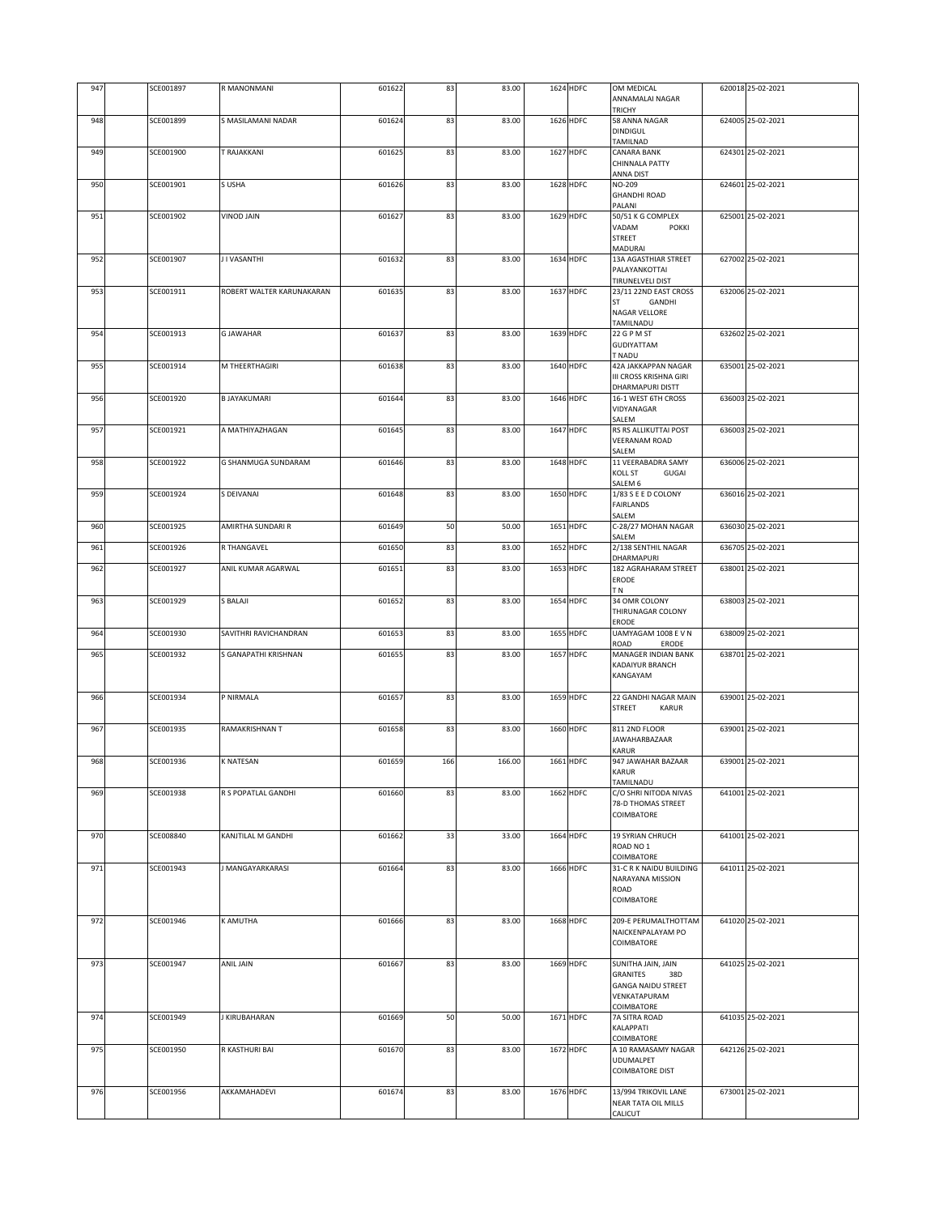| 947 | SCE001897 | R MANONMANI               | 601622 | 83  | 83.00  | 1624 HDFC | OM MEDICAL<br>ANNAMALAI NAGAR                | 620018 25-02-2021 |
|-----|-----------|---------------------------|--------|-----|--------|-----------|----------------------------------------------|-------------------|
|     |           |                           |        |     |        |           | <b>TRICHY</b>                                |                   |
| 948 | SCE001899 | S MASILAMANI NADAR        | 601624 | 83  | 83.00  | 1626 HDFC | 58 ANNA NAGAR<br>DINDIGUL                    | 624005 25-02-2021 |
|     |           |                           |        |     |        |           | TAMILNAD                                     |                   |
| 949 | SCE001900 | T RAJAKKANI               | 601625 | 83  | 83.00  | 1627 HDFC | <b>CANARA BANK</b>                           | 624301 25-02-2021 |
|     |           |                           |        |     |        |           | CHINNALA PATTY                               |                   |
|     |           |                           |        |     |        |           | ANNA DIST                                    |                   |
| 950 | SCE001901 | S USHA                    | 601626 | 83  | 83.00  | 1628 HDFC | NO-209<br><b>GHANDHI ROAD</b>                | 624601 25-02-2021 |
|     |           |                           |        |     |        |           | PALANI                                       |                   |
| 951 | SCE001902 | VINOD JAIN                | 60162  | 83  | 83.00  | 1629 HDFC | 50/51 K G COMPLEX                            | 625001 25-02-2021 |
|     |           |                           |        |     |        |           | VADAM<br><b>POKKI</b>                        |                   |
|     |           |                           |        |     |        |           | STREET<br>MADURAI                            |                   |
| 952 | SCE001907 | J I VASANTHI              | 601632 | 83  | 83.00  | 1634 HDFC | 13A AGASTHIAR STREET                         | 627002 25-02-2021 |
|     |           |                           |        |     |        |           | PALAYANKOTTAI                                |                   |
|     |           |                           |        |     |        |           | TIRUNELVELI DIST                             |                   |
| 953 | SCE001911 | ROBERT WALTER KARUNAKARAN | 601635 | 83  | 83.00  | 1637 HDFC | 23/11 22ND EAST CROSS<br>GANDHI<br>ST        | 632006 25-02-2021 |
|     |           |                           |        |     |        |           | NAGAR VELLORE                                |                   |
|     |           |                           |        |     |        |           | TAMILNADU                                    |                   |
| 954 | SCE001913 | <b>G JAWAHAR</b>          | 601637 | 83  | 83.00  | 1639 HDFC | 22 G P M ST                                  | 632602 25-02-2021 |
|     |           |                           |        |     |        |           | GUDIYATTAM<br>T NADU                         |                   |
| 955 | SCE001914 | M THEERTHAGIRI            | 601638 | 83  | 83.00  | 1640 HDFC | 42A JAKKAPPAN NAGAR                          | 635001 25-02-2021 |
|     |           |                           |        |     |        |           | III CROSS KRISHNA GIRI                       |                   |
|     |           |                           |        |     |        |           | DHARMAPURI DISTT                             |                   |
| 956 | SCE001920 | <b>B JAYAKUMARI</b>       | 601644 | 83  | 83.00  | 1646 HDFC | 16-1 WEST 6TH CROSS                          | 636003 25-02-2021 |
|     |           |                           |        |     |        |           | VIDYANAGAR<br>SALEM                          |                   |
| 957 | SCE001921 | A MATHIYAZHAGAN           | 601645 | 83  | 83.00  | 1647 HDFC | RS RS ALLIKUTTAI POST                        | 636003 25-02-2021 |
|     |           |                           |        |     |        |           | <b>VEERANAM ROAD</b>                         |                   |
| 958 | SCE001922 | G SHANMUGA SUNDARAM       | 601646 | 83  | 83.00  | 1648 HDFC | SALEM<br>11 VEERABADRA SAMY                  | 636006 25-02-2021 |
|     |           |                           |        |     |        |           | KOLL ST<br>GUGAI                             |                   |
|     |           |                           |        |     |        |           | SALEM <sub>6</sub>                           |                   |
| 959 | SCE001924 | S DEIVANAI                | 601648 | 83  | 83.00  | 1650 HDFC | 1/83 S E E D COLONY                          | 636016 25-02-2021 |
|     |           |                           |        |     |        |           | FAIRLANDS<br>SALEM                           |                   |
| 960 | SCE001925 | AMIRTHA SUNDARI R         | 601649 | 50  | 50.00  | 1651 HDFC | C-28/27 MOHAN NAGAR                          | 636030 25-02-2021 |
|     |           |                           |        |     |        |           | SALEM                                        |                   |
| 961 | SCE001926 | R THANGAVEL               | 601650 | 83  | 83.00  | 1652 HDFC | 2/138 SENTHIL NAGAR<br>DHARMAPURI            | 636705 25-02-2021 |
| 962 | SCE001927 | ANIL KUMAR AGARWAL        | 601651 | 83  | 83.00  | 1653 HDFC | 182 AGRAHARAM STREET                         | 638001 25-02-2021 |
|     |           |                           |        |     |        |           | ERODE                                        |                   |
|     |           |                           |        |     |        |           | ΓN                                           |                   |
| 963 | SCE001929 | S BALAJI                  | 601652 | 83  | 83.00  | 1654 HDFC | 34 OMR COLONY<br>THIRUNAGAR COLONY           | 638003 25-02-2021 |
|     |           |                           |        |     |        |           | ERODE                                        |                   |
| 964 | SCE001930 | SAVITHRI RAVICHANDRAN     | 601653 | 83  | 83.00  | 1655 HDFC | UAMYAGAM 1008 E V N                          | 638009 25-02-2021 |
| 965 | SCE001932 | S GANAPATHI KRISHNAN      | 601655 | 83  | 83.00  | 1657 HDFC | ROAD<br>ERODE<br>MANAGER INDIAN BANK         | 638701 25-02-2021 |
|     |           |                           |        |     |        |           | KADAIYUR BRANCH                              |                   |
|     |           |                           |        |     |        |           | KANGAYAM                                     |                   |
| 966 | SCE001934 | P NIRMALA                 | 601657 | 83  | 83.00  | 1659 HDFC | 22 GANDHI NAGAR MAIN                         | 639001 25-02-2021 |
|     |           |                           |        |     |        |           | STREET<br>KARUR                              |                   |
|     |           |                           |        |     |        |           |                                              |                   |
| 967 | SCE001935 | RAMAKRISHNAN T            | 601658 | 83  | 83.00  | 1660 HDFC | 811 2ND FLOOR                                | 639001 25-02-2021 |
|     |           |                           |        |     |        |           | JAWAHARBAZAAR<br>KARUR                       |                   |
| 968 | SCE001936 | K NATESAN                 | 601659 | 166 | 166.00 | 1661 HDFC | 947 JAWAHAR BAZAAR                           | 639001 25-02-2021 |
|     |           |                           |        |     |        |           | KARUR                                        |                   |
| 969 | SCE001938 | R S POPATLAL GANDHI       | 601660 | 83  | 83.00  | 1662 HDFC | TAMILNADU<br>C/O SHRI NITODA NIVAS           | 641001 25-02-2021 |
|     |           |                           |        |     |        |           | 78-D THOMAS STREET                           |                   |
|     |           |                           |        |     |        |           | COIMBATORE                                   |                   |
|     |           |                           |        |     |        |           |                                              |                   |
| 970 | SCE008840 | KANJTILAL M GANDHI        | 601662 | 33  | 33.00  | 1664 HDFC | 19 SYRIAN CHRUCH<br>ROAD NO 1                | 641001 25-02-2021 |
|     |           |                           |        |     |        |           | COIMBATORE                                   |                   |
| 971 | SCE001943 | J MANGAYARKARASI          | 601664 | 83  | 83.00  | 1666 HDFC | 31-C R K NAIDU BUILDING                      | 641011 25-02-2021 |
|     |           |                           |        |     |        |           | NARAYANA MISSION<br>ROAD                     |                   |
|     |           |                           |        |     |        |           | COIMBATORE                                   |                   |
|     |           |                           |        |     |        |           |                                              |                   |
| 972 | SCE001946 | K AMUTHA                  | 601666 | 83  | 83.00  | 1668 HDFC | 209-E PERUMALTHOTTAM                         | 641020 25-02-2021 |
|     |           |                           |        |     |        |           | NAICKENPALAYAM PO<br>COIMBATORE              |                   |
|     |           |                           |        |     |        |           |                                              |                   |
| 973 | SCE001947 | ANIL JAIN                 | 601667 | 83  | 83.00  | 1669 HDFC | SUNITHA JAIN, JAIN                           | 641025 25-02-2021 |
|     |           |                           |        |     |        |           | GRANITES<br>38D<br><b>GANGA NAIDU STREET</b> |                   |
|     |           |                           |        |     |        |           | VENKATAPURAM                                 |                   |
|     |           |                           |        |     |        |           | COIMBATORE                                   |                   |
| 974 | SCE001949 | J KIRUBAHARAN             | 601669 | 50  | 50.00  | 1671 HDFC | 7A SITRA ROAD                                | 641035 25-02-2021 |
|     |           |                           |        |     |        |           | KALAPPATI<br>COIMBATORE                      |                   |
| 975 | SCE001950 | R KASTHURI BAI            | 601670 | 83  | 83.00  | 1672 HDFC | A 10 RAMASAMY NAGAR                          | 642126 25-02-2021 |
|     |           |                           |        |     |        |           | UDUMALPET                                    |                   |
|     |           |                           |        |     |        |           | <b>COIMBATORE DIST</b>                       |                   |
| 976 | SCE001956 | AKKAMAHADEVI              | 601674 | 83  | 83.00  | 1676 HDFC | 13/994 TRIKOVIL LANE                         | 673001 25-02-2021 |
|     |           |                           |        |     |        |           | NEAR TATA OIL MILLS                          |                   |
|     |           |                           |        |     |        |           | CALICUT                                      |                   |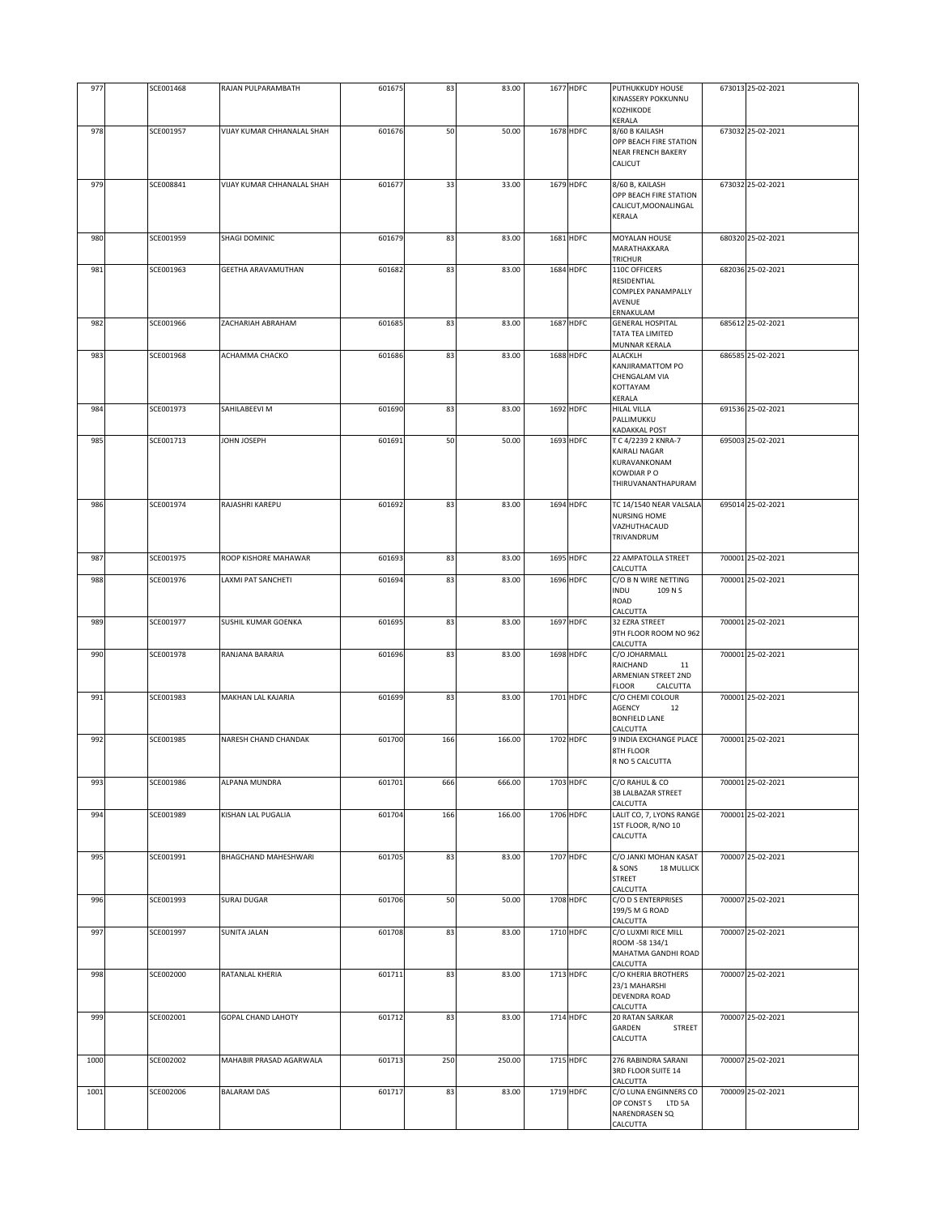| 977  | SCE001468 | RAJAN PULPARAMBATH                | 601675 | 83  | 83.00  | 1677 HDFC | PUTHUKKUDY HOUSE<br>KINASSERY POKKUNNU<br>KOZHIKODE<br>KERALA                            | 673013 25-02-2021 |
|------|-----------|-----------------------------------|--------|-----|--------|-----------|------------------------------------------------------------------------------------------|-------------------|
| 978  | SCE001957 | VIJAY KUMAR CHHANALAL SHAH        | 601676 | 50  | 50.00  | 1678 HDFC | 8/60 B KAILASH<br>OPP BEACH FIRE STATION<br><b>NEAR FRENCH BAKERY</b><br>CALICUT         | 673032 25-02-2021 |
| 979  | SCE008841 | <b>VIJAY KUMAR CHHANALAL SHAH</b> | 601677 | 33  | 33.00  | 1679 HDFC | 8/60 B, KAILASH<br>OPP BEACH FIRE STATION<br>CALICUT, MOONALINGAL<br>KERALA              | 673032 25-02-2021 |
| 980  | SCE001959 | SHAGI DOMINIC                     | 601679 | 83  | 83.00  | 1681 HDFC | <b>MOYALAN HOUSE</b><br>MARATHAKKARA<br>TRICHUR                                          | 680320 25-02-2021 |
| 981  | SCE001963 | <b>GEETHA ARAVAMUTHAN</b>         | 601682 | 83  | 83.00  | 1684 HDFC | 110C OFFICERS<br>RESIDENTIAL<br>COMPLEX PANAMPALLY<br>AVENUE<br>ERNAKULAM                | 682036 25-02-2021 |
| 982  | SCE001966 | ZACHARIAH ABRAHAM                 | 601685 | 83  | 83.00  | 1687 HDFC | <b>GENERAL HOSPITAL</b><br>TATA TEA LIMITED<br>MUNNAR KERALA                             | 685612 25-02-2021 |
| 983  | SCE001968 | ACHAMMA CHACKO                    | 601686 | 83  | 83.00  | 1688 HDFC | <b>ALACKLH</b><br>KANJIRAMATTOM PO<br>CHENGALAM VIA<br>KOTTAYAM<br>KERALA                | 686585 25-02-2021 |
| 984  | SCE001973 | SAHILABEEVI M                     | 601690 | 83  | 83.00  | 1692 HDFC | HILAL VILLA<br>PALLIMUKKU<br>KADAKKAL POST                                               | 691536 25-02-2021 |
| 985  | SCE001713 | <b>HA3SOL NHOL</b>                | 601691 | 50  | 50.00  | 1693 HDFC | T C 4/2239 2 KNRA-7<br>KAIRALI NAGAR<br>KURAVANKONAM<br>KOWDIAR PO<br>THIRUVANANTHAPURAM | 695003 25-02-2021 |
| 986  | SCE001974 | RAJASHRI KAREPU                   | 601692 | 83  | 83.00  | 1694 HDFC | TC 14/1540 NEAR VALSALA<br><b>NURSING HOME</b><br>VAZHUTHACAUD<br>TRIVANDRUM             | 695014 25-02-2021 |
| 987  | SCE001975 | ROOP KISHORE MAHAWAR              | 601693 | 83  | 83.00  | 1695 HDFC | 22 AMPATOLLA STREET<br>CALCUTTA                                                          | 700001 25-02-2021 |
| 988  | SCE001976 | <b>LAXMI PAT SANCHETI</b>         | 601694 | 83  | 83.00  | 1696 HDFC | C/O B N WIRE NETTING<br><b>INDU</b><br>109 N S<br>ROAD<br>CALCUTTA                       | 700001 25-02-2021 |
| 989  | SCE001977 | SUSHIL KUMAR GOENKA               | 601695 | 83  | 83.00  | 1697 HDFC | 32 EZRA STREET<br>9TH FLOOR ROOM NO 962<br>CALCUTTA                                      | 700001 25-02-2021 |
| 990  | SCE001978 | RANJANA BARARIA                   | 601696 | 83  | 83.00  | 1698 HDFC | C/O JOHARMALL<br>RAICHAND<br>11<br>ARMENIAN STREET 2ND<br>FLOOR<br>CALCUTTA              | 700001 25-02-2021 |
| 991  | SCE001983 | MAKHAN LAL KAJARIA                | 601699 | 83  | 83.00  | 1701 HDFC | C/O CHEMI COLOUR<br>AGENCY<br>12<br><b>BONFIELD LANE</b><br>CALCUTTA                     | 700001 25-02-2021 |
| 992  | SCE001985 | NARESH CHAND CHANDAK              | 601700 | 166 | 166.00 | 1702 HDFC | 9 INDIA EXCHANGE PLACE<br>8TH FLOOR<br>R NO 5 CALCUTTA                                   | 700001 25-02-2021 |
| 993  | SCE001986 | ALPANA MUNDRA                     | 601701 | 666 | 666.00 | 1703 HDFC | C/O RAHUL & CO<br>3B LALBAZAR STREET<br>CALCUTTA                                         | 700001 25-02-2021 |
| 994  | SCE001989 | <b>KISHAN LAL PUGALIA</b>         | 601704 | 166 | 166.00 | 1706 HDFC | LALIT CO, 7, LYONS RANGE<br>1ST FLOOR, R/NO 10<br>CALCUTTA                               | 700001 25-02-2021 |
| 995  | SCE001991 | BHAGCHAND MAHESHWARI              | 601705 | 83  | 83.00  | 1707 HDFC | C/O JANKI MOHAN KASAT<br>& SONS<br><b>18 MULLICK</b><br><b>STREET</b><br>CALCUTTA        | 700007 25-02-2021 |
| 996  | SCE001993 | <b>SURAJ DUGAR</b>                | 601706 | 50  | 50.00  | 1708 HDFC | C/O D S ENTERPRISES<br>199/5 M G ROAD<br>CALCUTTA                                        | 700007 25-02-2021 |
| 997  | SCE001997 | <b>SUNITA JALAN</b>               | 601708 | 83  | 83.00  | 1710 HDFC | C/O LUXMI RICE MILL<br>ROOM -58 134/1<br>MAHATMA GANDHI ROAD<br>CALCUTTA                 | 700007 25-02-2021 |
| 998  | SCE002000 | RATANLAL KHERIA                   | 601711 | 83  | 83.00  | 1713 HDFC | C/O KHERIA BROTHERS<br>23/1 MAHARSHI<br><b>DEVENDRA ROAD</b><br>CALCUTTA                 | 700007 25-02-2021 |
| 999  | SCE002001 | GOPAL CHAND LAHOTY                | 601712 | 83  | 83.00  | 1714 HDFC | 20 RATAN SARKAR<br>GARDEN<br>STREET<br>CALCUTTA                                          | 700007 25-02-2021 |
| 1000 | SCE002002 | MAHABIR PRASAD AGARWALA           | 601713 | 250 | 250.00 | 1715 HDFC | 276 RABINDRA SARANI<br>3RD FLOOR SUITE 14<br>CALCUTTA                                    | 700007 25-02-2021 |
| 1001 | SCE002006 | <b>BALARAM DAS</b>                | 601717 | 83  | 83.00  | 1719 HDFC | C/O LUNA ENGINNERS CO<br>OP CONST S LTD 5A<br>NARENDRASEN SQ<br>CALCUTTA                 | 700009 25-02-2021 |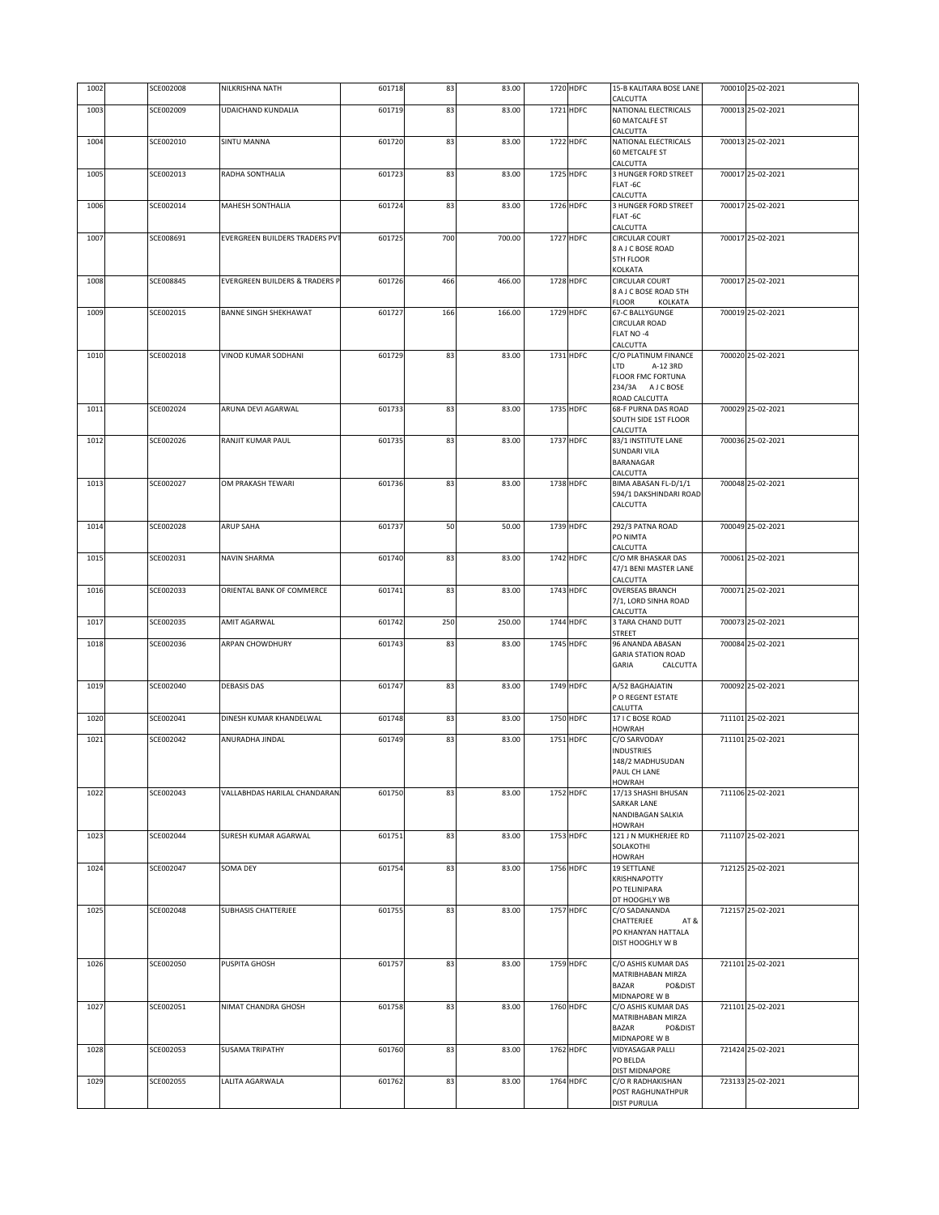| 1002 | SCE002008 | NILKRISHNA NATH                           | 601718 | 83  | 83.00  | 1720 HDFC | 15-B KALITARA BOSE LANE<br>CALCUTTA               | 700010 25-02-2021 |
|------|-----------|-------------------------------------------|--------|-----|--------|-----------|---------------------------------------------------|-------------------|
| 1003 | SCE002009 | UDAICHAND KUNDALIA                        | 601719 | 83  | 83.00  | 1721 HDFC | NATIONAL ELECTRICALS                              | 700013 25-02-2021 |
|      |           |                                           |        |     |        |           | <b>60 MATCALFE ST</b><br>CALCUTTA                 |                   |
| 1004 | SCE002010 | <b>SINTU MANNA</b>                        | 601720 | 83  | 83.00  | 1722 HDFC | NATIONAL ELECTRICALS                              | 700013 25-02-2021 |
|      |           |                                           |        |     |        |           | <b>60 METCALFE ST</b><br>CALCUTTA                 |                   |
| 1005 | SCE002013 | RADHA SONTHALIA                           | 601723 | 83  | 83.00  | 1725 HDFC | 3 HUNGER FORD STREET                              | 700017 25-02-2021 |
|      |           |                                           |        |     |        |           | FLAT-6C                                           |                   |
| 1006 | SCE002014 | MAHESH SONTHALIA                          | 601724 | 83  | 83.00  | 1726 HDFC | CALCUTTA<br>3 HUNGER FORD STREET                  | 700017 25-02-2021 |
|      |           |                                           |        |     |        |           | FLAT-6C                                           |                   |
| 1007 | SCE008691 | EVERGREEN BUILDERS TRADERS PVT            | 601725 | 700 | 700.00 | 1727 HDFC | CALCUTTA<br><b>CIRCULAR COURT</b>                 | 700017 25-02-2021 |
|      |           |                                           |        |     |        |           | 8 A J C BOSE ROAD                                 |                   |
|      |           |                                           |        |     |        |           | <b>5TH FLOOR</b>                                  |                   |
| 1008 | SCE008845 | <b>EVERGREEN BUILDERS &amp; TRADERS P</b> | 601726 | 466 | 466.00 | 1728 HDFC | KOLKATA<br><b>CIRCULAR COURT</b>                  | 700017 25-02-2021 |
|      |           |                                           |        |     |        |           | 8 A J C BOSE ROAD 5TH                             |                   |
| 1009 | SCE002015 | <b>BANNE SINGH SHEKHAWAT</b>              | 601727 | 166 | 166.00 | 1729 HDFC | <b>FLOOR</b><br>KOLKATA<br><b>67-C BALLYGUNGE</b> | 700019 25-02-2021 |
|      |           |                                           |        |     |        |           | <b>CIRCULAR ROAD</b>                              |                   |
|      |           |                                           |        |     |        |           | FLAT NO -4<br>CALCUTTA                            |                   |
| 1010 | SCE002018 | VINOD KUMAR SODHANI                       | 601729 | 83  | 83.00  | 1731 HDFC | C/O PLATINUM FINANCE                              | 700020 25-02-2021 |
|      |           |                                           |        |     |        |           | LTD<br>A-12 3RD                                   |                   |
|      |           |                                           |        |     |        |           | <b>FLOOR FMC FORTUNA</b><br>234/3A AJCBOSE        |                   |
|      |           |                                           |        |     |        |           | ROAD CALCUTTA                                     |                   |
| 1011 | SCE002024 | ARUNA DEVI AGARWAL                        | 601733 | 83  | 83.00  | 1735 HDFC | 68-F PURNA DAS ROAD<br>SOUTH SIDE 1ST FLOOR       | 700029 25-02-2021 |
|      |           |                                           |        |     |        |           | CALCUTTA                                          |                   |
| 1012 | SCE002026 | RANJIT KUMAR PAUL                         | 601735 | 83  | 83.00  | 1737 HDFC | 83/1 INSTITUTE LANE                               | 700036 25-02-2021 |
|      |           |                                           |        |     |        |           | <b>SUNDARI VILA</b><br>BARANAGAR                  |                   |
|      |           |                                           |        |     |        |           | CALCUTTA                                          |                   |
| 1013 | SCE002027 | OM PRAKASH TEWARI                         | 601736 | 83  | 83.00  | 1738 HDFC | BIMA ABASAN FL-D/1/1<br>594/1 DAKSHINDARI ROAD    | 700048 25-02-2021 |
|      |           |                                           |        |     |        |           | CALCUTTA                                          |                   |
|      |           |                                           |        |     |        |           |                                                   |                   |
| 1014 | SCE002028 | <b>ARUP SAHA</b>                          | 601737 | 50  | 50.00  | 1739 HDFC | 292/3 PATNA ROAD<br>PO NIMTA                      | 700049 25-02-2021 |
|      |           |                                           |        |     |        |           | CALCUTTA                                          |                   |
| 1015 | SCE002031 | NAVIN SHARMA                              | 601740 | 83  | 83.00  | 1742 HDFC | C/O MR BHASKAR DAS<br>47/1 BENI MASTER LANE       | 700061 25-02-2021 |
|      |           |                                           |        |     |        |           | CALCUTTA                                          |                   |
| 1016 | SCE002033 | ORIENTAL BANK OF COMMERCE                 | 601741 | 83  | 83.00  | 1743 HDFC | <b>OVERSEAS BRANCH</b>                            | 700071 25-02-2021 |
|      |           |                                           |        |     |        |           | 7/1, LORD SINHA ROAD<br>CALCUTTA                  |                   |
| 1017 | SCE002035 | AMIT AGARWAL                              | 601742 | 250 | 250.00 | 1744 HDFC | 3 TARA CHAND DUTT                                 | 700073 25-02-2021 |
| 1018 | SCE002036 | ARPAN CHOWDHURY                           | 601743 | 83  | 83.00  | 1745 HDFC | <b>STREET</b><br>96 ANANDA ABASAN                 | 700084 25-02-2021 |
|      |           |                                           |        |     |        |           | <b>GARIA STATION ROAD</b>                         |                   |
|      |           |                                           |        |     |        |           | GARIA<br>CALCUTTA                                 |                   |
| 1019 | SCE002040 | <b>DEBASIS DAS</b>                        | 601747 | 83  | 83.00  | 1749 HDFC | A/52 BAGHAJATIN                                   | 700092 25-02-2021 |
|      |           |                                           |        |     |        |           | P O REGENT ESTATE<br>CALUTTA                      |                   |
| 1020 | SCE002041 | DINESH KUMAR KHANDELWAL                   | 601748 | 83  | 83.00  | 1750 HDFC | 17 I C BOSE ROAD                                  | 711101 25-02-2021 |
| 1021 | SCE002042 | ANURADHA JINDAL                           | 601749 | 83  | 83.00  | 1751 HDFC | <b>HOWRAH</b><br>C/O SARVODAY                     | 711101 25-02-2021 |
|      |           |                                           |        |     |        |           | <b>INDUSTRIES</b>                                 |                   |
|      |           |                                           |        |     |        |           | 148/2 MADHUSUDAN                                  |                   |
|      |           |                                           |        |     |        |           | PAUL CH LANE<br><b>HOWRAH</b>                     |                   |
| 1022 | SCE002043 | VALLABHDAS HARILAL CHANDARAN              | 601750 | 83  | 83.00  | 1752 HDFC | 17/13 SHASHI BHUSAN                               | 711106 25-02-2021 |
|      |           |                                           |        |     |        |           | SARKAR LANE<br>NANDIBAGAN SALKIA                  |                   |
|      |           |                                           |        |     |        |           | <b>HOWRAH</b>                                     |                   |
| 1023 | SCE002044 | SURESH KUMAR AGARWAL                      | 601751 | 83  | 83.00  | 1753 HDFC | 121 J N MUKHERJEE RD                              | 711107 25-02-2021 |
|      |           |                                           |        |     |        |           | SOLAKOTHI<br><b>HOWRAH</b>                        |                   |
| 1024 | SCE002047 | SOMA DEY                                  | 601754 | 83  | 83.00  | 1756 HDFC | 19 SETTLANE                                       | 712125 25-02-2021 |
|      |           |                                           |        |     |        |           | KRISHNAPOTTY<br>PO TELINIPARA                     |                   |
|      |           |                                           |        |     |        |           | DT HOOGHLY WB                                     |                   |
| 1025 | SCE002048 | <b>SUBHASIS CHATTERJEE</b>                | 601755 | 83  | 83.00  | 1757 HDFC | C/O SADANANDA<br>CHATTERJEE<br>AT&                | 712157 25-02-2021 |
|      |           |                                           |        |     |        |           | PO KHANYAN HATTALA                                |                   |
|      |           |                                           |        |     |        |           | DIST HOOGHLY W B                                  |                   |
| 1026 | SCE002050 | PUSPITA GHOSH                             | 601757 | 83  | 83.00  | 1759 HDFC | C/O ASHIS KUMAR DAS                               | 721101 25-02-2021 |
|      |           |                                           |        |     |        |           | MATRIBHABAN MIRZA                                 |                   |
|      |           |                                           |        |     |        |           | <b>BAZAR</b><br>PO&DIST<br>MIDNAPORE W B          |                   |
| 1027 | SCE002051 | NIMAT CHANDRA GHOSH                       | 601758 | 83  | 83.00  | 1760 HDFC | C/O ASHIS KUMAR DAS                               | 721101 25-02-2021 |
|      |           |                                           |        |     |        |           | MATRIBHABAN MIRZA<br><b>BAZAR</b><br>PO&DIST      |                   |
|      |           |                                           |        |     |        |           | MIDNAPORE W B                                     |                   |
| 1028 | SCE002053 | <b>SUSAMA TRIPATHY</b>                    | 601760 | 83  | 83.00  | 1762 HDFC | VIDYASAGAR PALLI<br>PO BELDA                      | 721424 25-02-2021 |
|      |           |                                           |        |     |        |           | DIST MIDNAPORE                                    |                   |
| 1029 | SCE002055 | LALITA AGARWALA                           | 601762 | 83  | 83.00  | 1764 HDFC | C/O R RADHAKISHAN<br>POST RAGHUNATHPUR            | 723133 25-02-2021 |
|      |           |                                           |        |     |        |           | DIST PURULIA                                      |                   |
|      |           |                                           |        |     |        |           |                                                   |                   |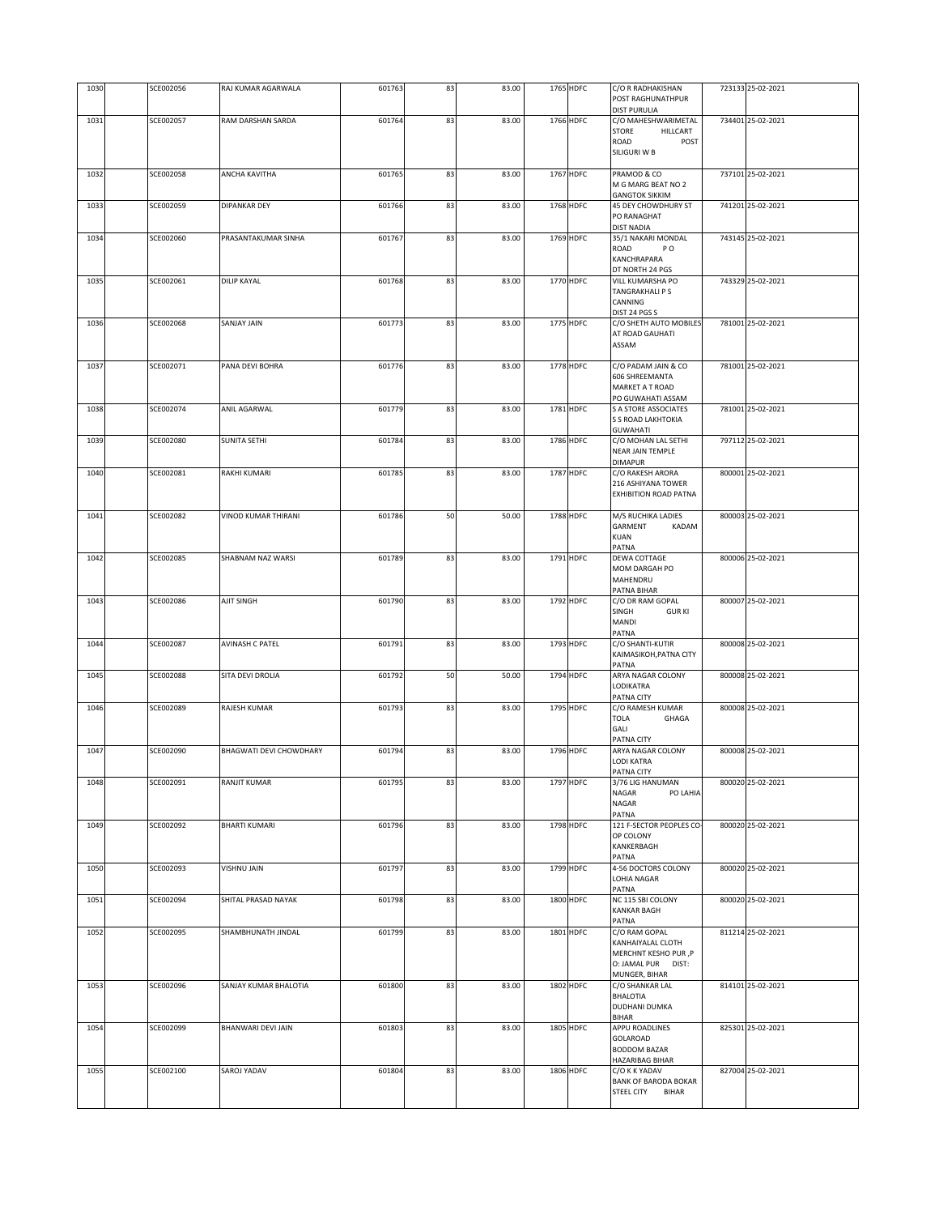| 1030 |           |                         |        |    |       |           |           |                                                           |                   |
|------|-----------|-------------------------|--------|----|-------|-----------|-----------|-----------------------------------------------------------|-------------------|
|      | SCE002056 | RAJ KUMAR AGARWALA      | 601763 | 83 | 83.00 |           | 1765 HDFC | C/O R RADHAKISHAN<br>POST RAGHUNATHPUR                    | 723133 25-02-2021 |
|      |           |                         |        |    |       |           |           | <b>DIST PURULIA</b>                                       |                   |
| 1031 | SCE002057 | RAM DARSHAN SARDA       | 601764 | 83 | 83.00 |           | 1766 HDFC | C/O MAHESHWARIMETAL<br>STORE<br>HILLCART                  | 734401 25-02-2021 |
|      |           |                         |        |    |       |           |           | ROAD<br>POST                                              |                   |
|      |           |                         |        |    |       |           |           | SILIGURI W B                                              |                   |
| 1032 | SCE002058 | ANCHA KAVITHA           | 601765 | 83 | 83.00 |           | 1767 HDFC | PRAMOD & CO                                               | 737101 25-02-2021 |
|      |           |                         |        |    |       |           |           | M G MARG BEAT NO 2<br><b>GANGTOK SIKKIM</b>               |                   |
| 1033 | SCE002059 | <b>DIPANKAR DEY</b>     | 601766 | 83 | 83.00 |           | 1768 HDFC | 45 DEY CHOWDHURY ST                                       | 741201 25-02-2021 |
|      |           |                         |        |    |       |           |           | PO RANAGHAT                                               |                   |
| 1034 | SCE002060 | PRASANTAKUMAR SINHA     | 601767 | 83 | 83.00 |           | 1769 HDFC | <b>DIST NADIA</b><br>35/1 NAKARI MONDAL                   | 743145 25-02-2021 |
|      |           |                         |        |    |       |           |           | ROAD<br>P O                                               |                   |
|      |           |                         |        |    |       |           |           | KANCHRAPARA                                               |                   |
| 1035 | SCE002061 | <b>DILIP KAYAL</b>      | 601768 | 83 | 83.00 |           | 1770 HDFC | DT NORTH 24 PGS<br>VILL KUMARSHA PO                       | 743329 25-02-2021 |
|      |           |                         |        |    |       |           |           | <b>TANGRAKHALI P S</b>                                    |                   |
|      |           |                         |        |    |       |           |           | CANNING<br>DIST 24 PGS S                                  |                   |
| 1036 | SCE002068 | <b>SANJAY JAIN</b>      | 601773 | 83 | 83.00 |           | 1775 HDFC | C/O SHETH AUTO MOBILES                                    | 781001 25-02-2021 |
|      |           |                         |        |    |       |           |           | AT ROAD GAUHATI                                           |                   |
|      |           |                         |        |    |       |           |           | ASSAM                                                     |                   |
| 1037 | SCE002071 | PANA DEVI BOHRA         | 601776 | 83 | 83.00 |           | 1778 HDFC | C/O PADAM JAIN & CO                                       | 781001 25-02-2021 |
|      |           |                         |        |    |       |           |           | 606 SHREEMANTA                                            |                   |
|      |           |                         |        |    |       |           |           | <b>MARKET A T ROAD</b><br>PO GUWAHATI ASSAM               |                   |
| 1038 | SCE002074 | ANIL AGARWAL            | 601779 | 83 | 83.00 |           | 1781 HDFC | <b>S A STORE ASSOCIATES</b>                               | 781001 25-02-2021 |
|      |           |                         |        |    |       |           |           | <b>S S ROAD LAKHTOKIA</b>                                 |                   |
| 1039 | SCE002080 | <b>SUNITA SETHI</b>     | 601784 | 83 | 83.00 |           | 1786 HDFC | <b>GUWAHATI</b><br>C/O MOHAN LAL SETHI                    | 797112 25-02-2021 |
|      |           |                         |        |    |       |           |           | NEAR JAIN TEMPLE                                          |                   |
|      |           |                         |        |    |       |           |           | <b>DIMAPUR</b>                                            |                   |
| 1040 | SCE002081 | <b>RAKHI KUMARI</b>     | 601785 | 83 | 83.00 |           | 1787 HDFC | C/O RAKESH ARORA<br>216 ASHIYANA TOWER                    | 800001 25-02-2021 |
|      |           |                         |        |    |       |           |           | EXHIBITION ROAD PATNA                                     |                   |
|      |           |                         |        |    |       |           |           |                                                           |                   |
| 1041 | SCE002082 | VINOD KUMAR THIRANI     | 601786 | 50 | 50.00 |           | 1788 HDFC | M/S RUCHIKA LADIES<br>GARMENT<br>KADAM                    | 800003 25-02-2021 |
|      |           |                         |        |    |       |           |           | <b>KUAN</b>                                               |                   |
|      |           |                         |        |    |       |           |           | PATNA                                                     |                   |
| 1042 | SCE002085 | SHABNAM NAZ WARSI       | 601789 | 83 | 83.00 |           | 1791 HDFC | DEWA COTTAGE<br>MOM DARGAH PO                             | 800006 25-02-2021 |
|      |           |                         |        |    |       |           |           | MAHENDRU                                                  |                   |
|      |           |                         |        |    |       |           |           | PATNA BIHAR                                               |                   |
| 1043 | SCE002086 | AJIT SINGH              | 601790 | 83 | 83.00 |           | 1792 HDFC | C/O DR RAM GOPAL<br>SINGH<br><b>GURKI</b>                 | 800007 25-02-2021 |
|      |           |                         |        |    |       |           |           | MANDI                                                     |                   |
| 1044 | SCE002087 | AVINASH C PATEL         | 601791 | 83 | 83.00 |           | 1793 HDFC | PATNA<br>C/O SHANTI-KUTIR                                 | 800008 25-02-2021 |
|      |           |                         |        |    |       |           |           | KAIMASIKOH, PATNA CITY                                    |                   |
|      |           |                         |        |    |       |           |           | PATNA                                                     |                   |
| 1045 |           |                         |        |    |       |           |           |                                                           |                   |
|      | SCE002088 | SITA DEVI DROLIA        | 601792 | 50 | 50.00 | 1794 HDFC |           | ARYA NAGAR COLONY                                         | 800008 25-02-2021 |
|      |           |                         |        |    |       |           |           | LODIKATRA<br>PATNA CITY                                   |                   |
| 1046 | SCE002089 | RAJESH KUMAR            | 601793 | 83 | 83.00 |           | 1795 HDFC | C/O RAMESH KUMAR                                          | 800008 25-02-2021 |
|      |           |                         |        |    |       |           |           | <b>TOLA</b><br>GHAGA                                      |                   |
|      |           |                         |        |    |       |           |           | GALI<br>PATNA CITY                                        |                   |
| 1047 | SCE002090 | BHAGWATI DEVI CHOWDHARY | 601794 | 83 | 83.00 |           | 1796 HDFC | ARYA NAGAR COLONY                                         | 800008 25-02-2021 |
|      |           |                         |        |    |       |           |           | LODI KATRA                                                |                   |
| 1048 | SCE002091 | RANJIT KUMAR            | 601795 | 83 | 83.00 |           | 1797 HDFC | PATNA CITY<br>3/76 LIG HANUMAN                            | 800020 25-02-2021 |
|      |           |                         |        |    |       |           |           | NAGAR<br>PO LAHIA                                         |                   |
|      |           |                         |        |    |       |           |           | NAGAR<br>PATNA                                            |                   |
| 1049 | SCE002092 | <b>BHARTI KUMARI</b>    | 601796 | 83 | 83.00 |           | 1798 HDFC | 121 F-SECTOR PEOPLES CO-                                  | 800020 25-02-2021 |
|      |           |                         |        |    |       |           |           | OP COLONY<br>KANKERBAGH                                   |                   |
|      |           |                         |        |    |       |           |           | PATNA                                                     |                   |
| 1050 | SCE002093 | VISHNU JAIN             | 601797 | 83 | 83.00 |           | 1799 HDFC | 4-56 DOCTORS COLONY                                       | 800020 25-02-2021 |
|      |           |                         |        |    |       |           |           | LOHIA NAGAR<br>PATNA                                      |                   |
| 1051 | SCE002094 | SHITAL PRASAD NAYAK     | 601798 | 83 | 83.00 |           | 1800 HDFC | NC 115 SBI COLONY                                         | 800020 25-02-2021 |
|      |           |                         |        |    |       |           |           | <b>KANKAR BAGH</b>                                        |                   |
| 1052 | SCE002095 | SHAMBHUNATH JINDAL      | 601799 | 83 | 83.00 |           | 1801 HDFC | PATNA<br>C/O RAM GOPAL                                    | 811214 25-02-2021 |
|      |           |                         |        |    |       |           |           | KANHAIYALAL CLOTH                                         |                   |
|      |           |                         |        |    |       |           |           | MERCHNT KESHO PUR, P                                      |                   |
|      |           |                         |        |    |       |           |           | O: JAMAL PUR DIST:<br>MUNGER, BIHAR                       |                   |
| 1053 | SCE002096 | SANJAY KUMAR BHALOTIA   | 601800 | 83 | 83.00 |           | 1802 HDFC | C/O SHANKAR LAL                                           | 814101 25-02-2021 |
|      |           |                         |        |    |       |           |           | BHALOTIA                                                  |                   |
|      |           |                         |        |    |       |           |           | DUDHANI DUMKA<br><b>BIHAR</b>                             |                   |
| 1054 | SCE002099 | BHANWARI DEVI JAIN      | 601803 | 83 | 83.00 |           | 1805 HDFC | APPU ROADLINES                                            | 825301 25-02-2021 |
|      |           |                         |        |    |       |           |           | GOLAROAD<br><b>BODDOM BAZAR</b>                           |                   |
|      |           |                         |        |    |       |           |           | HAZARIBAG BIHAR                                           |                   |
| 1055 | SCE002100 | SAROJ YADAV             | 601804 | 83 | 83.00 |           | 1806 HDFC | C/O K K YADAV                                             | 827004 25-02-2021 |
|      |           |                         |        |    |       |           |           | BANK OF BARODA BOKAR<br><b>STEEL CITY</b><br><b>BIHAR</b> |                   |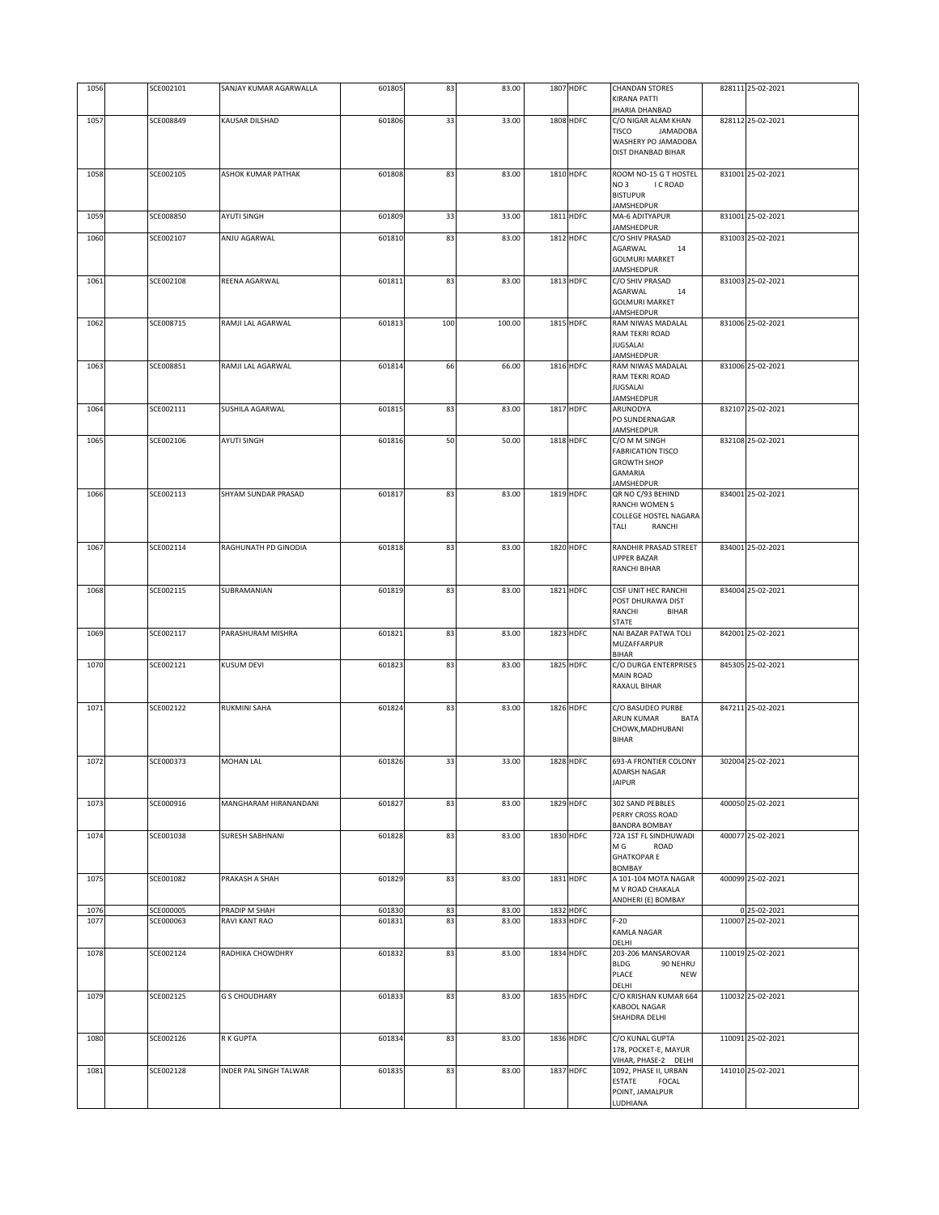| 1056         | SCE002101              | SANJAY KUMAR AGARWALLA         | 601805           | 83       | 83.00          | 1807 HDFC              | <b>CHANDAN STORES</b>                                | 828111 25-02-2021                 |
|--------------|------------------------|--------------------------------|------------------|----------|----------------|------------------------|------------------------------------------------------|-----------------------------------|
|              |                        |                                |                  |          |                |                        | KIRANA PATTI<br>JHARIA DHANBAD                       |                                   |
| 1057         | SCE008849              | KAUSAR DILSHAD                 | 601806           | 33       | 33.00          | 1808 HDFC              | C/O NIGAR ALAM KHAN                                  | 828112 25-02-2021                 |
|              |                        |                                |                  |          |                |                        | TISCO<br><b>JAMADOBA</b>                             |                                   |
|              |                        |                                |                  |          |                |                        | WASHERY PO JAMADOBA<br>DIST DHANBAD BIHAR            |                                   |
|              |                        |                                |                  |          |                |                        |                                                      |                                   |
| 1058         | SCE002105              | ASHOK KUMAR PATHAK             | 601808           | 83       | 83.00          | 1810 HDFC              | ROOM NO-15 G T HOSTEL<br>NO <sub>3</sub><br>I C ROAD | 831001 25-02-2021                 |
|              |                        |                                |                  |          |                |                        | <b>BISTUPUR</b>                                      |                                   |
|              |                        |                                |                  |          |                |                        | JAMSHEDPUR                                           |                                   |
| 1059         | SCE008850              | AYUTI SINGH                    | 601809           | 33       | 33.00          | 1811 HDFC              | MA-6 ADITYAPUR<br>JAMSHEDPUR                         | 831001 25-02-2021                 |
| 1060         | SCE002107              | ANJU AGARWAL                   | 601810           | 83       | 83.00          | 1812 HDFC              | C/O SHIV PRASAD                                      | 831003 25-02-2021                 |
|              |                        |                                |                  |          |                |                        | AGARWAL<br>14<br><b>GOLMURI MARKET</b>               |                                   |
|              |                        |                                |                  |          |                |                        | <b>JAMSHEDPUR</b>                                    |                                   |
| 1061         | SCE002108              | REENA AGARWAL                  | 601811           | 83       | 83.00          | 1813 HDFC              | C/O SHIV PRASAD                                      | 831003 25-02-2021                 |
|              |                        |                                |                  |          |                |                        | AGARWAL<br>14<br><b>GOLMURI MARKET</b>               |                                   |
|              |                        |                                |                  |          |                |                        | JAMSHEDPUR                                           |                                   |
| 1062         | SCE008715              | RAMJI LAL AGARWAL              | 601813           | 100      | 100.00         | 1815 HDFC              | RAM NIWAS MADALAL<br>RAM TEKRI ROAD                  | 831006 25-02-2021                 |
|              |                        |                                |                  |          |                |                        | <b>JUGSALAI</b>                                      |                                   |
|              |                        |                                |                  |          |                | 1816 HDFC              | JAMSHEDPUR                                           | 831006 25-02-2021                 |
| 1063         | SCE008851              | RAMJI LAL AGARWAL              | 601814           | 66       | 66.00          |                        | RAM NIWAS MADALAL<br>RAM TEKRI ROAD                  |                                   |
|              |                        |                                |                  |          |                |                        | <b>JUGSALAI</b>                                      |                                   |
| 1064         | SCE002111              | SUSHILA AGARWAL                | 601815           | 83       | 83.00          | 1817 HDFC              | JAMSHEDPUR<br>ARUNODYA                               | 832107 25-02-2021                 |
|              |                        |                                |                  |          |                |                        | PO SUNDERNAGAR                                       |                                   |
| 1065         | SCE002106              | <b>AYUTI SINGH</b>             | 601816           | 50       | 50.00          | 1818 HDFC              | JAMSHEDPUR<br>C/O M M SINGH                          | 832108 25-02-2021                 |
|              |                        |                                |                  |          |                |                        | <b>FABRICATION TISCO</b>                             |                                   |
|              |                        |                                |                  |          |                |                        | <b>GROWTH SHOP</b>                                   |                                   |
|              |                        |                                |                  |          |                |                        | <b>GAMARIA</b><br><b>JAMSHEDPUR</b>                  |                                   |
| 1066         | SCE002113              | SHYAM SUNDAR PRASAD            | 601817           | 83       | 83.00          | 1819 HDFC              | QR NO C/93 BEHIND                                    | 834001 25-02-2021                 |
|              |                        |                                |                  |          |                |                        | RANCHI WOMEN S<br>COLLEGE HOSTEL NAGARA              |                                   |
|              |                        |                                |                  |          |                |                        | TALI<br>RANCHI                                       |                                   |
|              |                        |                                |                  |          |                |                        |                                                      |                                   |
| 1067         | SCE002114              | RAGHUNATH PD GINODIA           | 601818           | 83       | 83.00          | 1820 HDFC              | RANDHIR PRASAD STREET<br><b>UPPER BAZAR</b>          | 834001 25-02-2021                 |
|              |                        |                                |                  |          |                |                        | RANCHI BIHAR                                         |                                   |
| 1068         | SCE002115              | SUBRAMANIAN                    | 601819           | 83       | 83.00          | 1821 HDFC              | CISF UNIT HEC RANCHI                                 | 834004 25-02-2021                 |
|              |                        |                                |                  |          |                |                        | POST DHURAWA DIST                                    |                                   |
|              |                        |                                |                  |          |                |                        | RANCHI<br><b>BIHAR</b><br>STATE                      |                                   |
| 1069         | SCE002117              | PARASHURAM MISHRA              | 601821           | 83       | 83.00          | 1823 HDFC              | NAI BAZAR PATWA TOLI                                 | 842001 25-02-2021                 |
|              |                        |                                |                  |          |                |                        | MUZAFFARPUR<br><b>BIHAR</b>                          |                                   |
| 1070         | SCE002121              | <b>KUSUM DEVI</b>              | 601823           | 83       | 83.00          | 1825 HDFC              | C/O DURGA ENTERPRISES                                | 845305 25-02-2021                 |
|              |                        |                                |                  |          |                |                        | MAIN ROAD<br>RAXAUL BIHAR                            |                                   |
|              |                        |                                |                  |          |                |                        |                                                      |                                   |
| 1071         | SCE002122              | RUKMINI SAHA                   | 601824           | 83       | 83.00          | 1826 HDFC              | C/O BASUDEO PURBE<br>ARUN KUMAR<br>BATA              | 847211 25-02-2021                 |
|              |                        |                                |                  |          |                |                        | CHOWK, MADHUBANI                                     |                                   |
|              |                        |                                |                  |          |                |                        | <b>BIHAR</b>                                         |                                   |
| 1072         | SCE000373              | MOHAN LAL                      | 601826           | 33       | 33.00          | 1828 HDFC              | 693-A FRONTIER COLONY                                | 302004 25-02-2021                 |
|              |                        |                                |                  |          |                |                        | ADARSH NAGAR                                         |                                   |
|              |                        |                                |                  |          |                |                        | <b>JAIPUR</b>                                        |                                   |
| 1073         | SCE000916              | MANGHARAM HIRANANDANI          | 601827           | 83       | 83.00          | 1829 HDFC              | 302 SAND PEBBLES                                     | 400050 25-02-2021                 |
|              |                        |                                |                  |          |                |                        | PERRY CROSS ROAD<br><b>BANDRA BOMBAY</b>             |                                   |
| 1074         | SCE001038              | <b>SURESH SABHNANI</b>         | 601828           | 83       | 83.00          | 1830 HDFC              | 72A 1ST FL SINDHUWADI                                | 400077 25-02-2021                 |
|              |                        |                                |                  |          |                |                        | ROAD<br>M G<br><b>GHATKOPAR E</b>                    |                                   |
|              |                        |                                |                  |          |                |                        | <b>BOMBAY</b>                                        |                                   |
| 1075         | SCE001082              | PRAKASH A SHAH                 | 601829           | 83       | 83.00          | 1831 HDFC              | A 101-104 MOTA NAGAR<br>M V ROAD CHAKALA             | 400099 25-02-2021                 |
|              |                        |                                |                  |          |                |                        | ANDHERI (E) BOMBAY                                   |                                   |
| 1076<br>1077 | SCE000005<br>SCE000063 | PRADIP M SHAH<br>RAVI KANT RAO | 601830<br>601831 | 83<br>83 | 83.00<br>83.00 | 1832 HDFC<br>1833 HDFC | $F-20$                                               | 0 25-02-2021<br>110007 25-02-2021 |
|              |                        |                                |                  |          |                |                        | KAMLA NAGAR                                          |                                   |
| 1078         | SCE002124              | RADHIKA CHOWDHRY               | 601832           | 83       | 83.00          | 1834 HDFC              | DELHI<br>203-206 MANSAROVAR                          | 110019 25-02-2021                 |
|              |                        |                                |                  |          |                |                        | <b>BLDG</b><br>90 NEHRU                              |                                   |
|              |                        |                                |                  |          |                |                        | PLACE<br><b>NEW</b><br>DELHI                         |                                   |
| 1079         | SCE002125              | <b>G S CHOUDHARY</b>           | 601833           | 83       | 83.00          | 1835 HDFC              | C/O KRISHAN KUMAR 664                                | 110032 25-02-2021                 |
|              |                        |                                |                  |          |                |                        | KABOOL NAGAR                                         |                                   |
|              |                        |                                |                  |          |                |                        | SHAHDRA DELHI                                        |                                   |
| 1080         | SCE002126              | R K GUPTA                      | 601834           | 83       | 83.00          | 1836 HDFC              | C/O KUNAL GUPTA                                      | 110091 25-02-2021                 |
|              |                        |                                |                  |          |                |                        | 178, POCKET-E, MAYUR<br>VIHAR, PHASE-2 DELHI         |                                   |
| 1081         | SCE002128              | INDER PAL SINGH TALWAR         | 601835           | 83       | 83.00          | 1837 HDFC              | 1092, PHASE II, URBAN                                | 141010 25-02-2021                 |
|              |                        |                                |                  |          |                |                        | ESTATE<br>FOCAL<br>POINT, JAMALPUR                   |                                   |
|              |                        |                                |                  |          |                |                        | LUDHIANA                                             |                                   |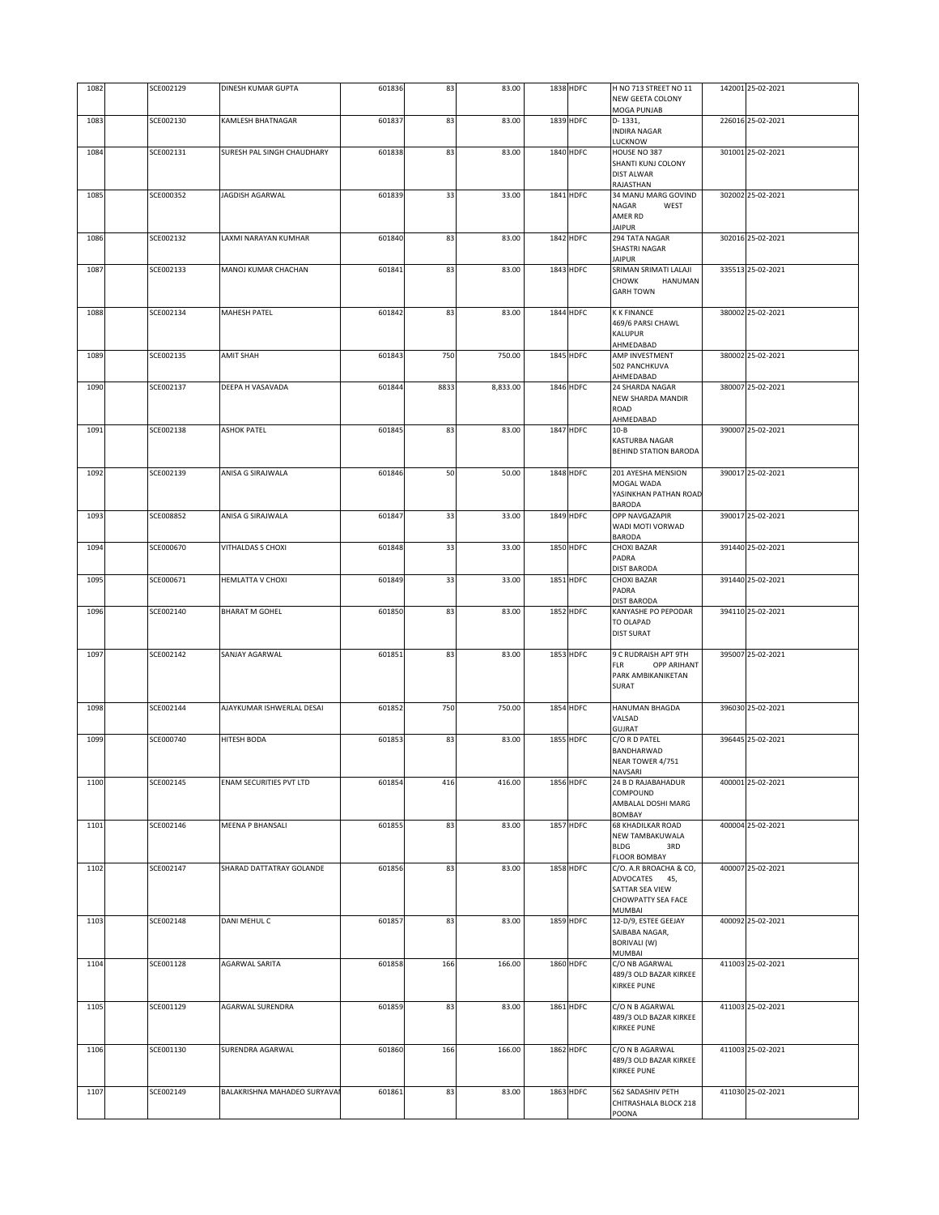| 1082 | SCE002129 | DINESH KUMAR GUPTA           | 601836 | 83   | 83.00    | 1838 HDFC        | H NO 713 STREET NO 11<br>NEW GEETA COLONY     | 142001 25-02-2021 |
|------|-----------|------------------------------|--------|------|----------|------------------|-----------------------------------------------|-------------------|
| 1083 | SCE002130 | KAMLESH BHATNAGAR            | 601837 | 83   | 83.00    | 1839 HDFC        | MOGA PUNJAB<br>D-1331,                        | 226016 25-02-2021 |
|      |           |                              |        |      |          |                  | <b>INDIRA NAGAR</b><br>LUCKNOW                |                   |
| 1084 | SCE002131 | SURESH PAL SINGH CHAUDHARY   | 601838 | 83   | 83.00    | 1840 HDFC        | HOUSE NO 387                                  | 301001 25-02-2021 |
|      |           |                              |        |      |          |                  | SHANTI KUNJ COLONY<br><b>DIST ALWAR</b>       |                   |
|      |           |                              |        |      |          |                  | RAJASTHAN                                     |                   |
| 1085 | SCE000352 | JAGDISH AGARWAL              | 601839 | 33   | 33.00    | 1841 HDFC        | 34 MANU MARG GOVIND<br>NAGAR<br>WEST          | 302002 25-02-2021 |
|      |           |                              |        |      |          |                  | AMER RD                                       |                   |
| 1086 | SCE002132 | LAXMI NARAYAN KUMHAR         | 601840 | 83   | 83.00    | 1842 HDFC        | <b>JAIPUR</b><br>294 TATA NAGAR               | 302016 25-02-2021 |
|      |           |                              |        |      |          |                  | SHASTRI NAGAR<br><b>JAIPUR</b>                |                   |
| 1087 | SCE002133 | MANOJ KUMAR CHACHAN          | 601841 | 83   | 83.00    | 1843 HDFC        | SRIMAN SRIMATI LALAJI                         | 335513 25-02-2021 |
|      |           |                              |        |      |          |                  | <b>CHOWK</b><br>HANUMAN<br><b>GARH TOWN</b>   |                   |
|      |           |                              |        |      |          |                  |                                               |                   |
| 1088 | SCE002134 | <b>MAHESH PATEL</b>          | 601842 | 83   | 83.00    | 1844 HDFC        | <b>K K FINANCE</b><br>469/6 PARSI CHAWL       | 380002 25-02-2021 |
|      |           |                              |        |      |          |                  | KALUPUR                                       |                   |
| 1089 | SCE002135 | <b>AMIT SHAH</b>             | 601843 | 750  | 750.00   | 1845 HDFC        | AHMEDABAD<br>AMP INVESTMENT                   | 380002 25-02-2021 |
|      |           |                              |        |      |          |                  | 502 PANCHKUVA                                 |                   |
| 1090 | SCE002137 | DEEPA H VASAVADA             | 601844 | 8833 | 8,833.00 | 1846 HDFC        | AHMEDABAD<br>24 SHARDA NAGAR                  | 380007 25-02-2021 |
|      |           |                              |        |      |          |                  | NEW SHARDA MANDIR                             |                   |
|      |           |                              |        |      |          |                  | ROAD<br>AHMEDABAD                             |                   |
| 1091 | SCE002138 | <b>ASHOK PATEL</b>           | 601845 | 83   | 83.00    | 1847 HDFC        | $10 - B$                                      | 390007 25-02-2021 |
|      |           |                              |        |      |          |                  | KASTURBA NAGAR<br>BEHIND STATION BARODA       |                   |
|      |           |                              |        |      |          |                  |                                               |                   |
| 1092 | SCE002139 | ANISA G SIRAJWALA            | 601846 | 50   | 50.00    | 1848 HDFC        | 201 AYESHA MENSION<br>MOGAL WADA              | 390017 25-02-2021 |
|      |           |                              |        |      |          |                  | YASINKHAN PATHAN ROAD                         |                   |
| 1093 | SCE008852 | ANISA G SIRAJWALA            | 601847 | 33   | 33.00    | 1849 HDFC        | <b>BARODA</b><br>OPP NAVGAZAPIR               | 390017 25-02-2021 |
|      |           |                              |        |      |          |                  | WADI MOTI VORWAD<br>BARODA                    |                   |
| 1094 | SCE000670 | VITHALDAS S CHOXI            | 601848 | 33   | 33.00    | 1850 HDFC        | <b>CHOXI BAZAR</b>                            | 391440 25-02-2021 |
|      |           |                              |        |      |          |                  | PADRA<br><b>DIST BARODA</b>                   |                   |
| 1095 | SCE000671 | HEMLATTA V CHOXI             | 601849 | 33   | 33.00    | <b>1851 HDFC</b> | CHOXI BAZAR                                   | 391440 25-02-2021 |
|      |           |                              |        |      |          |                  | PADRA<br>DIST BARODA                          |                   |
| 1096 | SCE002140 | <b>BHARAT M GOHEL</b>        | 601850 | 83   | 83.00    | 1852 HDFC        | KANYASHE PO PEPODAR                           | 394110 25-02-2021 |
|      |           |                              |        |      |          |                  | TO OLAPAD<br><b>DIST SURAT</b>                |                   |
| 1097 | SCE002142 | SANJAY AGARWAL               | 601851 | 83   | 83.00    | 1853 HDFC        | 9 C RUDRAISH APT 9TH                          | 395007 25-02-2021 |
|      |           |                              |        |      |          |                  | <b>FLR</b><br>OPP ARIHANT                     |                   |
|      |           |                              |        |      |          |                  | PARK AMBIKANIKETAN<br>SURAT                   |                   |
|      |           |                              |        |      |          |                  |                                               |                   |
| 1098 | SCE002144 | AJAYKUMAR ISHWERLAL DESAI    | 601852 | 750  | 750.00   | 1854 HDFC        | HANUMAN BHAGDA<br>VALSAD                      | 396030 25-02-2021 |
| 1099 | SCE000740 |                              |        |      |          |                  |                                               |                   |
|      |           |                              |        |      |          |                  | <b>GUJRAT</b>                                 |                   |
|      |           | HITESH BODA                  | 601853 | 83   | 83.00    | 1855 HDFC        | C/O R D PATEL<br>BANDHARWAD                   | 396445 25-02-2021 |
| 1100 |           |                              |        |      |          |                  | NEAR TOWER 4/751                              |                   |
|      | SCE002145 | ENAM SECURITIES PVT LTD      | 601854 | 416  | 416.00   | 1856 HDFC        | NAVSARI<br>24 B D RAJABAHADUR                 | 400001 25-02-2021 |
|      |           |                              |        |      |          |                  | COMPOUND                                      |                   |
|      |           |                              |        |      |          |                  | AMBALAL DOSHI MARG<br>BOMBAY                  |                   |
| 1101 | SCE002146 | MEENA P BHANSALI             | 601855 | 83   | 83.00    | 1857 HDFC        | <b>68 KHADILKAR ROAD</b><br>NEW TAMBAKUWALA   | 400004 25-02-2021 |
|      |           |                              |        |      |          |                  | <b>BLDG</b><br>3RD                            |                   |
| 1102 | SCE002147 | SHARAD DATTATRAY GOLANDE     | 601856 | 83   | 83.00    | 1858 HDFC        | <b>FLOOR BOMBAY</b><br>C/O. A.R BROACHA & CO, | 400007 25-02-2021 |
|      |           |                              |        |      |          |                  | ADVOCATES 45,                                 |                   |
|      |           |                              |        |      |          |                  | SATTAR SEA VIEW<br>CHOWPATTY SEA FACE         |                   |
| 1103 | SCE002148 | DANI MEHUL C                 | 601857 | 83   | 83.00    | 1859 HDFC        | MUMBAI<br>12-D/9, ESTEE GEEJAY                | 400092 25-02-2021 |
|      |           |                              |        |      |          |                  | SAIBABA NAGAR,                                |                   |
|      |           |                              |        |      |          |                  | BORIVALI (W)<br>MUMBAI                        |                   |
| 1104 | SCE001128 | <b>AGARWAL SARITA</b>        | 601858 | 166  | 166.00   | 1860 HDFC        | C/O NB AGARWAL                                | 411003 25-02-2021 |
|      |           |                              |        |      |          |                  | 489/3 OLD BAZAR KIRKEE<br>KIRKEE PUNE         |                   |
|      |           |                              |        |      |          |                  |                                               |                   |
| 1105 | SCE001129 | AGARWAL SURENDRA             | 601859 | 83   | 83.00    | 1861 HDFC        | C/O N B AGARWAL<br>489/3 OLD BAZAR KIRKEE     | 411003 25-02-2021 |
|      |           |                              |        |      |          |                  | <b>KIRKEE PUNE</b>                            |                   |
| 1106 | SCE001130 | SURENDRA AGARWAL             | 601860 | 166  | 166.00   | 1862 HDFC        | C/O N B AGARWAL                               | 411003 25-02-2021 |
|      |           |                              |        |      |          |                  | 489/3 OLD BAZAR KIRKEE<br>KIRKEE PUNE         |                   |
|      |           |                              |        |      |          |                  |                                               |                   |
| 1107 | SCE002149 | BALAKRISHNA MAHADEO SURYAVAI | 601861 | 83   | 83.00    | 1863 HDFC        | 562 SADASHIV PETH<br>CHITRASHALA BLOCK 218    | 411030 25-02-2021 |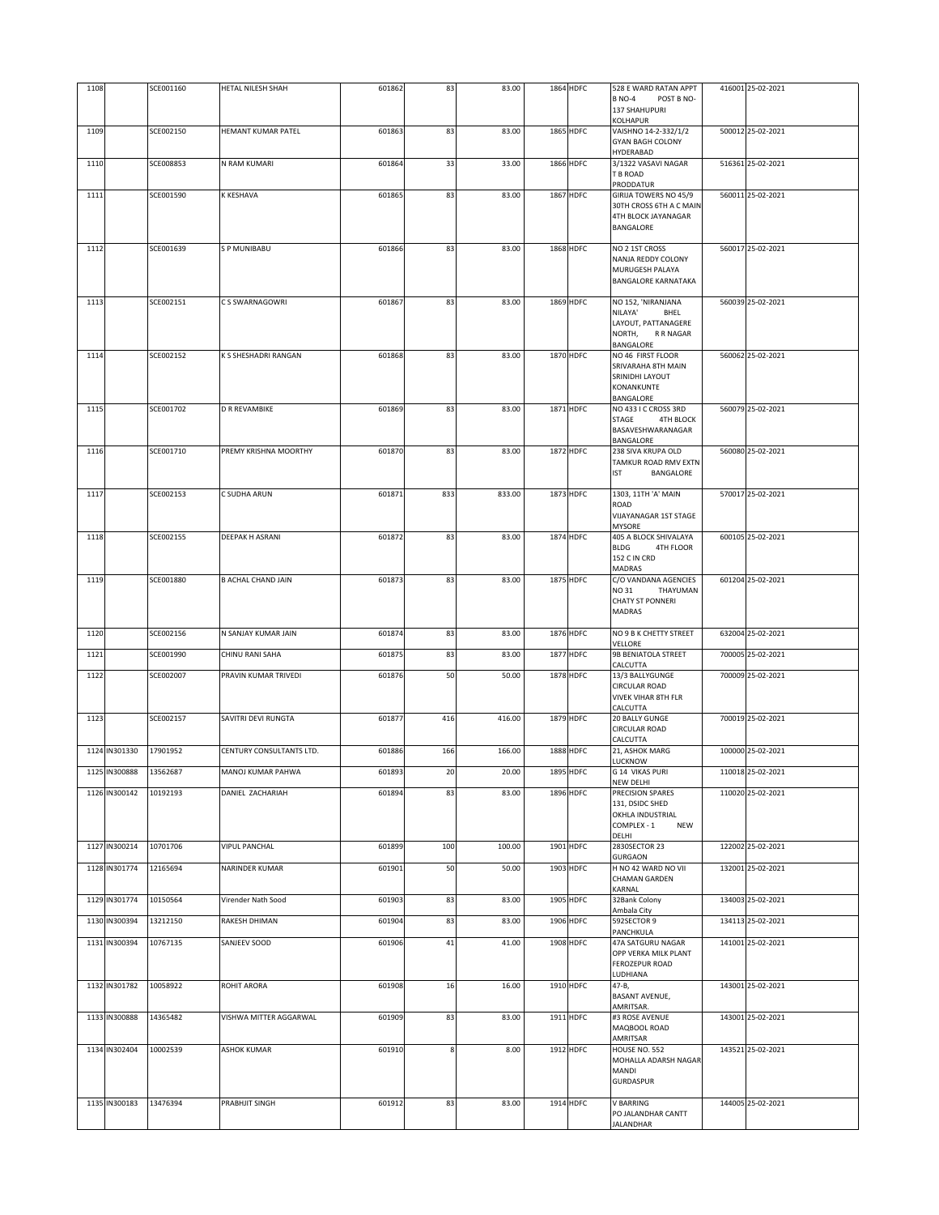| 1108 |               | SCE001160 | HETAL NILESH SHAH         | 601862 | 83     | 83.00  | 1864 HDFC        | 528 E WARD RATAN APPT<br>POST B NO-<br><b>B NO-4</b><br>137 SHAHUPURI<br>KOLHAPUR                | 416001 25-02-2021 |
|------|---------------|-----------|---------------------------|--------|--------|--------|------------------|--------------------------------------------------------------------------------------------------|-------------------|
| 1109 |               | SCE002150 | HEMANT KUMAR PATEL        | 601863 | 83     | 83.00  | <b>1865 HDFC</b> | VAISHNO 14-2-332/1/2<br><b>GYAN BAGH COLONY</b><br>HYDERABAD                                     | 500012 25-02-2021 |
| 1110 |               | SCE008853 | N RAM KUMARI              | 601864 | 33     | 33.00  | 1866 HDFC        | 3/1322 VASAVI NAGAR<br>T B ROAD<br>PRODDATUR                                                     | 516361 25-02-2021 |
| 1111 |               | SCE001590 | K KESHAVA                 | 601865 | 83     | 83.00  | <b>1867 HDFC</b> | GIRIJA TOWERS NO 45/9<br>30TH CROSS 6TH A C MAIN<br>4TH BLOCK JAYANAGAR<br>BANGALORE             | 560011 25-02-2021 |
| 1112 |               | SCE001639 | <b>SPMUNIBABU</b>         | 601866 | 83     | 83.00  | 1868 HDFC        | NO 2 1ST CROSS<br>NANJA REDDY COLONY<br>MURUGESH PALAYA<br><b>BANGALORE KARNATAKA</b>            | 560017 25-02-2021 |
| 1113 |               | SCE002151 | C S SWARNAGOWRI           | 601867 | 83     | 83.00  | 1869 HDFC        | NO 152, 'NIRANJANA<br>NILAYA'<br>BHEL<br>LAYOUT, PATTANAGERE<br>NORTH,<br>R R NAGAR<br>BANGALORE | 560039 25-02-2021 |
| 1114 |               | SCE002152 | K S SHESHADRI RANGAN      | 601868 | 83     | 83.00  | 1870 HDFC        | NO 46 FIRST FLOOR<br>SRIVARAHA 8TH MAIN<br>SRINIDHI LAYOUT<br>KONANKUNTE<br><b>BANGALORE</b>     | 560062 25-02-2021 |
| 1115 |               | SCE001702 | <b>D R REVAMBIKE</b>      | 601869 | 83     | 83.00  | 1871 HDFC        | NO 433 I C CROSS 3RD<br>STAGE<br><b>4TH BLOCK</b><br>BASAVESHWARANAGAR<br>BANGALORE              | 560079 25-02-2021 |
| 1116 |               | SCE001710 | PREMY KRISHNA MOORTHY     | 601870 | 83     | 83.00  | 1872 HDFC        | 238 SIVA KRUPA OLD<br>TAMKUR ROAD RMV EXTN<br><b>IST</b><br>BANGALORE                            | 560080 25-02-2021 |
| 1117 |               | SCE002153 | C SUDHA ARUN              | 601871 | 833    | 833.00 | 1873 HDFC        | 1303, 11TH 'A' MAIN<br>ROAD<br>VIJAYANAGAR 1ST STAGE<br><b>MYSORE</b>                            | 570017 25-02-2021 |
| 1118 |               | SCE002155 | <b>DEEPAK H ASRANI</b>    | 601872 | 83     | 83.00  | 1874 HDFC        | 405 A BLOCK SHIVALAYA<br><b>BLDG</b><br>4TH FLOOR<br>152 C IN CRD<br>MADRAS                      | 600105 25-02-2021 |
| 1119 |               | SCE001880 | <b>B ACHAL CHAND JAIN</b> | 601873 | 83     | 83.00  | 1875 HDFC        | C/O VANDANA AGENCIES<br>NO 31<br>THAYUMAN<br><b>CHATY ST PONNERI</b><br><b>MADRAS</b>            | 601204 25-02-2021 |
| 1120 |               | SCE002156 | N SANJAY KUMAR JAIN       | 601874 | 83     | 83.00  | 1876 HDFC        | NO 9 B K CHETTY STREET<br>VELLORE                                                                | 632004 25-02-2021 |
| 1121 |               | SCE001990 | CHINU RANI SAHA           | 601875 | 83     | 83.00  | 1877 HDFC        | 9B BENIATOLA STREET<br>CALCUTTA                                                                  | 700005 25-02-2021 |
| 1122 |               | SCE002007 | PRAVIN KUMAR TRIVEDI      | 601876 | 50     | 50.00  | 1878 HDFC        | 13/3 BALLYGUNGE<br><b>CIRCULAR ROAD</b><br><b>VIVEK VIHAR 8TH FLR</b><br>CALCUTTA                | 700009 25-02-2021 |
| 1123 |               | SCE002157 | SAVITRI DEVI RUNGTA       | 601877 | 416    | 416.00 | 1879 HDFC        | 20 BALLY GUNGE<br><b>CIRCULAR ROAD</b><br>CALCUTTA                                               | 700019 25-02-2021 |
|      | 1124 IN301330 | 17901952  | CENTURY CONSULTANTS LTD.  | 601886 | 166    | 166.00 | 1888 HDFC        | 21, ASHOK MARG<br>LUCKNOW                                                                        | 100000 25-02-2021 |
|      | 1125 IN300888 | 13562687  | MANOJ KUMAR PAHWA         | 601893 | 20     | 20.00  | 1895 HDFC        | G 14 VIKAS PURI<br><b>NEW DELHI</b>                                                              | 110018 25-02-2021 |
|      | 1126 IN300142 | 10192193  | DANIEL ZACHARIAH          | 601894 | 83     | 83.00  | 1896 HDFC        | PRECISION SPARES<br>131, DSIDC SHED<br>OKHLA INDUSTRIAL<br>COMPLEX - 1<br><b>NEW</b><br>DELHI    | 110020 25-02-2021 |
|      | 1127 IN300214 | 10701706  | <b>VIPUL PANCHAL</b>      | 601899 | 100    | 100.00 | 1901 HDFC        | 2830SECTOR 23<br>GURGAON                                                                         | 122002 25-02-2021 |
|      | 1128 IN301774 | 12165694  | NARINDER KUMAR            | 601901 | 50     | 50.00  | 1903 HDFC        | H NO 42 WARD NO VII<br>CHAMAN GARDEN<br>KARNAL                                                   | 132001 25-02-2021 |
|      | 1129 IN301774 | 10150564  | Virender Nath Sood        | 601903 | 83     | 83.00  | 1905 HDFC        | 32Bank Colony<br>Ambala City                                                                     | 134003 25-02-2021 |
|      | 1130 IN300394 | 13212150  | RAKESH DHIMAN             | 601904 | 83     | 83.00  | 1906 HDFC        | 592SECTOR 9<br>PANCHKULA                                                                         | 134113 25-02-2021 |
|      | 1131 IN300394 | 10767135  | SANJEEV SOOD              | 601906 | $41\,$ | 41.00  | 1908 HDFC        | 47A SATGURU NAGAR<br>OPP VERKA MILK PLANT<br><b>FEROZEPUR ROAD</b><br>LUDHIANA                   | 141001 25-02-2021 |
|      | 1132 IN301782 | 10058922  | ROHIT ARORA               | 601908 | 16     | 16.00  | 1910 HDFC        | 47-B,<br>BASANT AVENUE,<br>AMRITSAR.                                                             | 143001 25-02-2021 |
|      | 1133 IN300888 | 14365482  | VISHWA MITTER AGGARWAL    | 601909 | 83     | 83.00  | 1911 HDFC        | #3 ROSE AVENUE<br>MAQBOOL ROAD<br>AMRITSAR                                                       | 143001 25-02-2021 |
|      | 1134 IN302404 | 10002539  | <b>ASHOK KUMAR</b>        | 601910 | 8      | 8.00   | 1912 HDFC        | HOUSE NO. 552<br>MOHALLA ADARSH NAGAR<br>MANDI<br>GURDASPUR                                      | 143521 25-02-2021 |
|      | 1135 IN300183 | 13476394  | PRABHJIT SINGH            | 601912 | 83     | 83.00  | 1914 HDFC        | <b>V BARRING</b><br>PO JALANDHAR CANTT<br>JALANDHAR                                              | 144005 25-02-2021 |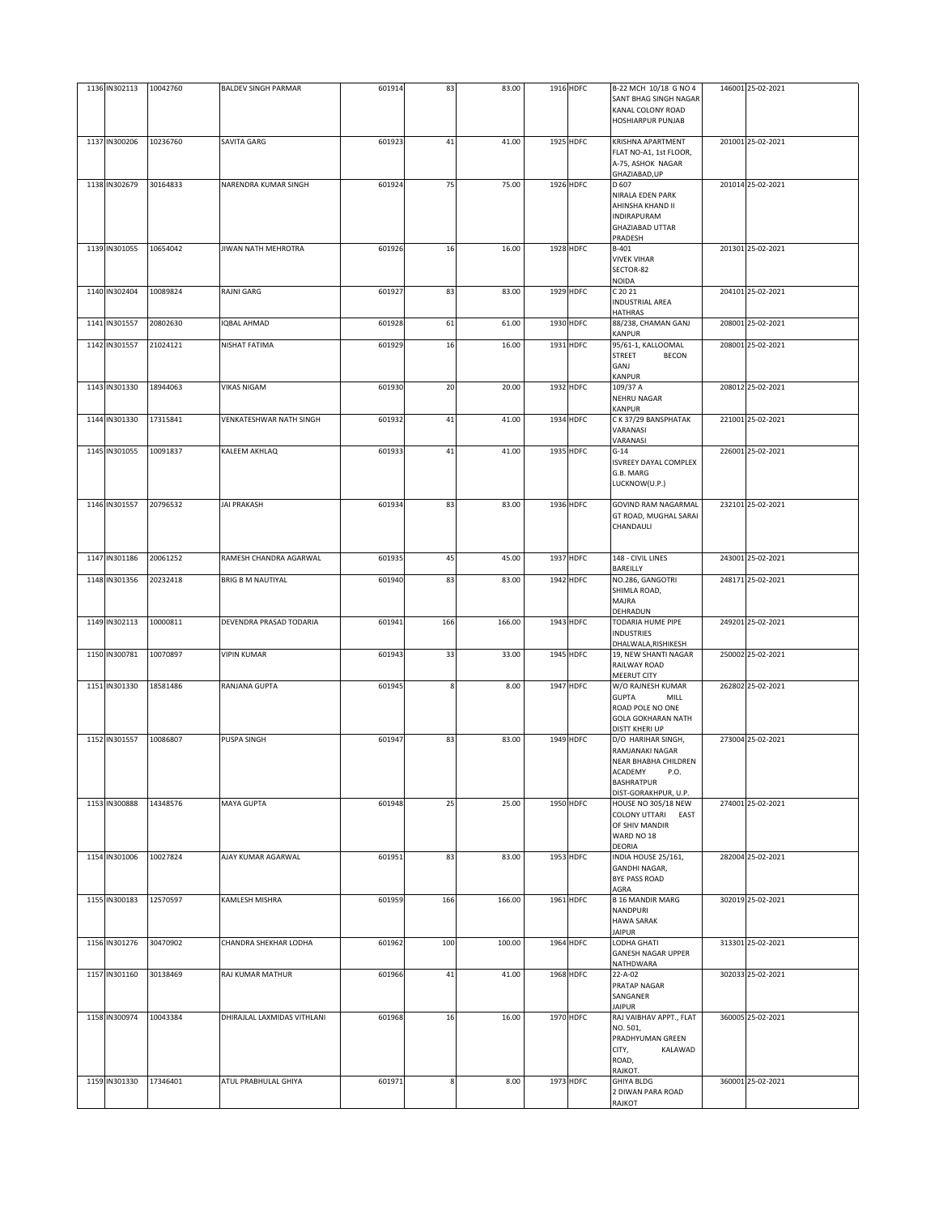| 1136 IN302113 | 10042760 | <b>BALDEV SINGH PARMAR</b>  | 601914 | 83  | 83.00  | 1916 HDFC | B-22 MCH 10/18 G NO 4         | 146001 25-02-2021 |
|---------------|----------|-----------------------------|--------|-----|--------|-----------|-------------------------------|-------------------|
|               |          |                             |        |     |        |           |                               |                   |
|               |          |                             |        |     |        |           | SANT BHAG SINGH NAGAR         |                   |
|               |          |                             |        |     |        |           | KANAL COLONY ROAD             |                   |
|               |          |                             |        |     |        |           | <b>HOSHIARPUR PUNJAB</b>      |                   |
|               |          |                             |        |     |        |           |                               |                   |
| 1137 IN300206 | 10236760 | SAVITA GARG                 | 601923 | 41  | 41.00  | 1925 HDFC | KRISHNA APARTMENT             | 201001 25-02-2021 |
|               |          |                             |        |     |        |           | FLAT NO-A1, 1st FLOOR,        |                   |
|               |          |                             |        |     |        |           |                               |                   |
|               |          |                             |        |     |        |           | A-75, ASHOK NAGAR             |                   |
|               |          |                             |        |     |        |           | GHAZIABAD, UP                 |                   |
| 1138 IN302679 | 30164833 | NARENDRA KUMAR SINGH        | 601924 | 75  | 75.00  | 1926 HDFC | D 607                         | 201014 25-02-2021 |
|               |          |                             |        |     |        |           | NIRALA EDEN PARK              |                   |
|               |          |                             |        |     |        |           | AHINSHA KHAND II              |                   |
|               |          |                             |        |     |        |           | <b>INDIRAPURAM</b>            |                   |
|               |          |                             |        |     |        |           | GHAZIABAD UTTAR               |                   |
|               |          |                             |        |     |        |           |                               |                   |
|               |          |                             |        |     |        |           | PRADESH                       |                   |
| 1139 IN301055 | 10654042 | <b>JIWAN NATH MEHROTRA</b>  | 601926 | 16  | 16.00  | 1928 HDFC | B-401                         | 201301 25-02-2021 |
|               |          |                             |        |     |        |           | <b>VIVEK VIHAR</b>            |                   |
|               |          |                             |        |     |        |           | SECTOR-82                     |                   |
|               |          |                             |        |     |        |           | <b>NOIDA</b>                  |                   |
| 1140 IN302404 | 10089824 | RAJNI GARG                  | 601927 | 83  | 83.00  | 1929 HDFC | C 20 21                       | 204101 25-02-2021 |
|               |          |                             |        |     |        |           | <b>INDUSTRIAL AREA</b>        |                   |
|               |          |                             |        |     |        |           | <b>HATHRAS</b>                |                   |
|               |          |                             |        |     |        |           |                               |                   |
| 1141 IN301557 | 20802630 | <b>QBAL AHMAD</b>           | 601928 | 61  | 61.00  | 1930 HDFC | 88/238, CHAMAN GANJ           | 208001 25-02-2021 |
|               |          |                             |        |     |        |           | KANPUR                        |                   |
| 1142 IN301557 | 21024121 | NISHAT FATIMA               | 601929 | 16  | 16.00  | 1931 HDFC | 95/61-1, KALLOOMAL            | 208001 25-02-2021 |
|               |          |                             |        |     |        |           | <b>STREET</b><br><b>BECON</b> |                   |
|               |          |                             |        |     |        |           | GANJ                          |                   |
|               |          |                             |        |     |        |           | KANPUR                        |                   |
| 1143 IN301330 | 18944063 | <b>VIKAS NIGAM</b>          |        |     | 20.00  | 1932 HDFC |                               | 208012 25-02-2021 |
|               |          |                             | 601930 | 20  |        |           | 109/37 A                      |                   |
|               |          |                             |        |     |        |           | NEHRU NAGAR                   |                   |
|               |          |                             |        |     |        |           | KANPUR                        |                   |
| 1144 IN301330 | 17315841 | VENKATESHWAR NATH SINGH     | 601932 | 41  | 41.00  | 1934 HDFC | C K 37/29 BANSPHATAK          | 221001 25-02-2021 |
|               |          |                             |        |     |        |           | VARANASI                      |                   |
|               |          |                             |        |     |        |           | VARANASI                      |                   |
|               |          |                             |        |     |        |           |                               |                   |
| 1145 IN301055 | 10091837 | KALEEM AKHLAQ               | 601933 | 41  | 41.00  | 1935 HDFC | $G-14$                        | 226001 25-02-2021 |
|               |          |                             |        |     |        |           | ISVREEY DAYAL COMPLEX         |                   |
|               |          |                             |        |     |        |           | G.B. MARG                     |                   |
|               |          |                             |        |     |        |           | LUCKNOW(U.P.)                 |                   |
|               |          |                             |        |     |        |           |                               |                   |
| 1146 IN301557 | 20796532 | <b>JAI PRAKASH</b>          | 601934 | 83  | 83.00  | 1936 HDFC | GOVIND RAM NAGARMAL           | 232101 25-02-2021 |
|               |          |                             |        |     |        |           |                               |                   |
|               |          |                             |        |     |        |           | GT ROAD, MUGHAL SARAI         |                   |
|               |          |                             |        |     |        |           | CHANDAULI                     |                   |
|               |          |                             |        |     |        |           |                               |                   |
|               |          |                             |        |     |        |           |                               |                   |
| 1147 IN301186 | 20061252 | RAMESH CHANDRA AGARWAL      | 601935 | 45  | 45.00  | 1937 HDFC | 148 - CIVIL LINES             | 243001 25-02-2021 |
|               |          |                             |        |     |        |           | BAREILLY                      |                   |
| 1148 IN301356 | 20232418 | <b>BRIG B M NAUTIYAL</b>    | 601940 | 83  | 83.00  | 1942 HDFC | NO.286, GANGOTRI              | 248171 25-02-2021 |
|               |          |                             |        |     |        |           |                               |                   |
|               |          |                             |        |     |        |           | SHIMLA ROAD,                  |                   |
|               |          |                             |        |     |        |           | MAJRA                         |                   |
|               |          |                             |        |     |        |           | DEHRADUN                      |                   |
| 1149 IN302113 | 10000811 | DEVENDRA PRASAD TODARIA     | 601941 | 166 | 166.00 | 1943 HDFC | TODARIA HUME PIPE             | 249201 25-02-2021 |
|               |          |                             |        |     |        |           | <b>INDUSTRIES</b>             |                   |
|               |          |                             |        |     |        |           |                               |                   |
|               |          |                             |        |     |        |           | DHALWALA, RISHIKESH           |                   |
| 1150 IN300781 | 10070897 | <b>VIPIN KUMAR</b>          | 601943 | 33  | 33.00  | 1945 HDFC | 19, NEW SHANTI NAGAR          | 250002 25-02-2021 |
|               |          |                             |        |     |        |           | RAILWAY ROAD                  |                   |
|               |          |                             |        |     |        |           | <b>MEERUT CITY</b>            |                   |
| 1151 IN301330 | 18581486 | RANJANA GUPTA               | 601945 |     | 8.00   | 1947 HDFC | W/O RAJNESH KUMAR             | 262802 25-02-2021 |
|               |          |                             |        |     |        |           | <b>GUPTA</b><br>MILL          |                   |
|               |          |                             |        |     |        |           | ROAD POLE NO ONE              |                   |
|               |          |                             |        |     |        |           |                               |                   |
|               |          |                             |        |     |        |           | <b>GOLA GOKHARAN NATH</b>     |                   |
|               |          |                             |        |     |        |           | <b>DISTT KHERI UP</b>         |                   |
| 1152 IN301557 | 10086807 | PUSPA SINGH                 | 601947 | 83  | 83.00  | 1949 HDFC | D/O HARIHAR SINGH,            | 273004 25-02-2021 |
|               |          |                             |        |     |        |           | RAMJANAKI NAGAR               |                   |
|               |          |                             |        |     |        |           | <b>NEAR BHABHA CHILDREN</b>   |                   |
|               |          |                             |        |     |        |           |                               |                   |
|               |          |                             |        |     |        |           | ACADEMY<br>P.O.               |                   |
|               |          |                             |        |     |        |           | <b>BASHRATPUR</b>             |                   |
|               |          |                             |        |     |        |           | DIST-GORAKHPUR, U.P.          |                   |
| 1153 IN300888 | 14348576 | MAYA GUPTA                  | 601948 | 25  | 25.00  | 1950 HDFC | HOUSE NO 305/18 NEW           | 274001 25-02-2021 |
|               |          |                             |        |     |        |           | COLONY UTTARI<br>EAST         |                   |
|               |          |                             |        |     |        |           | OF SHIV MANDIR                |                   |
|               |          |                             |        |     |        |           | WARD NO 18                    |                   |
|               |          |                             |        |     |        |           | DEORIA                        |                   |
|               |          |                             |        |     |        |           |                               |                   |
| 1154 IN301006 | 10027824 | AJAY KUMAR AGARWAL          | 601951 | 83  | 83.00  | 1953 HDFC | INDIA HOUSE 25/161,           | 282004 25-02-2021 |
|               |          |                             |        |     |        |           | GANDHI NAGAR,                 |                   |
|               |          |                             |        |     |        |           | BYE PASS ROAD                 |                   |
|               |          |                             |        |     |        |           | AGRA                          |                   |
| 1155 IN300183 | 12570597 | KAMLESH MISHRA              | 601959 | 166 | 166.00 | 1961 HDFC | <b>B 16 MANDIR MARG</b>       | 302019 25-02-2021 |
|               |          |                             |        |     |        |           | NANDPURI                      |                   |
|               |          |                             |        |     |        |           | <b>HAWA SARAK</b>             |                   |
|               |          |                             |        |     |        |           |                               |                   |
|               |          |                             |        |     |        |           | <b>JAIPUR</b>                 |                   |
| 1156 IN301276 | 30470902 | CHANDRA SHEKHAR LODHA       | 601962 | 100 | 100.00 | 1964 HDFC | LODHA GHATI                   | 313301 25-02-2021 |
|               |          |                             |        |     |        |           | <b>GANESH NAGAR UPPER</b>     |                   |
|               |          |                             |        |     |        |           | NATHDWARA                     |                   |
| 1157 IN301160 | 30138469 | RAJ KUMAR MATHUR            | 601966 | 41  | 41.00  | 1968 HDFC | 22-A-02                       | 302033 25-02-2021 |
|               |          |                             |        |     |        |           |                               |                   |
|               |          |                             |        |     |        |           | PRATAP NAGAR                  |                   |
|               |          |                             |        |     |        |           | SANGANER                      |                   |
|               |          |                             |        |     |        |           | <b>JAIPUR</b>                 |                   |
| 1158 IN300974 | 10043384 | DHIRAJLAL LAXMIDAS VITHLANI | 601968 | 16  | 16.00  | 1970 HDFC | RAJ VAIBHAV APPT., FLAT       | 360005 25-02-2021 |
|               |          |                             |        |     |        |           | NO. 501,                      |                   |
|               |          |                             |        |     |        |           | PRADHYUMAN GREEN              |                   |
|               |          |                             |        |     |        |           | CITY,<br>KALAWAD              |                   |
|               |          |                             |        |     |        |           |                               |                   |
|               |          |                             |        |     |        |           | ROAD,                         |                   |
|               |          |                             |        |     |        |           | RAJKOT.                       |                   |
| 1159 IN301330 | 17346401 | ATUL PRABHULAL GHIYA        | 601971 | 8   | 8.00   | 1973 HDFC | <b>GHIYA BLDG</b>             | 360001 25-02-2021 |
|               |          |                             |        |     |        |           | 2 DIWAN PARA ROAD             |                   |
|               |          |                             |        |     |        |           | RAJKOT                        |                   |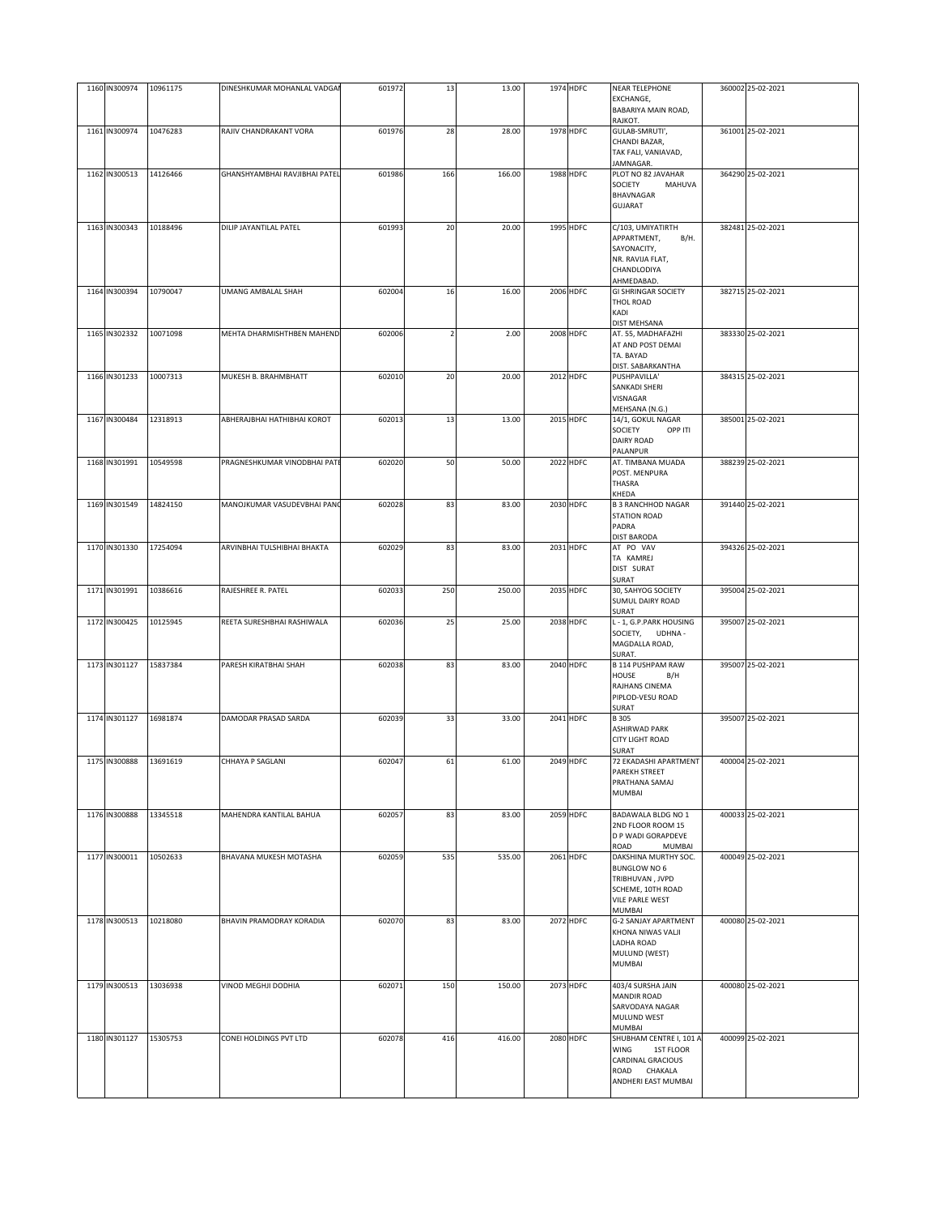| 1160 IN300974 | 10961175 | DINESHKUMAR MOHANLAL VADGA    | 601972 | 13  | 13.00  | 1974 HDFC | <b>NEAR TELEPHONE</b>                       | 360002 25-02-2021 |
|---------------|----------|-------------------------------|--------|-----|--------|-----------|---------------------------------------------|-------------------|
|               |          |                               |        |     |        |           | EXCHANGE,<br>BABARIYA MAIN ROAD,            |                   |
|               |          |                               |        |     |        |           | RAJKOT.                                     |                   |
| 1161 IN300974 | 10476283 | RAJIV CHANDRAKANT VORA        | 601976 | 28  | 28.00  | 1978 HDFC | GULAB-SMRUTI',<br>CHANDI BAZAR,             | 361001 25-02-2021 |
|               |          |                               |        |     |        |           | TAK FALI, VANIAVAD,                         |                   |
| 1162 IN300513 | 14126466 | GHANSHYAMBHAI RAVJIBHAI PATEL | 601986 | 166 | 166.00 | 1988 HDFC | JAMNAGAR.<br>PLOT NO 82 JAVAHAR             | 364290 25-02-2021 |
|               |          |                               |        |     |        |           | SOCIETY<br>MAHUVA                           |                   |
|               |          |                               |        |     |        |           | BHAVNAGAR                                   |                   |
|               |          |                               |        |     |        |           | <b>GUJARAT</b>                              |                   |
| 1163 IN300343 | 10188496 | DILIP JAYANTILAL PATEL        | 601993 | 20  | 20.00  | 1995 HDFC | C/103, UMIYATIRTH                           | 382481 25-02-2021 |
|               |          |                               |        |     |        |           | APPARTMENT,<br>B/H.<br>SAYONACITY,          |                   |
|               |          |                               |        |     |        |           | NR. RAVIJA FLAT,                            |                   |
|               |          |                               |        |     |        |           | <b>CHANDLODIYA</b>                          |                   |
| 1164 IN300394 | 10790047 | <b>UMANG AMBALAL SHAH</b>     | 602004 | 16  | 16.00  | 2006 HDFC | AHMEDABAD.<br><b>GI SHRINGAR SOCIETY</b>    | 382715 25-02-2021 |
|               |          |                               |        |     |        |           | THOL ROAD                                   |                   |
|               |          |                               |        |     |        |           | KADI<br><b>DIST MEHSANA</b>                 |                   |
| 1165 IN302332 | 10071098 | MEHTA DHARMISHTHBEN MAHEND    | 602006 |     | 2.00   | 2008 HDFC | AT. 55, MADHAFAZHI                          | 383330 25-02-2021 |
|               |          |                               |        |     |        |           | AT AND POST DEMAI<br>TA. BAYAD              |                   |
|               |          |                               |        |     |        |           | DIST. SABARKANTHA                           |                   |
| 1166 IN301233 | 10007313 | MUKESH B. BRAHMBHATT          | 602010 | 20  | 20.00  | 2012 HDFC | PUSHPAVILLA'                                | 384315 25-02-2021 |
|               |          |                               |        |     |        |           | SANKADI SHERI<br>VISNAGAR                   |                   |
|               |          |                               |        |     |        |           | MEHSANA (N.G.)                              |                   |
| 1167 IN300484 | 12318913 | ABHERAJBHAI HATHIBHAI KOROT   | 602013 | 13  | 13.00  | 2015 HDFC | 14/1, GOKUL NAGAR<br>SOCIETY<br>OPP ITI     | 385001 25-02-2021 |
|               |          |                               |        |     |        |           | <b>DAIRY ROAD</b>                           |                   |
|               |          |                               |        |     |        |           | PALANPUR                                    |                   |
| 1168 IN301991 | 10549598 | PRAGNESHKUMAR VINODBHAI PATI  | 602020 | 50  | 50.00  | 2022 HDFC | AT. TIMBANA MUADA<br>POST. MENPURA          | 388239 25-02-2021 |
|               |          |                               |        |     |        |           | <b>THASRA</b>                               |                   |
| 1169 IN301549 | 14824150 | MANOJKUMAR VASUDEVBHAI PANO   | 602028 | 83  | 83.00  | 2030 HDFC | KHEDA<br><b>B 3 RANCHHOD NAGAR</b>          | 391440 25-02-2021 |
|               |          |                               |        |     |        |           | <b>STATION ROAD</b>                         |                   |
|               |          |                               |        |     |        |           | PADRA                                       |                   |
| 1170 IN301330 | 17254094 | ARVINBHAI TULSHIBHAI BHAKTA   | 602029 | 83  | 83.00  | 2031 HDFC | <b>DIST BARODA</b><br>AT PO VAV             | 394326 25-02-2021 |
|               |          |                               |        |     |        |           | TA KAMREJ                                   |                   |
|               |          |                               |        |     |        |           | DIST SURAT<br>SURAT                         |                   |
| 1171 IN301991 | 10386616 | RAJESHREE R. PATEL            | 602033 | 250 | 250.00 | 2035 HDFC | 30, SAHYOG SOCIETY                          | 395004 25-02-2021 |
|               |          |                               |        |     |        |           | <b>SUMUL DAIRY ROAD</b>                     |                   |
| 1172 IN300425 | 10125945 | REETA SURESHBHAI RASHIWALA    | 602036 | 25  | 25.00  | 2038 HDFC | SURAT<br>L - 1, G.P.PARK HOUSING            | 395007 25-02-2021 |
|               |          |                               |        |     |        |           | SOCIETY, UDHNA -                            |                   |
|               |          |                               |        |     |        |           | MAGDALLA ROAD,<br>SURAT.                    |                   |
| 1173 IN301127 | 15837384 | PARESH KIRATBHAI SHAH         | 602038 | 83  | 83.00  | 2040 HDFC | <b>B 114 PUSHPAM RAW</b>                    | 395007 25-02-2021 |
|               |          |                               |        |     |        |           | HOUSE<br>B/H<br>RAJHANS CINEMA              |                   |
|               |          |                               |        |     |        |           | PIPLOD-VESU ROAD                            |                   |
|               |          |                               |        |     |        |           | SURAT                                       | 395007 25-02-2021 |
| 1174 IN301127 | 16981874 | DAMODAR PRASAD SARDA          | 602039 | 33  | 33.00  | 2041 HDFC | <b>B305</b><br>ASHIRWAD PARK                |                   |
|               |          |                               |        |     |        |           | <b>CITY LIGHT ROAD</b>                      |                   |
| 1175 IN300888 | 13691619 | CHHAYA P SAGLANI              | 602047 | 61  | 61.00  | 2049 HDFC | SURAT<br>72 EKADASHI APARTMENT              | 400004 25-02-2021 |
|               |          |                               |        |     |        |           | PAREKH STREET                               |                   |
|               |          |                               |        |     |        |           | PRATHANA SAMAJ<br>MUMBAI                    |                   |
|               |          |                               |        |     |        |           |                                             |                   |
| 1176 IN300888 | 13345518 | MAHENDRA KANTILAL BAHUA       | 602057 | 83  | 83.00  | 2059 HDFC | BADAWALA BLDG NO 1<br>2ND FLOOR ROOM 15     | 400033 25-02-2021 |
|               |          |                               |        |     |        |           | D P WADI GORAPDEVE                          |                   |
|               |          |                               |        |     |        |           | ROAD<br><b>MUMBAI</b>                       |                   |
| 1177 IN300011 | 10502633 | BHAVANA MUKESH MOTASHA        | 602059 | 535 | 535.00 | 2061 HDFC | DAKSHINA MURTHY SOC.<br><b>BUNGLOW NO 6</b> | 400049 25-02-2021 |
|               |          |                               |        |     |        |           | TRIBHUVAN, JVPD                             |                   |
|               |          |                               |        |     |        |           | SCHEME, 10TH ROAD<br>VILE PARLE WEST        |                   |
|               |          |                               |        |     |        |           | MUMBAI                                      |                   |
| 1178 IN300513 | 10218080 | BHAVIN PRAMODRAY KORADIA      | 602070 | 83  | 83.00  | 2072 HDFC | <b>G-2 SANJAY APARTMENT</b>                 | 400080 25-02-2021 |
|               |          |                               |        |     |        |           | KHONA NIWAS VALJI<br><b>LADHA ROAD</b>      |                   |
|               |          |                               |        |     |        |           | MULUND (WEST)                               |                   |
|               |          |                               |        |     |        |           | <b>MUMBAI</b>                               |                   |
| 1179 IN300513 | 13036938 | VINOD MEGHJI DODHIA           | 602071 | 150 | 150.00 | 2073 HDFC | 403/4 SURSHA JAIN                           | 400080 25-02-2021 |
|               |          |                               |        |     |        |           | <b>MANDIR ROAD</b><br>SARVODAYA NAGAR       |                   |
|               |          |                               |        |     |        |           | MULUND WEST                                 |                   |
| 1180 IN301127 | 15305753 | CONEI HOLDINGS PVT LTD        | 602078 |     | 416.00 | 2080 HDFC | MUMBAI<br>SHUBHAM CENTRE I, 101 A           | 400099 25-02-2021 |
|               |          |                               |        | 416 |        |           | WING<br>1ST FLOOR                           |                   |
|               |          |                               |        |     |        |           | CARDINAL GRACIOUS                           |                   |
|               |          |                               |        |     |        |           | ROAD CHAKALA<br>ANDHERI EAST MUMBAI         |                   |
|               |          |                               |        |     |        |           |                                             |                   |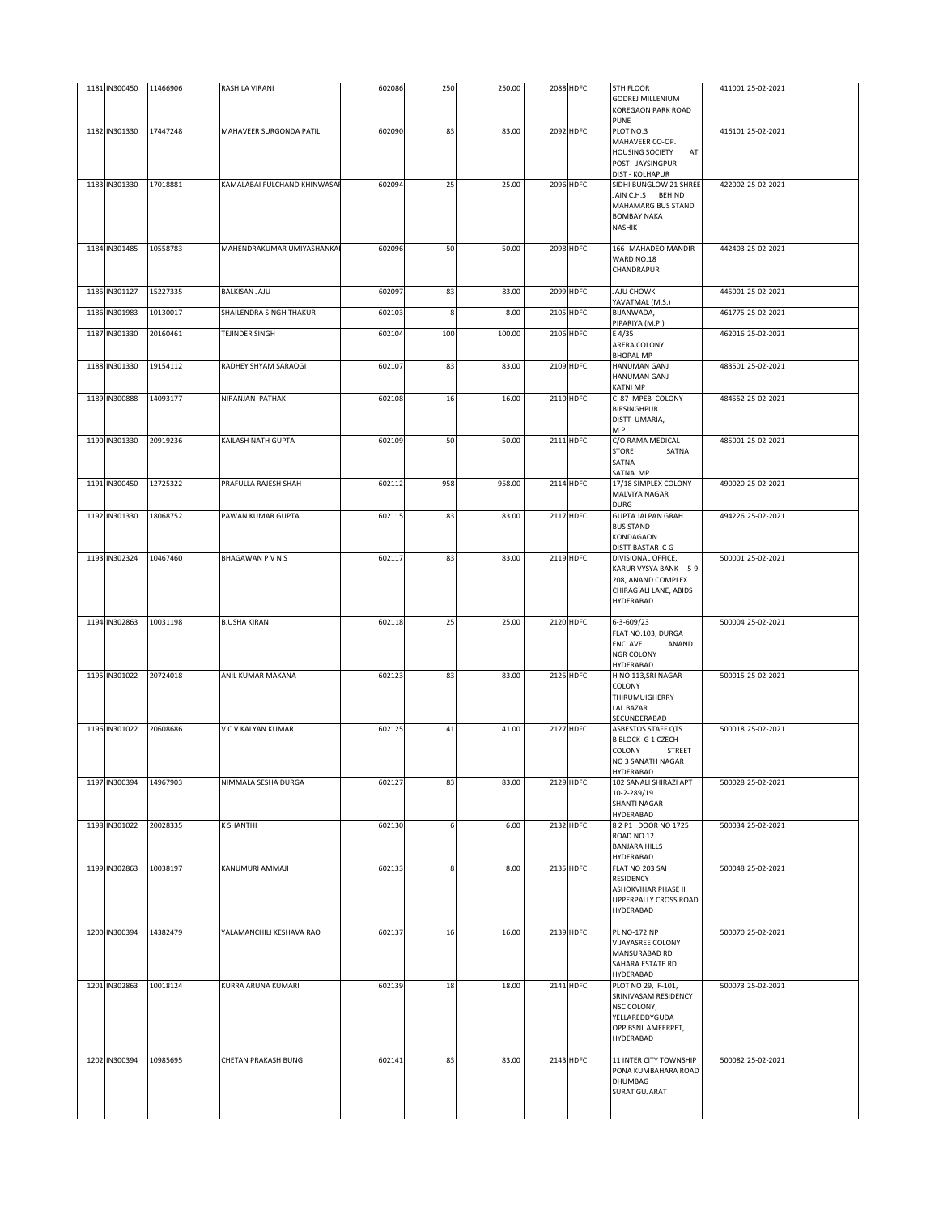| 1181 IN300450 | 11466906 | RASHILA VIRANI              | 602086 | 250 | 250.00 | 2088 HDFC        | 5TH FLOOR<br><b>GODREJ MILLENIUM</b><br><b>KOREGAON PARK ROAD</b><br>PUNE                      | 411001 25-02-2021 |
|---------------|----------|-----------------------------|--------|-----|--------|------------------|------------------------------------------------------------------------------------------------|-------------------|
| 1182 IN301330 | 17447248 | MAHAVEER SURGONDA PATIL     | 602090 | 83  | 83.00  | 2092 HDFC        | PLOT NO.3                                                                                      | 416101 25-02-2021 |
|               |          |                             |        |     |        |                  | MAHAVEER CO-OP.<br><b>HOUSING SOCIETY</b><br>AT<br>POST - JAYSINGPUR<br><b>DIST - KOLHAPUR</b> |                   |
| 1183 IN301330 | 17018881 | KAMALABAI FULCHAND KHINWASA | 602094 | 25  | 25.00  | 2096 HDFC        | SIDHI BUNGLOW 21 SHREE<br>JAIN C.H.S BEHIND                                                    | 422002 25-02-2021 |
|               |          |                             |        |     |        |                  | MAHAMARG BUS STAND<br><b>BOMBAY NAKA</b><br>NASHIK                                             |                   |
| 1184 IN301485 | 10558783 | MAHENDRAKUMAR UMIYASHANKA   | 602096 | 50  | 50.00  | <b>2098 HDFC</b> | 166- MAHADEO MANDIR                                                                            | 442403 25-02-2021 |
|               |          |                             |        |     |        |                  | WARD NO.18<br>CHANDRAPUR                                                                       |                   |
| 1185 IN301127 | 15227335 | BALKISAN JAJU               | 602097 | 83  | 83.00  | 2099 HDFC        | JAJU CHOWK<br>YAVATMAL (M.S.)                                                                  | 445001 25-02-2021 |
| 1186 IN301983 | 10130017 | SHAILENDRA SINGH THAKUR     | 602103 | 8   | 8.00   | 2105 HDFC        | BIJANWADA,<br>PIPARIYA (M.P.)                                                                  | 461775 25-02-2021 |
| 1187 IN301330 | 20160461 | TEJINDER SINGH              | 602104 | 100 | 100.00 | 2106 HDFC        | E 4/35<br>ARERA COLONY<br><b>BHOPAL MP</b>                                                     | 462016 25-02-2021 |
| 1188 IN301330 | 19154112 | RADHEY SHYAM SARAOGI        | 602107 | 83  | 83.00  | 2109 HDFC        | HANUMAN GANJ<br>HANUMAN GANJ<br><b>KATNI MP</b>                                                | 483501 25-02-2021 |
| 1189 IN300888 | 14093177 | NIRANJAN PATHAK             | 602108 | 16  | 16.00  | 2110 HDFC        | C 87 MPEB COLONY<br><b>BIRSINGHPUR</b><br>DISTT UMARIA,<br>M P                                 | 484552 25-02-2021 |
| 1190 IN301330 | 20919236 | KAILASH NATH GUPTA          | 602109 | 50  | 50.00  | 2111 HDFC        | C/O RAMA MEDICAL                                                                               | 485001 25-02-2021 |
|               |          |                             |        |     |        |                  | <b>STORE</b><br>SATNA<br>SATNA<br>SATNA MP                                                     |                   |
| 1191 IN300450 | 12725322 | PRAFULLA RAJESH SHAH        | 602112 | 958 | 958.00 | 2114 HDFC        | 17/18 SIMPLEX COLONY<br>MALVIYA NAGAR<br>DURG                                                  | 490020 25-02-2021 |
| 1192 IN301330 | 18068752 | PAWAN KUMAR GUPTA           | 602115 | 83  | 83.00  | 2117 HDFC        | <b>GUPTA JALPAN GRAH</b><br><b>BUS STAND</b><br>KONDAGAON<br>DISTT BASTAR CG                   | 494226 25-02-2021 |
| 1193 IN302324 | 10467460 | BHAGAWAN PVNS               | 602117 | 83  | 83.00  | 2119 HDFC        | DIVISIONAL OFFICE,                                                                             | 500001 25-02-2021 |
|               |          |                             |        |     |        |                  | KARUR VYSYA BANK 5-9-<br>208, ANAND COMPLEX<br>CHIRAG ALI LANE, ABIDS<br>HYDERABAD             |                   |
| 1194 IN302863 | 10031198 | <b>B.USHA KIRAN</b>         | 602118 | 25  | 25.00  | 2120 HDFC        | 6-3-609/23<br>FLAT NO.103, DURGA<br>ENCLAVE<br>ANAND<br><b>NGR COLONY</b><br>HYDERABAD         | 500004 25-02-2021 |
| 1195 IN301022 | 20724018 | ANIL KUMAR MAKANA           | 602123 | 83  | 83.00  | 2125 HDFC        | H NO 113, SRI NAGAR<br><b>COLONY</b><br>THIRUMUIGHERRY<br>LAL BAZAR                            | 500015 25-02-2021 |
| 1196 IN301022 | 20608686 | V C V KALYAN KUMAR          | 602125 | 41  | 41.00  | 2127 HDFC        | SECUNDERABAD<br>ASBESTOS STAFF QTS                                                             | 500018 25-02-2021 |
|               |          |                             |        |     |        |                  | <b>B BLOCK G 1 CZECH</b><br><b>COLONY</b><br>STREET<br>NO 3 SANATH NAGAR<br>HYDERABAD          |                   |
| 1197 IN300394 | 14967903 | NIMMALA SESHA DURGA         | 602127 | 83  | 83.00  | 2129 HDFC        | 102 SANALI SHIRAZI APT                                                                         | 500028 25-02-2021 |
|               |          |                             |        |     |        |                  | 10-2-289/19<br><b>SHANTI NAGAR</b><br>HYDERABAD                                                |                   |
| 1198 IN301022 | 20028335 | <b>K SHANTHI</b>            | 602130 | 6   | 6.00   | 2132 HDFC        | 8 2 P1 DOOR NO 1725<br>ROAD NO 12<br><b>BANJARA HILLS</b><br>HYDERABAD                         | 500034 25-02-2021 |
| 1199 IN302863 | 10038197 | KANUMURI AMMAJI             | 602133 | 8   | 8.00   | 2135 HDFC        | FLAT NO 203 SAI<br>RESIDENCY                                                                   | 500048 25-02-2021 |
|               |          |                             |        |     |        |                  | ASHOKVIHAR PHASE II<br>UPPERPALLY CROSS ROAD<br>HYDERABAD                                      |                   |
| 1200 IN300394 | 14382479 | YALAMANCHILI KESHAVA RAO    | 602137 | 16  | 16.00  | 2139 HDFC        | <b>PL NO-172 NP</b>                                                                            | 500070 25-02-2021 |
|               |          |                             |        |     |        |                  | VIJAYASREE COLONY<br>MANSURABAD RD<br>SAHARA ESTATE RD<br>HYDERABAD                            |                   |
| 1201 IN302863 | 10018124 | KURRA ARUNA KUMARI          | 602139 | 18  | 18.00  | 2141 HDFC        | PLOT NO 29, F-101,                                                                             | 500073 25-02-2021 |
|               |          |                             |        |     |        |                  | SRINIVASAM RESIDENCY<br>NSC COLONY,<br>YELLAREDDYGUDA<br>OPP BSNL AMEERPET,<br>HYDERABAD       |                   |
| 1202 IN300394 | 10985695 | CHETAN PRAKASH BUNG         | 602141 | 83  | 83.00  | 2143 HDFC        | 11 INTER CITY TOWNSHIP<br>PONA KUMBAHARA ROAD<br>DHUMBAG<br><b>SURAT GUJARAT</b>               | 500082 25-02-2021 |
|               |          |                             |        |     |        |                  |                                                                                                |                   |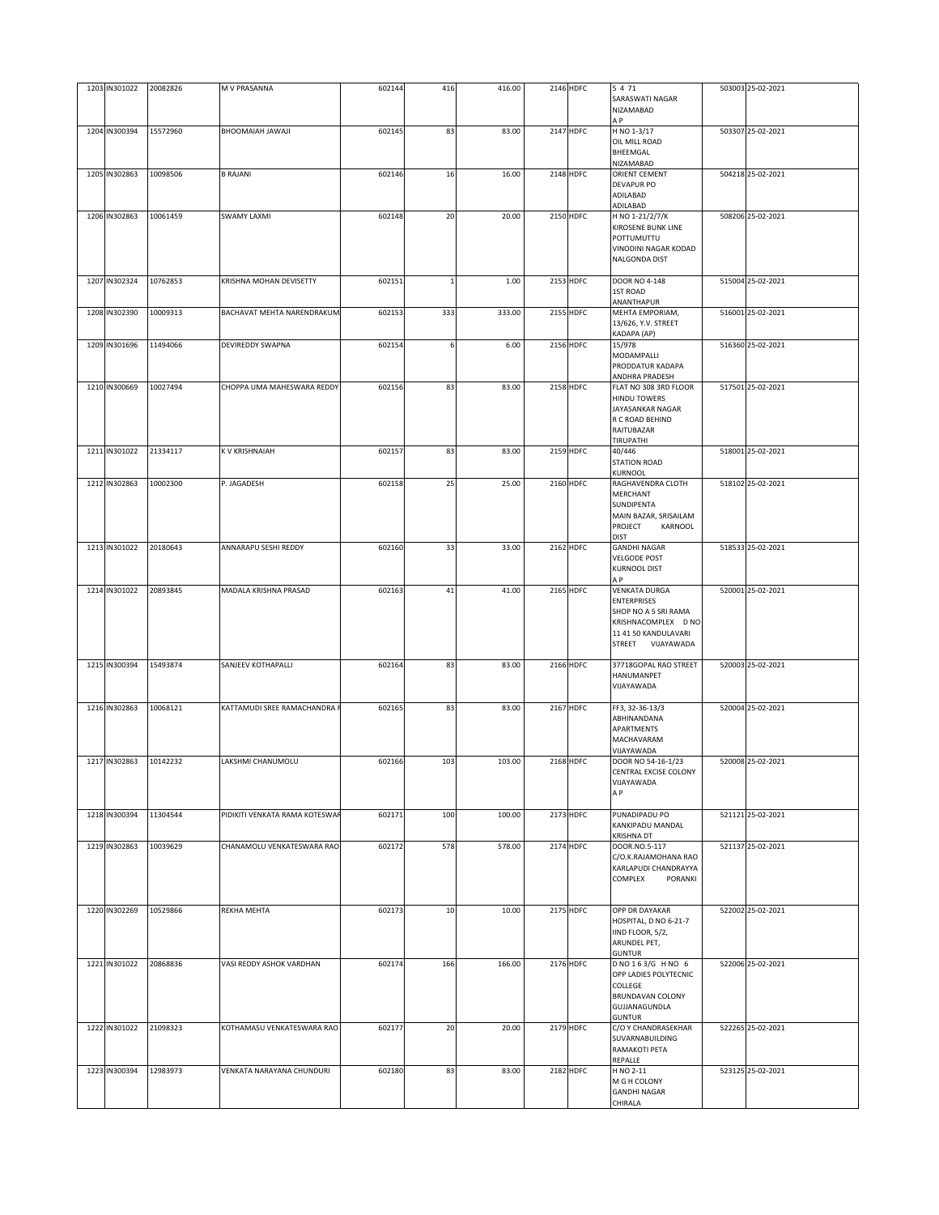| 1203 IN301022 | 20082826 | M V PRASANNA                   | 602144 | 416 | 416.00 | 2146 HDFC        | 5 4 7 1<br>SARASWATI NAGAR<br>NIZAMABAD<br>A P                                                                                         | 503003 25-02-2021 |
|---------------|----------|--------------------------------|--------|-----|--------|------------------|----------------------------------------------------------------------------------------------------------------------------------------|-------------------|
| 1204 IN300394 | 15572960 | ILAWAL HAIAMOOHA               | 602145 | 83  | 83.00  | 2147 HDFC        | H NO 1-3/17<br>OIL MILL ROAD<br>BHEEMGAL<br>NIZAMABAD                                                                                  | 503307 25-02-2021 |
| 1205 IN302863 | 10098506 | <b>B RAJANI</b>                | 602146 | 16  | 16.00  | 2148 HDFC        | ORIENT CEMENT<br><b>DEVAPUR PO</b><br>ADILABAD<br>ADILABAD                                                                             | 504218 25-02-2021 |
| 1206 IN302863 | 10061459 | <b>SWAMY LAXMI</b>             | 602148 | 20  | 20.00  | 2150 HDFC        | H NO 1-21/2/7/K<br>KIROSENE BUNK LINE<br>POTTUMUTTU<br>VINODINI NAGAR KODAD<br>NALGONDA DIST                                           | 508206 25-02-2021 |
| 1207 IN302324 | 10762853 | KRISHNA MOHAN DEVISETTY        | 602151 |     | 1.00   | 2153 HDFC        | DOOR NO 4-148<br>1ST ROAD<br>ANANTHAPUR                                                                                                | 515004 25-02-2021 |
| 1208 IN302390 | 10009313 | BACHAVAT MEHTA NARENDRAKUM.    | 602153 | 333 | 333.00 | 2155 HDFC        | MEHTA EMPORIAM,<br>13/626, Y.V. STREET<br>KADAPA (AP)                                                                                  | 516001 25-02-2021 |
| 1209 IN301696 | 11494066 | DEVIREDDY SWAPNA               | 602154 | 6   | 6.00   | 2156 HDFC        | 15/978<br>MODAMPALLI<br>PRODDATUR KADAPA<br>ANDHRA PRADESH                                                                             | 516360 25-02-2021 |
| 1210 IN300669 | 10027494 | CHOPPA UMA MAHESWARA REDDY     | 602156 | 83  | 83.00  | <b>2158 HDFC</b> | FLAT NO 308 3RD FLOOR<br><b>HINDU TOWERS</b><br>JAYASANKAR NAGAR<br>R C ROAD BEHIND<br>RAITUBAZAR<br>TIRUPATHI                         | 517501 25-02-2021 |
| 1211 IN301022 | 21334117 | K V KRISHNAIAH                 | 602157 | 83  | 83.00  | <b>2159 HDFC</b> | 40/446<br><b>STATION ROAD</b><br>KURNOOL                                                                                               | 518001 25-02-2021 |
| 1212 IN302863 | 10002300 | P. JAGADESH                    | 602158 | 25  | 25.00  | 2160 HDFC        | RAGHAVENDRA CLOTH<br>MERCHANT<br>SUNDIPENTA<br>MAIN BAZAR, SRISAILAM<br>PROJECT<br>KARNOOL<br><b>DIST</b>                              | 518102 25-02-2021 |
| 1213 IN301022 | 20180643 | ANNARAPU SESHI REDDY           | 602160 | 33  | 33.00  | 2162 HDFC        | <b>GANDHI NAGAR</b><br><b>VELGODE POST</b><br><b>KURNOOL DIST</b><br>A P                                                               | 518533 25-02-2021 |
| 1214 IN301022 | 20893845 | MADALA KRISHNA PRASAD          | 602163 | 41  | 41.00  | 2165 HDFC        | <b>VENKATA DURGA</b><br><b>ENTERPRISES</b><br>SHOP NO A 5 SRI RAMA<br>KRISHNACOMPLEX D NO<br>11 41 50 KANDULAVARI<br>STREET VIJAYAWADA | 520001 25-02-2021 |
| 1215 IN300394 | 15493874 | SANJEEV KOTHAPALLI             | 602164 | 83  | 83.00  | 2166 HDFC        | 37718GOPAL RAO STREET<br>HANUMANPET<br>VIJAYAWADA                                                                                      | 520003 25-02-2021 |
| 1216 IN302863 | 10068121 | KATTAMUDI SREE RAMACHANDRA R   | 602165 | 83  | 83.00  | 2167 HDFC        | FF3, 32-36-13/3<br>ABHINANDANA<br>APARTMENTS<br>MACHAVARAM<br>VIJAYAWADA                                                               | 520004 25-02-2021 |
| 1217 IN302863 | 10142232 | LAKSHMI CHANUMOLU              | 602166 | 103 | 103.00 | 2168 HDFC        | DOOR NO 54-16-1/23<br>CENTRAL EXCISE COLONY<br>VIJAYAWADA<br>A P                                                                       | 520008 25-02-2021 |
| 1218 IN300394 | 11304544 | PIDIKITI VENKATA RAMA KOTESWAR | 602171 | 100 | 100.00 | 2173 HDFC        | PUNADIPADU PO<br>KANKIPADU MANDAL<br><b>KRISHNA DT</b>                                                                                 | 521121 25-02-2021 |
| 1219 IN302863 | 10039629 | CHANAMOLU VENKATESWARA RAO     | 602172 | 578 | 578.00 | 2174 HDFC        | DOOR.NO.5-117<br>C/O.K.RAJAMOHANA RAO<br>KARLAPUDI CHANDRAYYA<br>COMPLEX<br>PORANKI                                                    | 521137 25-02-2021 |
| 1220 IN302269 | 10529866 | <b>REKHA MEHTA</b>             | 602173 | 10  | 10.00  | 2175 HDFC        | OPP DR DAYAKAR<br>HOSPITAL, D NO 6-21-7<br>IIND FLOOR, 5/2,<br>ARUNDEL PET,<br><b>GUNTUR</b>                                           | 522002 25-02-2021 |
| 1221 IN301022 | 20868836 | VASI REDDY ASHOK VARDHAN       | 602174 | 166 | 166.00 | 2176 HDFC        | D NO 163/G H NO 6<br>OPP LADIES POLYTECNIC<br>COLLEGE<br>BRUNDAVAN COLONY<br>GUJJANAGUNDLA<br><b>GUNTUR</b>                            | 522006 25-02-2021 |
| 1222 IN301022 | 21098323 | KOTHAMASU VENKATESWARA RAO     | 602177 | 20  | 20.00  | 2179 HDFC        | C/O Y CHANDRASEKHAR<br>SUVARNABUILDING<br>RAMAKOTI PETA<br>REPALLE                                                                     | 522265 25-02-2021 |
| 1223 IN300394 | 12983973 | VENKATA NARAYANA CHUNDURI      | 602180 | 83  | 83.00  | 2182 HDFC        | H NO 2-11<br>M G H COLONY<br><b>GANDHI NAGAR</b><br>CHIRALA                                                                            | 523125 25-02-2021 |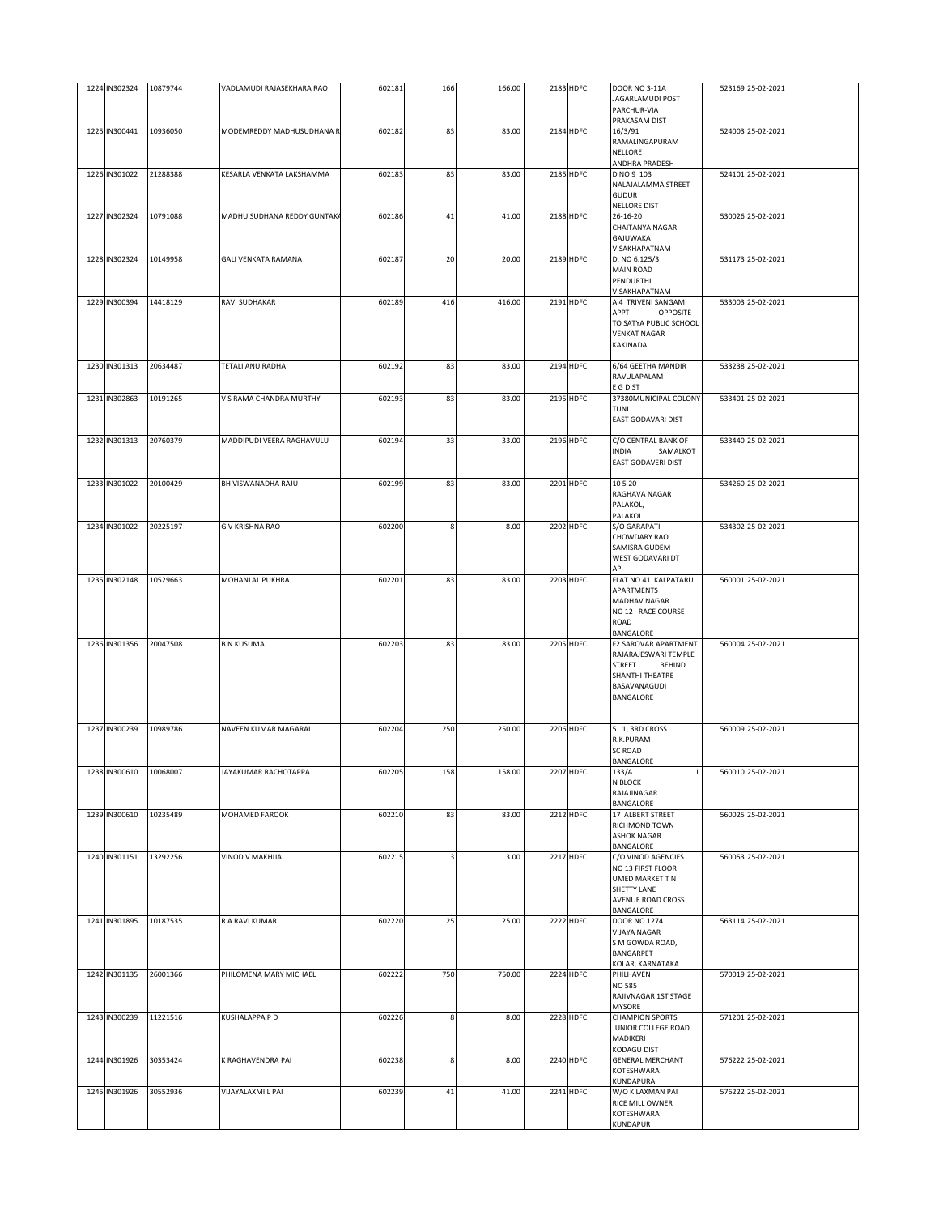| 1224 IN302324 | 10879744 | VADLAMUDI RAJASEKHARA RAO   | 602181 | 166 | 166.00 | 2183 HDFC        | <b>DOOR NO 3-11A</b><br>JAGARLAMUDI POST<br>PARCHUR-VIA | 523169 25-02-2021 |
|---------------|----------|-----------------------------|--------|-----|--------|------------------|---------------------------------------------------------|-------------------|
|               |          |                             |        |     |        |                  | PRAKASAM DIST                                           |                   |
| 1225 IN300441 | 10936050 | MODEMREDDY MADHUSUDHANA R   | 602182 | 83  | 83.00  | 2184 HDFC        | 16/3/91                                                 | 524003 25-02-2021 |
|               |          |                             |        |     |        |                  | RAMALINGAPURAM<br>NELLORE                               |                   |
|               |          |                             |        |     |        |                  | ANDHRA PRADESH                                          |                   |
| 1226 IN301022 | 21288388 | KESARLA VENKATA LAKSHAMMA   | 602183 | 83  | 83.00  | 2185 HDFC        | D NO 9 103                                              | 524101 25-02-2021 |
|               |          |                             |        |     |        |                  | NALAJALAMMA STREET<br><b>GUDUR</b>                      |                   |
|               |          |                             |        |     |        |                  | NELLORE DIST                                            |                   |
| 1227 IN302324 | 10791088 | MADHU SUDHANA REDDY GUNTAK/ | 602186 | 41  | 41.00  | 2188 HDFC        | 26-16-20                                                | 530026 25-02-2021 |
|               |          |                             |        |     |        |                  | CHAITANYA NAGAR                                         |                   |
|               |          |                             |        |     |        |                  | GAJUWAKA<br>VISAKHAPATNAM                               |                   |
| 1228 IN302324 | 10149958 | <b>GALI VENKATA RAMANA</b>  | 602187 | 20  | 20.00  | 2189 HDFC        | D. NO 6.125/3                                           | 531173 25-02-2021 |
|               |          |                             |        |     |        |                  | <b>MAIN ROAD</b>                                        |                   |
|               |          |                             |        |     |        |                  | PENDURTHI                                               |                   |
|               |          |                             |        |     |        |                  | VISAKHAPATNAM                                           |                   |
| 1229 IN300394 | 14418129 | RAVI SUDHAKAR               | 602189 | 416 | 416.00 | 2191 HDFC        | A 4 TRIVENI SANGAM<br>APPT<br>OPPOSITE                  | 533003 25-02-2021 |
|               |          |                             |        |     |        |                  | TO SATYA PUBLIC SCHOOL                                  |                   |
|               |          |                             |        |     |        |                  | <b>VENKAT NAGAR</b>                                     |                   |
|               |          |                             |        |     |        |                  | KAKINADA                                                |                   |
| 1230 IN301313 | 20634487 | TETALI ANU RADHA            | 602192 | 83  | 83.00  | 2194 HDFC        | 6/64 GEETHA MANDIR                                      | 533238 25-02-2021 |
|               |          |                             |        |     |        |                  | RAVULAPALAM                                             |                   |
|               |          |                             |        |     |        |                  | E G DIST                                                |                   |
| 1231 IN302863 | 10191265 | V S RAMA CHANDRA MURTHY     | 602193 | 83  | 83.00  | 2195 HDFC        | 37380MUNICIPAL COLONY                                   | 533401 25-02-2021 |
|               |          |                             |        |     |        |                  | TUNI                                                    |                   |
|               |          |                             |        |     |        |                  | EAST GODAVARI DIST                                      |                   |
| 1232 IN301313 | 20760379 | MADDIPUDI VEERA RAGHAVULU   | 602194 | 33  | 33.00  | 2196 HDFC        | C/O CENTRAL BANK OF                                     | 533440 25-02-2021 |
|               |          |                             |        |     |        |                  | <b>INDIA</b><br>SAMALKOT                                |                   |
|               |          |                             |        |     |        |                  | EAST GODAVERI DIST                                      |                   |
| 1233 IN301022 | 20100429 | BH VISWANADHA RAJU          | 602199 | 83  | 83.00  | 2201 HDFC        | 10520                                                   | 534260 25-02-2021 |
|               |          |                             |        |     |        |                  | RAGHAVA NAGAR                                           |                   |
|               |          |                             |        |     |        |                  | PALAKOL,                                                |                   |
|               |          |                             |        |     |        |                  | PALAKOL                                                 |                   |
| 1234 IN301022 | 20225197 | G V KRISHNA RAO             | 602200 | 8   | 8.00   | 2202 HDFC        | S/O GARAPATI                                            | 534302 25-02-2021 |
|               |          |                             |        |     |        |                  | CHOWDARY RAO<br><b>SAMISRA GUDEM</b>                    |                   |
|               |          |                             |        |     |        |                  | WEST GODAVARI DT                                        |                   |
|               |          |                             |        |     |        |                  | ΔP                                                      |                   |
| 1235 IN302148 | 10529663 | MOHANLAL PUKHRAJ            | 602201 | 83  | 83.00  | 2203 HDFC        | FLAT NO 41 KALPATARU                                    | 560001 25-02-2021 |
|               |          |                             |        |     |        |                  | APARTMENTS                                              |                   |
|               |          |                             |        |     |        |                  | <b>MADHAV NAGAR</b><br>NO 12 RACE COURSE                |                   |
|               |          |                             |        |     |        |                  | ROAD                                                    |                   |
|               |          |                             |        |     |        |                  | BANGALORE                                               |                   |
| 1236 IN301356 | 20047508 | <b>B N KUSUMA</b>           | 602203 | 83  | 83.00  | 2205 HDFC        | F2 SAROVAR APARTMENT                                    | 560004 25-02-2021 |
|               |          |                             |        |     |        |                  | RAJARAJESWARI TEMPLE<br><b>STREET</b><br><b>BEHIND</b>  |                   |
|               |          |                             |        |     |        |                  | <b>SHANTHI THEATRE</b>                                  |                   |
|               |          |                             |        |     |        |                  | BASAVANAGUDI                                            |                   |
|               |          |                             |        |     |        |                  | BANGALORE                                               |                   |
|               |          |                             |        |     |        |                  |                                                         |                   |
| 1237 IN300239 | 10989786 | NAVEEN KUMAR MAGARAL        | 602204 | 250 | 250.00 | 2206 HDFC        | 5.1, 3RD CROSS                                          | 560009 25-02-2021 |
|               |          |                             |        |     |        |                  | R.K.PURAM                                               |                   |
|               |          |                             |        |     |        |                  | <b>SC ROAD</b><br>BANGALORE                             |                   |
| 1238 IN300610 | 10068007 | JAYAKUMAR RACHOTAPPA        | 602205 | 158 | 158.00 | 2207 HDFC        | 133/A                                                   | 560010 25-02-2021 |
|               |          |                             |        |     |        |                  | N BLOCK                                                 |                   |
|               |          |                             |        |     |        |                  | RAJAJINAGAR                                             |                   |
| 1239 IN300610 | 10235489 | MOHAMED FAROOK              | 602210 | 83  | 83.00  | 2212 HDFC        | BANGALORE<br>17 ALBERT STREET                           | 560025 25-02-2021 |
|               |          |                             |        |     |        |                  | RICHMOND TOWN                                           |                   |
|               |          |                             |        |     |        |                  | <b>ASHOK NAGAR</b>                                      |                   |
|               |          |                             |        |     |        |                  | BANGALORE                                               |                   |
| 1240 IN301151 | 13292256 | VINOD V MAKHIJA             | 602215 |     | 3.00   | <b>2217 HDFC</b> | C/O VINOD AGENCIES<br>NO 13 FIRST FLOOR                 | 560053 25-02-2021 |
|               |          |                             |        |     |        |                  | <b>UMED MARKET T N</b>                                  |                   |
|               |          |                             |        |     |        |                  | SHETTY LANE                                             |                   |
|               |          |                             |        |     |        |                  | AVENUE ROAD CROSS                                       |                   |
| 1241 IN301895 | 10187535 | R A RAVI KUMAR              | 602220 | 25  | 25.00  | 2222 HDFC        | BANGALORE<br><b>DOOR NO 1274</b>                        | 563114 25-02-2021 |
|               |          |                             |        |     |        |                  | <b>VIJAYA NAGAR</b>                                     |                   |
|               |          |                             |        |     |        |                  | S M GOWDA ROAD,                                         |                   |
|               |          |                             |        |     |        |                  | BANGARPET                                               |                   |
| 1242 IN301135 | 26001366 | PHILOMENA MARY MICHAEL      | 602222 | 750 | 750.00 | 2224 HDFC        | KOLAR, KARNATAKA<br>PHILHAVEN                           | 570019 25-02-2021 |
|               |          |                             |        |     |        |                  | <b>NO 585</b>                                           |                   |
|               |          |                             |        |     |        |                  | RAJIVNAGAR 1ST STAGE                                    |                   |
|               |          |                             |        |     |        |                  | MYSORE                                                  |                   |
| 1243 IN300239 | 11221516 | KUSHALAPPA P D              | 602226 | 8   | 8.00   | 2228 HDFC        | <b>CHAMPION SPORTS</b>                                  | 571201 25-02-2021 |
|               |          |                             |        |     |        |                  | JUNIOR COLLEGE ROAD<br>MADIKERI                         |                   |
|               |          |                             |        |     |        |                  | KODAGU DIST                                             |                   |
| 1244 IN301926 | 30353424 | K RAGHAVENDRA PAI           | 602238 | 8   | 8.00   | 2240 HDFC        | <b>GENERAL MERCHANT</b>                                 | 576222 25-02-2021 |
|               |          |                             |        |     |        |                  | KOTESHWARA                                              |                   |
| 1245 IN301926 | 30552936 | VIJAYALAXMI L PAI           | 602239 | 41  | 41.00  | 2241 HDFC        | KUNDAPURA<br>W/O K LAXMAN PAI                           | 576222 25-02-2021 |
|               |          |                             |        |     |        |                  | RICE MILL OWNER                                         |                   |
|               |          |                             |        |     |        |                  | KOTESHWARA                                              |                   |
|               |          |                             |        |     |        |                  | KUNDAPUR                                                |                   |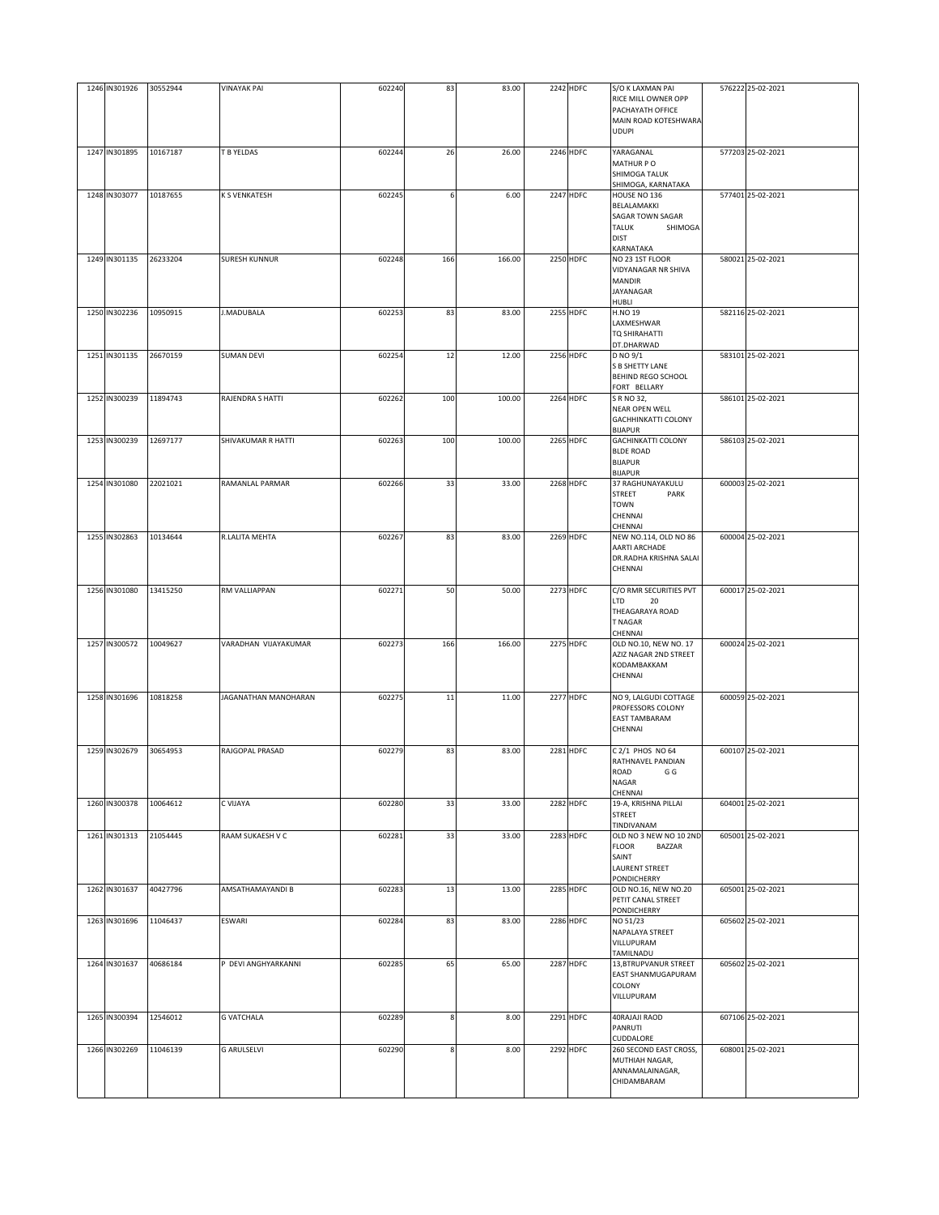| 1246 IN301926 | 30552944 | <b>VINAYAK PAI</b>   | 602240 | 83  | 83.00  | 2242 HDFC        | S/O K LAXMAN PAI<br>RICE MILL OWNER OPP<br>PACHAYATH OFFICE<br>MAIN ROAD KOTESHWARA                    | 576222 25-02-2021 |
|---------------|----------|----------------------|--------|-----|--------|------------------|--------------------------------------------------------------------------------------------------------|-------------------|
|               |          |                      |        |     |        |                  | <b>UDUPI</b>                                                                                           |                   |
| 1247 IN301895 | 10167187 | T B YELDAS           | 602244 | 26  | 26.00  | 2246 HDFC        | YARAGANAL<br>MATHUR PO<br>SHIMOGA TALUK<br>SHIMOGA, KARNATAKA                                          | 577203 25-02-2021 |
| 1248 IN303077 | 10187655 | K S VENKATESH        | 602245 |     | 6.00   | 2247 HDFC        | HOUSE NO 136<br>BELALAMAKKI<br>SAGAR TOWN SAGAR<br><b>TALUK</b><br>SHIMOGA<br><b>DIST</b><br>KARNATAKA | 577401 25-02-2021 |
| 1249 IN301135 | 26233204 | <b>SURESH KUNNUR</b> | 602248 | 166 | 166.00 | 2250 HDFC        | NO 23 1ST FLOOR<br>VIDYANAGAR NR SHIVA<br><b>MANDIR</b><br>JAYANAGAR<br>HUBLI                          | 580021 25-02-2021 |
| 1250 IN302236 | 10950915 | J.MADUBALA           | 602253 | 83  | 83.00  | 2255 HDFC        | H.NO 19<br>LAXMESHWAR<br>TQ SHIRAHATTI<br>DT.DHARWAD                                                   | 582116 25-02-2021 |
| 1251 IN301135 | 26670159 | <b>SUMAN DEVI</b>    | 602254 | 12  | 12.00  | 2256 HDFC        | D NO 9/1<br>S B SHETTY LANE<br>BEHIND REGO SCHOOL<br>FORT BELLARY                                      | 583101 25-02-2021 |
| 1252 IN300239 | 11894743 | RAJENDRA S HATTI     | 602262 | 100 | 100.00 | 2264 HDFC        | S R NO 32,<br>NEAR OPEN WELL<br>GACHHINKATTI COLONY<br><b>BIJAPUR</b>                                  | 586101 25-02-2021 |
| 1253 IN300239 | 12697177 | SHIVAKUMAR R HATTI   | 602263 | 100 | 100.00 | 2265 HDFC        | <b>GACHINKATTI COLONY</b><br><b>BLDE ROAD</b><br><b>BIJAPUR</b>                                        | 586103 25-02-2021 |
| 1254 IN301080 | 22021021 | RAMANLAL PARMAR      | 602266 | 33  | 33.00  | 2268 HDFC        | BIJAPUR<br>37 RAGHUNAYAKULU<br>STREET<br>PARK<br>TOWN<br>CHENNAI<br>CHENNAI                            | 600003 25-02-2021 |
| 1255 IN302863 | 10134644 | R.LALITA MEHTA       | 602267 | 83  | 83.00  | 2269 HDFC        | NEW NO.114, OLD NO 86<br><b>AARTI ARCHADE</b><br>DR.RADHA KRISHNA SALAI<br>CHENNAI                     | 600004 25-02-2021 |
| 1256 IN301080 | 13415250 | RM VALLIAPPAN        | 602271 | 50  | 50.00  | 2273 HDFC        | C/O RMR SECURITIES PVT<br>LTD<br>20<br>THEAGARAYA ROAD<br><b>T NAGAR</b><br>CHENNAI                    | 600017 25-02-2021 |
| 1257 IN300572 | 10049627 | VARADHAN VIJAYAKUMAR | 602273 | 166 | 166.00 | 2275 HDFC        | OLD NO.10, NEW NO. 17<br>AZIZ NAGAR 2ND STREET<br>KODAMBAKKAM<br>CHENNAI                               | 600024 25-02-2021 |
| 1258 IN301696 | 10818258 | JAGANATHAN MANOHARAN | 602275 | 11  | 11.00  | <b>2277 HDFC</b> | NO 9, LALGUDI COTTAGE<br>PROFESSORS COLONY<br><b>EAST TAMBARAM</b><br>CHENNAI                          | 600059 25-02-2021 |
| 1259 IN302679 | 30654953 | RAJGOPAL PRASAD      | 602279 | 83  | 83.00  | 2281 HDFC        | C 2/1 PHOS NO 64<br>RATHNAVEL PANDIAN<br>ROAD<br>G G<br><b>NAGAR</b><br>CHENNAI                        | 600107 25-02-2021 |
| 1260 IN300378 | 10064612 | C VIJAYA             | 602280 | 33  | 33.00  | 2282 HDFC        | 19-A, KRISHNA PILLAI<br><b>STREET</b><br>TINDIVANAM                                                    | 604001 25-02-2021 |
| 1261 IN301313 | 21054445 | RAAM SUKAESH V C     | 602281 | 33  | 33.00  | 2283 HDFC        | OLD NO 3 NEW NO 10 2ND<br><b>FLOOR</b><br>BAZZAR<br>SAINT<br>LAURENT STREET<br>PONDICHERRY             | 605001 25-02-2021 |
| 1262 IN301637 | 40427796 | AMSATHAMAYANDI B     | 602283 | 13  | 13.00  | <b>2285 HDFC</b> | OLD NO.16, NEW NO.20<br>PETIT CANAL STREET<br>PONDICHERRY                                              | 605001 25-02-2021 |
| 1263 IN301696 | 11046437 | ESWARI               | 602284 | 83  | 83.00  | 2286 HDFC        | NO 51/23<br>NAPALAYA STREET<br>VILLUPURAM<br>TAMILNADU                                                 | 605602 25-02-2021 |
| 1264 IN301637 | 40686184 | P DEVI ANGHYARKANNI  | 602285 | 65  | 65.00  | <b>2287 HDFC</b> | 13, BTRUPVANUR STREET<br>EAST SHANMUGAPURAM<br>COLONY<br>VILLUPURAM                                    | 605602 25-02-2021 |
| 1265 IN300394 | 12546012 | <b>G VATCHALA</b>    | 602289 | 8   | 8.00   | 2291 HDFC        | 40RAJAJI RAOD<br>PANRUTI<br>CUDDALORE                                                                  | 607106 25-02-2021 |
| 1266 IN302269 | 11046139 | <b>G ARULSELVI</b>   | 602290 | 8   | 8.00   | 2292 HDFC        | 260 SECOND EAST CROSS,<br>MUTHIAH NAGAR,<br>ANNAMALAINAGAR,<br>CHIDAMBARAM                             | 608001 25-02-2021 |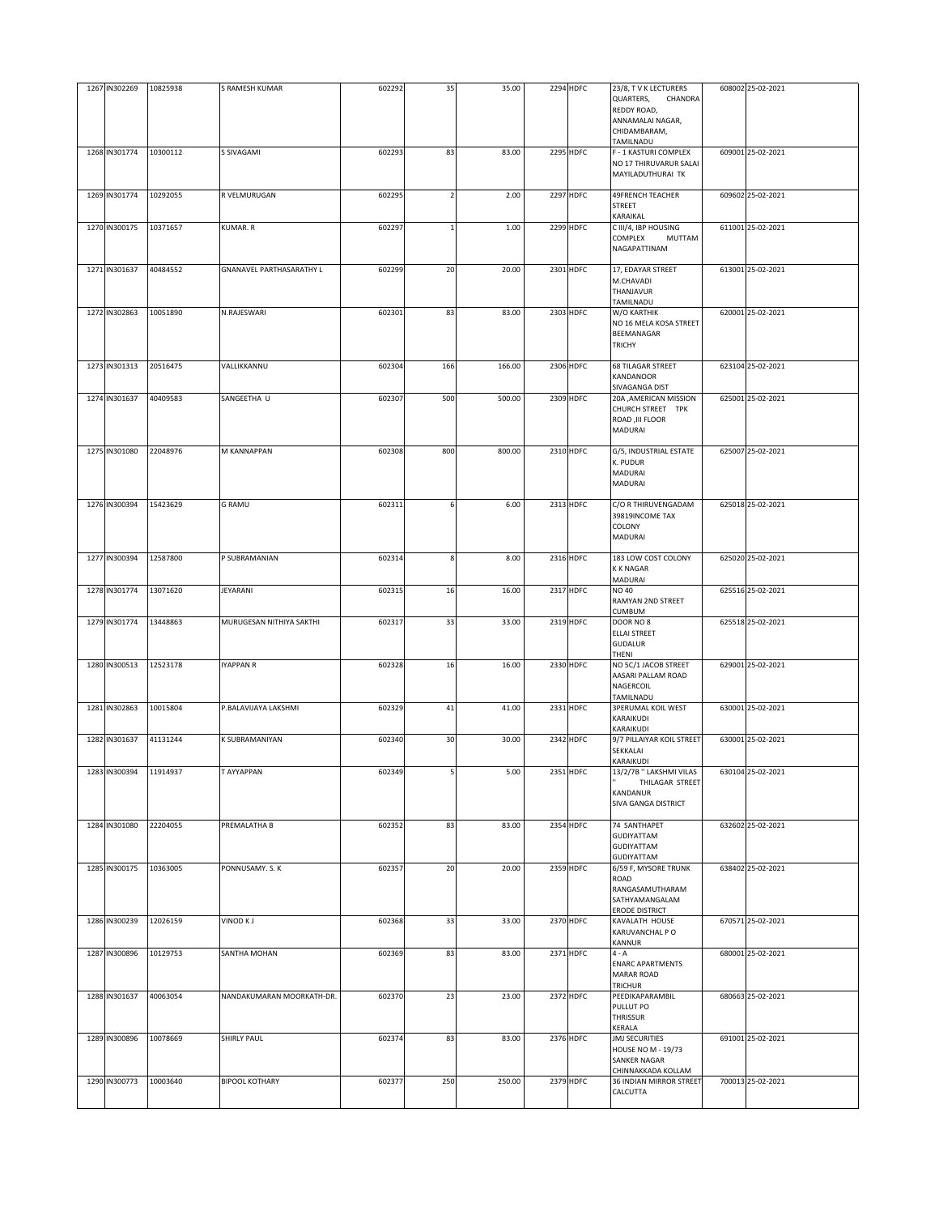| 1267 IN302269          | 10825938 | S RAMESH KUMAR            | 602292 | 35  | 35.00  | 2294 HDFC        | 23/8, T V K LECTURERS<br>QUARTERS,<br>CHANDRA<br>REDDY ROAD,<br>ANNAMALAI NAGAR,<br>CHIDAMBARAM,<br>TAMILNADU | 608002 25-02-2021 |
|------------------------|----------|---------------------------|--------|-----|--------|------------------|---------------------------------------------------------------------------------------------------------------|-------------------|
| 1268 IN301774          | 10300112 | S SIVAGAMI                | 602293 | 83  | 83.00  | 2295 HDFC        | F - 1 KASTURI COMPLEX<br>NO 17 THIRUVARUR SALAI<br>MAYILADUTHURAI TK                                          | 609001 25-02-2021 |
| 1269 IN301774          | 10292055 | R VELMURUGAN              | 602295 |     | 2.00   | <b>2297 HDFC</b> | 49FRENCH TEACHER<br>STREET<br>KARAIKAL                                                                        | 609602 25-02-2021 |
| 1270 IN300175          | 10371657 | KUMAR. R                  | 602297 |     | 1.00   | 2299 HDFC        | C III/4, IBP HOUSING<br>MUTTAM<br>COMPLEX<br>NAGAPATTINAM                                                     | 611001 25-02-2021 |
| 1271 IN301637          | 40484552 | GNANAVEL PARTHASARATHY L  | 602299 | 20  | 20.00  | 2301 HDFC        | 17, EDAYAR STREET<br>M.CHAVADI<br>THANJAVUR<br>TAMILNADU                                                      | 613001 25-02-2021 |
| 1272 IN302863          | 10051890 | N.RAJESWARI               | 602301 | 83  | 83.00  | 2303 HDFC        | W/O KARTHIK<br>NO 16 MELA KOSA STREET<br>BEEMANAGAR<br><b>TRICHY</b>                                          | 620001 25-02-2021 |
| 1273 IN301313          | 20516475 | VALLIKKANNU               | 602304 | 166 | 166.00 | 2306 HDFC        | <b>68 TILAGAR STREET</b><br>KANDANOOR<br>SIVAGANGA DIST                                                       | 623104 25-02-2021 |
| 1274 IN301637          | 40409583 | SANGEETHA U               | 602307 | 500 | 500.00 | 2309 HDFC        | 20A , AMERICAN MISSION<br>CHURCH STREET TPK<br>ROAD , III FLOOR<br><b>MADURAI</b>                             | 625001 25-02-2021 |
| 1275 IN301080          | 22048976 | M KANNAPPAN               | 602308 | 800 | 800.00 | 2310 HDFC        | G/5, INDUSTRIAL ESTATE<br>K. PUDUR<br><b>MADURAI</b><br>MADURAI                                               | 625007 25-02-2021 |
| 1276 IN300394          | 15423629 | <b>G RAMU</b>             | 602311 | 6   | 6.00   | 2313 HDFC        | C/O R THIRUVENGADAM<br>39819INCOME TAX<br>COLONY<br><b>MADURAI</b>                                            | 625018 25-02-2021 |
| 1277 IN300394          | 12587800 | P SUBRAMANIAN             | 602314 | 8   | 8.00   | 2316 HDFC        | 183 LOW COST COLONY<br>K K NAGAR<br>MADURAI                                                                   | 625020 25-02-2021 |
| 1278 IN301774          | 13071620 | JEYARANI                  | 602315 | 16  | 16.00  | 2317 HDFC        | <b>NO 40</b><br>RAMYAN 2ND STREET<br>CUMBUM                                                                   | 625516 25-02-2021 |
| 1279 IN301774          | 13448863 | MURUGESAN NITHIYA SAKTHI  | 602317 | 33  | 33.00  | 2319 HDFC        | DOOR NO 8<br><b>ELLAI STREET</b><br><b>GUDALUR</b><br>THENI                                                   | 625518 25-02-2021 |
| 1280 IN300513          | 12523178 | <b>IYAPPAN R</b>          | 602328 | 16  | 16.00  | 2330 HDFC        | NO 5C/1 JACOB STREET<br>AASARI PALLAM ROAD<br>NAGERCOIL<br>TAMILNADU                                          | 629001 25-02-2021 |
| 1281 IN302863          | 10015804 | P.BALAVIJAYA LAKSHMI      | 602329 | 41  | 41.00  | 2331 HDFC        | <b>3PERUMAL KOIL WEST</b><br>KARAIKUDI<br>KARAIKUDI                                                           | 630001 25-02-2021 |
| 1282 IN301637          | 41131244 | K SUBRAMANIYAN            | 602340 | 30  | 30.00  | 2342 HDFC        | 9/7 PILLAIYAR KOIL STREET<br>SEKKALAI<br>KARAIKUDI                                                            | 630001 25-02-2021 |
| 1283 IN300394 11914937 |          | T AYYAPPAN                | 602349 |     | 5.00   | 2351 HDFC        | 13/2/7B " LAKSHMI VILAS<br>THILAGAR STREET<br>KANDANUR<br>SIVA GANGA DISTRICT                                 | 630104 25-02-2021 |
| 1284 IN301080          | 22204055 | PREMALATHA B              | 602352 | 83  | 83.00  | 2354 HDFC        | 74 SANTHAPET<br>GUDIYATTAM<br>GUDIYATTAM<br><b>GUDIYATTAM</b>                                                 | 632602 25-02-2021 |
| 1285 IN300175          | 10363005 | PONNUSAMY. S. K           | 602357 | 20  | 20.00  | 2359 HDFC        | 6/59 F, MYSORE TRUNK<br>ROAD<br>RANGASAMUTHARAM<br>SATHYAMANGALAM<br><b>ERODE DISTRICT</b>                    | 638402 25-02-2021 |
| 1286 IN300239          | 12026159 | VINOD K J                 | 602368 | 33  | 33.00  | 2370 HDFC        | KAVALATH HOUSE<br>KARUVANCHAL P O<br>KANNUR                                                                   | 670571 25-02-2021 |
| 1287 IN300896          | 10129753 | SANTHA MOHAN              | 602369 | 83  | 83.00  | 2371 HDFC        | 4 - A<br><b>ENARC APARTMENTS</b><br><b>MARAR ROAD</b><br><b>TRICHUR</b>                                       | 680001 25-02-2021 |
| 1288 IN301637          | 40063054 | NANDAKUMARAN MOORKATH-DR. | 602370 | 23  | 23.00  | 2372 HDFC        | PEEDIKAPARAMBIL<br>PULLUT PO<br>THRISSUR<br>KERALA                                                            | 680663 25-02-2021 |
| 1289 IN300896          | 10078669 | SHIRLY PAUL               | 602374 | 83  | 83.00  | 2376 HDFC        | <b>JMJ SECURITIES</b><br><b>HOUSE NO M - 19/73</b><br>SANKER NAGAR<br>CHINNAKKADA KOLLAM                      | 691001 25-02-2021 |
| 1290 IN300773          | 10003640 | <b>BIPOOL KOTHARY</b>     | 602377 | 250 | 250.00 | 2379 HDFC        | 36 INDIAN MIRROR STREET<br>CALCUTTA                                                                           | 700013 25-02-2021 |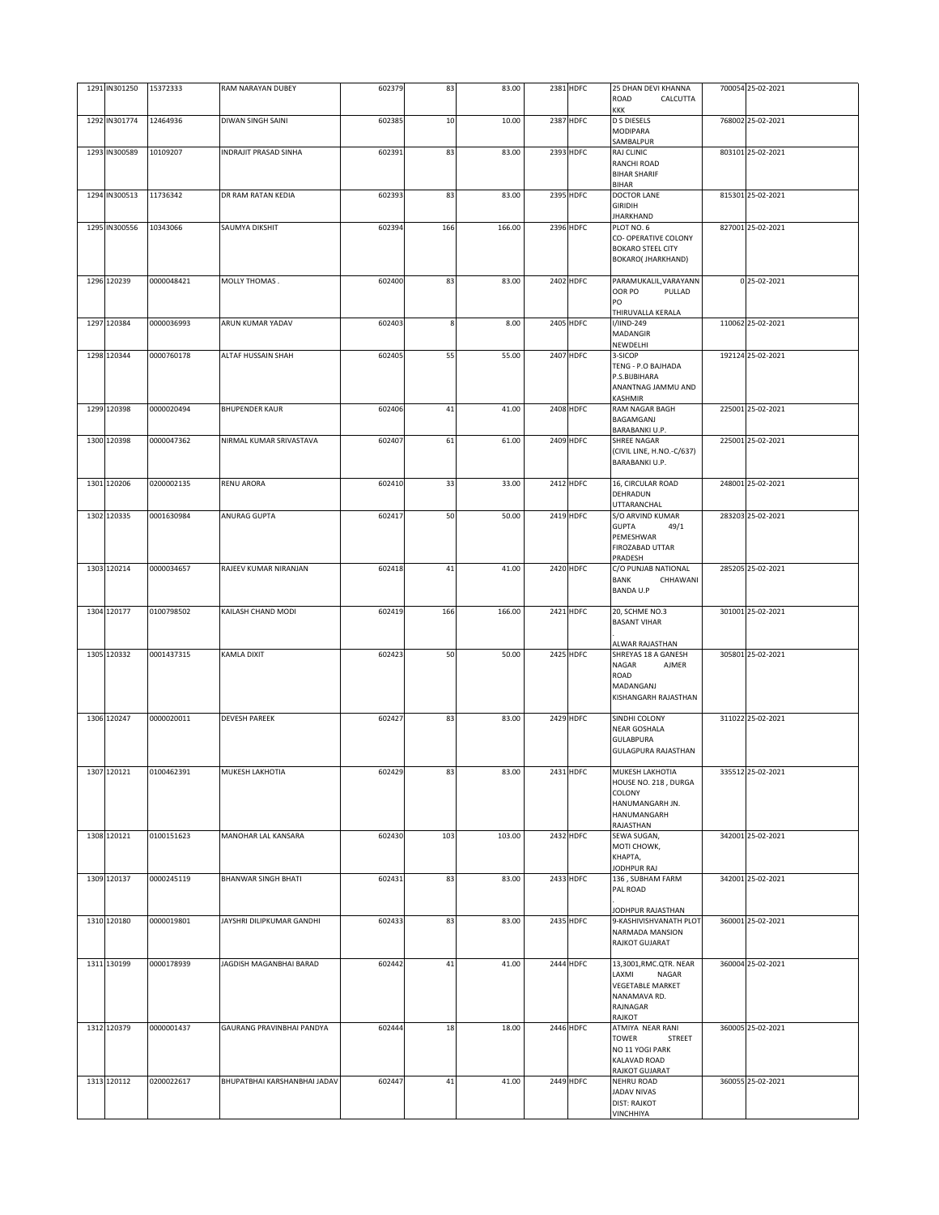| 1291 IN301250 | 15372333   | RAM NARAYAN DUBEY            | 602379 | 83  | 83.00  | 2381 HDFC | 25 DHAN DEVI KHANNA<br>ROAD<br>CALCUTTA                                                                  | 700054 25-02-2021 |
|---------------|------------|------------------------------|--------|-----|--------|-----------|----------------------------------------------------------------------------------------------------------|-------------------|
| 1292 IN301774 | 12464936   | DIWAN SINGH SAINI            | 602385 | 10  | 10.00  | 2387 HDFC | KKK<br><b>D S DIESELS</b><br>MODIPARA                                                                    | 768002 25-02-2021 |
| 1293 IN300589 | 10109207   | INDRAJIT PRASAD SINHA        | 602391 | 83  | 83.00  | 2393 HDFC | SAMBALPUR<br>RAJ CLINIC<br>RANCHI ROAD<br><b>BIHAR SHARIF</b>                                            | 803101 25-02-2021 |
| 1294 IN300513 | 11736342   | DR RAM RATAN KEDIA           | 602393 | 83  | 83.00  | 2395 HDFC | BIHAR<br><b>DOCTOR LANE</b>                                                                              | 815301 25-02-2021 |
| 1295 IN300556 | 10343066   | SAUMYA DIKSHIT               | 602394 | 166 | 166.00 | 2396 HDFC | <b>GIRIDIH</b><br><b>JHARKHAND</b><br>PLOT NO. 6                                                         | 827001 25-02-2021 |
|               |            |                              |        |     |        |           | CO- OPERATIVE COLONY<br><b>BOKARO STEEL CITY</b><br><b>BOKARO( JHARKHAND)</b>                            |                   |
| 1296 120239   | 0000048421 | MOLLY THOMAS.                | 602400 | 83  | 83.00  | 2402 HDFC | PARAMUKALIL, VARAYANN<br>OOR PO<br>PULLAD<br>PO<br>THIRUVALLA KERALA                                     | 0 25-02-2021      |
| 1297 120384   | 0000036993 | ARUN KUMAR YADAV             | 602403 | 8   | 8.00   | 2405 HDFC | I/IIND-249<br>MADANGIR<br>NEWDELHI                                                                       | 110062 25-02-2021 |
| 1298 120344   | 0000760178 | ALTAF HUSSAIN SHAH           | 602405 | 55  | 55.00  | 2407 HDFC | 3-SICOP<br>TENG - P.O BAJHADA<br>P.S.BIJBIHARA<br>ANANTNAG JAMMU AND<br>KASHMIR                          | 192124 25-02-2021 |
| 1299 120398   | 0000020494 | <b>BHUPENDER KAUR</b>        | 602406 | 41  | 41.00  | 2408 HDFC | RAM NAGAR BAGH<br>BAGAMGANJ<br>BARABANKI U.P.                                                            | 225001 25-02-2021 |
| 1300 120398   | 0000047362 | NIRMAL KUMAR SRIVASTAVA      | 602407 | 61  | 61.00  | 2409 HDFC | SHREE NAGAR<br>(CIVIL LINE, H.NO.-C/637)<br>BARABANKI U.P.                                               | 225001 25-02-2021 |
| 1301 120206   | 0200002135 | <b>RENU ARORA</b>            | 602410 | 33  | 33.00  | 2412 HDFC | 16, CIRCULAR ROAD<br>DEHRADUN<br><b>JTTARANCHAL</b>                                                      | 248001 25-02-2021 |
| 1302 120335   | 0001630984 | ANURAG GUPTA                 | 602417 | 50  | 50.00  | 2419 HDFC | S/O ARVIND KUMAR<br><b>GUPTA</b><br>49/1<br>PEMESHWAR<br>FIROZABAD UTTAR<br>PRADESH                      | 283203 25-02-2021 |
| 1303 120214   | 0000034657 | RAJEEV KUMAR NIRANJAN        | 602418 | 41  | 41.00  | 2420 HDFC | C/O PUNJAB NATIONAL<br><b>BANK</b><br>CHHAWANI<br><b>BANDA U.P</b>                                       | 285205 25-02-2021 |
| 1304 120177   | 0100798502 | KAILASH CHAND MODI           | 602419 | 166 | 166.00 | 2421 HDFC | 20, SCHME NO.3<br><b>BASANT VIHAR</b><br>ALWAR RAJASTHAN                                                 | 301001 25-02-2021 |
| 1305 120332   | 0001437315 | KAMLA DIXIT                  | 602423 | 50  | 50.00  | 2425 HDFC | SHREYAS 18 A GANESH<br>NAGAR<br>AJMER<br>ROAD<br>MADANGANJ<br>KISHANGARH RAJASTHAN                       | 305801 25-02-2021 |
| 1306 120247   | 0000020011 | <b>DEVESH PAREEK</b>         | 602427 | 83  | 83.00  | 2429 HDFC | SINDHI COLONY<br>NEAR GOSHALA<br><b>GULABPURA</b><br><b>GULAGPURA RAJASTHAN</b>                          | 311022 25-02-2021 |
| 1307 120121   | 0100462391 | MUKESH LAKHOTIA              | 602429 | 8.  | 83.00  | 2431 HDFC | MUKESH LAKHOTIA<br>HOUSE NO. 218, DURGA<br>COLONY<br>HANUMANGARH JN.<br>HANUMANGARH<br>RAJASTHAN         | 335512 25-02-2021 |
| 1308 120121   | 0100151623 | MANOHAR LAL KANSARA          | 602430 | 103 | 103.00 | 2432 HDFC | SEWA SUGAN,<br>MOTI CHOWK,<br>КНАРТА,<br>JODHPUR RAJ                                                     | 342001 25-02-2021 |
| 1309 120137   | 0000245119 | BHANWAR SINGH BHATI          | 602431 | 83  | 83.00  | 2433 HDFC | 136, SUBHAM FARM<br>PAL ROAD                                                                             | 342001 25-02-2021 |
| 1310 120180   | 0000019801 | JAYSHRI DILIPKUMAR GANDHI    | 602433 | 83  | 83.00  | 2435 HDFC | JODHPUR RAJASTHAN<br>9-KASHIVISHVANATH PLOT<br>NARMADA MANSION<br>RAJKOT GUJARAT                         | 360001 25-02-2021 |
| 1311 130199   | 0000178939 | JAGDISH MAGANBHAI BARAD      | 602442 | 41  | 41.00  | 2444 HDFC | 13,3001,RMC.QTR. NEAR<br>LAXMI<br>NAGAR<br><b>VEGETABLE MARKET</b><br>NANAMAVA RD.<br>RAJNAGAR<br>RAJKOT | 360004 25-02-2021 |
| 1312 120379   | 0000001437 | GAURANG PRAVINBHAI PANDYA    | 602444 | 18  | 18.00  | 2446 HDFC | ATMIYA NEAR RANI<br><b>TOWER</b><br>STREET<br>NO 11 YOGI PARK<br>KALAVAD ROAD<br>RAJKOT GUJARAT          | 360005 25-02-2021 |
| 1313 120112   | 0200022617 | BHUPATBHAI KARSHANBHAI JADAV | 602447 | 41  | 41.00  | 2449 HDFC | <b>NEHRU ROAD</b><br>JADAV NIVAS<br><b>DIST: RAJKOT</b><br>VINCHHIYA                                     | 360055 25-02-2021 |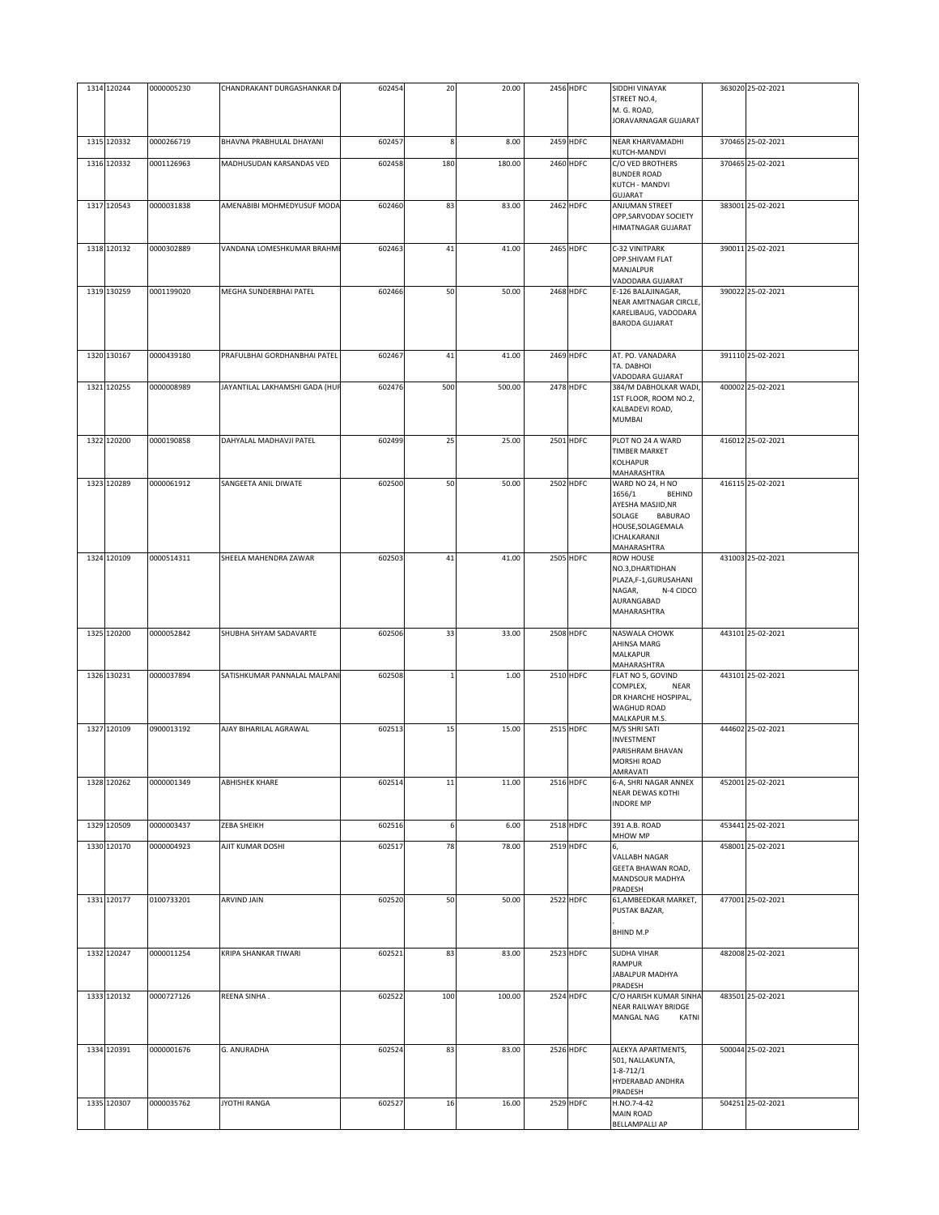| 1314 120244 | 0000005230 | CHANDRAKANT DURGASHANKAR DA    | 602454 | 20  | 20.00  | 2456 HDFC | SIDDHI VINAYAK<br>STREET NO.4,<br>M. G. ROAD,<br>JORAVARNAGAR GUJARAT                                                                            | 363020 25-02-2021 |
|-------------|------------|--------------------------------|--------|-----|--------|-----------|--------------------------------------------------------------------------------------------------------------------------------------------------|-------------------|
| 1315 120332 | 0000266719 | BHAVNA PRABHULAL DHAYANI       | 602457 | 8   | 8.00   | 2459 HDFC | NEAR KHARVAMADHI<br>KUTCH-MANDVI                                                                                                                 | 370465 25-02-2021 |
| 1316 120332 | 0001126963 | MADHUSUDAN KARSANDAS VED       | 602458 | 180 | 180.00 | 2460 HDFC | C/O VED BROTHERS<br><b>BUNDER ROAD</b><br><b>KUTCH - MANDVI</b><br>GUJARAT                                                                       | 370465 25-02-2021 |
| 1317 120543 | 0000031838 | AMENABIBI MOHMEDYUSUF MODA     | 602460 | 83  | 83.00  | 2462 HDFC | ANJUMAN STREET<br>OPP, SARVODAY SOCIETY<br>HIMATNAGAR GUJARAT                                                                                    | 383001 25-02-2021 |
| 1318 120132 | 0000302889 | VANDANA LOMESHKUMAR BRAHME     | 602463 | 41  | 41.00  | 2465 HDFC | C-32 VINITPARK<br>OPP.SHIVAM FLAT<br>MANJALPUR<br>VADODARA GUJARAT                                                                               | 390011 25-02-2021 |
| 1319 130259 | 0001199020 | MEGHA SUNDERBHAI PATEL         | 602466 | 50  | 50.00  | 2468 HDFC | E-126 BALAJINAGAR,<br>NEAR AMITNAGAR CIRCLE,<br>KARELIBAUG, VADODARA<br><b>BARODA GUJARAT</b>                                                    | 390022 25-02-2021 |
| 1320 130167 | 0000439180 | PRAFULBHAI GORDHANBHAI PATEL   | 602467 | 41  | 41.00  | 2469 HDFC | AT. PO. VANADARA<br>TA. DABHOI<br>VADODARA GUJARAT                                                                                               | 391110 25-02-2021 |
| 1321 120255 | 0000008989 | JAYANTILAL LAKHAMSHI GADA (HUF | 602476 | 500 | 500.00 | 2478 HDFC | 384/M DABHOLKAR WADI,<br>1ST FLOOR, ROOM NO.2,<br>KALBADEVI ROAD,<br><b>MUMBAI</b>                                                               | 400002 25-02-2021 |
| 1322 120200 | 0000190858 | DAHYALAL MADHAVJI PATEL        | 602499 | 25  | 25.00  | 2501 HDFC | PLOT NO 24 A WARD<br><b>TIMBER MARKET</b><br>KOLHAPUR<br>MAHARASHTRA                                                                             | 416012 25-02-2021 |
| 1323 120289 | 0000061912 | SANGEETA ANIL DIWATE           | 602500 | 50  | 50.00  | 2502 HDFC | WARD NO 24, H NO<br>1656/1<br><b>BEHIND</b><br>AYESHA MASJID, NR<br>SOLAGE<br><b>BABURAO</b><br>HOUSE, SOLAGEMALA<br>ICHALKARANJI<br>MAHARASHTRA | 416115 25-02-2021 |
| 1324 120109 | 0000514311 | SHEELA MAHENDRA ZAWAR          | 602503 | 41  | 41.00  | 2505 HDFC | <b>ROW HOUSE</b><br>NO.3, DHARTIDHAN<br>PLAZA,F-1,GURUSAHANI<br>NAGAR,<br>N-4 CIDCO<br>AURANGABAD<br>MAHARASHTRA                                 | 431003 25-02-2021 |
| 1325 120200 | 0000052842 | SHUBHA SHYAM SADAVARTE         | 602506 | 33  | 33.00  | 2508 HDFC | NASWALA CHOWK<br>AHINSA MARG<br>MALKAPUR<br>MAHARASHTRA                                                                                          | 443101 25-02-2021 |
| 1326 130231 | 0000037894 | SATISHKUMAR PANNALAL MALPANI   | 602508 |     | 1.00   | 2510 HDFC | FLAT NO 5, GOVIND<br>COMPLEX,<br>NEAR<br>DR KHARCHE HOSPIPAL,<br>WAGHUD ROAD<br>MALKAPUR M.S.                                                    | 443101 25-02-2021 |
| 1327 120109 | 0900013192 | AJAY BIHARILAL AGRAWAL         | 602513 | 15  | 15.00  | 2515 HDFC | M/S SHRI SATI<br>INVESTMENT<br>PARISHRAM BHAVAN<br>MORSHI ROAD<br>AMRAVATI                                                                       | 444602 25-02-2021 |
| 1328 120262 | 0000001349 | <b>ABHISHEK KHARE</b>          | 602514 | 11  | 11.00  | 2516 HDFC | 6-A, SHRI NAGAR ANNEX<br>NEAR DEWAS KOTHI<br><b>INDORE MP</b>                                                                                    | 452001 25-02-2021 |
| 1329 120509 | 0000003437 | ZEBA SHEIKH                    | 602516 | 6   | 6.00   | 2518 HDFC | 391 A.B. ROAD<br>MHOW MP                                                                                                                         | 453441 25-02-2021 |
| 1330 120170 | 0000004923 | AJIT KUMAR DOSHI               | 602517 | 78  | 78.00  | 2519 HDFC | 6,<br>VALLABH NAGAR<br>GEETA BHAWAN ROAD,<br>MANDSOUR MADHYA<br>PRADESH                                                                          | 458001 25-02-2021 |
| 1331 120177 | 0100733201 | ARVIND JAIN                    | 602520 | 50  | 50.00  | 2522 HDFC | 61, AMBEEDKAR MARKET,<br>PUSTAK BAZAR,<br>BHIND M.P                                                                                              | 477001 25-02-2021 |
| 1332 120247 | 0000011254 | KRIPA SHANKAR TIWARI           | 602521 | 83  | 83.00  | 2523 HDFC | <b>SUDHA VIHAR</b><br>RAMPUR<br>JABALPUR MADHYA<br>PRADESH                                                                                       | 482008 25-02-2021 |
| 1333 120132 | 0000727126 | REENA SINHA.                   | 602522 | 100 | 100.00 | 2524 HDFC | C/O HARISH KUMAR SINHA<br>NEAR RAILWAY BRIDGE<br>MANGAL NAG<br>KATNI                                                                             | 483501 25-02-2021 |
| 1334 120391 | 0000001676 | G. ANURADHA                    | 602524 | 83  | 83.00  | 2526 HDFC | ALEKYA APARTMENTS,<br>501, NALLAKUNTA,<br>$1 - 8 - 712/1$<br>HYDERABAD ANDHRA<br>PRADESH                                                         | 500044 25-02-2021 |
| 1335 120307 | 0000035762 | JYOTHI RANGA                   | 602527 | 16  | 16.00  | 2529 HDFC | H.NO.7-4-42<br>MAIN ROAD<br><b>BELLAMPALLI AP</b>                                                                                                | 504251 25-02-2021 |